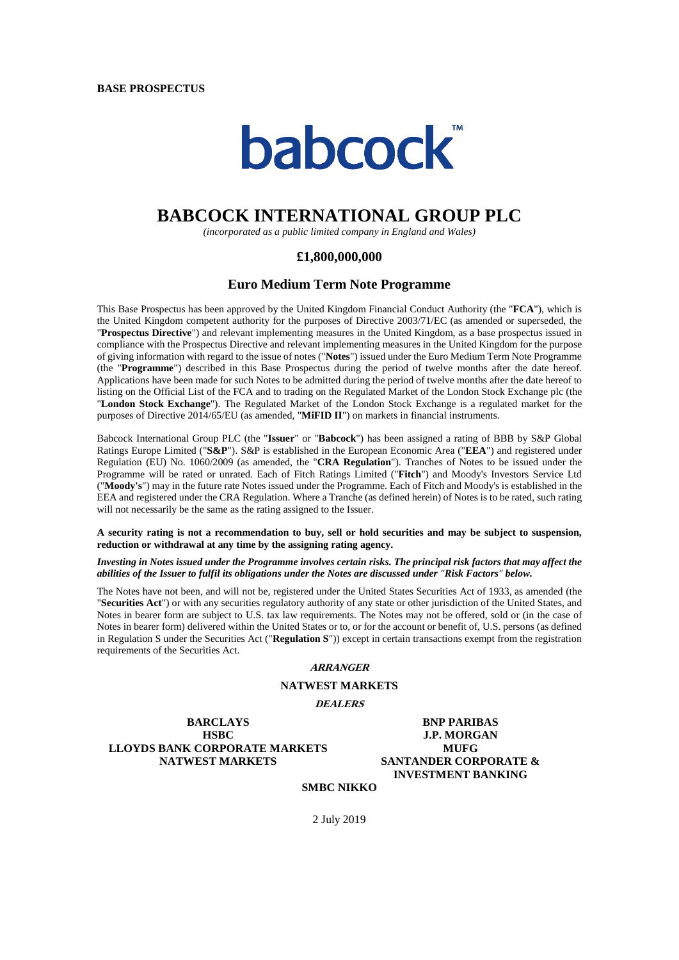

# **BABCOCK INTERNATIONAL GROUP PLC**

*(incorporated as a public limited company in England and Wales)*

## **£1,800,000,000**

## **Euro Medium Term Note Programme**

This Base Prospectus has been approved by the United Kingdom Financial Conduct Authority (the "**FCA**"), which is the United Kingdom competent authority for the purposes of Directive 2003/71/EC (as amended or superseded, the "**Prospectus Directive**") and relevant implementing measures in the United Kingdom, as a base prospectus issued in compliance with the Prospectus Directive and relevant implementing measures in the United Kingdom for the purpose of giving information with regard to the issue of notes ("**Notes**") issued under the Euro Medium Term Note Programme (the "**Programme**") described in this Base Prospectus during the period of twelve months after the date hereof. Applications have been made for such Notes to be admitted during the period of twelve months after the date hereof to listing on the Official List of the FCA and to trading on the Regulated Market of the London Stock Exchange plc (the "**London Stock Exchange**"). The Regulated Market of the London Stock Exchange is a regulated market for the purposes of Directive 2014/65/EU (as amended, "**MiFID II**") on markets in financial instruments.

Babcock International Group PLC (the "**Issuer**" or "**Babcock**") has been assigned a rating of BBB by S&P Global Ratings Europe Limited ("**S&P**"). S&P is established in the European Economic Area ("**EEA**") and registered under Regulation (EU) No. 1060/2009 (as amended, the "**CRA Regulation**"). Tranches of Notes to be issued under the Programme will be rated or unrated. Each of Fitch Ratings Limited ("**Fitch**") and Moody's Investors Service Ltd ("**Moody's**") may in the future rate Notes issued under the Programme. Each of Fitch and Moody's is established in the EEA and registered under the CRA Regulation. Where a Tranche (as defined herein) of Notes is to be rated, such rating will not necessarily be the same as the rating assigned to the Issuer.

**A security rating is not a recommendation to buy, sell or hold securities and may be subject to suspension, reduction or withdrawal at any time by the assigning rating agency.**

#### *Investing in Notes issued under the Programme involves certain risks. The principal risk factors that may affect the abilities of the Issuer to fulfil its obligations under the Notes are discussed under "Risk Factors" below.*

The Notes have not been, and will not be, registered under the United States Securities Act of 1933, as amended (the "**Securities Act**") or with any securities regulatory authority of any state or other jurisdiction of the United States, and Notes in bearer form are subject to U.S. tax law requirements. The Notes may not be offered, sold or (in the case of Notes in bearer form) delivered within the United States or to, or for the account or benefit of, U.S. persons (as defined in Regulation S under the Securities Act ("**Regulation S**")) except in certain transactions exempt from the registration requirements of the Securities Act.

## **ARRANGER**

## **NATWEST MARKETS**

**DEALERS**

**BARCLAYS** BNP PARIBAS **HSBC J.P. MORGAN LLOYDS BANK CORPORATE MARKETS MUFG NATWEST MARKETS SANTANDER CORPORATE &**

**INVESTMENT BANKING**

## **SMBC NIKKO**

2 July 2019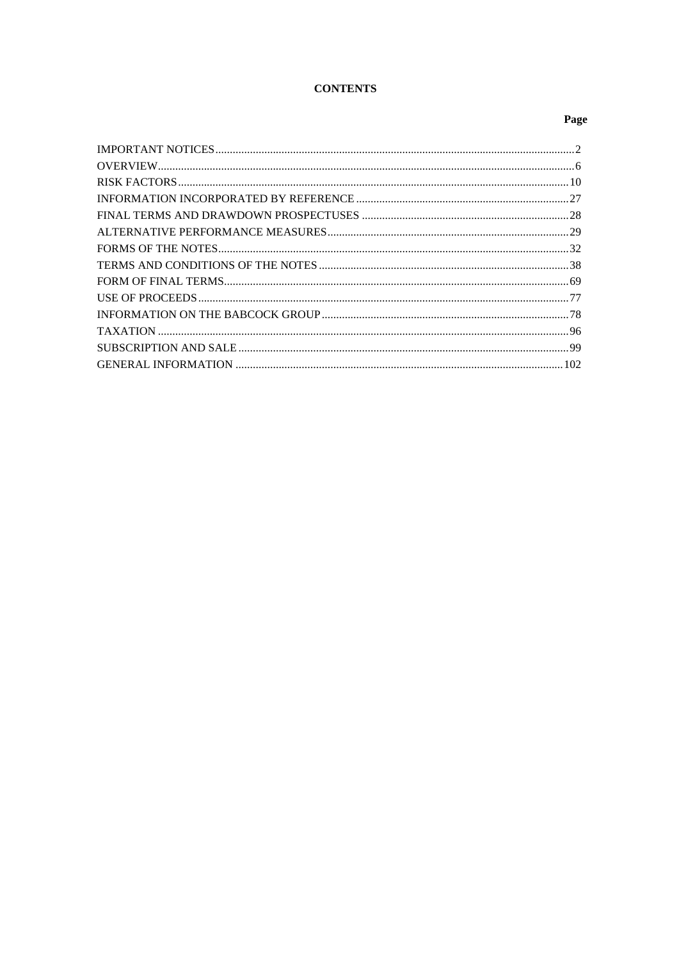## **CONTENTS**

## Page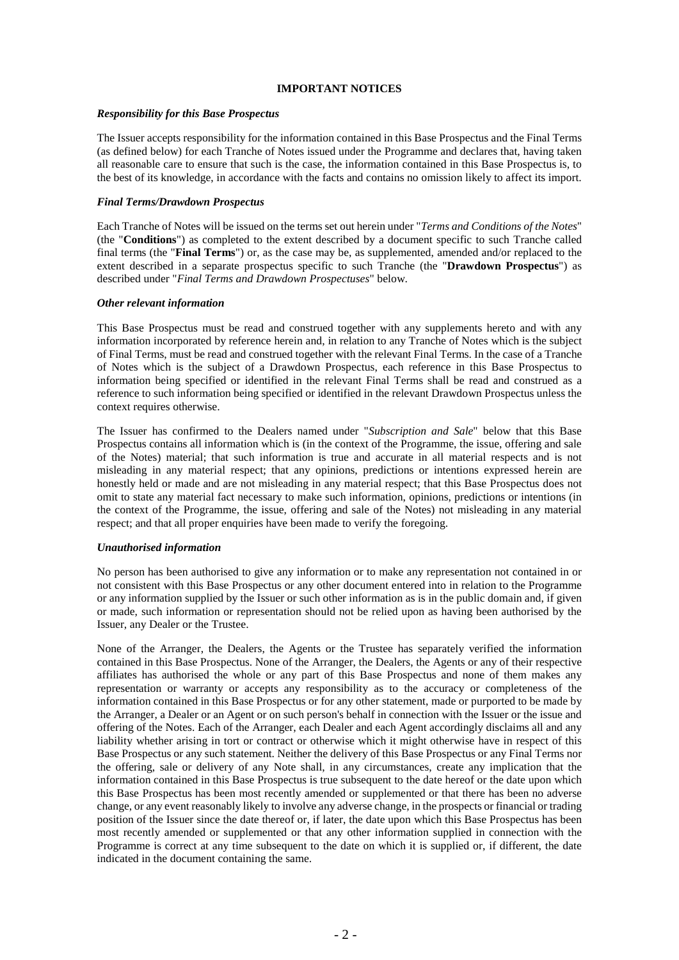## **IMPORTANT NOTICES**

#### *Responsibility for this Base Prospectus*

The Issuer accepts responsibility for the information contained in this Base Prospectus and the Final Terms (as defined below) for each Tranche of Notes issued under the Programme and declares that, having taken all reasonable care to ensure that such is the case, the information contained in this Base Prospectus is, to the best of its knowledge, in accordance with the facts and contains no omission likely to affect its import.

#### *Final Terms/Drawdown Prospectus*

Each Tranche of Notes will be issued on the terms set out herein under "*Terms and Conditions of the Notes*" (the "**Conditions**") as completed to the extent described by a document specific to such Tranche called final terms (the "**Final Terms**") or, as the case may be, as supplemented, amended and/or replaced to the extent described in a separate prospectus specific to such Tranche (the "**Drawdown Prospectus**") as described under "*Final Terms and Drawdown Prospectuses*" below.

#### *Other relevant information*

This Base Prospectus must be read and construed together with any supplements hereto and with any information incorporated by reference herein and, in relation to any Tranche of Notes which is the subject of Final Terms, must be read and construed together with the relevant Final Terms. In the case of a Tranche of Notes which is the subject of a Drawdown Prospectus, each reference in this Base Prospectus to information being specified or identified in the relevant Final Terms shall be read and construed as a reference to such information being specified or identified in the relevant Drawdown Prospectus unless the context requires otherwise.

The Issuer has confirmed to the Dealers named under "*Subscription and Sale*" below that this Base Prospectus contains all information which is (in the context of the Programme, the issue, offering and sale of the Notes) material; that such information is true and accurate in all material respects and is not misleading in any material respect; that any opinions, predictions or intentions expressed herein are honestly held or made and are not misleading in any material respect; that this Base Prospectus does not omit to state any material fact necessary to make such information, opinions, predictions or intentions (in the context of the Programme, the issue, offering and sale of the Notes) not misleading in any material respect; and that all proper enquiries have been made to verify the foregoing.

#### *Unauthorised information*

No person has been authorised to give any information or to make any representation not contained in or not consistent with this Base Prospectus or any other document entered into in relation to the Programme or any information supplied by the Issuer or such other information as is in the public domain and, if given or made, such information or representation should not be relied upon as having been authorised by the Issuer, any Dealer or the Trustee.

None of the Arranger, the Dealers, the Agents or the Trustee has separately verified the information contained in this Base Prospectus. None of the Arranger, the Dealers, the Agents or any of their respective affiliates has authorised the whole or any part of this Base Prospectus and none of them makes any representation or warranty or accepts any responsibility as to the accuracy or completeness of the information contained in this Base Prospectus or for any other statement, made or purported to be made by the Arranger, a Dealer or an Agent or on such person's behalf in connection with the Issuer or the issue and offering of the Notes. Each of the Arranger, each Dealer and each Agent accordingly disclaims all and any liability whether arising in tort or contract or otherwise which it might otherwise have in respect of this Base Prospectus or any such statement. Neither the delivery of this Base Prospectus or any Final Terms nor the offering, sale or delivery of any Note shall, in any circumstances, create any implication that the information contained in this Base Prospectus is true subsequent to the date hereof or the date upon which this Base Prospectus has been most recently amended or supplemented or that there has been no adverse change, or any event reasonably likely to involve any adverse change, in the prospects or financial or trading position of the Issuer since the date thereof or, if later, the date upon which this Base Prospectus has been most recently amended or supplemented or that any other information supplied in connection with the Programme is correct at any time subsequent to the date on which it is supplied or, if different, the date indicated in the document containing the same.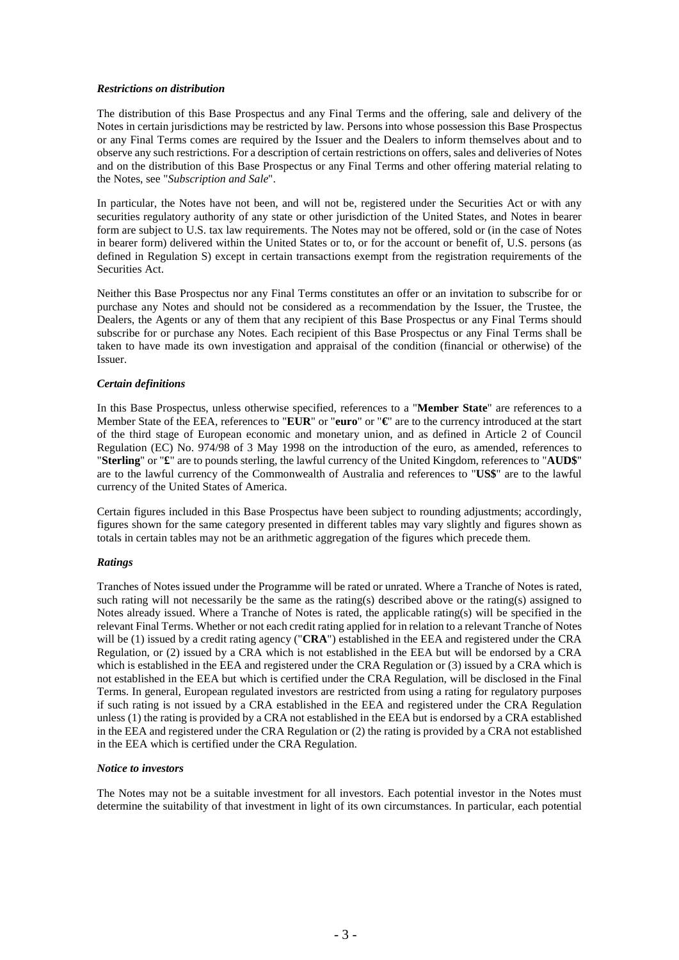## *Restrictions on distribution*

The distribution of this Base Prospectus and any Final Terms and the offering, sale and delivery of the Notes in certain jurisdictions may be restricted by law. Persons into whose possession this Base Prospectus or any Final Terms comes are required by the Issuer and the Dealers to inform themselves about and to observe any such restrictions. For a description of certain restrictions on offers, sales and deliveries of Notes and on the distribution of this Base Prospectus or any Final Terms and other offering material relating to the Notes, see "*Subscription and Sale*".

In particular, the Notes have not been, and will not be, registered under the Securities Act or with any securities regulatory authority of any state or other jurisdiction of the United States, and Notes in bearer form are subject to U.S. tax law requirements. The Notes may not be offered, sold or (in the case of Notes in bearer form) delivered within the United States or to, or for the account or benefit of, U.S. persons (as defined in Regulation S) except in certain transactions exempt from the registration requirements of the Securities Act.

Neither this Base Prospectus nor any Final Terms constitutes an offer or an invitation to subscribe for or purchase any Notes and should not be considered as a recommendation by the Issuer, the Trustee, the Dealers, the Agents or any of them that any recipient of this Base Prospectus or any Final Terms should subscribe for or purchase any Notes. Each recipient of this Base Prospectus or any Final Terms shall be taken to have made its own investigation and appraisal of the condition (financial or otherwise) of the Issuer.

## *Certain definitions*

In this Base Prospectus, unless otherwise specified, references to a "**Member State**" are references to a Member State of the EEA, references to "**EUR**" or "**euro**" or "**€**" are to the currency introduced at the start of the third stage of European economic and monetary union, and as defined in Article 2 of Council Regulation (EC) No. 974/98 of 3 May 1998 on the introduction of the euro, as amended, references to "**Sterling**" or "**£**" are to pounds sterling, the lawful currency of the United Kingdom, references to "**AUD\$**" are to the lawful currency of the Commonwealth of Australia and references to "**US\$**" are to the lawful currency of the United States of America.

Certain figures included in this Base Prospectus have been subject to rounding adjustments; accordingly, figures shown for the same category presented in different tables may vary slightly and figures shown as totals in certain tables may not be an arithmetic aggregation of the figures which precede them.

#### *Ratings*

Tranches of Notes issued under the Programme will be rated or unrated. Where a Tranche of Notes is rated, such rating will not necessarily be the same as the rating(s) described above or the rating(s) assigned to Notes already issued. Where a Tranche of Notes is rated, the applicable rating(s) will be specified in the relevant Final Terms. Whether or not each credit rating applied for in relation to a relevant Tranche of Notes will be (1) issued by a credit rating agency ("**CRA**") established in the EEA and registered under the CRA Regulation, or (2) issued by a CRA which is not established in the EEA but will be endorsed by a CRA which is established in the EEA and registered under the CRA Regulation or (3) issued by a CRA which is not established in the EEA but which is certified under the CRA Regulation, will be disclosed in the Final Terms. In general, European regulated investors are restricted from using a rating for regulatory purposes if such rating is not issued by a CRA established in the EEA and registered under the CRA Regulation unless (1) the rating is provided by a CRA not established in the EEA but is endorsed by a CRA established in the EEA and registered under the CRA Regulation or (2) the rating is provided by a CRA not established in the EEA which is certified under the CRA Regulation.

#### *Notice to investors*

The Notes may not be a suitable investment for all investors. Each potential investor in the Notes must determine the suitability of that investment in light of its own circumstances. In particular, each potential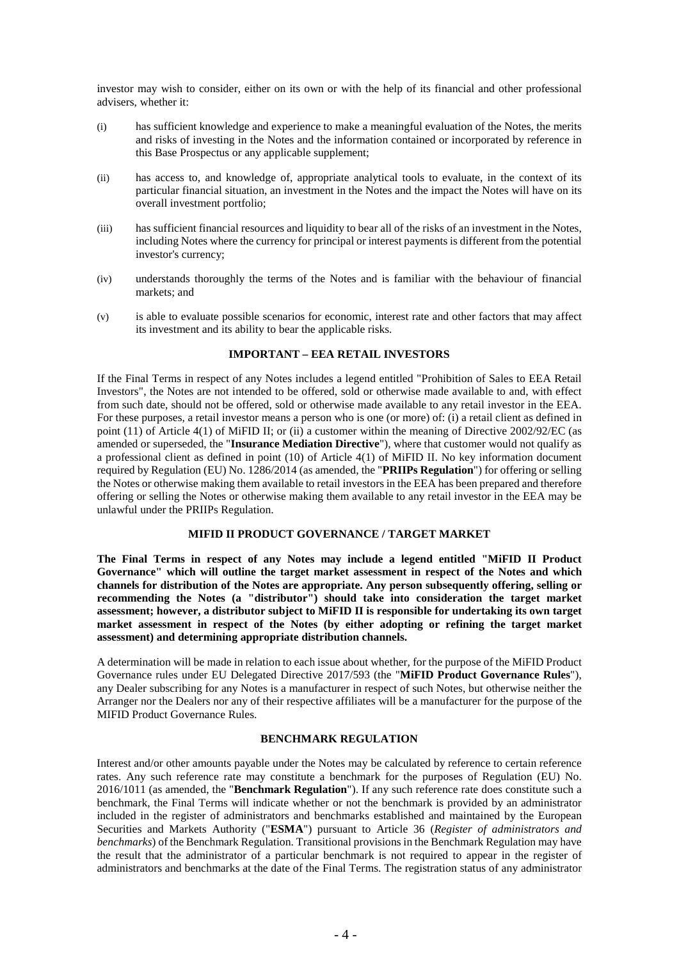investor may wish to consider, either on its own or with the help of its financial and other professional advisers, whether it:

- (i) has sufficient knowledge and experience to make a meaningful evaluation of the Notes, the merits and risks of investing in the Notes and the information contained or incorporated by reference in this Base Prospectus or any applicable supplement;
- (ii) has access to, and knowledge of, appropriate analytical tools to evaluate, in the context of its particular financial situation, an investment in the Notes and the impact the Notes will have on its overall investment portfolio;
- (iii) has sufficient financial resources and liquidity to bear all of the risks of an investment in the Notes, including Notes where the currency for principal or interest payments is different from the potential investor's currency;
- (iv) understands thoroughly the terms of the Notes and is familiar with the behaviour of financial markets; and
- (v) is able to evaluate possible scenarios for economic, interest rate and other factors that may affect its investment and its ability to bear the applicable risks.

## **IMPORTANT – EEA RETAIL INVESTORS**

If the Final Terms in respect of any Notes includes a legend entitled "Prohibition of Sales to EEA Retail Investors", the Notes are not intended to be offered, sold or otherwise made available to and, with effect from such date, should not be offered, sold or otherwise made available to any retail investor in the EEA. For these purposes, a retail investor means a person who is one (or more) of: (i) a retail client as defined in point (11) of Article 4(1) of MiFID II; or (ii) a customer within the meaning of Directive 2002/92/EC (as amended or superseded, the "**Insurance Mediation Directive**"), where that customer would not qualify as a professional client as defined in point (10) of Article 4(1) of MiFID II. No key information document required by Regulation (EU) No. 1286/2014 (as amended, the "**PRIIPs Regulation**") for offering or selling the Notes or otherwise making them available to retail investors in the EEA has been prepared and therefore offering or selling the Notes or otherwise making them available to any retail investor in the EEA may be unlawful under the PRIIPs Regulation.

## **MIFID II PRODUCT GOVERNANCE / TARGET MARKET**

**The Final Terms in respect of any Notes may include a legend entitled "MiFID II Product Governance" which will outline the target market assessment in respect of the Notes and which channels for distribution of the Notes are appropriate. Any person subsequently offering, selling or recommending the Notes (a "distributor") should take into consideration the target market assessment; however, a distributor subject to MiFID II is responsible for undertaking its own target market assessment in respect of the Notes (by either adopting or refining the target market assessment) and determining appropriate distribution channels.**

A determination will be made in relation to each issue about whether, for the purpose of the MiFID Product Governance rules under EU Delegated Directive 2017/593 (the "**MiFID Product Governance Rules**"), any Dealer subscribing for any Notes is a manufacturer in respect of such Notes, but otherwise neither the Arranger nor the Dealers nor any of their respective affiliates will be a manufacturer for the purpose of the MIFID Product Governance Rules.

#### **BENCHMARK REGULATION**

Interest and/or other amounts payable under the Notes may be calculated by reference to certain reference rates. Any such reference rate may constitute a benchmark for the purposes of Regulation (EU) No. 2016/1011 (as amended, the "**Benchmark Regulation**"). If any such reference rate does constitute such a benchmark, the Final Terms will indicate whether or not the benchmark is provided by an administrator included in the register of administrators and benchmarks established and maintained by the European Securities and Markets Authority ("**ESMA**") pursuant to Article 36 (*Register of administrators and benchmarks*) of the Benchmark Regulation. Transitional provisions in the Benchmark Regulation may have the result that the administrator of a particular benchmark is not required to appear in the register of administrators and benchmarks at the date of the Final Terms. The registration status of any administrator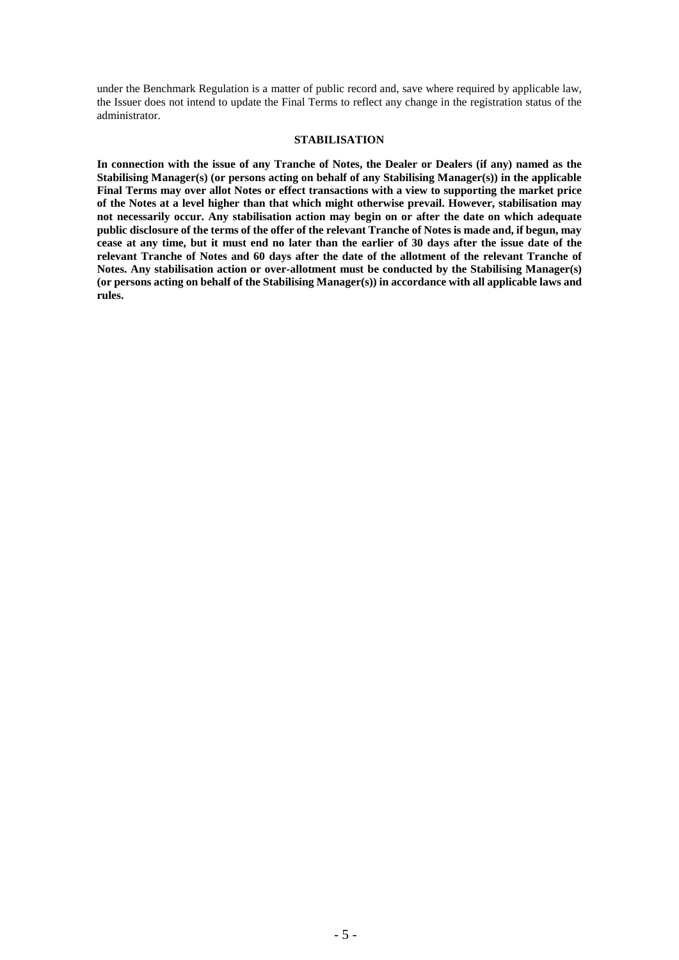under the Benchmark Regulation is a matter of public record and, save where required by applicable law, the Issuer does not intend to update the Final Terms to reflect any change in the registration status of the administrator.

#### **STABILISATION**

**In connection with the issue of any Tranche of Notes, the Dealer or Dealers (if any) named as the Stabilising Manager(s) (or persons acting on behalf of any Stabilising Manager(s)) in the applicable Final Terms may over allot Notes or effect transactions with a view to supporting the market price of the Notes at a level higher than that which might otherwise prevail. However, stabilisation may not necessarily occur. Any stabilisation action may begin on or after the date on which adequate public disclosure of the terms of the offer of the relevant Tranche of Notes is made and, if begun, may cease at any time, but it must end no later than the earlier of 30 days after the issue date of the relevant Tranche of Notes and 60 days after the date of the allotment of the relevant Tranche of Notes. Any stabilisation action or over-allotment must be conducted by the Stabilising Manager(s) (or persons acting on behalf of the Stabilising Manager(s)) in accordance with all applicable laws and rules.**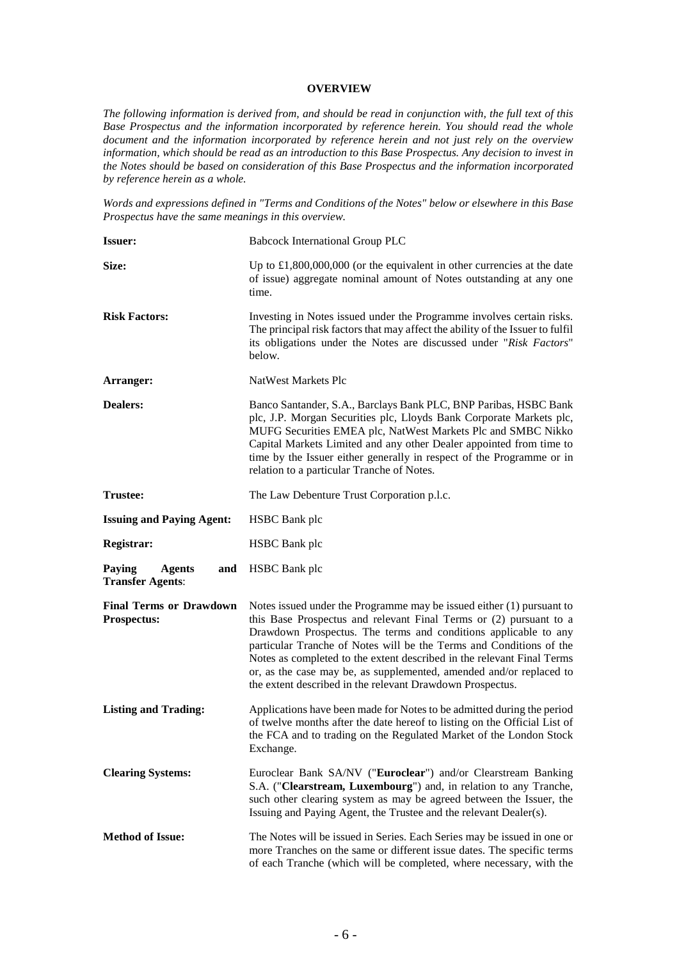#### **OVERVIEW**

*The following information is derived from, and should be read in conjunction with, the full text of this Base Prospectus and the information incorporated by reference herein. You should read the whole document and the information incorporated by reference herein and not just rely on the overview information, which should be read as an introduction to this Base Prospectus. Any decision to invest in the Notes should be based on consideration of this Base Prospectus and the information incorporated by reference herein as a whole.*

*Words and expressions defined in "Terms and Conditions of the Notes" below or elsewhere in this Base Prospectus have the same meanings in this overview.*

| <b>Issuer:</b>                                            | <b>Babcock International Group PLC</b>                                                                                                                                                                                                                                                                                                                                                                                                                                                                |  |  |  |
|-----------------------------------------------------------|-------------------------------------------------------------------------------------------------------------------------------------------------------------------------------------------------------------------------------------------------------------------------------------------------------------------------------------------------------------------------------------------------------------------------------------------------------------------------------------------------------|--|--|--|
| Size:                                                     | Up to $\pounds1,800,000,000$ (or the equivalent in other currencies at the date<br>of issue) aggregate nominal amount of Notes outstanding at any one<br>time.                                                                                                                                                                                                                                                                                                                                        |  |  |  |
| <b>Risk Factors:</b>                                      | Investing in Notes issued under the Programme involves certain risks.<br>The principal risk factors that may affect the ability of the Issuer to fulfil<br>its obligations under the Notes are discussed under "Risk Factors"<br>below.                                                                                                                                                                                                                                                               |  |  |  |
| Arranger:                                                 | NatWest Markets Plc                                                                                                                                                                                                                                                                                                                                                                                                                                                                                   |  |  |  |
| <b>Dealers:</b>                                           | Banco Santander, S.A., Barclays Bank PLC, BNP Paribas, HSBC Bank<br>plc, J.P. Morgan Securities plc, Lloyds Bank Corporate Markets plc,<br>MUFG Securities EMEA plc, NatWest Markets Plc and SMBC Nikko<br>Capital Markets Limited and any other Dealer appointed from time to<br>time by the Issuer either generally in respect of the Programme or in<br>relation to a particular Tranche of Notes.                                                                                                 |  |  |  |
| <b>Trustee:</b>                                           | The Law Debenture Trust Corporation p.l.c.                                                                                                                                                                                                                                                                                                                                                                                                                                                            |  |  |  |
| <b>Issuing and Paying Agent:</b>                          | <b>HSBC</b> Bank plc                                                                                                                                                                                                                                                                                                                                                                                                                                                                                  |  |  |  |
| Registrar:                                                | <b>HSBC</b> Bank plc                                                                                                                                                                                                                                                                                                                                                                                                                                                                                  |  |  |  |
| Paying<br><b>Agents</b><br>and<br><b>Transfer Agents:</b> | <b>HSBC</b> Bank plc                                                                                                                                                                                                                                                                                                                                                                                                                                                                                  |  |  |  |
|                                                           |                                                                                                                                                                                                                                                                                                                                                                                                                                                                                                       |  |  |  |
| <b>Final Terms or Drawdown</b><br><b>Prospectus:</b>      | Notes issued under the Programme may be issued either $(1)$ pursuant to<br>this Base Prospectus and relevant Final Terms or (2) pursuant to a<br>Drawdown Prospectus. The terms and conditions applicable to any<br>particular Tranche of Notes will be the Terms and Conditions of the<br>Notes as completed to the extent described in the relevant Final Terms<br>or, as the case may be, as supplemented, amended and/or replaced to<br>the extent described in the relevant Drawdown Prospectus. |  |  |  |
| <b>Listing and Trading:</b>                               | Applications have been made for Notes to be admitted during the period<br>of twelve months after the date hereof to listing on the Official List of<br>the FCA and to trading on the Regulated Market of the London Stock<br>Exchange.                                                                                                                                                                                                                                                                |  |  |  |
| <b>Clearing Systems:</b>                                  | Euroclear Bank SA/NV ("Euroclear") and/or Clearstream Banking<br>S.A. ("Clearstream, Luxembourg") and, in relation to any Tranche,<br>such other clearing system as may be agreed between the Issuer, the<br>Issuing and Paying Agent, the Trustee and the relevant Dealer(s).                                                                                                                                                                                                                        |  |  |  |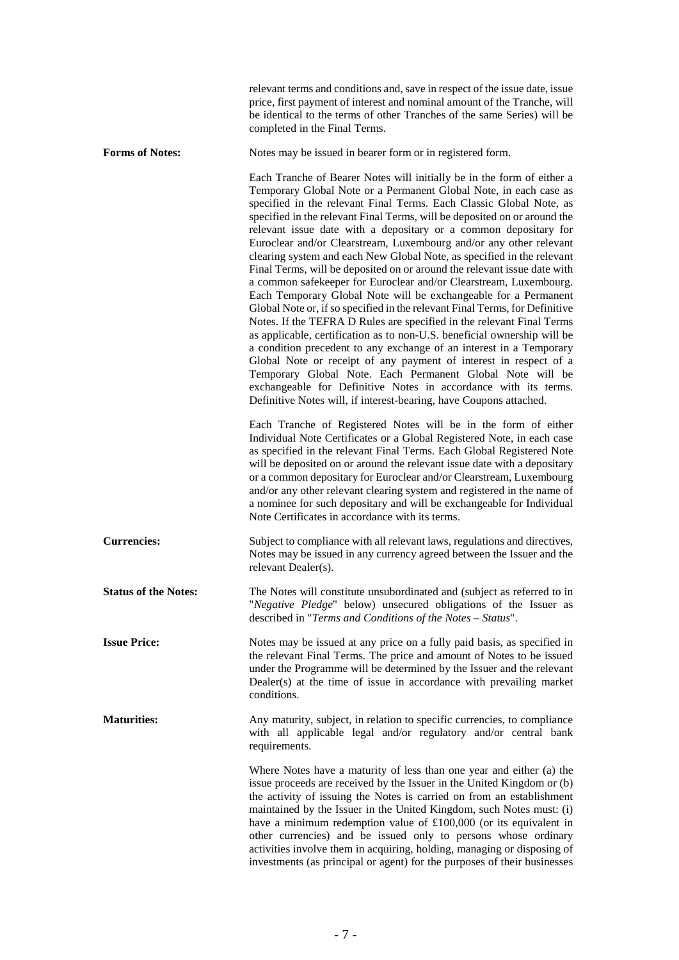|                             | relevant terms and conditions and, save in respect of the issue date, issue<br>price, first payment of interest and nominal amount of the Tranche, will<br>be identical to the terms of other Tranches of the same Series) will be<br>completed in the Final Terms.                                                                                                                                                                                                                                                                                                                                                                                                                                                                                                                                                                                                                                                                                                                                                                                                                                                                                                                                                                                                                                                           |
|-----------------------------|-------------------------------------------------------------------------------------------------------------------------------------------------------------------------------------------------------------------------------------------------------------------------------------------------------------------------------------------------------------------------------------------------------------------------------------------------------------------------------------------------------------------------------------------------------------------------------------------------------------------------------------------------------------------------------------------------------------------------------------------------------------------------------------------------------------------------------------------------------------------------------------------------------------------------------------------------------------------------------------------------------------------------------------------------------------------------------------------------------------------------------------------------------------------------------------------------------------------------------------------------------------------------------------------------------------------------------|
| <b>Forms of Notes:</b>      | Notes may be issued in bearer form or in registered form.                                                                                                                                                                                                                                                                                                                                                                                                                                                                                                                                                                                                                                                                                                                                                                                                                                                                                                                                                                                                                                                                                                                                                                                                                                                                     |
|                             | Each Tranche of Bearer Notes will initially be in the form of either a<br>Temporary Global Note or a Permanent Global Note, in each case as<br>specified in the relevant Final Terms. Each Classic Global Note, as<br>specified in the relevant Final Terms, will be deposited on or around the<br>relevant issue date with a depositary or a common depositary for<br>Euroclear and/or Clearstream, Luxembourg and/or any other relevant<br>clearing system and each New Global Note, as specified in the relevant<br>Final Terms, will be deposited on or around the relevant issue date with<br>a common safekeeper for Euroclear and/or Clearstream, Luxembourg.<br>Each Temporary Global Note will be exchangeable for a Permanent<br>Global Note or, if so specified in the relevant Final Terms, for Definitive<br>Notes. If the TEFRA D Rules are specified in the relevant Final Terms<br>as applicable, certification as to non-U.S. beneficial ownership will be<br>a condition precedent to any exchange of an interest in a Temporary<br>Global Note or receipt of any payment of interest in respect of a<br>Temporary Global Note. Each Permanent Global Note will be<br>exchangeable for Definitive Notes in accordance with its terms.<br>Definitive Notes will, if interest-bearing, have Coupons attached. |
|                             | Each Tranche of Registered Notes will be in the form of either<br>Individual Note Certificates or a Global Registered Note, in each case<br>as specified in the relevant Final Terms. Each Global Registered Note<br>will be deposited on or around the relevant issue date with a depositary<br>or a common depositary for Euroclear and/or Clearstream, Luxembourg<br>and/or any other relevant clearing system and registered in the name of<br>a nominee for such depositary and will be exchangeable for Individual<br>Note Certificates in accordance with its terms.                                                                                                                                                                                                                                                                                                                                                                                                                                                                                                                                                                                                                                                                                                                                                   |
| <b>Currencies:</b>          | Subject to compliance with all relevant laws, regulations and directives,<br>Notes may be issued in any currency agreed between the Issuer and the<br>relevant Dealer(s).                                                                                                                                                                                                                                                                                                                                                                                                                                                                                                                                                                                                                                                                                                                                                                                                                                                                                                                                                                                                                                                                                                                                                     |
| <b>Status of the Notes:</b> | The Notes will constitute unsubordinated and (subject as referred to in<br>"Negative Pledge" below) unsecured obligations of the Issuer as<br>described in "Terms and Conditions of the Notes - Status".                                                                                                                                                                                                                                                                                                                                                                                                                                                                                                                                                                                                                                                                                                                                                                                                                                                                                                                                                                                                                                                                                                                      |
| <b>Issue Price:</b>         | Notes may be issued at any price on a fully paid basis, as specified in<br>the relevant Final Terms. The price and amount of Notes to be issued<br>under the Programme will be determined by the Issuer and the relevant<br>Dealer(s) at the time of issue in accordance with prevailing market<br>conditions.                                                                                                                                                                                                                                                                                                                                                                                                                                                                                                                                                                                                                                                                                                                                                                                                                                                                                                                                                                                                                |
| <b>Maturities:</b>          | Any maturity, subject, in relation to specific currencies, to compliance<br>with all applicable legal and/or regulatory and/or central bank<br>requirements.                                                                                                                                                                                                                                                                                                                                                                                                                                                                                                                                                                                                                                                                                                                                                                                                                                                                                                                                                                                                                                                                                                                                                                  |
|                             | Where Notes have a maturity of less than one year and either (a) the<br>issue proceeds are received by the Issuer in the United Kingdom or (b)<br>the activity of issuing the Notes is carried on from an establishment<br>maintained by the Issuer in the United Kingdom, such Notes must: (i)<br>have a minimum redemption value of $£100,000$ (or its equivalent in<br>other currencies) and be issued only to persons whose ordinary<br>activities involve them in acquiring, holding, managing or disposing of<br>investments (as principal or agent) for the purposes of their businesses                                                                                                                                                                                                                                                                                                                                                                                                                                                                                                                                                                                                                                                                                                                               |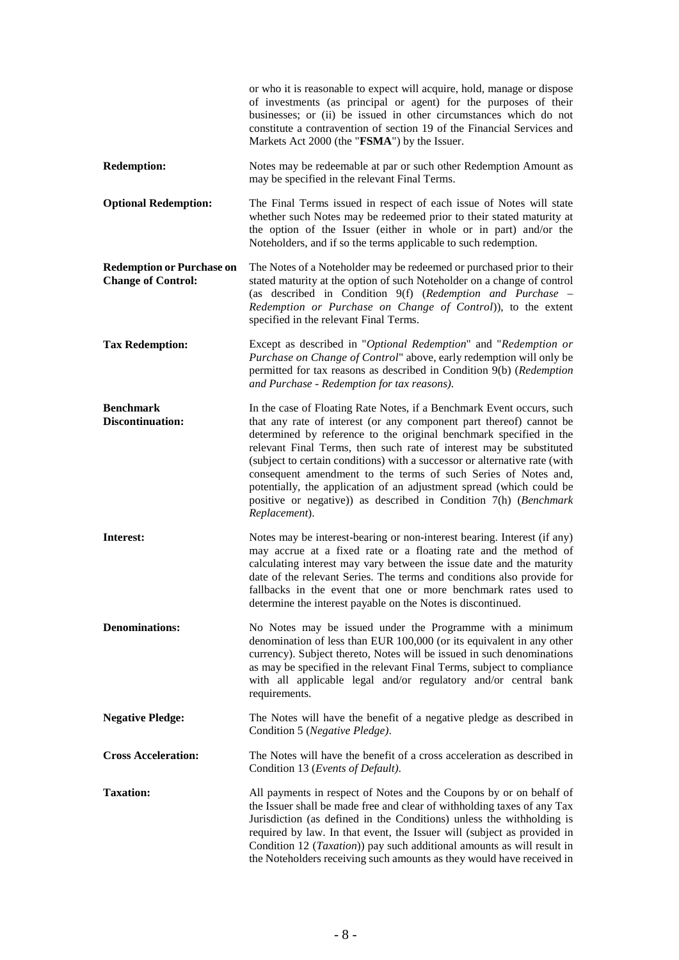|                                                               | or who it is reasonable to expect will acquire, hold, manage or dispose<br>of investments (as principal or agent) for the purposes of their<br>businesses; or (ii) be issued in other circumstances which do not<br>constitute a contravention of section 19 of the Financial Services and<br>Markets Act 2000 (the "FSMA") by the Issuer.                                                                                                                                                                                                                                                             |
|---------------------------------------------------------------|--------------------------------------------------------------------------------------------------------------------------------------------------------------------------------------------------------------------------------------------------------------------------------------------------------------------------------------------------------------------------------------------------------------------------------------------------------------------------------------------------------------------------------------------------------------------------------------------------------|
| <b>Redemption:</b>                                            | Notes may be redeemable at par or such other Redemption Amount as<br>may be specified in the relevant Final Terms.                                                                                                                                                                                                                                                                                                                                                                                                                                                                                     |
| <b>Optional Redemption:</b>                                   | The Final Terms issued in respect of each issue of Notes will state<br>whether such Notes may be redeemed prior to their stated maturity at<br>the option of the Issuer (either in whole or in part) and/or the<br>Noteholders, and if so the terms applicable to such redemption.                                                                                                                                                                                                                                                                                                                     |
| <b>Redemption or Purchase on</b><br><b>Change of Control:</b> | The Notes of a Noteholder may be redeemed or purchased prior to their<br>stated maturity at the option of such Noteholder on a change of control<br>(as described in Condition 9(f) (Redemption and Purchase -<br>Redemption or Purchase on Change of Control)), to the extent<br>specified in the relevant Final Terms.                                                                                                                                                                                                                                                                               |
| <b>Tax Redemption:</b>                                        | Except as described in "Optional Redemption" and "Redemption or<br>Purchase on Change of Control" above, early redemption will only be<br>permitted for tax reasons as described in Condition 9(b) (Redemption<br>and Purchase - Redemption for tax reasons).                                                                                                                                                                                                                                                                                                                                          |
| <b>Benchmark</b><br><b>Discontinuation:</b>                   | In the case of Floating Rate Notes, if a Benchmark Event occurs, such<br>that any rate of interest (or any component part thereof) cannot be<br>determined by reference to the original benchmark specified in the<br>relevant Final Terms, then such rate of interest may be substituted<br>(subject to certain conditions) with a successor or alternative rate (with<br>consequent amendment to the terms of such Series of Notes and,<br>potentially, the application of an adjustment spread (which could be<br>positive or negative)) as described in Condition 7(h) (Benchmark<br>Replacement). |
| Interest:                                                     | Notes may be interest-bearing or non-interest bearing. Interest (if any)<br>may accrue at a fixed rate or a floating rate and the method of<br>calculating interest may vary between the issue date and the maturity<br>date of the relevant Series. The terms and conditions also provide for<br>fallbacks in the event that one or more benchmark rates used to<br>determine the interest payable on the Notes is discontinued.                                                                                                                                                                      |
| <b>Denominations:</b>                                         | No Notes may be issued under the Programme with a minimum<br>denomination of less than EUR 100,000 (or its equivalent in any other<br>currency). Subject thereto, Notes will be issued in such denominations<br>as may be specified in the relevant Final Terms, subject to compliance<br>with all applicable legal and/or regulatory and/or central bank<br>requirements.                                                                                                                                                                                                                             |
| <b>Negative Pledge:</b>                                       | The Notes will have the benefit of a negative pledge as described in<br>Condition 5 (Negative Pledge).                                                                                                                                                                                                                                                                                                                                                                                                                                                                                                 |
| <b>Cross Acceleration:</b>                                    | The Notes will have the benefit of a cross acceleration as described in<br>Condition 13 (Events of Default).                                                                                                                                                                                                                                                                                                                                                                                                                                                                                           |
| <b>Taxation:</b>                                              | All payments in respect of Notes and the Coupons by or on behalf of<br>the Issuer shall be made free and clear of withholding taxes of any Tax<br>Jurisdiction (as defined in the Conditions) unless the withholding is<br>required by law. In that event, the Issuer will (subject as provided in<br>Condition 12 ( <i>Taxation</i> )) pay such additional amounts as will result in<br>the Noteholders receiving such amounts as they would have received in                                                                                                                                         |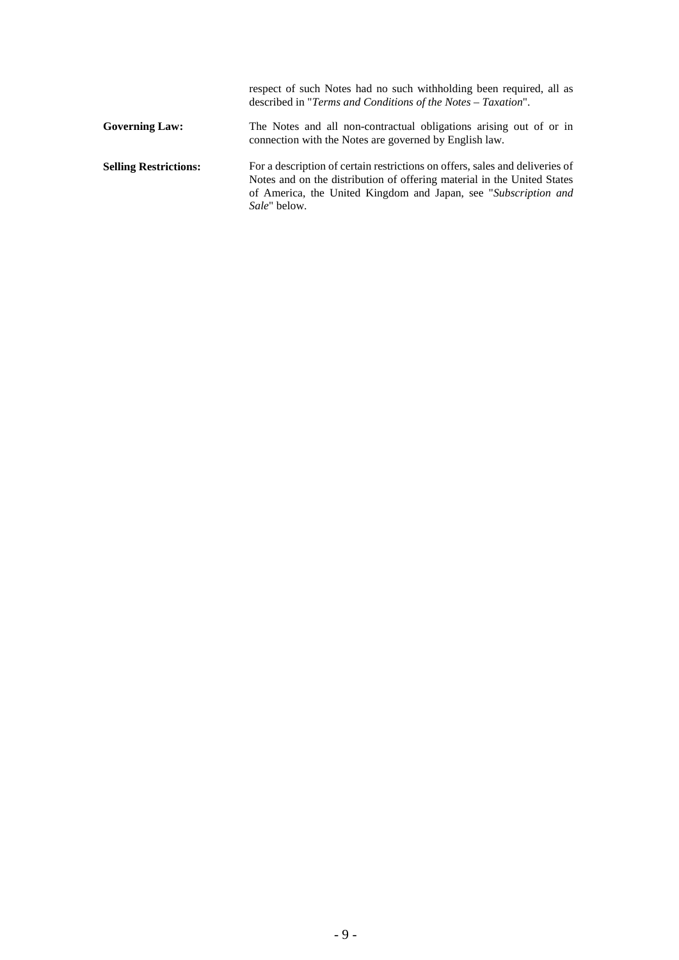|                              | respect of such Notes had no such withholding been required, all as<br>described in "Terms and Conditions of the Notes - Taxation".                                                                                                                |
|------------------------------|----------------------------------------------------------------------------------------------------------------------------------------------------------------------------------------------------------------------------------------------------|
| <b>Governing Law:</b>        | The Notes and all non-contractual obligations arising out of or in<br>connection with the Notes are governed by English law.                                                                                                                       |
| <b>Selling Restrictions:</b> | For a description of certain restrictions on offers, sales and deliveries of<br>Notes and on the distribution of offering material in the United States<br>of America, the United Kingdom and Japan, see "Subscription and<br><i>Sale</i> " below. |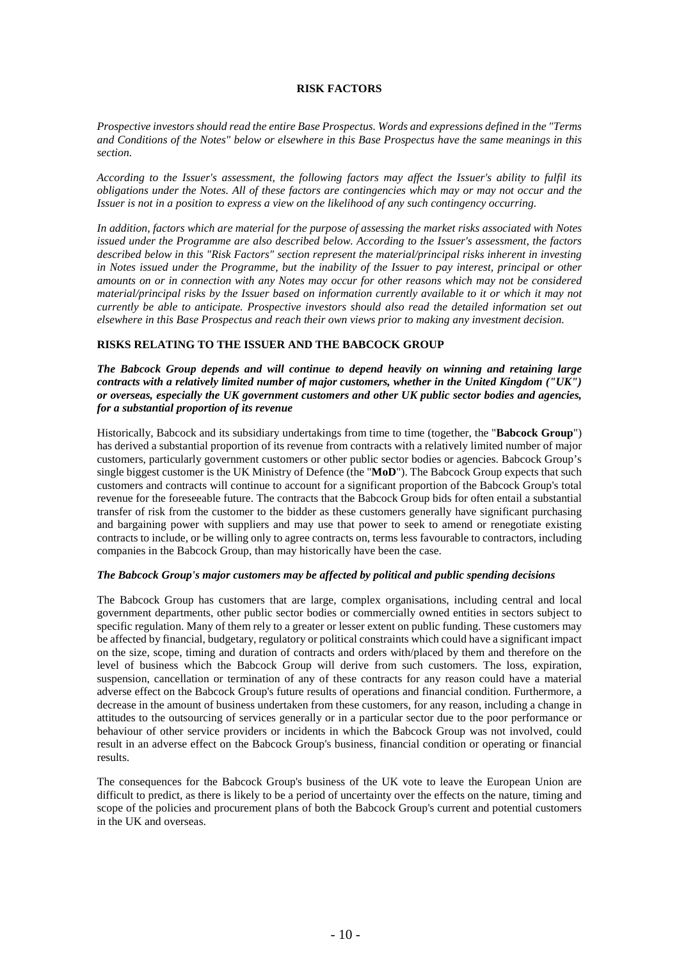## **RISK FACTORS**

*Prospective investors should read the entire Base Prospectus. Words and expressions defined in the "Terms and Conditions of the Notes" below or elsewhere in this Base Prospectus have the same meanings in this section.*

*According to the Issuer's assessment, the following factors may affect the Issuer's ability to fulfil its obligations under the Notes. All of these factors are contingencies which may or may not occur and the Issuer is not in a position to express a view on the likelihood of any such contingency occurring.*

*In addition, factors which are material for the purpose of assessing the market risks associated with Notes issued under the Programme are also described below. According to the Issuer's assessment, the factors described below in this "Risk Factors" section represent the material/principal risks inherent in investing in Notes issued under the Programme, but the inability of the Issuer to pay interest, principal or other amounts on or in connection with any Notes may occur for other reasons which may not be considered material/principal risks by the Issuer based on information currently available to it or which it may not currently be able to anticipate. Prospective investors should also read the detailed information set out elsewhere in this Base Prospectus and reach their own views prior to making any investment decision.*

## **RISKS RELATING TO THE ISSUER AND THE BABCOCK GROUP**

*The Babcock Group depends and will continue to depend heavily on winning and retaining large contracts with a relatively limited number of major customers, whether in the United Kingdom ("UK") or overseas, especially the UK government customers and other UK public sector bodies and agencies, for a substantial proportion of its revenue* 

Historically, Babcock and its subsidiary undertakings from time to time (together, the "**Babcock Group**") has derived a substantial proportion of its revenue from contracts with a relatively limited number of major customers, particularly government customers or other public sector bodies or agencies. Babcock Group's single biggest customer is the UK Ministry of Defence (the "**MoD**"). The Babcock Group expects that such customers and contracts will continue to account for a significant proportion of the Babcock Group's total revenue for the foreseeable future. The contracts that the Babcock Group bids for often entail a substantial transfer of risk from the customer to the bidder as these customers generally have significant purchasing and bargaining power with suppliers and may use that power to seek to amend or renegotiate existing contracts to include, or be willing only to agree contracts on, terms less favourable to contractors, including companies in the Babcock Group, than may historically have been the case.

## *The Babcock Group's major customers may be affected by political and public spending decisions*

The Babcock Group has customers that are large, complex organisations, including central and local government departments, other public sector bodies or commercially owned entities in sectors subject to specific regulation. Many of them rely to a greater or lesser extent on public funding. These customers may be affected by financial, budgetary, regulatory or political constraints which could have a significant impact on the size, scope, timing and duration of contracts and orders with/placed by them and therefore on the level of business which the Babcock Group will derive from such customers. The loss, expiration, suspension, cancellation or termination of any of these contracts for any reason could have a material adverse effect on the Babcock Group's future results of operations and financial condition. Furthermore, a decrease in the amount of business undertaken from these customers, for any reason, including a change in attitudes to the outsourcing of services generally or in a particular sector due to the poor performance or behaviour of other service providers or incidents in which the Babcock Group was not involved, could result in an adverse effect on the Babcock Group's business, financial condition or operating or financial results.

The consequences for the Babcock Group's business of the UK vote to leave the European Union are difficult to predict, as there is likely to be a period of uncertainty over the effects on the nature, timing and scope of the policies and procurement plans of both the Babcock Group's current and potential customers in the UK and overseas.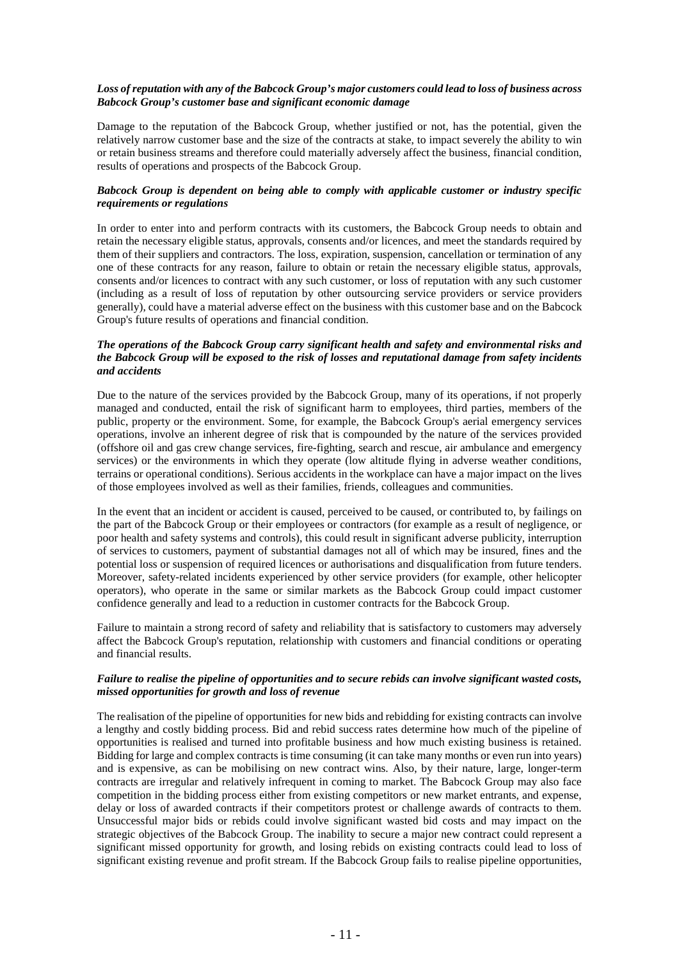## *Loss of reputation with any of the Babcock Group's major customers could lead to loss of business across Babcock Group's customer base and significant economic damage*

Damage to the reputation of the Babcock Group, whether justified or not, has the potential, given the relatively narrow customer base and the size of the contracts at stake, to impact severely the ability to win or retain business streams and therefore could materially adversely affect the business, financial condition, results of operations and prospects of the Babcock Group.

## *Babcock Group is dependent on being able to comply with applicable customer or industry specific requirements or regulations*

In order to enter into and perform contracts with its customers, the Babcock Group needs to obtain and retain the necessary eligible status, approvals, consents and/or licences, and meet the standards required by them of their suppliers and contractors. The loss, expiration, suspension, cancellation or termination of any one of these contracts for any reason, failure to obtain or retain the necessary eligible status, approvals, consents and/or licences to contract with any such customer, or loss of reputation with any such customer (including as a result of loss of reputation by other outsourcing service providers or service providers generally), could have a material adverse effect on the business with this customer base and on the Babcock Group's future results of operations and financial condition.

## *The operations of the Babcock Group carry significant health and safety and environmental risks and the Babcock Group will be exposed to the risk of losses and reputational damage from safety incidents and accidents*

Due to the nature of the services provided by the Babcock Group, many of its operations, if not properly managed and conducted, entail the risk of significant harm to employees, third parties, members of the public, property or the environment. Some, for example, the Babcock Group's aerial emergency services operations, involve an inherent degree of risk that is compounded by the nature of the services provided (offshore oil and gas crew change services, fire-fighting, search and rescue, air ambulance and emergency services) or the environments in which they operate (low altitude flying in adverse weather conditions, terrains or operational conditions). Serious accidents in the workplace can have a major impact on the lives of those employees involved as well as their families, friends, colleagues and communities.

In the event that an incident or accident is caused, perceived to be caused, or contributed to, by failings on the part of the Babcock Group or their employees or contractors (for example as a result of negligence, or poor health and safety systems and controls), this could result in significant adverse publicity, interruption of services to customers, payment of substantial damages not all of which may be insured, fines and the potential loss or suspension of required licences or authorisations and disqualification from future tenders. Moreover, safety-related incidents experienced by other service providers (for example, other helicopter operators), who operate in the same or similar markets as the Babcock Group could impact customer confidence generally and lead to a reduction in customer contracts for the Babcock Group.

Failure to maintain a strong record of safety and reliability that is satisfactory to customers may adversely affect the Babcock Group's reputation, relationship with customers and financial conditions or operating and financial results.

## *Failure to realise the pipeline of opportunities and to secure rebids can involve significant wasted costs, missed opportunities for growth and loss of revenue*

The realisation of the pipeline of opportunities for new bids and rebidding for existing contracts can involve a lengthy and costly bidding process. Bid and rebid success rates determine how much of the pipeline of opportunities is realised and turned into profitable business and how much existing business is retained. Bidding for large and complex contracts is time consuming (it can take many months or even run into years) and is expensive, as can be mobilising on new contract wins. Also, by their nature, large, longer-term contracts are irregular and relatively infrequent in coming to market. The Babcock Group may also face competition in the bidding process either from existing competitors or new market entrants, and expense, delay or loss of awarded contracts if their competitors protest or challenge awards of contracts to them. Unsuccessful major bids or rebids could involve significant wasted bid costs and may impact on the strategic objectives of the Babcock Group. The inability to secure a major new contract could represent a significant missed opportunity for growth, and losing rebids on existing contracts could lead to loss of significant existing revenue and profit stream. If the Babcock Group fails to realise pipeline opportunities,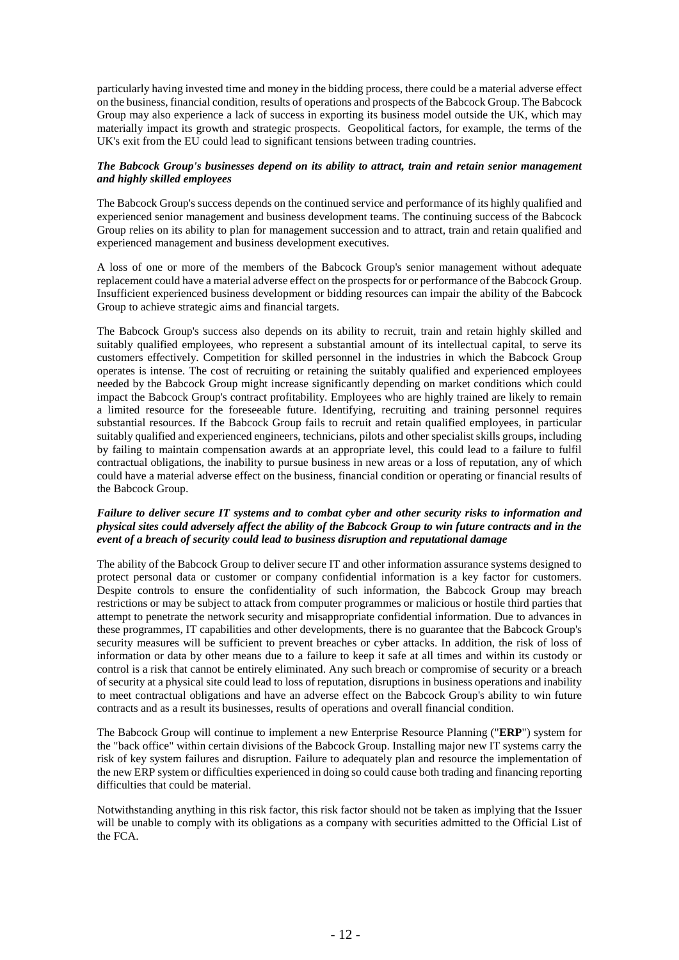particularly having invested time and money in the bidding process, there could be a material adverse effect on the business, financial condition, results of operations and prospects of the Babcock Group. The Babcock Group may also experience a lack of success in exporting its business model outside the UK, which may materially impact its growth and strategic prospects. Geopolitical factors, for example, the terms of the UK's exit from the EU could lead to significant tensions between trading countries.

## *The Babcock Group's businesses depend on its ability to attract, train and retain senior management and highly skilled employees*

The Babcock Group's success depends on the continued service and performance of its highly qualified and experienced senior management and business development teams. The continuing success of the Babcock Group relies on its ability to plan for management succession and to attract, train and retain qualified and experienced management and business development executives.

A loss of one or more of the members of the Babcock Group's senior management without adequate replacement could have a material adverse effect on the prospects for or performance of the Babcock Group. Insufficient experienced business development or bidding resources can impair the ability of the Babcock Group to achieve strategic aims and financial targets.

The Babcock Group's success also depends on its ability to recruit, train and retain highly skilled and suitably qualified employees, who represent a substantial amount of its intellectual capital, to serve its customers effectively. Competition for skilled personnel in the industries in which the Babcock Group operates is intense. The cost of recruiting or retaining the suitably qualified and experienced employees needed by the Babcock Group might increase significantly depending on market conditions which could impact the Babcock Group's contract profitability. Employees who are highly trained are likely to remain a limited resource for the foreseeable future. Identifying, recruiting and training personnel requires substantial resources. If the Babcock Group fails to recruit and retain qualified employees, in particular suitably qualified and experienced engineers, technicians, pilots and other specialist skills groups, including by failing to maintain compensation awards at an appropriate level, this could lead to a failure to fulfil contractual obligations, the inability to pursue business in new areas or a loss of reputation, any of which could have a material adverse effect on the business, financial condition or operating or financial results of the Babcock Group.

## *Failure to deliver secure IT systems and to combat cyber and other security risks to information and physical sites could adversely affect the ability of the Babcock Group to win future contracts and in the event of a breach of security could lead to business disruption and reputational damage*

The ability of the Babcock Group to deliver secure IT and other information assurance systems designed to protect personal data or customer or company confidential information is a key factor for customers. Despite controls to ensure the confidentiality of such information, the Babcock Group may breach restrictions or may be subject to attack from computer programmes or malicious or hostile third parties that attempt to penetrate the network security and misappropriate confidential information. Due to advances in these programmes, IT capabilities and other developments, there is no guarantee that the Babcock Group's security measures will be sufficient to prevent breaches or cyber attacks. In addition, the risk of loss of information or data by other means due to a failure to keep it safe at all times and within its custody or control is a risk that cannot be entirely eliminated. Any such breach or compromise of security or a breach of security at a physical site could lead to loss of reputation, disruptions in business operations and inability to meet contractual obligations and have an adverse effect on the Babcock Group's ability to win future contracts and as a result its businesses, results of operations and overall financial condition.

The Babcock Group will continue to implement a new Enterprise Resource Planning ("**ERP**") system for the "back office" within certain divisions of the Babcock Group. Installing major new IT systems carry the risk of key system failures and disruption. Failure to adequately plan and resource the implementation of the new ERP system or difficulties experienced in doing so could cause both trading and financing reporting difficulties that could be material.

Notwithstanding anything in this risk factor, this risk factor should not be taken as implying that the Issuer will be unable to comply with its obligations as a company with securities admitted to the Official List of the FCA.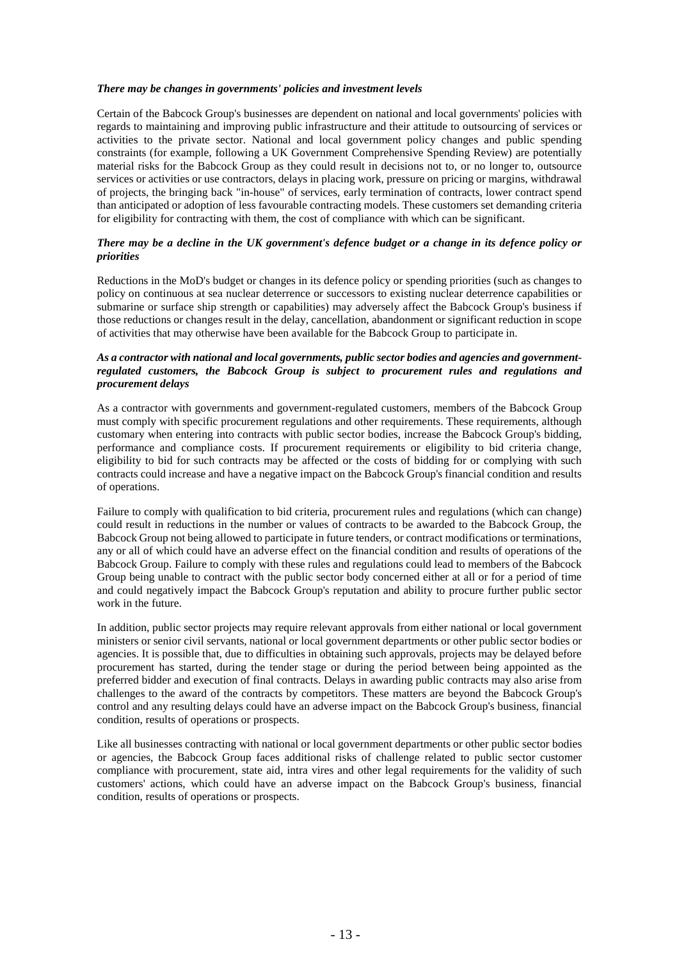## *There may be changes in governments' policies and investment levels*

Certain of the Babcock Group's businesses are dependent on national and local governments' policies with regards to maintaining and improving public infrastructure and their attitude to outsourcing of services or activities to the private sector. National and local government policy changes and public spending constraints (for example, following a UK Government Comprehensive Spending Review) are potentially material risks for the Babcock Group as they could result in decisions not to, or no longer to, outsource services or activities or use contractors, delays in placing work, pressure on pricing or margins, withdrawal of projects, the bringing back "in-house" of services, early termination of contracts, lower contract spend than anticipated or adoption of less favourable contracting models. These customers set demanding criteria for eligibility for contracting with them, the cost of compliance with which can be significant.

## *There may be a decline in the UK government's defence budget or a change in its defence policy or priorities*

Reductions in the MoD's budget or changes in its defence policy or spending priorities (such as changes to policy on continuous at sea nuclear deterrence or successors to existing nuclear deterrence capabilities or submarine or surface ship strength or capabilities) may adversely affect the Babcock Group's business if those reductions or changes result in the delay, cancellation, abandonment or significant reduction in scope of activities that may otherwise have been available for the Babcock Group to participate in.

## *As a contractor with national and local governments, public sector bodies and agencies and governmentregulated customers, the Babcock Group is subject to procurement rules and regulations and procurement delays*

As a contractor with governments and government-regulated customers, members of the Babcock Group must comply with specific procurement regulations and other requirements. These requirements, although customary when entering into contracts with public sector bodies, increase the Babcock Group's bidding, performance and compliance costs. If procurement requirements or eligibility to bid criteria change, eligibility to bid for such contracts may be affected or the costs of bidding for or complying with such contracts could increase and have a negative impact on the Babcock Group's financial condition and results of operations.

Failure to comply with qualification to bid criteria, procurement rules and regulations (which can change) could result in reductions in the number or values of contracts to be awarded to the Babcock Group, the Babcock Group not being allowed to participate in future tenders, or contract modifications or terminations, any or all of which could have an adverse effect on the financial condition and results of operations of the Babcock Group. Failure to comply with these rules and regulations could lead to members of the Babcock Group being unable to contract with the public sector body concerned either at all or for a period of time and could negatively impact the Babcock Group's reputation and ability to procure further public sector work in the future.

In addition, public sector projects may require relevant approvals from either national or local government ministers or senior civil servants, national or local government departments or other public sector bodies or agencies. It is possible that, due to difficulties in obtaining such approvals, projects may be delayed before procurement has started, during the tender stage or during the period between being appointed as the preferred bidder and execution of final contracts. Delays in awarding public contracts may also arise from challenges to the award of the contracts by competitors. These matters are beyond the Babcock Group's control and any resulting delays could have an adverse impact on the Babcock Group's business, financial condition, results of operations or prospects.

Like all businesses contracting with national or local government departments or other public sector bodies or agencies, the Babcock Group faces additional risks of challenge related to public sector customer compliance with procurement, state aid, intra vires and other legal requirements for the validity of such customers' actions, which could have an adverse impact on the Babcock Group's business, financial condition, results of operations or prospects.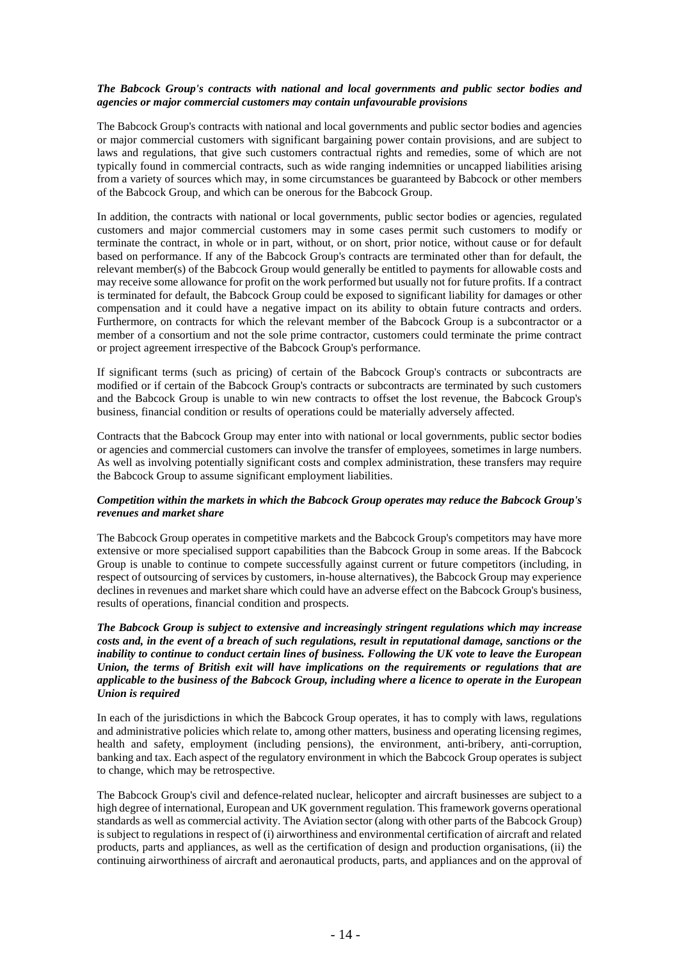## *The Babcock Group's contracts with national and local governments and public sector bodies and agencies or major commercial customers may contain unfavourable provisions*

The Babcock Group's contracts with national and local governments and public sector bodies and agencies or major commercial customers with significant bargaining power contain provisions, and are subject to laws and regulations, that give such customers contractual rights and remedies, some of which are not typically found in commercial contracts, such as wide ranging indemnities or uncapped liabilities arising from a variety of sources which may, in some circumstances be guaranteed by Babcock or other members of the Babcock Group, and which can be onerous for the Babcock Group.

In addition, the contracts with national or local governments, public sector bodies or agencies, regulated customers and major commercial customers may in some cases permit such customers to modify or terminate the contract, in whole or in part, without, or on short, prior notice, without cause or for default based on performance. If any of the Babcock Group's contracts are terminated other than for default, the relevant member(s) of the Babcock Group would generally be entitled to payments for allowable costs and may receive some allowance for profit on the work performed but usually not for future profits. If a contract is terminated for default, the Babcock Group could be exposed to significant liability for damages or other compensation and it could have a negative impact on its ability to obtain future contracts and orders. Furthermore, on contracts for which the relevant member of the Babcock Group is a subcontractor or a member of a consortium and not the sole prime contractor, customers could terminate the prime contract or project agreement irrespective of the Babcock Group's performance.

If significant terms (such as pricing) of certain of the Babcock Group's contracts or subcontracts are modified or if certain of the Babcock Group's contracts or subcontracts are terminated by such customers and the Babcock Group is unable to win new contracts to offset the lost revenue, the Babcock Group's business, financial condition or results of operations could be materially adversely affected.

Contracts that the Babcock Group may enter into with national or local governments, public sector bodies or agencies and commercial customers can involve the transfer of employees, sometimes in large numbers. As well as involving potentially significant costs and complex administration, these transfers may require the Babcock Group to assume significant employment liabilities.

## *Competition within the markets in which the Babcock Group operates may reduce the Babcock Group's revenues and market share*

The Babcock Group operates in competitive markets and the Babcock Group's competitors may have more extensive or more specialised support capabilities than the Babcock Group in some areas. If the Babcock Group is unable to continue to compete successfully against current or future competitors (including, in respect of outsourcing of services by customers, in-house alternatives), the Babcock Group may experience declines in revenues and market share which could have an adverse effect on the Babcock Group's business, results of operations, financial condition and prospects.

## *The Babcock Group is subject to extensive and increasingly stringent regulations which may increase costs and, in the event of a breach of such regulations, result in reputational damage, sanctions or the inability to continue to conduct certain lines of business. Following the UK vote to leave the European Union, the terms of British exit will have implications on the requirements or regulations that are applicable to the business of the Babcock Group, including where a licence to operate in the European Union is required*

In each of the jurisdictions in which the Babcock Group operates, it has to comply with laws, regulations and administrative policies which relate to, among other matters, business and operating licensing regimes, health and safety, employment (including pensions), the environment, anti-bribery, anti-corruption, banking and tax. Each aspect of the regulatory environment in which the Babcock Group operates is subject to change, which may be retrospective.

The Babcock Group's civil and defence-related nuclear, helicopter and aircraft businesses are subject to a high degree of international, European and UK government regulation. This framework governs operational standards as well as commercial activity. The Aviation sector (along with other parts of the Babcock Group) is subject to regulations in respect of (i) airworthiness and environmental certification of aircraft and related products, parts and appliances, as well as the certification of design and production organisations, (ii) the continuing airworthiness of aircraft and aeronautical products, parts, and appliances and on the approval of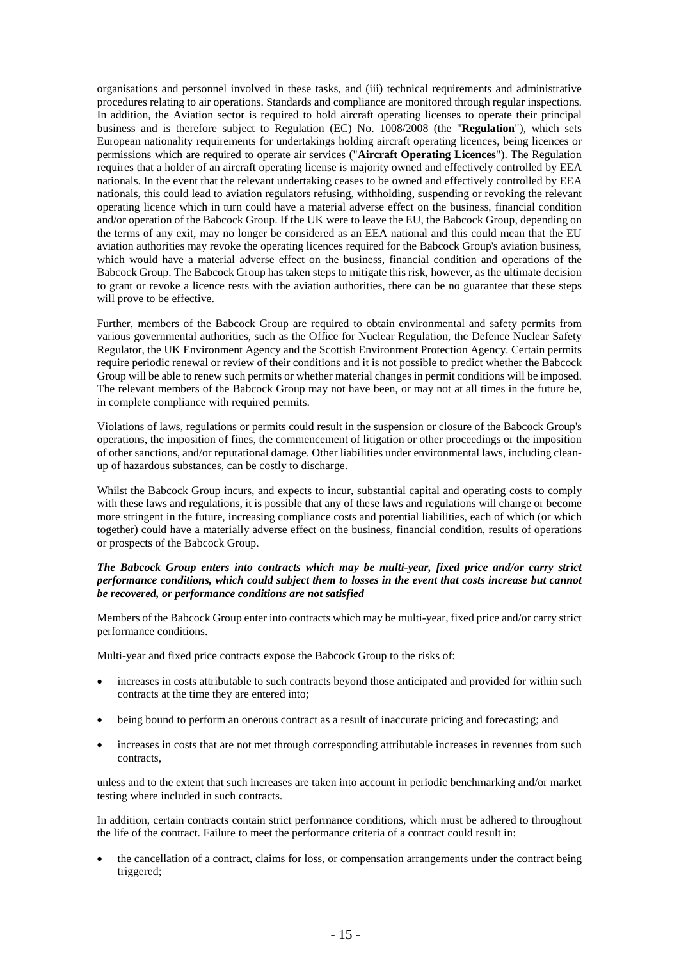organisations and personnel involved in these tasks, and (iii) technical requirements and administrative procedures relating to air operations. Standards and compliance are monitored through regular inspections. In addition, the Aviation sector is required to hold aircraft operating licenses to operate their principal business and is therefore subject to Regulation (EC) No. 1008/2008 (the "**Regulation**"), which sets European nationality requirements for undertakings holding aircraft operating licences, being licences or permissions which are required to operate air services ("**Aircraft Operating Licences**"). The Regulation requires that a holder of an aircraft operating license is majority owned and effectively controlled by EEA nationals. In the event that the relevant undertaking ceases to be owned and effectively controlled by EEA nationals, this could lead to aviation regulators refusing, withholding, suspending or revoking the relevant operating licence which in turn could have a material adverse effect on the business, financial condition and/or operation of the Babcock Group. If the UK were to leave the EU, the Babcock Group, depending on the terms of any exit, may no longer be considered as an EEA national and this could mean that the EU aviation authorities may revoke the operating licences required for the Babcock Group's aviation business, which would have a material adverse effect on the business, financial condition and operations of the Babcock Group. The Babcock Group has taken steps to mitigate this risk, however, as the ultimate decision to grant or revoke a licence rests with the aviation authorities, there can be no guarantee that these steps will prove to be effective.

Further, members of the Babcock Group are required to obtain environmental and safety permits from various governmental authorities, such as the Office for Nuclear Regulation, the Defence Nuclear Safety Regulator, the UK Environment Agency and the Scottish Environment Protection Agency. Certain permits require periodic renewal or review of their conditions and it is not possible to predict whether the Babcock Group will be able to renew such permits or whether material changes in permit conditions will be imposed. The relevant members of the Babcock Group may not have been, or may not at all times in the future be, in complete compliance with required permits.

Violations of laws, regulations or permits could result in the suspension or closure of the Babcock Group's operations, the imposition of fines, the commencement of litigation or other proceedings or the imposition of other sanctions, and/or reputational damage. Other liabilities under environmental laws, including cleanup of hazardous substances, can be costly to discharge.

Whilst the Babcock Group incurs, and expects to incur, substantial capital and operating costs to comply with these laws and regulations, it is possible that any of these laws and regulations will change or become more stringent in the future, increasing compliance costs and potential liabilities, each of which (or which together) could have a materially adverse effect on the business, financial condition, results of operations or prospects of the Babcock Group.

## *The Babcock Group enters into contracts which may be multi-year, fixed price and/or carry strict performance conditions, which could subject them to losses in the event that costs increase but cannot be recovered, or performance conditions are not satisfied*

Members of the Babcock Group enter into contracts which may be multi-year, fixed price and/or carry strict performance conditions.

Multi-year and fixed price contracts expose the Babcock Group to the risks of:

- increases in costs attributable to such contracts beyond those anticipated and provided for within such contracts at the time they are entered into;
- being bound to perform an onerous contract as a result of inaccurate pricing and forecasting; and
- increases in costs that are not met through corresponding attributable increases in revenues from such contracts,

unless and to the extent that such increases are taken into account in periodic benchmarking and/or market testing where included in such contracts.

In addition, certain contracts contain strict performance conditions, which must be adhered to throughout the life of the contract. Failure to meet the performance criteria of a contract could result in:

• the cancellation of a contract, claims for loss, or compensation arrangements under the contract being triggered;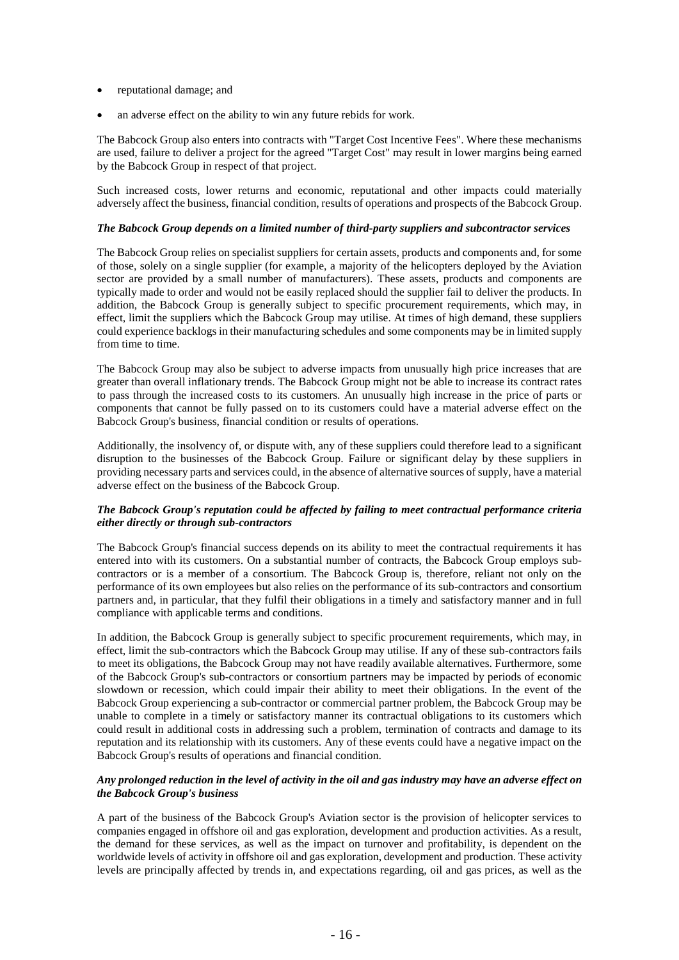- reputational damage; and
- an adverse effect on the ability to win any future rebids for work.

The Babcock Group also enters into contracts with "Target Cost Incentive Fees". Where these mechanisms are used, failure to deliver a project for the agreed "Target Cost" may result in lower margins being earned by the Babcock Group in respect of that project.

Such increased costs, lower returns and economic, reputational and other impacts could materially adversely affect the business, financial condition, results of operations and prospects of the Babcock Group.

## *The Babcock Group depends on a limited number of third-party suppliers and subcontractor services*

The Babcock Group relies on specialist suppliers for certain assets, products and components and, for some of those, solely on a single supplier (for example, a majority of the helicopters deployed by the Aviation sector are provided by a small number of manufacturers). These assets, products and components are typically made to order and would not be easily replaced should the supplier fail to deliver the products. In addition, the Babcock Group is generally subject to specific procurement requirements, which may, in effect, limit the suppliers which the Babcock Group may utilise. At times of high demand, these suppliers could experience backlogs in their manufacturing schedules and some components may be in limited supply from time to time.

The Babcock Group may also be subject to adverse impacts from unusually high price increases that are greater than overall inflationary trends. The Babcock Group might not be able to increase its contract rates to pass through the increased costs to its customers. An unusually high increase in the price of parts or components that cannot be fully passed on to its customers could have a material adverse effect on the Babcock Group's business, financial condition or results of operations.

Additionally, the insolvency of, or dispute with, any of these suppliers could therefore lead to a significant disruption to the businesses of the Babcock Group. Failure or significant delay by these suppliers in providing necessary parts and services could, in the absence of alternative sources of supply, have a material adverse effect on the business of the Babcock Group.

## *The Babcock Group's reputation could be affected by failing to meet contractual performance criteria either directly or through sub-contractors*

The Babcock Group's financial success depends on its ability to meet the contractual requirements it has entered into with its customers. On a substantial number of contracts, the Babcock Group employs subcontractors or is a member of a consortium. The Babcock Group is, therefore, reliant not only on the performance of its own employees but also relies on the performance of its sub-contractors and consortium partners and, in particular, that they fulfil their obligations in a timely and satisfactory manner and in full compliance with applicable terms and conditions.

In addition, the Babcock Group is generally subject to specific procurement requirements, which may, in effect, limit the sub-contractors which the Babcock Group may utilise. If any of these sub-contractors fails to meet its obligations, the Babcock Group may not have readily available alternatives. Furthermore, some of the Babcock Group's sub-contractors or consortium partners may be impacted by periods of economic slowdown or recession, which could impair their ability to meet their obligations. In the event of the Babcock Group experiencing a sub-contractor or commercial partner problem, the Babcock Group may be unable to complete in a timely or satisfactory manner its contractual obligations to its customers which could result in additional costs in addressing such a problem, termination of contracts and damage to its reputation and its relationship with its customers. Any of these events could have a negative impact on the Babcock Group's results of operations and financial condition.

## *Any prolonged reduction in the level of activity in the oil and gas industry may have an adverse effect on the Babcock Group's business*

A part of the business of the Babcock Group's Aviation sector is the provision of helicopter services to companies engaged in offshore oil and gas exploration, development and production activities. As a result, the demand for these services, as well as the impact on turnover and profitability, is dependent on the worldwide levels of activity in offshore oil and gas exploration, development and production. These activity levels are principally affected by trends in, and expectations regarding, oil and gas prices, as well as the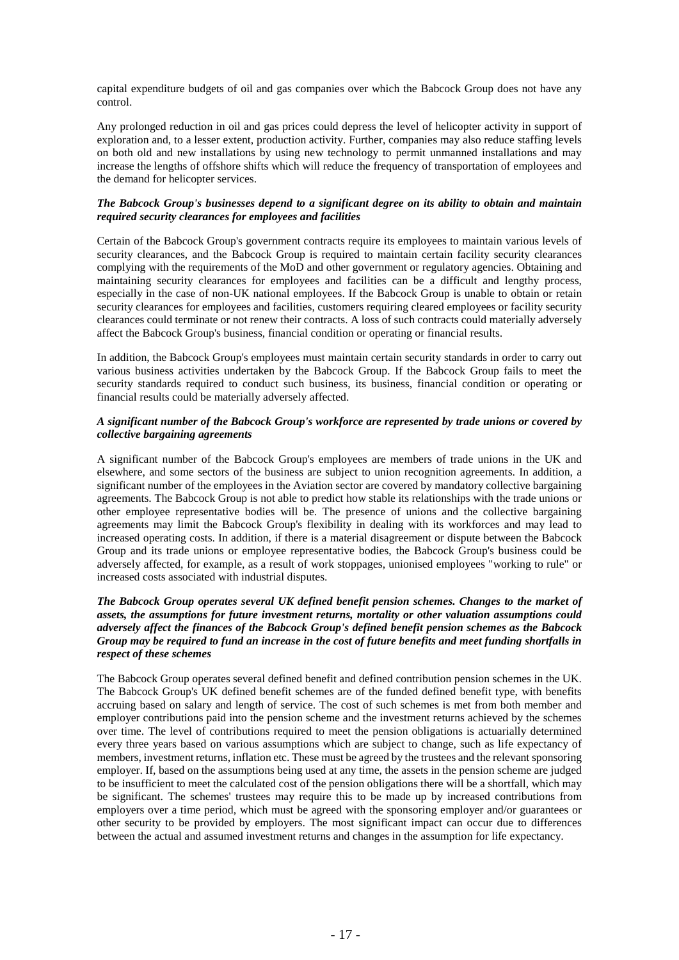capital expenditure budgets of oil and gas companies over which the Babcock Group does not have any control.

Any prolonged reduction in oil and gas prices could depress the level of helicopter activity in support of exploration and, to a lesser extent, production activity. Further, companies may also reduce staffing levels on both old and new installations by using new technology to permit unmanned installations and may increase the lengths of offshore shifts which will reduce the frequency of transportation of employees and the demand for helicopter services.

## *The Babcock Group's businesses depend to a significant degree on its ability to obtain and maintain required security clearances for employees and facilities*

Certain of the Babcock Group's government contracts require its employees to maintain various levels of security clearances, and the Babcock Group is required to maintain certain facility security clearances complying with the requirements of the MoD and other government or regulatory agencies. Obtaining and maintaining security clearances for employees and facilities can be a difficult and lengthy process, especially in the case of non-UK national employees. If the Babcock Group is unable to obtain or retain security clearances for employees and facilities, customers requiring cleared employees or facility security clearances could terminate or not renew their contracts. A loss of such contracts could materially adversely affect the Babcock Group's business, financial condition or operating or financial results.

In addition, the Babcock Group's employees must maintain certain security standards in order to carry out various business activities undertaken by the Babcock Group. If the Babcock Group fails to meet the security standards required to conduct such business, its business, financial condition or operating or financial results could be materially adversely affected.

## *A significant number of the Babcock Group's workforce are represented by trade unions or covered by collective bargaining agreements*

A significant number of the Babcock Group's employees are members of trade unions in the UK and elsewhere, and some sectors of the business are subject to union recognition agreements. In addition, a significant number of the employees in the Aviation sector are covered by mandatory collective bargaining agreements. The Babcock Group is not able to predict how stable its relationships with the trade unions or other employee representative bodies will be. The presence of unions and the collective bargaining agreements may limit the Babcock Group's flexibility in dealing with its workforces and may lead to increased operating costs. In addition, if there is a material disagreement or dispute between the Babcock Group and its trade unions or employee representative bodies, the Babcock Group's business could be adversely affected, for example, as a result of work stoppages, unionised employees "working to rule" or increased costs associated with industrial disputes.

## *The Babcock Group operates several UK defined benefit pension schemes. Changes to the market of assets, the assumptions for future investment returns, mortality or other valuation assumptions could adversely affect the finances of the Babcock Group's defined benefit pension schemes as the Babcock Group may be required to fund an increase in the cost of future benefits and meet funding shortfalls in respect of these schemes*

The Babcock Group operates several defined benefit and defined contribution pension schemes in the UK. The Babcock Group's UK defined benefit schemes are of the funded defined benefit type, with benefits accruing based on salary and length of service. The cost of such schemes is met from both member and employer contributions paid into the pension scheme and the investment returns achieved by the schemes over time. The level of contributions required to meet the pension obligations is actuarially determined every three years based on various assumptions which are subject to change, such as life expectancy of members, investment returns, inflation etc. These must be agreed by the trustees and the relevant sponsoring employer. If, based on the assumptions being used at any time, the assets in the pension scheme are judged to be insufficient to meet the calculated cost of the pension obligations there will be a shortfall, which may be significant. The schemes' trustees may require this to be made up by increased contributions from employers over a time period, which must be agreed with the sponsoring employer and/or guarantees or other security to be provided by employers. The most significant impact can occur due to differences between the actual and assumed investment returns and changes in the assumption for life expectancy.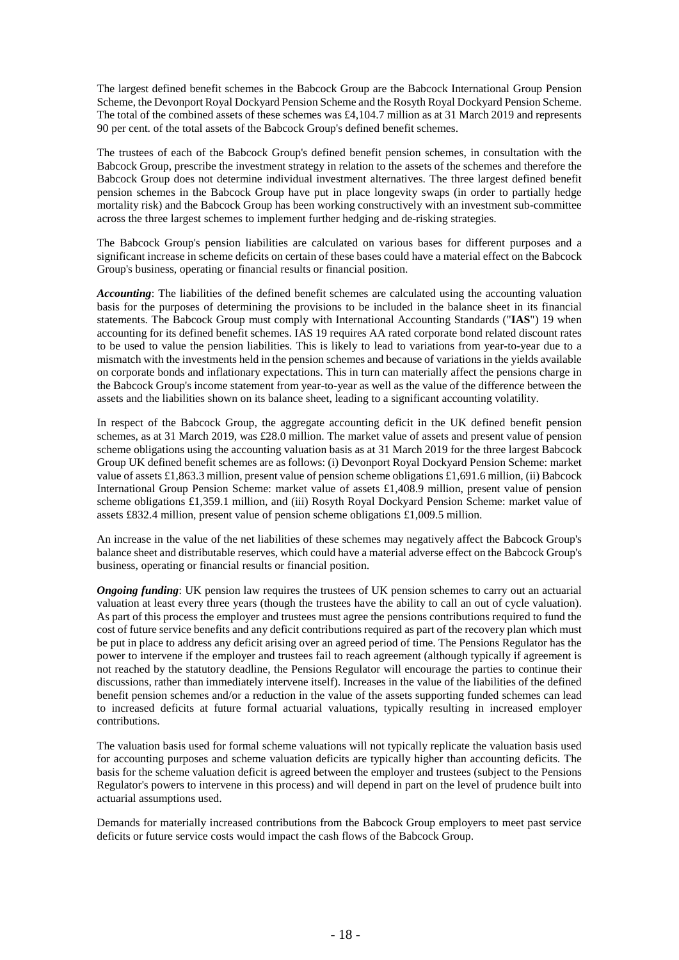The largest defined benefit schemes in the Babcock Group are the Babcock International Group Pension Scheme, the Devonport Royal Dockyard Pension Scheme and the Rosyth Royal Dockyard Pension Scheme. The total of the combined assets of these schemes was £4,104.7 million as at 31 March 2019 and represents 90 per cent. of the total assets of the Babcock Group's defined benefit schemes.

The trustees of each of the Babcock Group's defined benefit pension schemes, in consultation with the Babcock Group, prescribe the investment strategy in relation to the assets of the schemes and therefore the Babcock Group does not determine individual investment alternatives. The three largest defined benefit pension schemes in the Babcock Group have put in place longevity swaps (in order to partially hedge mortality risk) and the Babcock Group has been working constructively with an investment sub-committee across the three largest schemes to implement further hedging and de-risking strategies.

The Babcock Group's pension liabilities are calculated on various bases for different purposes and a significant increase in scheme deficits on certain of these bases could have a material effect on the Babcock Group's business, operating or financial results or financial position.

*Accounting*: The liabilities of the defined benefit schemes are calculated using the accounting valuation basis for the purposes of determining the provisions to be included in the balance sheet in its financial statements. The Babcock Group must comply with International Accounting Standards ("**IAS**") 19 when accounting for its defined benefit schemes. IAS 19 requires AA rated corporate bond related discount rates to be used to value the pension liabilities. This is likely to lead to variations from year-to-year due to a mismatch with the investments held in the pension schemes and because of variations in the yields available on corporate bonds and inflationary expectations. This in turn can materially affect the pensions charge in the Babcock Group's income statement from year-to-year as well as the value of the difference between the assets and the liabilities shown on its balance sheet, leading to a significant accounting volatility.

In respect of the Babcock Group, the aggregate accounting deficit in the UK defined benefit pension schemes, as at 31 March 2019, was £28.0 million. The market value of assets and present value of pension scheme obligations using the accounting valuation basis as at 31 March 2019 for the three largest Babcock Group UK defined benefit schemes are as follows: (i) Devonport Royal Dockyard Pension Scheme: market value of assets £1,863.3 million, present value of pension scheme obligations £1,691.6 million, (ii) Babcock International Group Pension Scheme: market value of assets £1,408.9 million, present value of pension scheme obligations £1,359.1 million, and (iii) Rosyth Royal Dockyard Pension Scheme: market value of assets £832.4 million, present value of pension scheme obligations £1,009.5 million.

An increase in the value of the net liabilities of these schemes may negatively affect the Babcock Group's balance sheet and distributable reserves, which could have a material adverse effect on the Babcock Group's business, operating or financial results or financial position.

*Ongoing funding*: UK pension law requires the trustees of UK pension schemes to carry out an actuarial valuation at least every three years (though the trustees have the ability to call an out of cycle valuation). As part of this process the employer and trustees must agree the pensions contributions required to fund the cost of future service benefits and any deficit contributions required as part of the recovery plan which must be put in place to address any deficit arising over an agreed period of time. The Pensions Regulator has the power to intervene if the employer and trustees fail to reach agreement (although typically if agreement is not reached by the statutory deadline, the Pensions Regulator will encourage the parties to continue their discussions, rather than immediately intervene itself). Increases in the value of the liabilities of the defined benefit pension schemes and/or a reduction in the value of the assets supporting funded schemes can lead to increased deficits at future formal actuarial valuations, typically resulting in increased employer contributions.

The valuation basis used for formal scheme valuations will not typically replicate the valuation basis used for accounting purposes and scheme valuation deficits are typically higher than accounting deficits. The basis for the scheme valuation deficit is agreed between the employer and trustees (subject to the Pensions Regulator's powers to intervene in this process) and will depend in part on the level of prudence built into actuarial assumptions used.

Demands for materially increased contributions from the Babcock Group employers to meet past service deficits or future service costs would impact the cash flows of the Babcock Group.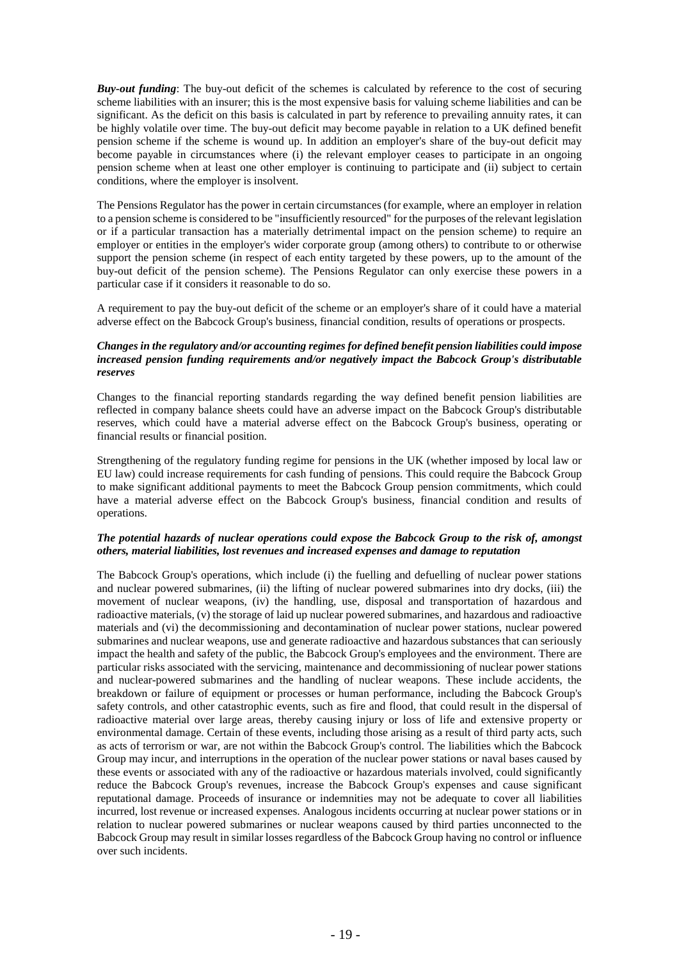*Buy-out funding*: The buy-out deficit of the schemes is calculated by reference to the cost of securing scheme liabilities with an insurer; this is the most expensive basis for valuing scheme liabilities and can be significant. As the deficit on this basis is calculated in part by reference to prevailing annuity rates, it can be highly volatile over time. The buy-out deficit may become payable in relation to a UK defined benefit pension scheme if the scheme is wound up. In addition an employer's share of the buy-out deficit may become payable in circumstances where (i) the relevant employer ceases to participate in an ongoing pension scheme when at least one other employer is continuing to participate and (ii) subject to certain conditions, where the employer is insolvent.

The Pensions Regulator has the power in certain circumstances (for example, where an employer in relation to a pension scheme is considered to be "insufficiently resourced" for the purposes of the relevant legislation or if a particular transaction has a materially detrimental impact on the pension scheme) to require an employer or entities in the employer's wider corporate group (among others) to contribute to or otherwise support the pension scheme (in respect of each entity targeted by these powers, up to the amount of the buy-out deficit of the pension scheme). The Pensions Regulator can only exercise these powers in a particular case if it considers it reasonable to do so.

A requirement to pay the buy-out deficit of the scheme or an employer's share of it could have a material adverse effect on the Babcock Group's business, financial condition, results of operations or prospects.

## *Changes in the regulatory and/or accounting regimes for defined benefit pension liabilities could impose increased pension funding requirements and/or negatively impact the Babcock Group's distributable reserves*

Changes to the financial reporting standards regarding the way defined benefit pension liabilities are reflected in company balance sheets could have an adverse impact on the Babcock Group's distributable reserves, which could have a material adverse effect on the Babcock Group's business, operating or financial results or financial position.

Strengthening of the regulatory funding regime for pensions in the UK (whether imposed by local law or EU law) could increase requirements for cash funding of pensions. This could require the Babcock Group to make significant additional payments to meet the Babcock Group pension commitments, which could have a material adverse effect on the Babcock Group's business, financial condition and results of operations.

## *The potential hazards of nuclear operations could expose the Babcock Group to the risk of, amongst others, material liabilities, lost revenues and increased expenses and damage to reputation*

The Babcock Group's operations, which include (i) the fuelling and defuelling of nuclear power stations and nuclear powered submarines, (ii) the lifting of nuclear powered submarines into dry docks, (iii) the movement of nuclear weapons, (iv) the handling, use, disposal and transportation of hazardous and radioactive materials, (v) the storage of laid up nuclear powered submarines, and hazardous and radioactive materials and (vi) the decommissioning and decontamination of nuclear power stations, nuclear powered submarines and nuclear weapons, use and generate radioactive and hazardous substances that can seriously impact the health and safety of the public, the Babcock Group's employees and the environment. There are particular risks associated with the servicing, maintenance and decommissioning of nuclear power stations and nuclear-powered submarines and the handling of nuclear weapons. These include accidents, the breakdown or failure of equipment or processes or human performance, including the Babcock Group's safety controls, and other catastrophic events, such as fire and flood, that could result in the dispersal of radioactive material over large areas, thereby causing injury or loss of life and extensive property or environmental damage. Certain of these events, including those arising as a result of third party acts, such as acts of terrorism or war, are not within the Babcock Group's control. The liabilities which the Babcock Group may incur, and interruptions in the operation of the nuclear power stations or naval bases caused by these events or associated with any of the radioactive or hazardous materials involved, could significantly reduce the Babcock Group's revenues, increase the Babcock Group's expenses and cause significant reputational damage. Proceeds of insurance or indemnities may not be adequate to cover all liabilities incurred, lost revenue or increased expenses. Analogous incidents occurring at nuclear power stations or in relation to nuclear powered submarines or nuclear weapons caused by third parties unconnected to the Babcock Group may result in similar losses regardless of the Babcock Group having no control or influence over such incidents.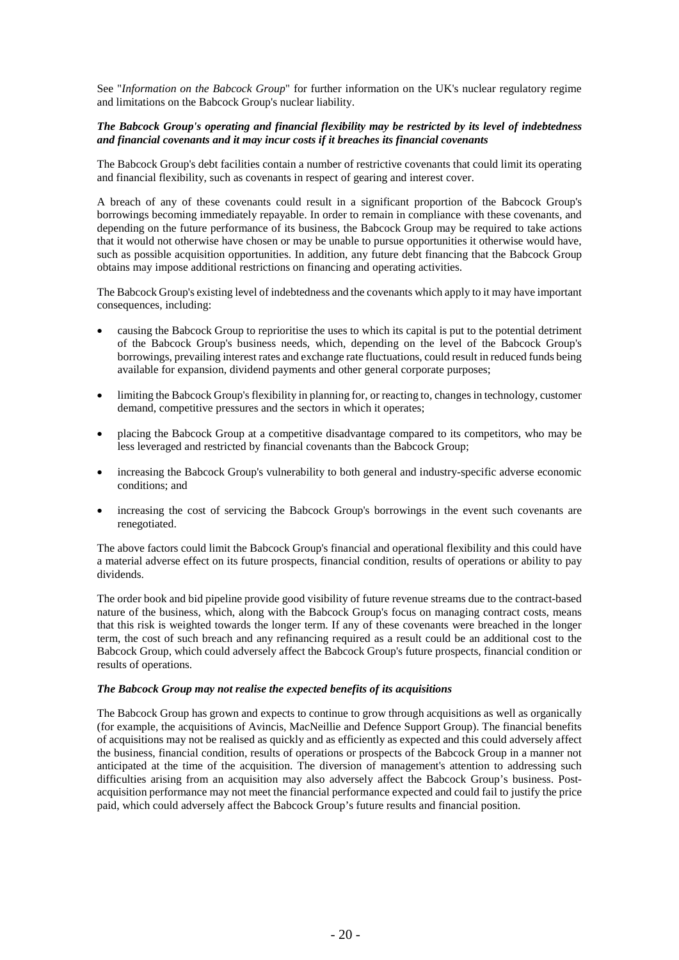See "*Information on the Babcock Group*" for further information on the UK's nuclear regulatory regime and limitations on the Babcock Group's nuclear liability.

## *The Babcock Group's operating and financial flexibility may be restricted by its level of indebtedness and financial covenants and it may incur costs if it breaches its financial covenants*

The Babcock Group's debt facilities contain a number of restrictive covenants that could limit its operating and financial flexibility, such as covenants in respect of gearing and interest cover.

A breach of any of these covenants could result in a significant proportion of the Babcock Group's borrowings becoming immediately repayable. In order to remain in compliance with these covenants, and depending on the future performance of its business, the Babcock Group may be required to take actions that it would not otherwise have chosen or may be unable to pursue opportunities it otherwise would have, such as possible acquisition opportunities. In addition, any future debt financing that the Babcock Group obtains may impose additional restrictions on financing and operating activities.

The Babcock Group's existing level of indebtedness and the covenants which apply to it may have important consequences, including:

- causing the Babcock Group to reprioritise the uses to which its capital is put to the potential detriment of the Babcock Group's business needs, which, depending on the level of the Babcock Group's borrowings, prevailing interest rates and exchange rate fluctuations, could result in reduced funds being available for expansion, dividend payments and other general corporate purposes;
- limiting the Babcock Group's flexibility in planning for, or reacting to, changes in technology, customer demand, competitive pressures and the sectors in which it operates;
- placing the Babcock Group at a competitive disadvantage compared to its competitors, who may be less leveraged and restricted by financial covenants than the Babcock Group;
- increasing the Babcock Group's vulnerability to both general and industry-specific adverse economic conditions; and
- increasing the cost of servicing the Babcock Group's borrowings in the event such covenants are renegotiated.

The above factors could limit the Babcock Group's financial and operational flexibility and this could have a material adverse effect on its future prospects, financial condition, results of operations or ability to pay dividends.

The order book and bid pipeline provide good visibility of future revenue streams due to the contract-based nature of the business, which, along with the Babcock Group's focus on managing contract costs, means that this risk is weighted towards the longer term. If any of these covenants were breached in the longer term, the cost of such breach and any refinancing required as a result could be an additional cost to the Babcock Group, which could adversely affect the Babcock Group's future prospects, financial condition or results of operations.

#### *The Babcock Group may not realise the expected benefits of its acquisitions*

The Babcock Group has grown and expects to continue to grow through acquisitions as well as organically (for example, the acquisitions of Avincis, MacNeillie and Defence Support Group). The financial benefits of acquisitions may not be realised as quickly and as efficiently as expected and this could adversely affect the business, financial condition, results of operations or prospects of the Babcock Group in a manner not anticipated at the time of the acquisition. The diversion of management's attention to addressing such difficulties arising from an acquisition may also adversely affect the Babcock Group's business. Postacquisition performance may not meet the financial performance expected and could fail to justify the price paid, which could adversely affect the Babcock Group's future results and financial position.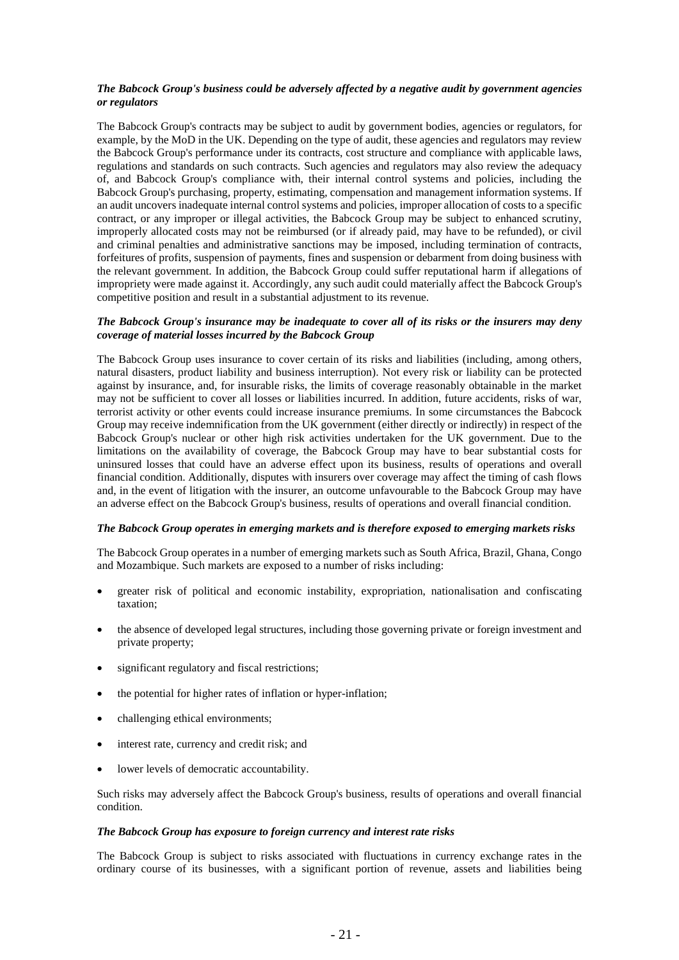## *The Babcock Group's business could be adversely affected by a negative audit by government agencies or regulators*

The Babcock Group's contracts may be subject to audit by government bodies, agencies or regulators, for example, by the MoD in the UK. Depending on the type of audit, these agencies and regulators may review the Babcock Group's performance under its contracts, cost structure and compliance with applicable laws, regulations and standards on such contracts. Such agencies and regulators may also review the adequacy of, and Babcock Group's compliance with, their internal control systems and policies, including the Babcock Group's purchasing, property, estimating, compensation and management information systems. If an audit uncovers inadequate internal control systems and policies, improper allocation of costs to a specific contract, or any improper or illegal activities, the Babcock Group may be subject to enhanced scrutiny, improperly allocated costs may not be reimbursed (or if already paid, may have to be refunded), or civil and criminal penalties and administrative sanctions may be imposed, including termination of contracts, forfeitures of profits, suspension of payments, fines and suspension or debarment from doing business with the relevant government. In addition, the Babcock Group could suffer reputational harm if allegations of impropriety were made against it. Accordingly, any such audit could materially affect the Babcock Group's competitive position and result in a substantial adjustment to its revenue.

## *The Babcock Group's insurance may be inadequate to cover all of its risks or the insurers may deny coverage of material losses incurred by the Babcock Group*

The Babcock Group uses insurance to cover certain of its risks and liabilities (including, among others, natural disasters, product liability and business interruption). Not every risk or liability can be protected against by insurance, and, for insurable risks, the limits of coverage reasonably obtainable in the market may not be sufficient to cover all losses or liabilities incurred. In addition, future accidents, risks of war, terrorist activity or other events could increase insurance premiums. In some circumstances the Babcock Group may receive indemnification from the UK government (either directly or indirectly) in respect of the Babcock Group's nuclear or other high risk activities undertaken for the UK government. Due to the limitations on the availability of coverage, the Babcock Group may have to bear substantial costs for uninsured losses that could have an adverse effect upon its business, results of operations and overall financial condition. Additionally, disputes with insurers over coverage may affect the timing of cash flows and, in the event of litigation with the insurer, an outcome unfavourable to the Babcock Group may have an adverse effect on the Babcock Group's business, results of operations and overall financial condition.

#### *The Babcock Group operates in emerging markets and is therefore exposed to emerging markets risks*

The Babcock Group operates in a number of emerging markets such as South Africa, Brazil, Ghana, Congo and Mozambique. Such markets are exposed to a number of risks including:

- greater risk of political and economic instability, expropriation, nationalisation and confiscating taxation;
- the absence of developed legal structures, including those governing private or foreign investment and private property;
- significant regulatory and fiscal restrictions;
- the potential for higher rates of inflation or hyper-inflation;
- challenging ethical environments;
- interest rate, currency and credit risk; and
- lower levels of democratic accountability.

Such risks may adversely affect the Babcock Group's business, results of operations and overall financial condition.

#### *The Babcock Group has exposure to foreign currency and interest rate risks*

The Babcock Group is subject to risks associated with fluctuations in currency exchange rates in the ordinary course of its businesses, with a significant portion of revenue, assets and liabilities being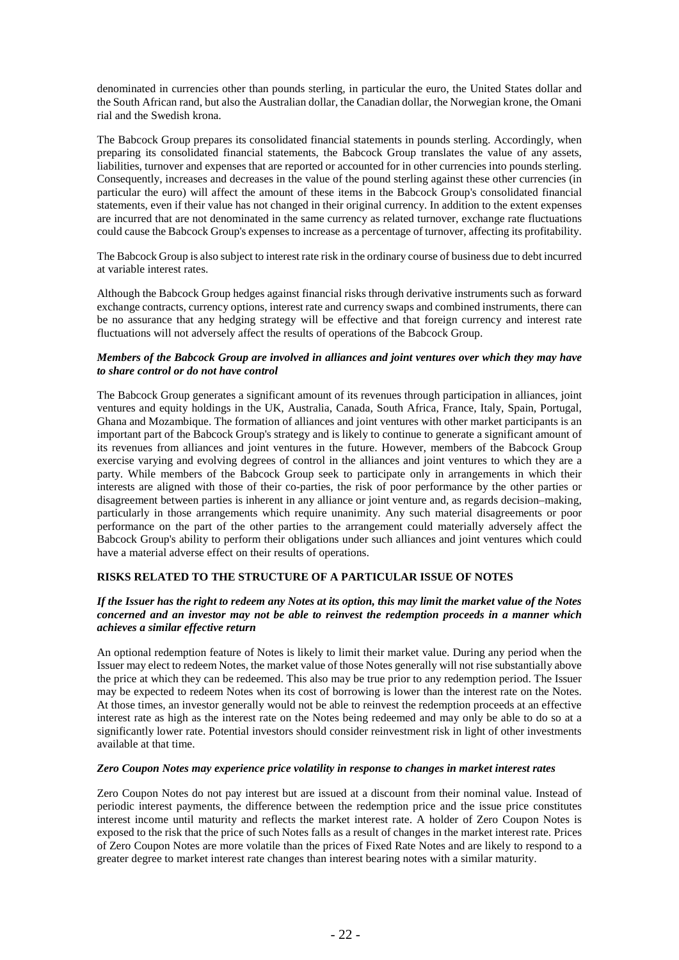denominated in currencies other than pounds sterling, in particular the euro, the United States dollar and the South African rand, but also the Australian dollar, the Canadian dollar, the Norwegian krone, the Omani rial and the Swedish krona.

The Babcock Group prepares its consolidated financial statements in pounds sterling. Accordingly, when preparing its consolidated financial statements, the Babcock Group translates the value of any assets, liabilities, turnover and expenses that are reported or accounted for in other currencies into pounds sterling. Consequently, increases and decreases in the value of the pound sterling against these other currencies (in particular the euro) will affect the amount of these items in the Babcock Group's consolidated financial statements, even if their value has not changed in their original currency. In addition to the extent expenses are incurred that are not denominated in the same currency as related turnover, exchange rate fluctuations could cause the Babcock Group's expenses to increase as a percentage of turnover, affecting its profitability.

The Babcock Group is also subject to interest rate risk in the ordinary course of business due to debt incurred at variable interest rates.

Although the Babcock Group hedges against financial risks through derivative instruments such as forward exchange contracts, currency options, interest rate and currency swaps and combined instruments, there can be no assurance that any hedging strategy will be effective and that foreign currency and interest rate fluctuations will not adversely affect the results of operations of the Babcock Group.

## *Members of the Babcock Group are involved in alliances and joint ventures over which they may have to share control or do not have control*

The Babcock Group generates a significant amount of its revenues through participation in alliances, joint ventures and equity holdings in the UK, Australia, Canada, South Africa, France, Italy, Spain, Portugal, Ghana and Mozambique. The formation of alliances and joint ventures with other market participants is an important part of the Babcock Group's strategy and is likely to continue to generate a significant amount of its revenues from alliances and joint ventures in the future. However, members of the Babcock Group exercise varying and evolving degrees of control in the alliances and joint ventures to which they are a party. While members of the Babcock Group seek to participate only in arrangements in which their interests are aligned with those of their co-parties, the risk of poor performance by the other parties or disagreement between parties is inherent in any alliance or joint venture and, as regards decision–making, particularly in those arrangements which require unanimity. Any such material disagreements or poor performance on the part of the other parties to the arrangement could materially adversely affect the Babcock Group's ability to perform their obligations under such alliances and joint ventures which could have a material adverse effect on their results of operations.

## **RISKS RELATED TO THE STRUCTURE OF A PARTICULAR ISSUE OF NOTES**

## *If the Issuer has the right to redeem any Notes at its option, this may limit the market value of the Notes concerned and an investor may not be able to reinvest the redemption proceeds in a manner which achieves a similar effective return*

An optional redemption feature of Notes is likely to limit their market value. During any period when the Issuer may elect to redeem Notes, the market value of those Notes generally will not rise substantially above the price at which they can be redeemed. This also may be true prior to any redemption period. The Issuer may be expected to redeem Notes when its cost of borrowing is lower than the interest rate on the Notes. At those times, an investor generally would not be able to reinvest the redemption proceeds at an effective interest rate as high as the interest rate on the Notes being redeemed and may only be able to do so at a significantly lower rate. Potential investors should consider reinvestment risk in light of other investments available at that time.

## *Zero Coupon Notes may experience price volatility in response to changes in market interest rates*

Zero Coupon Notes do not pay interest but are issued at a discount from their nominal value. Instead of periodic interest payments, the difference between the redemption price and the issue price constitutes interest income until maturity and reflects the market interest rate. A holder of Zero Coupon Notes is exposed to the risk that the price of such Notes falls as a result of changes in the market interest rate. Prices of Zero Coupon Notes are more volatile than the prices of Fixed Rate Notes and are likely to respond to a greater degree to market interest rate changes than interest bearing notes with a similar maturity.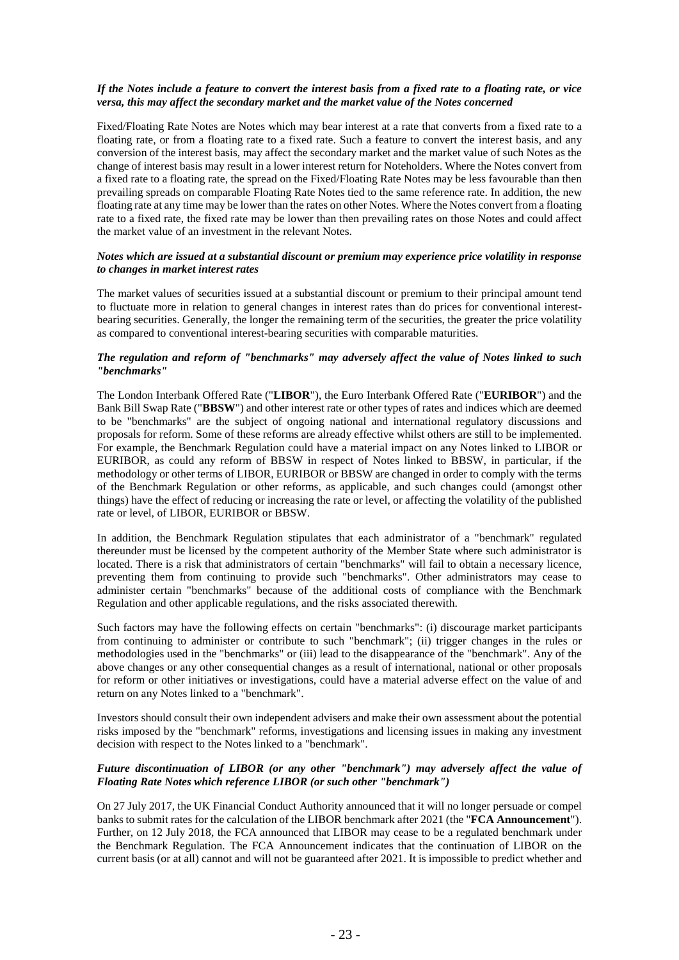## *If the Notes include a feature to convert the interest basis from a fixed rate to a floating rate, or vice versa, this may affect the secondary market and the market value of the Notes concerned*

Fixed/Floating Rate Notes are Notes which may bear interest at a rate that converts from a fixed rate to a floating rate, or from a floating rate to a fixed rate. Such a feature to convert the interest basis, and any conversion of the interest basis, may affect the secondary market and the market value of such Notes as the change of interest basis may result in a lower interest return for Noteholders. Where the Notes convert from a fixed rate to a floating rate, the spread on the Fixed/Floating Rate Notes may be less favourable than then prevailing spreads on comparable Floating Rate Notes tied to the same reference rate. In addition, the new floating rate at any time may be lower than the rates on other Notes. Where the Notes convert from a floating rate to a fixed rate, the fixed rate may be lower than then prevailing rates on those Notes and could affect the market value of an investment in the relevant Notes.

## *Notes which are issued at a substantial discount or premium may experience price volatility in response to changes in market interest rates*

The market values of securities issued at a substantial discount or premium to their principal amount tend to fluctuate more in relation to general changes in interest rates than do prices for conventional interestbearing securities. Generally, the longer the remaining term of the securities, the greater the price volatility as compared to conventional interest-bearing securities with comparable maturities.

## *The regulation and reform of "benchmarks" may adversely affect the value of Notes linked to such "benchmarks"*

The London Interbank Offered Rate ("**LIBOR**"), the Euro Interbank Offered Rate ("**EURIBOR**") and the Bank Bill Swap Rate ("**BBSW**") and other interest rate or other types of rates and indices which are deemed to be "benchmarks" are the subject of ongoing national and international regulatory discussions and proposals for reform. Some of these reforms are already effective whilst others are still to be implemented. For example, the Benchmark Regulation could have a material impact on any Notes linked to LIBOR or EURIBOR, as could any reform of BBSW in respect of Notes linked to BBSW, in particular, if the methodology or other terms of LIBOR, EURIBOR or BBSW are changed in order to comply with the terms of the Benchmark Regulation or other reforms, as applicable, and such changes could (amongst other things) have the effect of reducing or increasing the rate or level, or affecting the volatility of the published rate or level, of LIBOR, EURIBOR or BBSW.

In addition, the Benchmark Regulation stipulates that each administrator of a "benchmark" regulated thereunder must be licensed by the competent authority of the Member State where such administrator is located. There is a risk that administrators of certain "benchmarks" will fail to obtain a necessary licence, preventing them from continuing to provide such "benchmarks". Other administrators may cease to administer certain "benchmarks" because of the additional costs of compliance with the Benchmark Regulation and other applicable regulations, and the risks associated therewith.

Such factors may have the following effects on certain "benchmarks": (i) discourage market participants from continuing to administer or contribute to such "benchmark"; (ii) trigger changes in the rules or methodologies used in the "benchmarks" or (iii) lead to the disappearance of the "benchmark". Any of the above changes or any other consequential changes as a result of international, national or other proposals for reform or other initiatives or investigations, could have a material adverse effect on the value of and return on any Notes linked to a "benchmark".

Investors should consult their own independent advisers and make their own assessment about the potential risks imposed by the "benchmark" reforms, investigations and licensing issues in making any investment decision with respect to the Notes linked to a "benchmark".

## *Future discontinuation of LIBOR (or any other "benchmark") may adversely affect the value of Floating Rate Notes which reference LIBOR (or such other "benchmark")*

On 27 July 2017, the UK Financial Conduct Authority announced that it will no longer persuade or compel banks to submit rates for the calculation of the LIBOR benchmark after 2021 (the "**FCA Announcement**"). Further, on 12 July 2018, the FCA announced that LIBOR may cease to be a regulated benchmark under the Benchmark Regulation. The FCA Announcement indicates that the continuation of LIBOR on the current basis (or at all) cannot and will not be guaranteed after 2021. It is impossible to predict whether and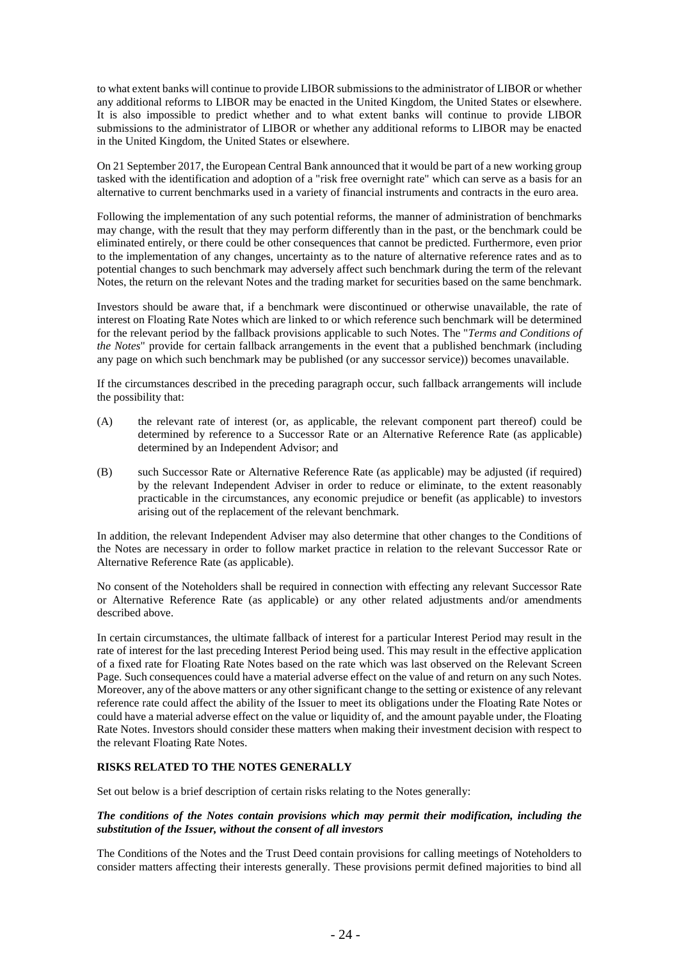to what extent banks will continue to provide LIBOR submissions to the administrator of LIBOR or whether any additional reforms to LIBOR may be enacted in the United Kingdom, the United States or elsewhere. It is also impossible to predict whether and to what extent banks will continue to provide LIBOR submissions to the administrator of LIBOR or whether any additional reforms to LIBOR may be enacted in the United Kingdom, the United States or elsewhere.

On 21 September 2017, the European Central Bank announced that it would be part of a new working group tasked with the identification and adoption of a "risk free overnight rate" which can serve as a basis for an alternative to current benchmarks used in a variety of financial instruments and contracts in the euro area.

Following the implementation of any such potential reforms, the manner of administration of benchmarks may change, with the result that they may perform differently than in the past, or the benchmark could be eliminated entirely, or there could be other consequences that cannot be predicted. Furthermore, even prior to the implementation of any changes, uncertainty as to the nature of alternative reference rates and as to potential changes to such benchmark may adversely affect such benchmark during the term of the relevant Notes, the return on the relevant Notes and the trading market for securities based on the same benchmark.

Investors should be aware that, if a benchmark were discontinued or otherwise unavailable, the rate of interest on Floating Rate Notes which are linked to or which reference such benchmark will be determined for the relevant period by the fallback provisions applicable to such Notes. The "*Terms and Conditions of the Notes*" provide for certain fallback arrangements in the event that a published benchmark (including any page on which such benchmark may be published (or any successor service)) becomes unavailable.

If the circumstances described in the preceding paragraph occur, such fallback arrangements will include the possibility that:

- (A) the relevant rate of interest (or, as applicable, the relevant component part thereof) could be determined by reference to a Successor Rate or an Alternative Reference Rate (as applicable) determined by an Independent Advisor; and
- (B) such Successor Rate or Alternative Reference Rate (as applicable) may be adjusted (if required) by the relevant Independent Adviser in order to reduce or eliminate, to the extent reasonably practicable in the circumstances, any economic prejudice or benefit (as applicable) to investors arising out of the replacement of the relevant benchmark.

In addition, the relevant Independent Adviser may also determine that other changes to the Conditions of the Notes are necessary in order to follow market practice in relation to the relevant Successor Rate or Alternative Reference Rate (as applicable).

No consent of the Noteholders shall be required in connection with effecting any relevant Successor Rate or Alternative Reference Rate (as applicable) or any other related adjustments and/or amendments described above.

In certain circumstances, the ultimate fallback of interest for a particular Interest Period may result in the rate of interest for the last preceding Interest Period being used. This may result in the effective application of a fixed rate for Floating Rate Notes based on the rate which was last observed on the Relevant Screen Page. Such consequences could have a material adverse effect on the value of and return on any such Notes. Moreover, any of the above matters or any other significant change to the setting or existence of any relevant reference rate could affect the ability of the Issuer to meet its obligations under the Floating Rate Notes or could have a material adverse effect on the value or liquidity of, and the amount payable under, the Floating Rate Notes. Investors should consider these matters when making their investment decision with respect to the relevant Floating Rate Notes.

## **RISKS RELATED TO THE NOTES GENERALLY**

Set out below is a brief description of certain risks relating to the Notes generally:

## *The conditions of the Notes contain provisions which may permit their modification, including the substitution of the Issuer, without the consent of all investors*

The Conditions of the Notes and the Trust Deed contain provisions for calling meetings of Noteholders to consider matters affecting their interests generally. These provisions permit defined majorities to bind all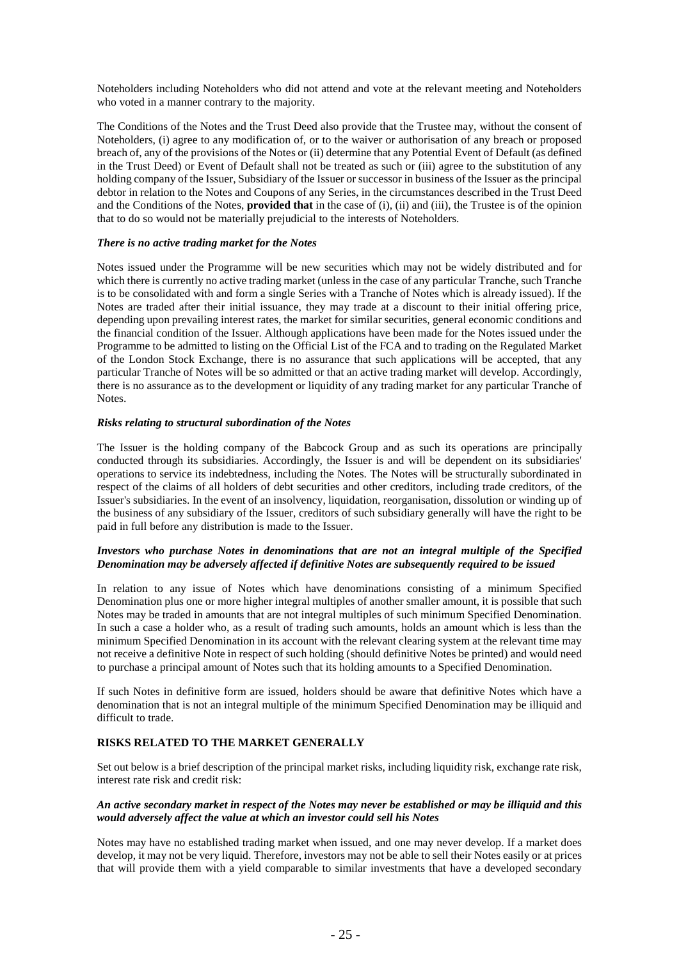Noteholders including Noteholders who did not attend and vote at the relevant meeting and Noteholders who voted in a manner contrary to the majority.

The Conditions of the Notes and the Trust Deed also provide that the Trustee may, without the consent of Noteholders, (i) agree to any modification of, or to the waiver or authorisation of any breach or proposed breach of, any of the provisions of the Notes or (ii) determine that any Potential Event of Default (as defined in the Trust Deed) or Event of Default shall not be treated as such or (iii) agree to the substitution of any holding company of the Issuer, Subsidiary of the Issuer or successor in business of the Issuer as the principal debtor in relation to the Notes and Coupons of any Series, in the circumstances described in the Trust Deed and the Conditions of the Notes, **provided that** in the case of (i), (ii) and (iii), the Trustee is of the opinion that to do so would not be materially prejudicial to the interests of Noteholders.

## *There is no active trading market for the Notes*

Notes issued under the Programme will be new securities which may not be widely distributed and for which there is currently no active trading market (unless in the case of any particular Tranche, such Tranche is to be consolidated with and form a single Series with a Tranche of Notes which is already issued). If the Notes are traded after their initial issuance, they may trade at a discount to their initial offering price, depending upon prevailing interest rates, the market for similar securities, general economic conditions and the financial condition of the Issuer. Although applications have been made for the Notes issued under the Programme to be admitted to listing on the Official List of the FCA and to trading on the Regulated Market of the London Stock Exchange, there is no assurance that such applications will be accepted, that any particular Tranche of Notes will be so admitted or that an active trading market will develop. Accordingly, there is no assurance as to the development or liquidity of any trading market for any particular Tranche of Notes.

## *Risks relating to structural subordination of the Notes*

The Issuer is the holding company of the Babcock Group and as such its operations are principally conducted through its subsidiaries. Accordingly, the Issuer is and will be dependent on its subsidiaries' operations to service its indebtedness, including the Notes. The Notes will be structurally subordinated in respect of the claims of all holders of debt securities and other creditors, including trade creditors, of the Issuer's subsidiaries. In the event of an insolvency, liquidation, reorganisation, dissolution or winding up of the business of any subsidiary of the Issuer, creditors of such subsidiary generally will have the right to be paid in full before any distribution is made to the Issuer.

## *Investors who purchase Notes in denominations that are not an integral multiple of the Specified Denomination may be adversely affected if definitive Notes are subsequently required to be issued*

In relation to any issue of Notes which have denominations consisting of a minimum Specified Denomination plus one or more higher integral multiples of another smaller amount, it is possible that such Notes may be traded in amounts that are not integral multiples of such minimum Specified Denomination. In such a case a holder who, as a result of trading such amounts, holds an amount which is less than the minimum Specified Denomination in its account with the relevant clearing system at the relevant time may not receive a definitive Note in respect of such holding (should definitive Notes be printed) and would need to purchase a principal amount of Notes such that its holding amounts to a Specified Denomination.

If such Notes in definitive form are issued, holders should be aware that definitive Notes which have a denomination that is not an integral multiple of the minimum Specified Denomination may be illiquid and difficult to trade.

## **RISKS RELATED TO THE MARKET GENERALLY**

Set out below is a brief description of the principal market risks, including liquidity risk, exchange rate risk, interest rate risk and credit risk:

## *An active secondary market in respect of the Notes may never be established or may be illiquid and this would adversely affect the value at which an investor could sell his Notes*

Notes may have no established trading market when issued, and one may never develop. If a market does develop, it may not be very liquid. Therefore, investors may not be able to sell their Notes easily or at prices that will provide them with a yield comparable to similar investments that have a developed secondary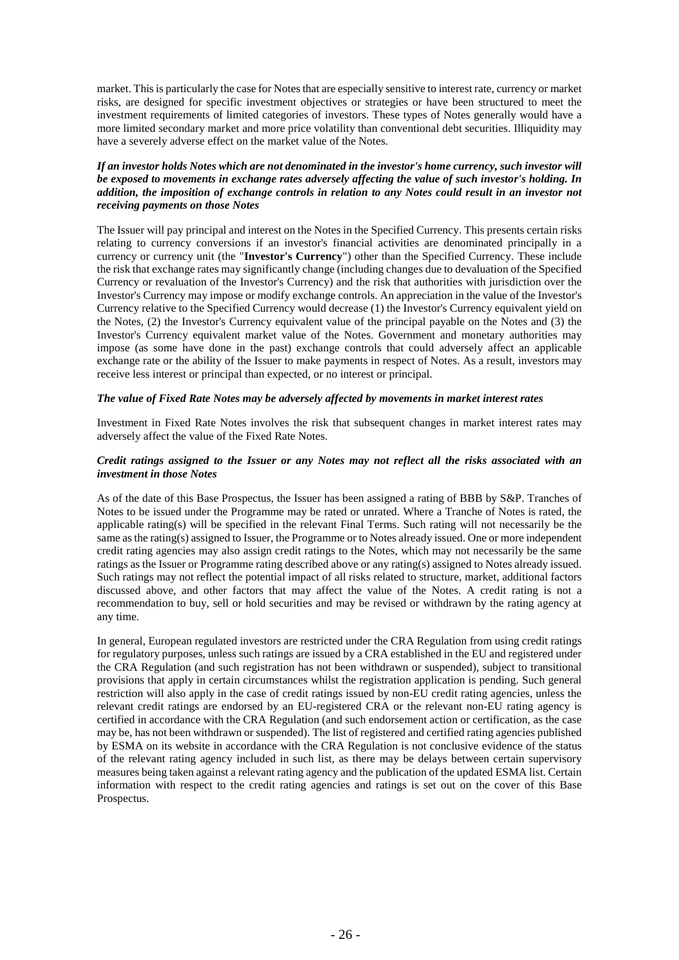market. This is particularly the case for Notes that are especially sensitive to interest rate, currency or market risks, are designed for specific investment objectives or strategies or have been structured to meet the investment requirements of limited categories of investors. These types of Notes generally would have a more limited secondary market and more price volatility than conventional debt securities. Illiquidity may have a severely adverse effect on the market value of the Notes.

## *If an investor holds Notes which are not denominated in the investor's home currency, such investor will be exposed to movements in exchange rates adversely affecting the value of such investor's holding. In addition, the imposition of exchange controls in relation to any Notes could result in an investor not receiving payments on those Notes*

The Issuer will pay principal and interest on the Notes in the Specified Currency. This presents certain risks relating to currency conversions if an investor's financial activities are denominated principally in a currency or currency unit (the "**Investor's Currency**") other than the Specified Currency. These include the risk that exchange rates may significantly change (including changes due to devaluation of the Specified Currency or revaluation of the Investor's Currency) and the risk that authorities with jurisdiction over the Investor's Currency may impose or modify exchange controls. An appreciation in the value of the Investor's Currency relative to the Specified Currency would decrease (1) the Investor's Currency equivalent yield on the Notes, (2) the Investor's Currency equivalent value of the principal payable on the Notes and (3) the Investor's Currency equivalent market value of the Notes. Government and monetary authorities may impose (as some have done in the past) exchange controls that could adversely affect an applicable exchange rate or the ability of the Issuer to make payments in respect of Notes. As a result, investors may receive less interest or principal than expected, or no interest or principal.

## *The value of Fixed Rate Notes may be adversely affected by movements in market interest rates*

Investment in Fixed Rate Notes involves the risk that subsequent changes in market interest rates may adversely affect the value of the Fixed Rate Notes.

## *Credit ratings assigned to the Issuer or any Notes may not reflect all the risks associated with an investment in those Notes*

As of the date of this Base Prospectus, the Issuer has been assigned a rating of BBB by S&P. Tranches of Notes to be issued under the Programme may be rated or unrated. Where a Tranche of Notes is rated, the applicable rating(s) will be specified in the relevant Final Terms. Such rating will not necessarily be the same as the rating(s) assigned to Issuer, the Programme or to Notes already issued. One or more independent credit rating agencies may also assign credit ratings to the Notes, which may not necessarily be the same ratings as the Issuer or Programme rating described above or any rating(s) assigned to Notes already issued. Such ratings may not reflect the potential impact of all risks related to structure, market, additional factors discussed above, and other factors that may affect the value of the Notes. A credit rating is not a recommendation to buy, sell or hold securities and may be revised or withdrawn by the rating agency at any time.

In general, European regulated investors are restricted under the CRA Regulation from using credit ratings for regulatory purposes, unless such ratings are issued by a CRA established in the EU and registered under the CRA Regulation (and such registration has not been withdrawn or suspended), subject to transitional provisions that apply in certain circumstances whilst the registration application is pending. Such general restriction will also apply in the case of credit ratings issued by non-EU credit rating agencies, unless the relevant credit ratings are endorsed by an EU-registered CRA or the relevant non-EU rating agency is certified in accordance with the CRA Regulation (and such endorsement action or certification, as the case may be, has not been withdrawn or suspended). The list of registered and certified rating agencies published by ESMA on its website in accordance with the CRA Regulation is not conclusive evidence of the status of the relevant rating agency included in such list, as there may be delays between certain supervisory measures being taken against a relevant rating agency and the publication of the updated ESMA list. Certain information with respect to the credit rating agencies and ratings is set out on the cover of this Base Prospectus.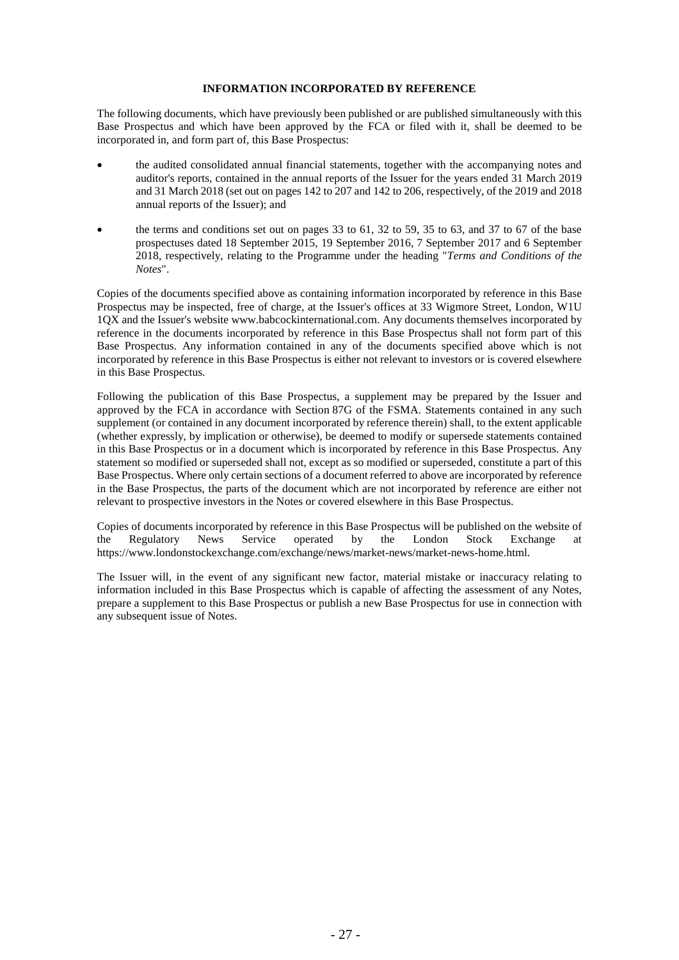## **INFORMATION INCORPORATED BY REFERENCE**

The following documents, which have previously been published or are published simultaneously with this Base Prospectus and which have been approved by the FCA or filed with it, shall be deemed to be incorporated in, and form part of, this Base Prospectus:

- the audited consolidated annual financial statements, together with the accompanying notes and auditor's reports, contained in the annual reports of the Issuer for the years ended 31 March 2019 and 31 March 2018 (set out on pages 142 to 207 and 142 to 206, respectively, of the 2019 and 2018 annual reports of the Issuer); and
- the terms and conditions set out on pages  $33$  to  $61$ ,  $32$  to  $59$ ,  $35$  to  $63$ , and  $37$  to  $67$  of the base prospectuses dated 18 September 2015, 19 September 2016, 7 September 2017 and 6 September 2018, respectively, relating to the Programme under the heading "*Terms and Conditions of the Notes*".

Copies of the documents specified above as containing information incorporated by reference in this Base Prospectus may be inspected, free of charge, at the Issuer's offices at 33 Wigmore Street, London, W1U 1QX and the Issuer's website www.babcockinternational.com. Any documents themselves incorporated by reference in the documents incorporated by reference in this Base Prospectus shall not form part of this Base Prospectus. Any information contained in any of the documents specified above which is not incorporated by reference in this Base Prospectus is either not relevant to investors or is covered elsewhere in this Base Prospectus.

Following the publication of this Base Prospectus, a supplement may be prepared by the Issuer and approved by the FCA in accordance with Section 87G of the FSMA. Statements contained in any such supplement (or contained in any document incorporated by reference therein) shall, to the extent applicable (whether expressly, by implication or otherwise), be deemed to modify or supersede statements contained in this Base Prospectus or in a document which is incorporated by reference in this Base Prospectus. Any statement so modified or superseded shall not, except as so modified or superseded, constitute a part of this Base Prospectus. Where only certain sections of a document referred to above are incorporated by reference in the Base Prospectus, the parts of the document which are not incorporated by reference are either not relevant to prospective investors in the Notes or covered elsewhere in this Base Prospectus.

Copies of documents incorporated by reference in this Base Prospectus will be published on the website of the Regulatory News Service operated by the London Stock Exchange at https://www.londonstockexchange.com/exchange/news/market-news/market-news-home.html.

The Issuer will, in the event of any significant new factor, material mistake or inaccuracy relating to information included in this Base Prospectus which is capable of affecting the assessment of any Notes, prepare a supplement to this Base Prospectus or publish a new Base Prospectus for use in connection with any subsequent issue of Notes.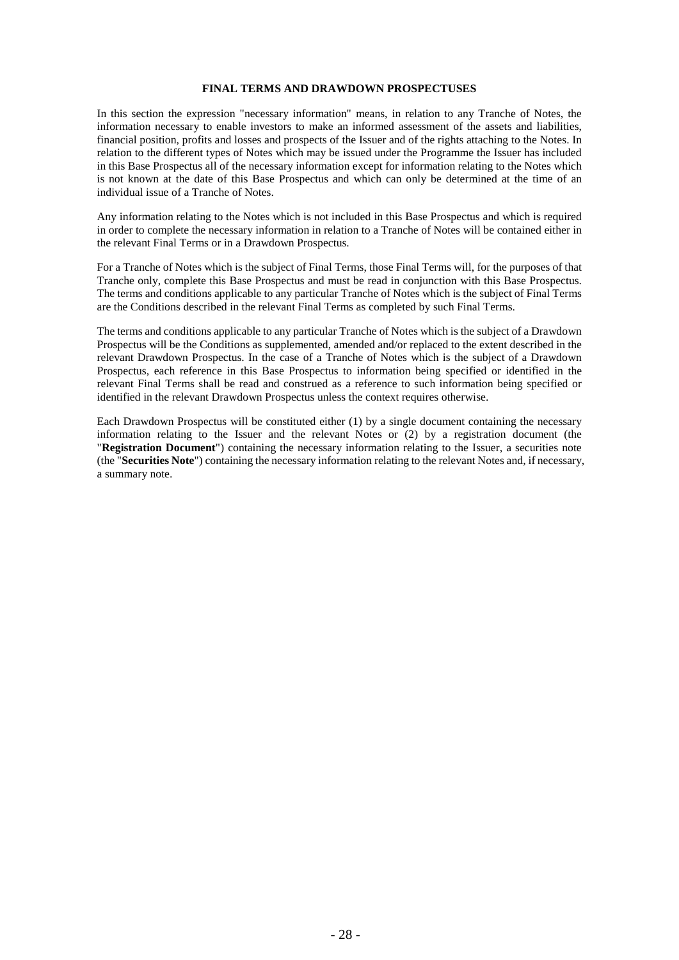#### **FINAL TERMS AND DRAWDOWN PROSPECTUSES**

In this section the expression "necessary information" means, in relation to any Tranche of Notes, the information necessary to enable investors to make an informed assessment of the assets and liabilities, financial position, profits and losses and prospects of the Issuer and of the rights attaching to the Notes. In relation to the different types of Notes which may be issued under the Programme the Issuer has included in this Base Prospectus all of the necessary information except for information relating to the Notes which is not known at the date of this Base Prospectus and which can only be determined at the time of an individual issue of a Tranche of Notes.

Any information relating to the Notes which is not included in this Base Prospectus and which is required in order to complete the necessary information in relation to a Tranche of Notes will be contained either in the relevant Final Terms or in a Drawdown Prospectus.

For a Tranche of Notes which is the subject of Final Terms, those Final Terms will, for the purposes of that Tranche only, complete this Base Prospectus and must be read in conjunction with this Base Prospectus. The terms and conditions applicable to any particular Tranche of Notes which is the subject of Final Terms are the Conditions described in the relevant Final Terms as completed by such Final Terms.

The terms and conditions applicable to any particular Tranche of Notes which is the subject of a Drawdown Prospectus will be the Conditions as supplemented, amended and/or replaced to the extent described in the relevant Drawdown Prospectus. In the case of a Tranche of Notes which is the subject of a Drawdown Prospectus, each reference in this Base Prospectus to information being specified or identified in the relevant Final Terms shall be read and construed as a reference to such information being specified or identified in the relevant Drawdown Prospectus unless the context requires otherwise.

Each Drawdown Prospectus will be constituted either (1) by a single document containing the necessary information relating to the Issuer and the relevant Notes or (2) by a registration document (the "**Registration Document**") containing the necessary information relating to the Issuer, a securities note (the "**Securities Note**") containing the necessary information relating to the relevant Notes and, if necessary, a summary note.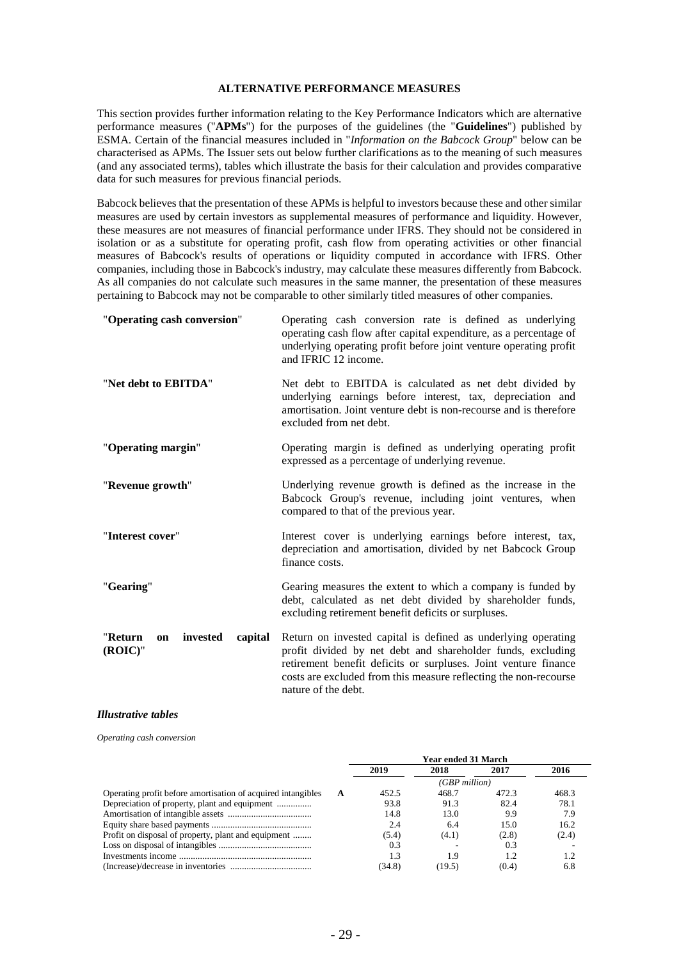#### **ALTERNATIVE PERFORMANCE MEASURES**

This section provides further information relating to the Key Performance Indicators which are alternative performance measures ("**APMs**") for the purposes of the guidelines (the "**Guidelines**") published by ESMA. Certain of the financial measures included in "*Information on the Babcock Group*" below can be characterised as APMs. The Issuer sets out below further clarifications as to the meaning of such measures (and any associated terms), tables which illustrate the basis for their calculation and provides comparative data for such measures for previous financial periods.

Babcock believes that the presentation of these APMs is helpful to investors because these and other similar measures are used by certain investors as supplemental measures of performance and liquidity. However, these measures are not measures of financial performance under IFRS. They should not be considered in isolation or as a substitute for operating profit, cash flow from operating activities or other financial measures of Babcock's results of operations or liquidity computed in accordance with IFRS. Other companies, including those in Babcock's industry, may calculate these measures differently from Babcock. As all companies do not calculate such measures in the same manner, the presentation of these measures pertaining to Babcock may not be comparable to other similarly titled measures of other companies.

| "Operating cash conversion"                        | Operating cash conversion rate is defined as underlying<br>operating cash flow after capital expenditure, as a percentage of<br>underlying operating profit before joint venture operating profit<br>and IFRIC 12 income.                                                                  |
|----------------------------------------------------|--------------------------------------------------------------------------------------------------------------------------------------------------------------------------------------------------------------------------------------------------------------------------------------------|
| "Net debt to EBITDA"                               | Net debt to EBITDA is calculated as net debt divided by<br>underlying earnings before interest, tax, depreciation and<br>amortisation. Joint venture debt is non-recourse and is therefore<br>excluded from net debt.                                                                      |
| "Operating margin"                                 | Operating margin is defined as underlying operating profit<br>expressed as a percentage of underlying revenue.                                                                                                                                                                             |
| "Revenue growth"                                   | Underlying revenue growth is defined as the increase in the<br>Babcock Group's revenue, including joint ventures, when<br>compared to that of the previous year.                                                                                                                           |
| "Interest cover"                                   | Interest cover is underlying earnings before interest, tax,<br>depreciation and amortisation, divided by net Babcock Group<br>finance costs.                                                                                                                                               |
| "Gearing"                                          | Gearing measures the extent to which a company is funded by<br>debt, calculated as net debt divided by shareholder funds,<br>excluding retirement benefit deficits or surpluses.                                                                                                           |
| invested<br>"Return<br>capital<br>on<br>$(ROIC)$ " | Return on invested capital is defined as underlying operating<br>profit divided by net debt and shareholder funds, excluding<br>retirement benefit deficits or surpluses. Joint venture finance<br>costs are excluded from this measure reflecting the non-recourse<br>nature of the debt. |

#### *Illustrative tables*

*Operating cash conversion*

|                                                                   |        | <b>Year ended 31 March</b> |       |       |
|-------------------------------------------------------------------|--------|----------------------------|-------|-------|
|                                                                   | 2019   | 2018                       | 2017  | 2016  |
|                                                                   |        | $(GBP$ million)            |       |       |
| Operating profit before amortisation of acquired intangibles<br>A | 452.5  | 468.7                      | 472.3 | 468.3 |
|                                                                   | 93.8   | 91.3                       | 82.4  | 78.1  |
|                                                                   | 14.8   | 13.0                       | 9.9   | 7.9   |
|                                                                   | 2.4    | 6.4                        | 15.0  | 16.2  |
| Profit on disposal of property, plant and equipment               | (5.4)  | (4.1)                      | (2.8) | (2.4) |
|                                                                   | 0.3    |                            | 0.3   |       |
|                                                                   | 1.3    | 19                         |       | 1.2   |
|                                                                   | (34.8) | (19.5)                     | (0.4) | 6.8   |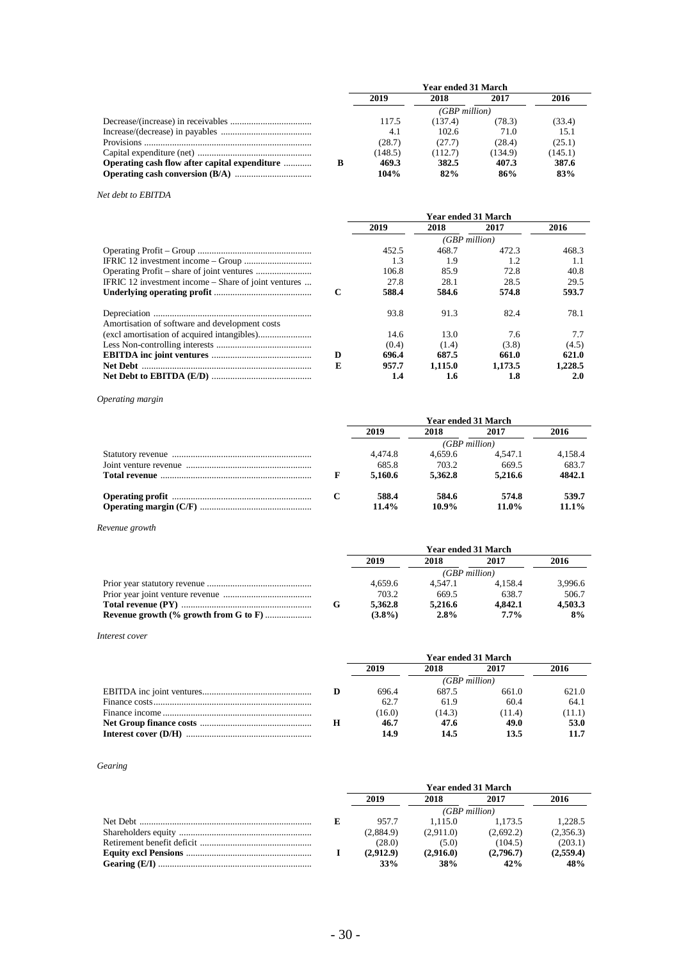|                                               |   | <b>Year ended 31 March</b> |                  |         |         |
|-----------------------------------------------|---|----------------------------|------------------|---------|---------|
|                                               |   | 2019                       | 2018             | 2017    | 2016    |
|                                               |   |                            | $(GBP\ million)$ |         |         |
|                                               |   | 117.5                      | (137.4)          | (78.3)  | (33.4)  |
|                                               |   | 4.1                        | 102.6            | 71.0    | 15.1    |
|                                               |   | (28.7)                     | (27.7)           | (28.4)  | (25.1)  |
|                                               |   | (148.5)                    | (112.7)          | (134.9) | (145.1) |
| Operating cash flow after capital expenditure | в | 469.3                      | 382.5            | 407.3   | 387.6   |
|                                               |   | 104%                       | 82%              | 86%     | 83%     |

## *Net debt to EBITDA*

|                                                      |   | <b>Year ended 31 March</b> |                 |         |         |  |
|------------------------------------------------------|---|----------------------------|-----------------|---------|---------|--|
|                                                      |   | 2019                       | 2018            | 2017    | 2016    |  |
|                                                      |   |                            | $(GBP$ million) |         |         |  |
|                                                      |   | 452.5                      | 468.7           | 472.3   | 468.3   |  |
|                                                      |   | 1.3                        | 1.9             | 1.2     | 1.1     |  |
|                                                      |   | 106.8                      | 85.9            | 72.8    | 40.8    |  |
| IFRIC 12 investment income – Share of joint ventures |   | 27.8                       | 28.1            | 28.5    | 29.5    |  |
|                                                      | C | 588.4                      | 584.6           | 574.8   | 593.7   |  |
| Amortisation of software and development costs       |   | 93.8                       | 91.3            | 82.4    | 78.1    |  |
|                                                      |   | 14.6                       | 13.0            | 7.6     | 7.7     |  |
|                                                      |   | (0.4)                      | (1.4)           | (3.8)   | (4.5)   |  |
|                                                      | D | 696.4                      | 687.5           | 661.0   | 621.0   |  |
|                                                      | E | 957.7                      | 1.115.0         | 1.173.5 | 1.228.5 |  |
|                                                      |   | 1.4                        | 1.6             | 1.8     | 2.0     |  |

*Operating margin*

|  | Year ended 31 March |                 |                   |                   |  |
|--|---------------------|-----------------|-------------------|-------------------|--|
|  | 2019                | 2018            | 2017              | 2016              |  |
|  |                     | $(GBP$ million) |                   |                   |  |
|  | 4.474.8             | 4.659.6         | 4.547.1           | 4,158.4           |  |
|  | 685.8               | 703.2           | 669.5             | 683.7             |  |
|  | 5,160.6             | 5.362.8         | 5.216.6           | 4842.1            |  |
|  | 588.4<br>11.4%      | 584.6<br>10.9%  | 574.8<br>$11.0\%$ | 539.7<br>$11.1\%$ |  |
|  |                     |                 |                   |                   |  |

*Revenue growth*

|                                              | <b>Year ended 31 March</b> |                 |         |         |  |
|----------------------------------------------|----------------------------|-----------------|---------|---------|--|
|                                              | 2019                       | 2018            | 2017    | 2016    |  |
|                                              |                            | $(GBP$ million) |         |         |  |
|                                              | 4.659.6                    | 4.547.1         | 4.158.4 | 3.996.6 |  |
|                                              | 703.2                      | 669.5           | 638.7   | 506.7   |  |
|                                              | 5.362.8                    | 5.216.6         | 4.842.1 | 4.503.3 |  |
| <b>Revenue growth (% growth from G to F)</b> | $(3.8\%)$                  | 2.8%            | $7.7\%$ | 8%      |  |

*Interest cover* 

|  | Year ended 31 March |                 |        |        |  |
|--|---------------------|-----------------|--------|--------|--|
|  | 2019                | 2018            | 2017   | 2016   |  |
|  |                     | $(GBP$ million) |        |        |  |
|  | 696.4               | 687.5           | 661.0  | 621.0  |  |
|  | 62.7                | 61.9            | 60.4   | 64.1   |  |
|  | (16.0)              | (14.3)          | (11.4) | (11.1) |  |
|  | 46.7                | 47.6            | 49.0   | 53.0   |  |
|  | 14.9                | 14.5            | 13.5   | 11.7   |  |

*Gearing* 

|  | Year ended 31 March |           |           |           |  |
|--|---------------------|-----------|-----------|-----------|--|
|  | 2019                | 2018      | 2017      | 2016      |  |
|  | $(GBP$ million)     |           |           |           |  |
|  | 957.7               | 1.115.0   | 1.173.5   | 1.228.5   |  |
|  | (2,884.9)           | (2.911.0) | (2.692.2) | (2,356.3) |  |
|  | (28.0)              | (5.0)     | (104.5)   | (203.1)   |  |
|  | (2.912.9)           | (2.916.0) | (2.796.7) | (2,559.4) |  |
|  | 33%                 | 38%       | 42%       | 48%       |  |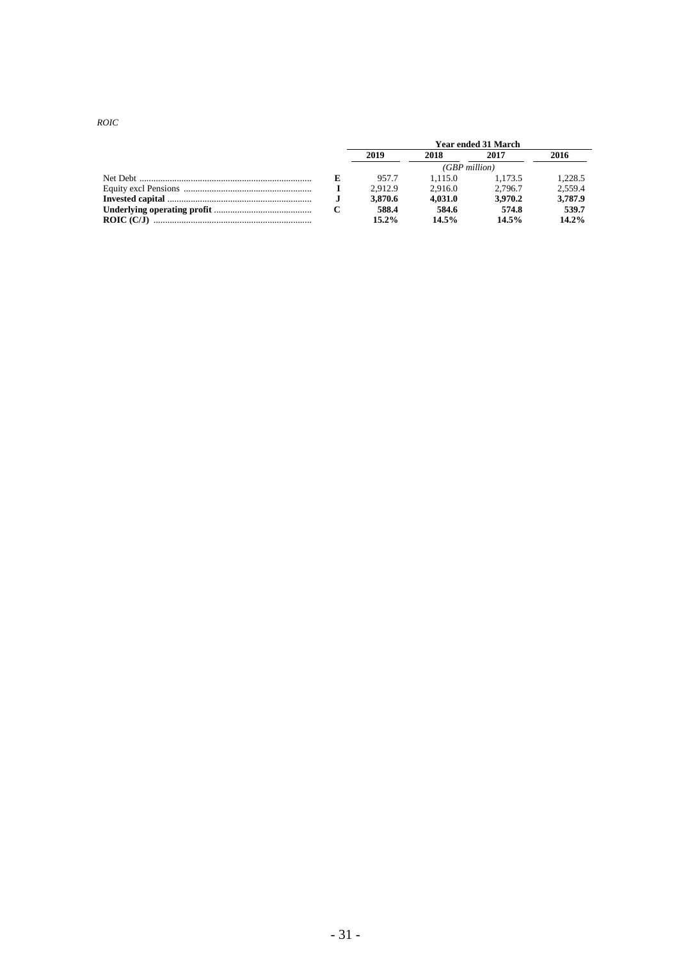*ROIC* 

|            | <b>Year ended 31 March</b> |         |          |         |  |
|------------|----------------------------|---------|----------|---------|--|
|            | 2019                       | 2018    | 2017     | 2016    |  |
|            | $(GBP$ million)            |         |          |         |  |
|            | 957.7                      | 1.115.0 | 1.173.5  | 1.228.5 |  |
|            | 2.912.9                    | 2.916.0 | 2.796.7  | 2.559.4 |  |
|            | 3.870.6                    | 4.031.0 | 3.970.2  | 3,787.9 |  |
|            | 588.4                      | 584.6   | 574.8    | 539.7   |  |
| ROIC (C/J) | $15.2\%$                   | 14.5%   | $14.5\%$ | 14.2%   |  |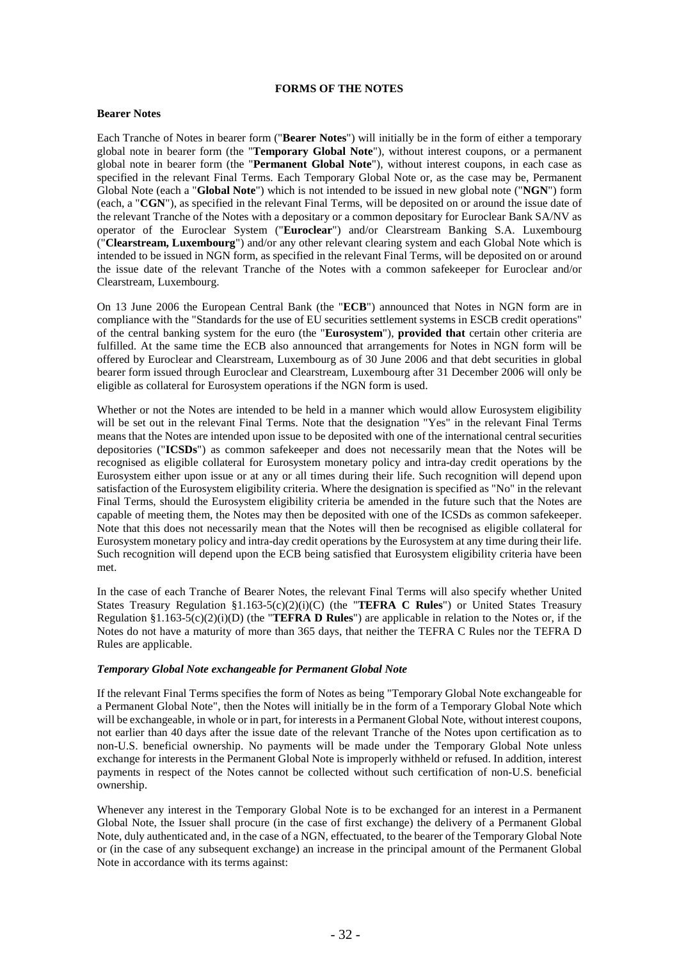## **FORMS OF THE NOTES**

## **Bearer Notes**

Each Tranche of Notes in bearer form ("**Bearer Notes**") will initially be in the form of either a temporary global note in bearer form (the "**Temporary Global Note**"), without interest coupons, or a permanent global note in bearer form (the "**Permanent Global Note**"), without interest coupons, in each case as specified in the relevant Final Terms. Each Temporary Global Note or, as the case may be, Permanent Global Note (each a "**Global Note**") which is not intended to be issued in new global note ("**NGN**") form (each, a "**CGN**"), as specified in the relevant Final Terms, will be deposited on or around the issue date of the relevant Tranche of the Notes with a depositary or a common depositary for Euroclear Bank SA/NV as operator of the Euroclear System ("**Euroclear**") and/or Clearstream Banking S.A. Luxembourg ("**Clearstream, Luxembourg**") and/or any other relevant clearing system and each Global Note which is intended to be issued in NGN form, as specified in the relevant Final Terms, will be deposited on or around the issue date of the relevant Tranche of the Notes with a common safekeeper for Euroclear and/or Clearstream, Luxembourg.

On 13 June 2006 the European Central Bank (the "**ECB**") announced that Notes in NGN form are in compliance with the "Standards for the use of EU securities settlement systems in ESCB credit operations" of the central banking system for the euro (the "**Eurosystem**"), **provided that** certain other criteria are fulfilled. At the same time the ECB also announced that arrangements for Notes in NGN form will be offered by Euroclear and Clearstream, Luxembourg as of 30 June 2006 and that debt securities in global bearer form issued through Euroclear and Clearstream, Luxembourg after 31 December 2006 will only be eligible as collateral for Eurosystem operations if the NGN form is used.

Whether or not the Notes are intended to be held in a manner which would allow Eurosystem eligibility will be set out in the relevant Final Terms. Note that the designation "Yes" in the relevant Final Terms means that the Notes are intended upon issue to be deposited with one of the international central securities depositories ("**ICSDs**") as common safekeeper and does not necessarily mean that the Notes will be recognised as eligible collateral for Eurosystem monetary policy and intra-day credit operations by the Eurosystem either upon issue or at any or all times during their life. Such recognition will depend upon satisfaction of the Eurosystem eligibility criteria. Where the designation is specified as "No" in the relevant Final Terms, should the Eurosystem eligibility criteria be amended in the future such that the Notes are capable of meeting them, the Notes may then be deposited with one of the ICSDs as common safekeeper. Note that this does not necessarily mean that the Notes will then be recognised as eligible collateral for Eurosystem monetary policy and intra-day credit operations by the Eurosystem at any time during their life. Such recognition will depend upon the ECB being satisfied that Eurosystem eligibility criteria have been met.

In the case of each Tranche of Bearer Notes, the relevant Final Terms will also specify whether United States Treasury Regulation §1.163-5(c)(2)(i)(C) (the "**TEFRA C Rules**") or United States Treasury Regulation §1.163-5(c)(2)(i)(D) (the "**TEFRA D Rules**") are applicable in relation to the Notes or, if the Notes do not have a maturity of more than 365 days, that neither the TEFRA C Rules nor the TEFRA D Rules are applicable.

#### *Temporary Global Note exchangeable for Permanent Global Note*

If the relevant Final Terms specifies the form of Notes as being "Temporary Global Note exchangeable for a Permanent Global Note", then the Notes will initially be in the form of a Temporary Global Note which will be exchangeable, in whole or in part, for interests in a Permanent Global Note, without interest coupons, not earlier than 40 days after the issue date of the relevant Tranche of the Notes upon certification as to non-U.S. beneficial ownership. No payments will be made under the Temporary Global Note unless exchange for interests in the Permanent Global Note is improperly withheld or refused. In addition, interest payments in respect of the Notes cannot be collected without such certification of non-U.S. beneficial ownership.

Whenever any interest in the Temporary Global Note is to be exchanged for an interest in a Permanent Global Note, the Issuer shall procure (in the case of first exchange) the delivery of a Permanent Global Note, duly authenticated and, in the case of a NGN, effectuated, to the bearer of the Temporary Global Note or (in the case of any subsequent exchange) an increase in the principal amount of the Permanent Global Note in accordance with its terms against: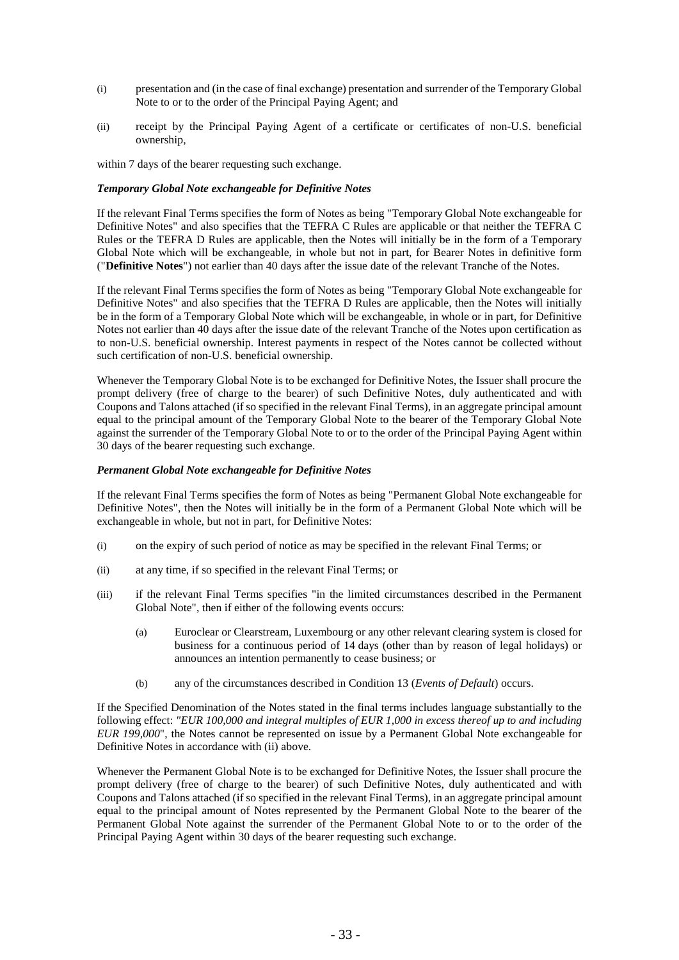- (i) presentation and (in the case of final exchange) presentation and surrender of the Temporary Global Note to or to the order of the Principal Paying Agent; and
- (ii) receipt by the Principal Paying Agent of a certificate or certificates of non-U.S. beneficial ownership,

within 7 days of the bearer requesting such exchange.

#### *Temporary Global Note exchangeable for Definitive Notes*

If the relevant Final Terms specifies the form of Notes as being "Temporary Global Note exchangeable for Definitive Notes" and also specifies that the TEFRA C Rules are applicable or that neither the TEFRA C Rules or the TEFRA D Rules are applicable, then the Notes will initially be in the form of a Temporary Global Note which will be exchangeable, in whole but not in part, for Bearer Notes in definitive form ("**Definitive Notes**") not earlier than 40 days after the issue date of the relevant Tranche of the Notes.

If the relevant Final Terms specifies the form of Notes as being "Temporary Global Note exchangeable for Definitive Notes" and also specifies that the TEFRA D Rules are applicable, then the Notes will initially be in the form of a Temporary Global Note which will be exchangeable, in whole or in part, for Definitive Notes not earlier than 40 days after the issue date of the relevant Tranche of the Notes upon certification as to non-U.S. beneficial ownership. Interest payments in respect of the Notes cannot be collected without such certification of non-U.S. beneficial ownership.

Whenever the Temporary Global Note is to be exchanged for Definitive Notes, the Issuer shall procure the prompt delivery (free of charge to the bearer) of such Definitive Notes, duly authenticated and with Coupons and Talons attached (if so specified in the relevant Final Terms), in an aggregate principal amount equal to the principal amount of the Temporary Global Note to the bearer of the Temporary Global Note against the surrender of the Temporary Global Note to or to the order of the Principal Paying Agent within 30 days of the bearer requesting such exchange.

## *Permanent Global Note exchangeable for Definitive Notes*

If the relevant Final Terms specifies the form of Notes as being "Permanent Global Note exchangeable for Definitive Notes", then the Notes will initially be in the form of a Permanent Global Note which will be exchangeable in whole, but not in part, for Definitive Notes:

- (i) on the expiry of such period of notice as may be specified in the relevant Final Terms; or
- (ii) at any time, if so specified in the relevant Final Terms; or
- (iii) if the relevant Final Terms specifies "in the limited circumstances described in the Permanent Global Note", then if either of the following events occurs:
	- (a) Euroclear or Clearstream, Luxembourg or any other relevant clearing system is closed for business for a continuous period of 14 days (other than by reason of legal holidays) or announces an intention permanently to cease business; or
	- (b) any of the circumstances described in Condition [13](#page-63-0) (*Events of Default*) occurs.

If the Specified Denomination of the Notes stated in the final terms includes language substantially to the following effect: *"EUR 100,000 and integral multiples of EUR 1,000 in excess thereof up to and including EUR 199,000*", the Notes cannot be represented on issue by a Permanent Global Note exchangeable for Definitive Notes in accordance with (ii) above.

Whenever the Permanent Global Note is to be exchanged for Definitive Notes, the Issuer shall procure the prompt delivery (free of charge to the bearer) of such Definitive Notes, duly authenticated and with Coupons and Talons attached (if so specified in the relevant Final Terms), in an aggregate principal amount equal to the principal amount of Notes represented by the Permanent Global Note to the bearer of the Permanent Global Note against the surrender of the Permanent Global Note to or to the order of the Principal Paying Agent within 30 days of the bearer requesting such exchange.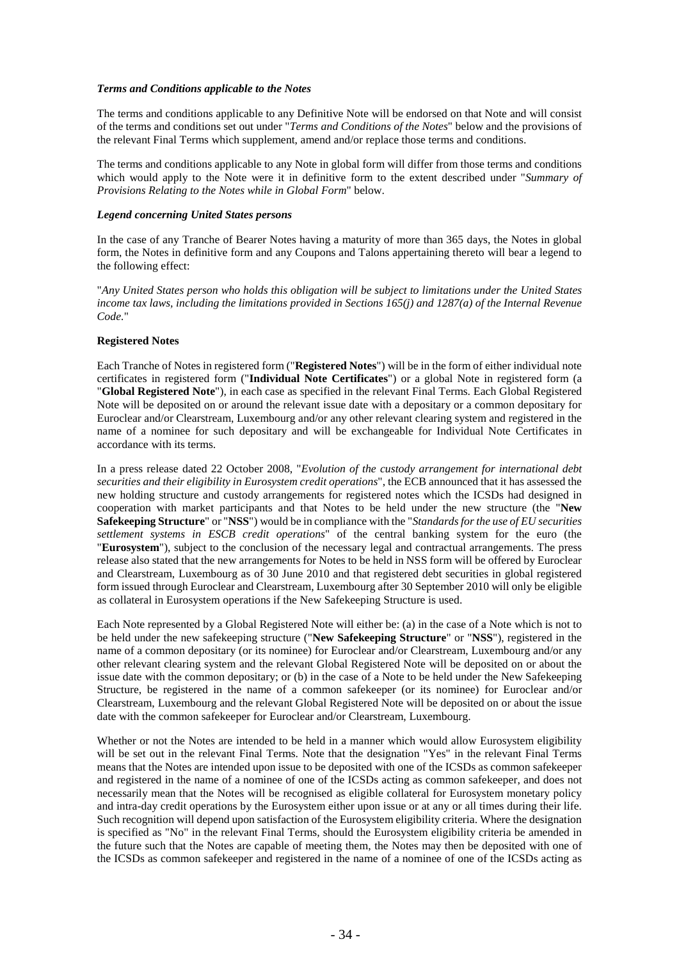## *Terms and Conditions applicable to the Notes*

The terms and conditions applicable to any Definitive Note will be endorsed on that Note and will consist of the terms and conditions set out under "*Terms and Conditions of the Notes*" below and the provisions of the relevant Final Terms which supplement, amend and/or replace those terms and conditions.

The terms and conditions applicable to any Note in global form will differ from those terms and conditions which would apply to the Note were it in definitive form to the extent described under "*Summary of Provisions Relating to the Notes while in Global Form*" below.

## *Legend concerning United States persons*

In the case of any Tranche of Bearer Notes having a maturity of more than 365 days, the Notes in global form, the Notes in definitive form and any Coupons and Talons appertaining thereto will bear a legend to the following effect:

"*Any United States person who holds this obligation will be subject to limitations under the United States income tax laws, including the limitations provided in Sections 165(j) and 1287(a) of the Internal Revenue Code.*"

## **Registered Notes**

Each Tranche of Notes in registered form ("**Registered Notes**") will be in the form of either individual note certificates in registered form ("**Individual Note Certificates**") or a global Note in registered form (a "**Global Registered Note**"), in each case as specified in the relevant Final Terms. Each Global Registered Note will be deposited on or around the relevant issue date with a depositary or a common depositary for Euroclear and/or Clearstream, Luxembourg and/or any other relevant clearing system and registered in the name of a nominee for such depositary and will be exchangeable for Individual Note Certificates in accordance with its terms.

In a press release dated 22 October 2008, "*Evolution of the custody arrangement for international debt securities and their eligibility in Eurosystem credit operations*", the ECB announced that it has assessed the new holding structure and custody arrangements for registered notes which the ICSDs had designed in cooperation with market participants and that Notes to be held under the new structure (the "**New Safekeeping Structure**" or "**NSS**") would be in compliance with the "*Standards for the use of EU securities settlement systems in ESCB credit operations*" of the central banking system for the euro (the "**Eurosystem**"), subject to the conclusion of the necessary legal and contractual arrangements. The press release also stated that the new arrangements for Notes to be held in NSS form will be offered by Euroclear and Clearstream, Luxembourg as of 30 June 2010 and that registered debt securities in global registered form issued through Euroclear and Clearstream, Luxembourg after 30 September 2010 will only be eligible as collateral in Eurosystem operations if the New Safekeeping Structure is used.

Each Note represented by a Global Registered Note will either be: (a) in the case of a Note which is not to be held under the new safekeeping structure ("**New Safekeeping Structure**" or "**NSS**"), registered in the name of a common depositary (or its nominee) for Euroclear and/or Clearstream, Luxembourg and/or any other relevant clearing system and the relevant Global Registered Note will be deposited on or about the issue date with the common depositary; or (b) in the case of a Note to be held under the New Safekeeping Structure, be registered in the name of a common safekeeper (or its nominee) for Euroclear and/or Clearstream, Luxembourg and the relevant Global Registered Note will be deposited on or about the issue date with the common safekeeper for Euroclear and/or Clearstream, Luxembourg.

Whether or not the Notes are intended to be held in a manner which would allow Eurosystem eligibility will be set out in the relevant Final Terms. Note that the designation "Yes" in the relevant Final Terms means that the Notes are intended upon issue to be deposited with one of the ICSDs as common safekeeper and registered in the name of a nominee of one of the ICSDs acting as common safekeeper, and does not necessarily mean that the Notes will be recognised as eligible collateral for Eurosystem monetary policy and intra-day credit operations by the Eurosystem either upon issue or at any or all times during their life. Such recognition will depend upon satisfaction of the Eurosystem eligibility criteria. Where the designation is specified as "No" in the relevant Final Terms, should the Eurosystem eligibility criteria be amended in the future such that the Notes are capable of meeting them, the Notes may then be deposited with one of the ICSDs as common safekeeper and registered in the name of a nominee of one of the ICSDs acting as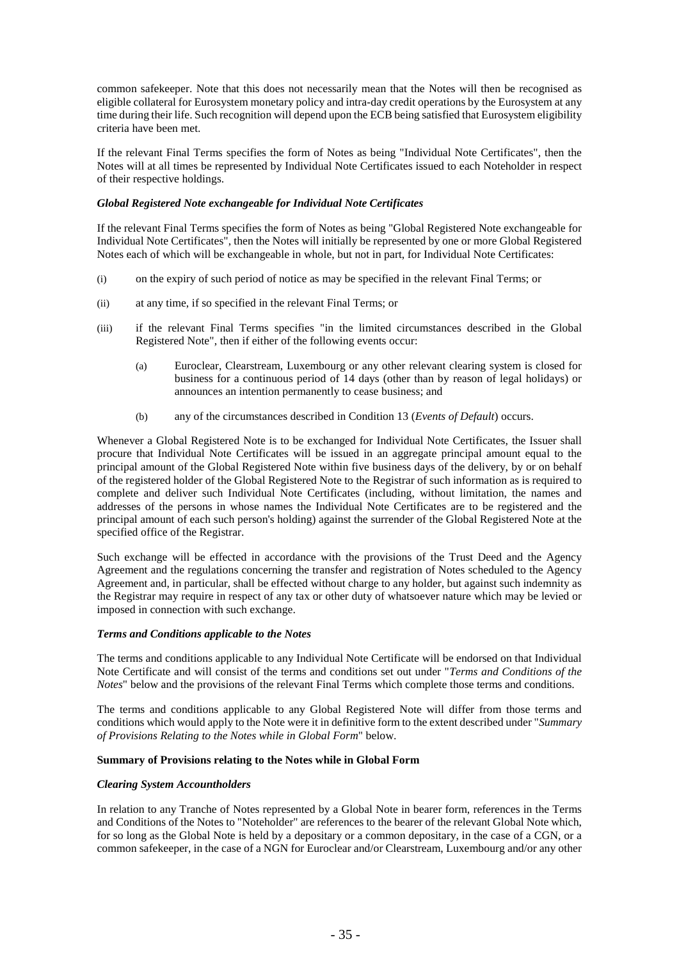common safekeeper. Note that this does not necessarily mean that the Notes will then be recognised as eligible collateral for Eurosystem monetary policy and intra-day credit operations by the Eurosystem at any time during their life. Such recognition will depend upon the ECB being satisfied that Eurosystem eligibility criteria have been met.

If the relevant Final Terms specifies the form of Notes as being "Individual Note Certificates", then the Notes will at all times be represented by Individual Note Certificates issued to each Noteholder in respect of their respective holdings.

## *Global Registered Note exchangeable for Individual Note Certificates*

If the relevant Final Terms specifies the form of Notes as being "Global Registered Note exchangeable for Individual Note Certificates", then the Notes will initially be represented by one or more Global Registered Notes each of which will be exchangeable in whole, but not in part, for Individual Note Certificates:

- (i) on the expiry of such period of notice as may be specified in the relevant Final Terms; or
- (ii) at any time, if so specified in the relevant Final Terms; or
- (iii) if the relevant Final Terms specifies "in the limited circumstances described in the Global Registered Note", then if either of the following events occur:
	- (a) Euroclear, Clearstream, Luxembourg or any other relevant clearing system is closed for business for a continuous period of 14 days (other than by reason of legal holidays) or announces an intention permanently to cease business; and
	- (b) any of the circumstances described in Condition [13](#page-63-0) (*Events of Default*) occurs.

Whenever a Global Registered Note is to be exchanged for Individual Note Certificates, the Issuer shall procure that Individual Note Certificates will be issued in an aggregate principal amount equal to the principal amount of the Global Registered Note within five business days of the delivery, by or on behalf of the registered holder of the Global Registered Note to the Registrar of such information as is required to complete and deliver such Individual Note Certificates (including, without limitation, the names and addresses of the persons in whose names the Individual Note Certificates are to be registered and the principal amount of each such person's holding) against the surrender of the Global Registered Note at the specified office of the Registrar.

Such exchange will be effected in accordance with the provisions of the Trust Deed and the Agency Agreement and the regulations concerning the transfer and registration of Notes scheduled to the Agency Agreement and, in particular, shall be effected without charge to any holder, but against such indemnity as the Registrar may require in respect of any tax or other duty of whatsoever nature which may be levied or imposed in connection with such exchange.

#### *Terms and Conditions applicable to the Notes*

The terms and conditions applicable to any Individual Note Certificate will be endorsed on that Individual Note Certificate and will consist of the terms and conditions set out under "*Terms and Conditions of the Notes*" below and the provisions of the relevant Final Terms which complete those terms and conditions.

The terms and conditions applicable to any Global Registered Note will differ from those terms and conditions which would apply to the Note were it in definitive form to the extent described under "*Summary of Provisions Relating to the Notes while in Global Form*" below.

## **Summary of Provisions relating to the Notes while in Global Form**

## *Clearing System Accountholders*

In relation to any Tranche of Notes represented by a Global Note in bearer form, references in the Terms and Conditions of the Notes to "Noteholder" are references to the bearer of the relevant Global Note which, for so long as the Global Note is held by a depositary or a common depositary, in the case of a CGN, or a common safekeeper, in the case of a NGN for Euroclear and/or Clearstream, Luxembourg and/or any other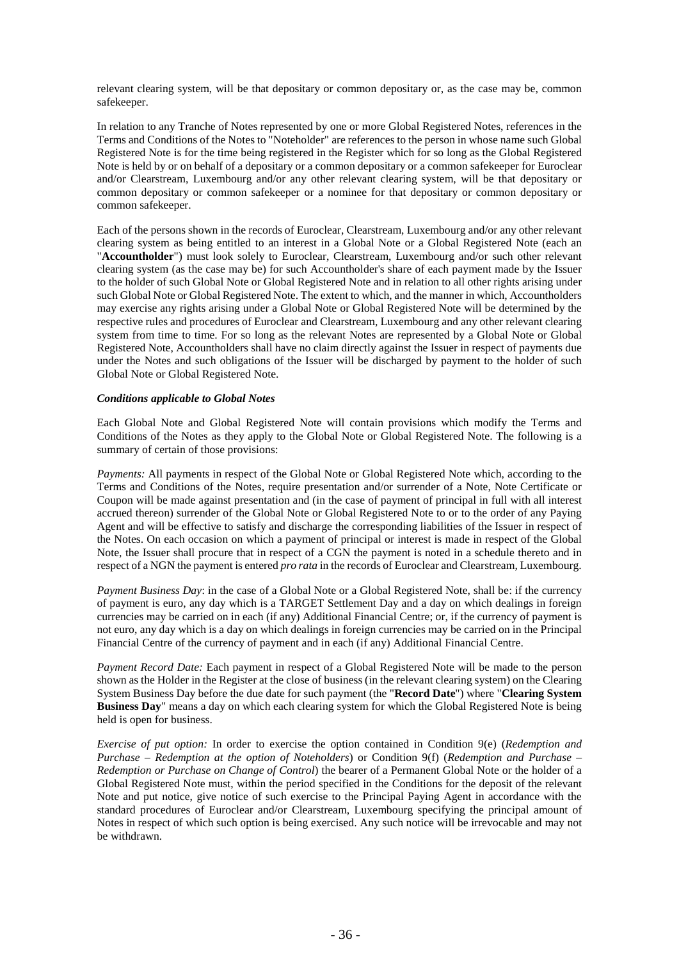relevant clearing system, will be that depositary or common depositary or, as the case may be, common safekeeper.

In relation to any Tranche of Notes represented by one or more Global Registered Notes, references in the Terms and Conditions of the Notes to "Noteholder" are references to the person in whose name such Global Registered Note is for the time being registered in the Register which for so long as the Global Registered Note is held by or on behalf of a depositary or a common depositary or a common safekeeper for Euroclear and/or Clearstream, Luxembourg and/or any other relevant clearing system, will be that depositary or common depositary or common safekeeper or a nominee for that depositary or common depositary or common safekeeper.

Each of the persons shown in the records of Euroclear, Clearstream, Luxembourg and/or any other relevant clearing system as being entitled to an interest in a Global Note or a Global Registered Note (each an "**Accountholder**") must look solely to Euroclear, Clearstream, Luxembourg and/or such other relevant clearing system (as the case may be) for such Accountholder's share of each payment made by the Issuer to the holder of such Global Note or Global Registered Note and in relation to all other rights arising under such Global Note or Global Registered Note. The extent to which, and the manner in which, Accountholders may exercise any rights arising under a Global Note or Global Registered Note will be determined by the respective rules and procedures of Euroclear and Clearstream, Luxembourg and any other relevant clearing system from time to time. For so long as the relevant Notes are represented by a Global Note or Global Registered Note, Accountholders shall have no claim directly against the Issuer in respect of payments due under the Notes and such obligations of the Issuer will be discharged by payment to the holder of such Global Note or Global Registered Note.

## *Conditions applicable to Global Notes*

Each Global Note and Global Registered Note will contain provisions which modify the Terms and Conditions of the Notes as they apply to the Global Note or Global Registered Note. The following is a summary of certain of those provisions:

*Payments:* All payments in respect of the Global Note or Global Registered Note which, according to the Terms and Conditions of the Notes, require presentation and/or surrender of a Note, Note Certificate or Coupon will be made against presentation and (in the case of payment of principal in full with all interest accrued thereon) surrender of the Global Note or Global Registered Note to or to the order of any Paying Agent and will be effective to satisfy and discharge the corresponding liabilities of the Issuer in respect of the Notes. On each occasion on which a payment of principal or interest is made in respect of the Global Note, the Issuer shall procure that in respect of a CGN the payment is noted in a schedule thereto and in respect of a NGN the payment is entered *pro rata* in the records of Euroclear and Clearstream, Luxembourg.

*Payment Business Day*: in the case of a Global Note or a Global Registered Note, shall be: if the currency of payment is euro, any day which is a TARGET Settlement Day and a day on which dealings in foreign currencies may be carried on in each (if any) Additional Financial Centre; or, if the currency of payment is not euro, any day which is a day on which dealings in foreign currencies may be carried on in the Principal Financial Centre of the currency of payment and in each (if any) Additional Financial Centre.

*Payment Record Date:* Each payment in respect of a Global Registered Note will be made to the person shown as the Holder in the Register at the close of business (in the relevant clearing system) on the Clearing System Business Day before the due date for such payment (the "**Record Date**") where "**Clearing System Business Day**" means a day on which each clearing system for which the Global Registered Note is being held is open for business.

*Exercise of put option:* In order to exercise the option contained in Condition [9\(e\)](#page-57-0) (*Redemption and Purchase – Redemption at the option of Noteholders*) or Condition [9\(f\)](#page-57-1) (*Redemption and Purchase – Redemption or Purchase on Change of Control*) the bearer of a Permanent Global Note or the holder of a Global Registered Note must, within the period specified in the Conditions for the deposit of the relevant Note and put notice, give notice of such exercise to the Principal Paying Agent in accordance with the standard procedures of Euroclear and/or Clearstream, Luxembourg specifying the principal amount of Notes in respect of which such option is being exercised. Any such notice will be irrevocable and may not be withdrawn.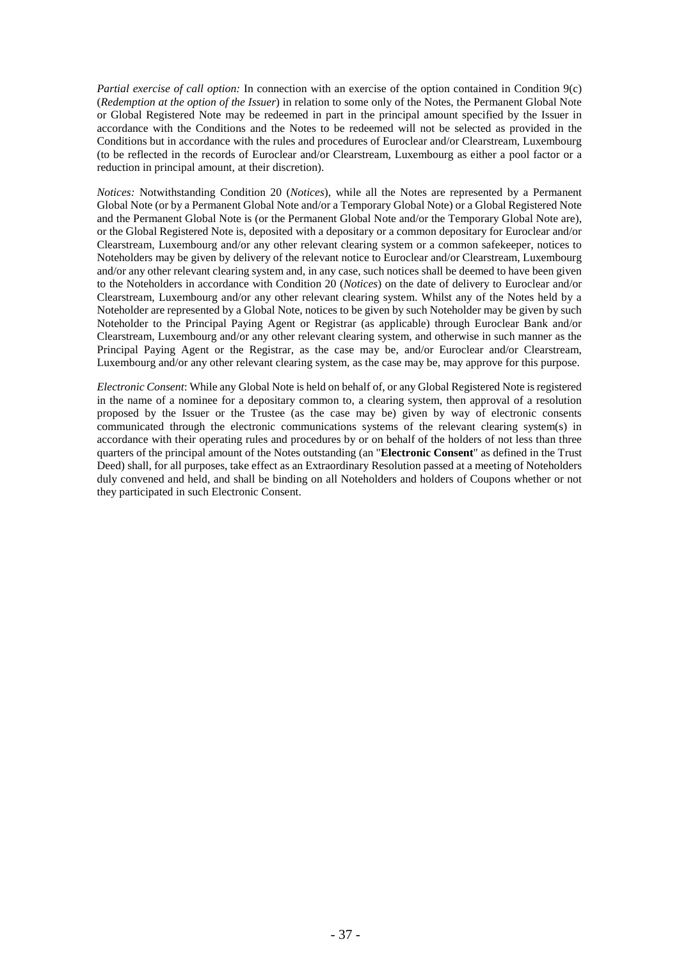*Partial exercise of call option:* In connection with an exercise of the option contained in Condition [9\(c\)](#page-56-0) (*Redemption at the option of the Issuer*) in relation to some only of the Notes, the Permanent Global Note or Global Registered Note may be redeemed in part in the principal amount specified by the Issuer in accordance with the Conditions and the Notes to be redeemed will not be selected as provided in the Conditions but in accordance with the rules and procedures of Euroclear and/or Clearstream, Luxembourg (to be reflected in the records of Euroclear and/or Clearstream, Luxembourg as either a pool factor or a reduction in principal amount, at their discretion).

*Notices:* Notwithstanding Condition [20](#page-67-0) (*Notices*), while all the Notes are represented by a Permanent Global Note (or by a Permanent Global Note and/or a Temporary Global Note) or a Global Registered Note and the Permanent Global Note is (or the Permanent Global Note and/or the Temporary Global Note are), or the Global Registered Note is, deposited with a depositary or a common depositary for Euroclear and/or Clearstream, Luxembourg and/or any other relevant clearing system or a common safekeeper, notices to Noteholders may be given by delivery of the relevant notice to Euroclear and/or Clearstream, Luxembourg and/or any other relevant clearing system and, in any case, such notices shall be deemed to have been given to the Noteholders in accordance with Condition [20](#page-67-0) (*Notices*) on the date of delivery to Euroclear and/or Clearstream, Luxembourg and/or any other relevant clearing system. Whilst any of the Notes held by a Noteholder are represented by a Global Note, notices to be given by such Noteholder may be given by such Noteholder to the Principal Paying Agent or Registrar (as applicable) through Euroclear Bank and/or Clearstream, Luxembourg and/or any other relevant clearing system, and otherwise in such manner as the Principal Paying Agent or the Registrar, as the case may be, and/or Euroclear and/or Clearstream, Luxembourg and/or any other relevant clearing system, as the case may be, may approve for this purpose.

*Electronic Consent*: While any Global Note is held on behalf of, or any Global Registered Note is registered in the name of a nominee for a depositary common to, a clearing system, then approval of a resolution proposed by the Issuer or the Trustee (as the case may be) given by way of electronic consents communicated through the electronic communications systems of the relevant clearing system(s) in accordance with their operating rules and procedures by or on behalf of the holders of not less than three quarters of the principal amount of the Notes outstanding (an "**Electronic Consent**" as defined in the Trust Deed) shall, for all purposes, take effect as an Extraordinary Resolution passed at a meeting of Noteholders duly convened and held, and shall be binding on all Noteholders and holders of Coupons whether or not they participated in such Electronic Consent.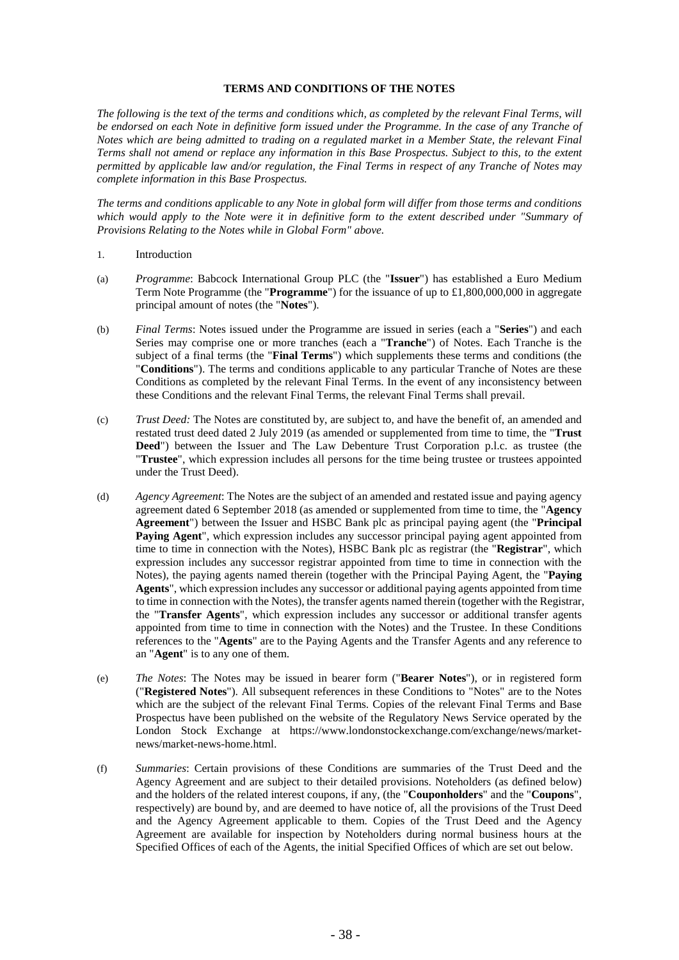## **TERMS AND CONDITIONS OF THE NOTES**

*The following is the text of the terms and conditions which, as completed by the relevant Final Terms, will*  be endorsed on each Note in definitive form issued under the Programme. In the case of any Tranche of *Notes which are being admitted to trading on a regulated market in a Member State, the relevant Final Terms shall not amend or replace any information in this Base Prospectus. Subject to this, to the extent permitted by applicable law and/or regulation, the Final Terms in respect of any Tranche of Notes may complete information in this Base Prospectus.*

*The terms and conditions applicable to any Note in global form will differ from those terms and conditions which would apply to the Note were it in definitive form to the extent described under "Summary of Provisions Relating to the Notes while in Global Form" above.*

- 1. Introduction
- (a) *Programme*: Babcock International Group PLC (the "**Issuer**") has established a Euro Medium Term Note Programme (the "**Programme**") for the issuance of up to £1,800,000,000 in aggregate principal amount of notes (the "**Notes**").
- (b) *Final Terms*: Notes issued under the Programme are issued in series (each a "**Series**") and each Series may comprise one or more tranches (each a "**Tranche**") of Notes. Each Tranche is the subject of a final terms (the "**Final Terms**") which supplements these terms and conditions (the "**Conditions**"). The terms and conditions applicable to any particular Tranche of Notes are these Conditions as completed by the relevant Final Terms. In the event of any inconsistency between these Conditions and the relevant Final Terms, the relevant Final Terms shall prevail.
- (c) *Trust Deed:* The Notes are constituted by, are subject to, and have the benefit of, an amended and restated trust deed dated 2 July 2019 (as amended or supplemented from time to time, the "**Trust Deed**") between the Issuer and The Law Debenture Trust Corporation p.l.c. as trustee (the "**Trustee**", which expression includes all persons for the time being trustee or trustees appointed under the Trust Deed).
- (d) *Agency Agreement*: The Notes are the subject of an amended and restated issue and paying agency agreement dated 6 September 2018 (as amended or supplemented from time to time, the "**Agency Agreement**") between the Issuer and HSBC Bank plc as principal paying agent (the "**Principal Paying Agent**", which expression includes any successor principal paying agent appointed from time to time in connection with the Notes), HSBC Bank plc as registrar (the "**Registrar**", which expression includes any successor registrar appointed from time to time in connection with the Notes), the paying agents named therein (together with the Principal Paying Agent, the "**Paying Agents**", which expression includes any successor or additional paying agents appointed from time to time in connection with the Notes), the transfer agents named therein (together with the Registrar, the "**Transfer Agents**", which expression includes any successor or additional transfer agents appointed from time to time in connection with the Notes) and the Trustee. In these Conditions references to the "**Agents**" are to the Paying Agents and the Transfer Agents and any reference to an "**Agent**" is to any one of them.
- (e) *The Notes*: The Notes may be issued in bearer form ("**Bearer Notes**"), or in registered form ("**Registered Notes**"). All subsequent references in these Conditions to "Notes" are to the Notes which are the subject of the relevant Final Terms. Copies of the relevant Final Terms and Base Prospectus have been published on the website of the Regulatory News Service operated by the London Stock Exchange at https://www.londonstockexchange.com/exchange/news/marketnews/market-news-home.html.
- (f) *Summaries*: Certain provisions of these Conditions are summaries of the Trust Deed and the Agency Agreement and are subject to their detailed provisions. Noteholders (as defined below) and the holders of the related interest coupons, if any, (the "**Couponholders**" and the "**Coupons**", respectively) are bound by, and are deemed to have notice of, all the provisions of the Trust Deed and the Agency Agreement applicable to them. Copies of the Trust Deed and the Agency Agreement are available for inspection by Noteholders during normal business hours at the Specified Offices of each of the Agents, the initial Specified Offices of which are set out below.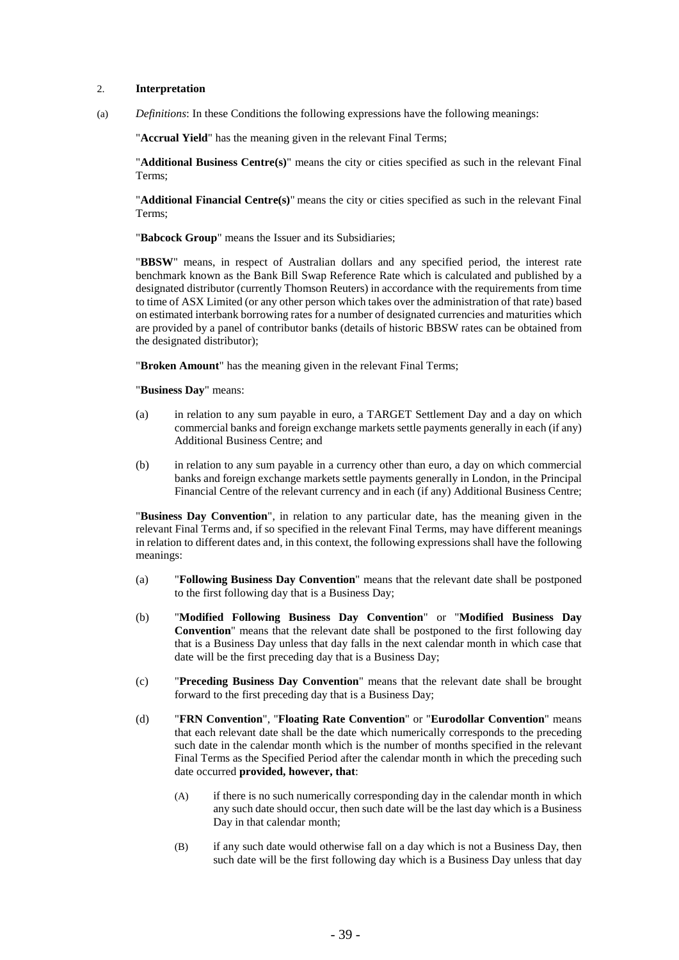## <span id="page-39-0"></span>2. **Interpretation**

<span id="page-39-1"></span>(a) *Definitions*: In these Conditions the following expressions have the following meanings:

"**Accrual Yield**" has the meaning given in the relevant Final Terms;

"**Additional Business Centre(s)**" means the city or cities specified as such in the relevant Final Terms;

"**Additional Financial Centre(s)**" means the city or cities specified as such in the relevant Final Terms;

"**Babcock Group**" means the Issuer and its Subsidiaries;

"**BBSW**" means, in respect of Australian dollars and any specified period, the interest rate benchmark known as the Bank Bill Swap Reference Rate which is calculated and published by a designated distributor (currently Thomson Reuters) in accordance with the requirements from time to time of ASX Limited (or any other person which takes over the administration of that rate) based on estimated interbank borrowing rates for a number of designated currencies and maturities which are provided by a panel of contributor banks (details of historic BBSW rates can be obtained from the designated distributor);

"**Broken Amount**" has the meaning given in the relevant Final Terms;

"**Business Day**" means:

- (a) in relation to any sum payable in euro, a TARGET Settlement Day and a day on which commercial banks and foreign exchange markets settle payments generally in each (if any) Additional Business Centre; and
- (b) in relation to any sum payable in a currency other than euro, a day on which commercial banks and foreign exchange markets settle payments generally in London, in the Principal Financial Centre of the relevant currency and in each (if any) Additional Business Centre;

"**Business Day Convention**", in relation to any particular date, has the meaning given in the relevant Final Terms and, if so specified in the relevant Final Terms, may have different meanings in relation to different dates and, in this context, the following expressions shall have the following meanings:

- (a) "**Following Business Day Convention**" means that the relevant date shall be postponed to the first following day that is a Business Day;
- (b) "**Modified Following Business Day Convention**" or "**Modified Business Day Convention**" means that the relevant date shall be postponed to the first following day that is a Business Day unless that day falls in the next calendar month in which case that date will be the first preceding day that is a Business Day;
- (c) "**Preceding Business Day Convention**" means that the relevant date shall be brought forward to the first preceding day that is a Business Day;
- (d) "**FRN Convention**", "**Floating Rate Convention**" or "**Eurodollar Convention**" means that each relevant date shall be the date which numerically corresponds to the preceding such date in the calendar month which is the number of months specified in the relevant Final Terms as the Specified Period after the calendar month in which the preceding such date occurred **provided, however, that**:
	- (A) if there is no such numerically corresponding day in the calendar month in which any such date should occur, then such date will be the last day which is a Business Day in that calendar month;
	- (B) if any such date would otherwise fall on a day which is not a Business Day, then such date will be the first following day which is a Business Day unless that day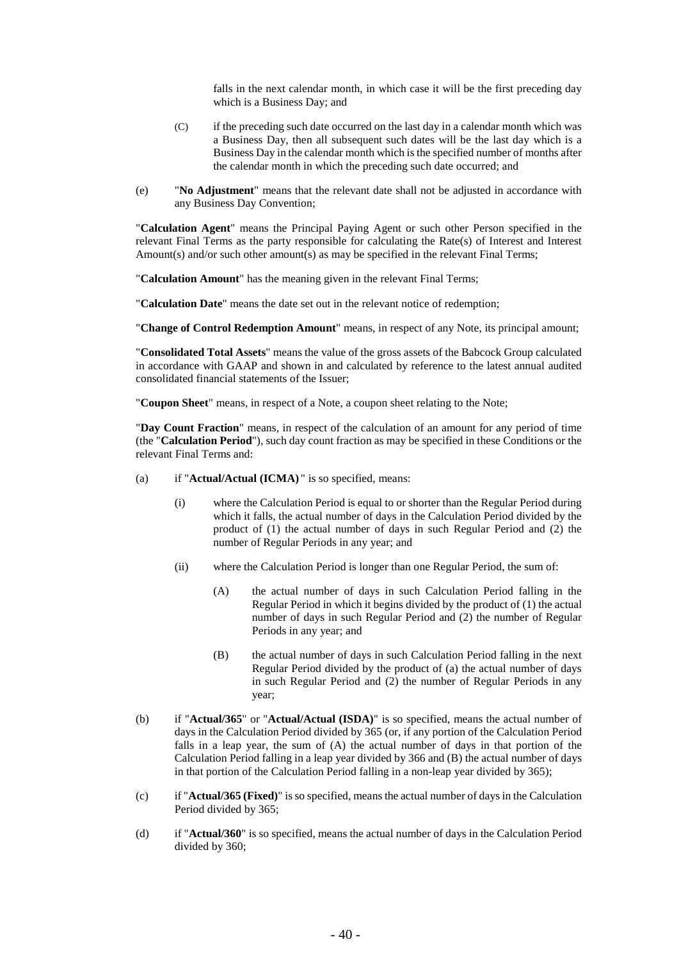falls in the next calendar month, in which case it will be the first preceding day which is a Business Day; and

- (C) if the preceding such date occurred on the last day in a calendar month which was a Business Day, then all subsequent such dates will be the last day which is a Business Day in the calendar month which is the specified number of months after the calendar month in which the preceding such date occurred; and
- (e) "**No Adjustment**" means that the relevant date shall not be adjusted in accordance with any Business Day Convention;

"**Calculation Agent**" means the Principal Paying Agent or such other Person specified in the relevant Final Terms as the party responsible for calculating the Rate(s) of Interest and Interest Amount(s) and/or such other amount(s) as may be specified in the relevant Final Terms;

"**Calculation Amount**" has the meaning given in the relevant Final Terms;

"**Calculation Date**" means the date set out in the relevant notice of redemption;

"**Change of Control Redemption Amount**" means, in respect of any Note, its principal amount;

"**Consolidated Total Assets**" means the value of the gross assets of the Babcock Group calculated in accordance with GAAP and shown in and calculated by reference to the latest annual audited consolidated financial statements of the Issuer;

"**Coupon Sheet**" means, in respect of a Note, a coupon sheet relating to the Note;

"**Day Count Fraction**" means, in respect of the calculation of an amount for any period of time (the "**Calculation Period**"), such day count fraction as may be specified in these Conditions or the relevant Final Terms and:

- (a) if "**Actual/Actual (ICMA)** " is so specified, means:
	- (i) where the Calculation Period is equal to or shorter than the Regular Period during which it falls, the actual number of days in the Calculation Period divided by the product of (1) the actual number of days in such Regular Period and (2) the number of Regular Periods in any year; and
	- (ii) where the Calculation Period is longer than one Regular Period, the sum of:
		- (A) the actual number of days in such Calculation Period falling in the Regular Period in which it begins divided by the product of (1) the actual number of days in such Regular Period and (2) the number of Regular Periods in any year; and
		- (B) the actual number of days in such Calculation Period falling in the next Regular Period divided by the product of (a) the actual number of days in such Regular Period and (2) the number of Regular Periods in any year;
- (b) if "**Actual/365**" or "**Actual/Actual (ISDA)**" is so specified, means the actual number of days in the Calculation Period divided by 365 (or, if any portion of the Calculation Period falls in a leap year, the sum of (A) the actual number of days in that portion of the Calculation Period falling in a leap year divided by 366 and (B) the actual number of days in that portion of the Calculation Period falling in a non-leap year divided by 365);
- (c) if "**Actual/365 (Fixed)**" is so specified, means the actual number of days in the Calculation Period divided by 365;
- (d) if "**Actual/360**" is so specified, means the actual number of days in the Calculation Period divided by 360;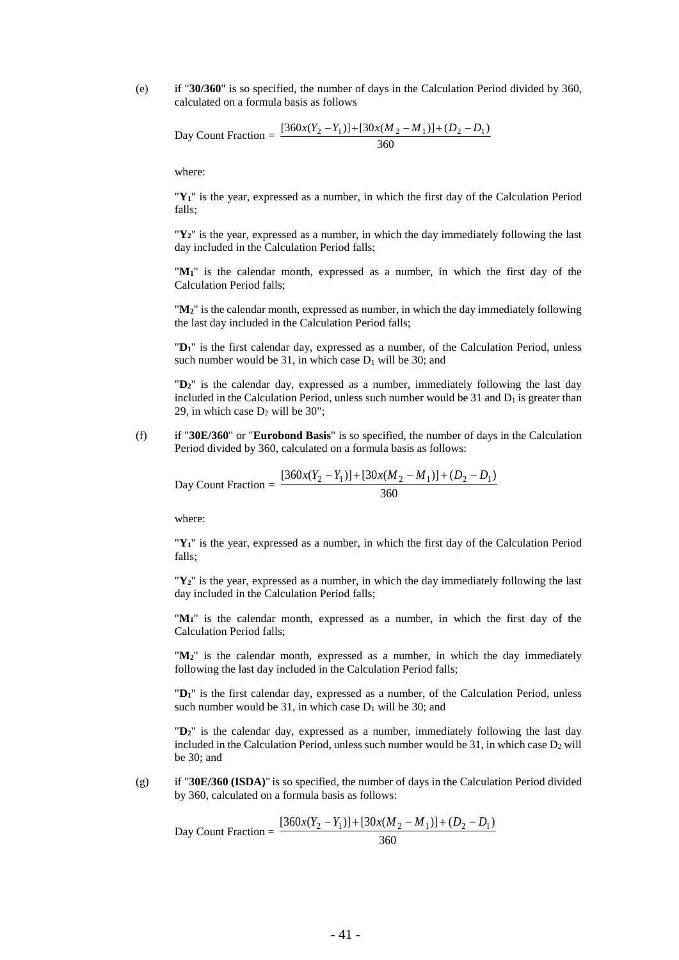(e) if "**30/360**" is so specified, the number of days in the Calculation Period divided by 360, calculated on a formula basis as follows

Day Count Fraction = 
$$
\frac{[360x(Y_2 - Y_1)] + [30x(M_2 - M_1)] + (D_2 - D_1)}{360}
$$

where:

"**Y1**" is the year, expressed as a number, in which the first day of the Calculation Period falls;

"**Y2**" is the year, expressed as a number, in which the day immediately following the last day included in the Calculation Period falls;

"**M1**" is the calendar month, expressed as a number, in which the first day of the Calculation Period falls;

"**M2**" is the calendar month, expressed as number, in which the day immediately following the last day included in the Calculation Period falls;

"**D1**" is the first calendar day, expressed as a number, of the Calculation Period, unless such number would be 31, in which case  $D_1$  will be 30; and

"**D2**" is the calendar day, expressed as a number, immediately following the last day included in the Calculation Period, unless such number would be 31 and  $D_1$  is greater than 29, in which case  $D_2$  will be 30";

(f) if "**30E/360**" or "**Eurobond Basis**" is so specified, the number of days in the Calculation Period divided by 360, calculated on a formula basis as follows:

Day Count Fraction =  $\frac{2}{360}$  $[360x(Y_2 - Y_1)] + [30x(M_2 - M_1)] + (D_2 - D_1)$ 

where:

"**Y1**" is the year, expressed as a number, in which the first day of the Calculation Period falls;

"**Y2**" is the year, expressed as a number, in which the day immediately following the last day included in the Calculation Period falls;

"**M1**" is the calendar month, expressed as a number, in which the first day of the Calculation Period falls;

"**M2**" is the calendar month, expressed as a number, in which the day immediately following the last day included in the Calculation Period falls;

"**D1**" is the first calendar day, expressed as a number, of the Calculation Period, unless such number would be 31, in which case  $D_1$  will be 30; and

"**D2**" is the calendar day, expressed as a number, immediately following the last day included in the Calculation Period, unless such number would be 31, in which case  $D_2$  will be 30; and

(g) if "**30E/360 (ISDA)**" is so specified, the number of days in the Calculation Period divided by 360, calculated on a formula basis as follows:

Day Count Fraction = 
$$
\frac{[360x(Y_2 - Y_1)] + [30x(M_2 - M_1)] + (D_2 - D_1)}{360}
$$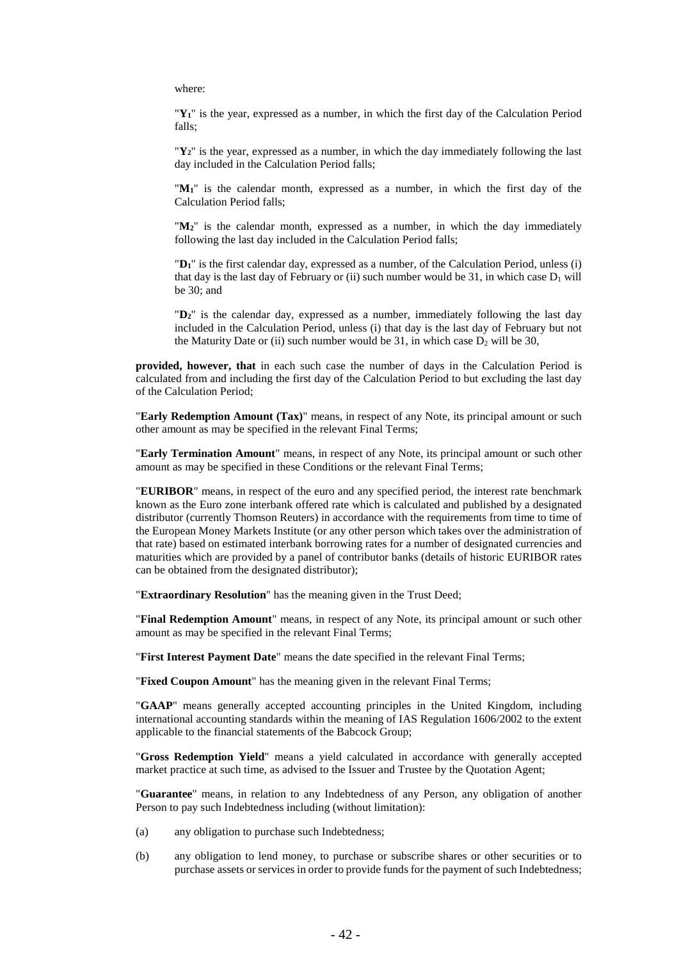where:

"**Y1**" is the year, expressed as a number, in which the first day of the Calculation Period falls;

"**Y2**" is the year, expressed as a number, in which the day immediately following the last day included in the Calculation Period falls;

"**M1**" is the calendar month, expressed as a number, in which the first day of the Calculation Period falls;

"**M2**" is the calendar month, expressed as a number, in which the day immediately following the last day included in the Calculation Period falls;

"**D1**" is the first calendar day, expressed as a number, of the Calculation Period, unless (i) that day is the last day of February or (ii) such number would be 31, in which case  $D_1$  will be 30; and

"**D2**" is the calendar day, expressed as a number, immediately following the last day included in the Calculation Period, unless (i) that day is the last day of February but not the Maturity Date or (ii) such number would be 31, in which case  $D_2$  will be 30,

**provided, however, that** in each such case the number of days in the Calculation Period is calculated from and including the first day of the Calculation Period to but excluding the last day of the Calculation Period;

"**Early Redemption Amount (Tax)**" means, in respect of any Note, its principal amount or such other amount as may be specified in the relevant Final Terms;

"**Early Termination Amount**" means, in respect of any Note, its principal amount or such other amount as may be specified in these Conditions or the relevant Final Terms;

"**EURIBOR**" means, in respect of the euro and any specified period, the interest rate benchmark known as the Euro zone interbank offered rate which is calculated and published by a designated distributor (currently Thomson Reuters) in accordance with the requirements from time to time of the European Money Markets Institute (or any other person which takes over the administration of that rate) based on estimated interbank borrowing rates for a number of designated currencies and maturities which are provided by a panel of contributor banks (details of historic EURIBOR rates can be obtained from the designated distributor);

"**Extraordinary Resolution**" has the meaning given in the Trust Deed;

"**Final Redemption Amount**" means, in respect of any Note, its principal amount or such other amount as may be specified in the relevant Final Terms;

"**First Interest Payment Date**" means the date specified in the relevant Final Terms;

"**Fixed Coupon Amount**" has the meaning given in the relevant Final Terms;

"**GAAP**" means generally accepted accounting principles in the United Kingdom, including international accounting standards within the meaning of IAS Regulation 1606/2002 to the extent applicable to the financial statements of the Babcock Group;

"**Gross Redemption Yield**" means a yield calculated in accordance with generally accepted market practice at such time, as advised to the Issuer and Trustee by the Quotation Agent;

"**Guarantee**" means, in relation to any Indebtedness of any Person, any obligation of another Person to pay such Indebtedness including (without limitation):

- (a) any obligation to purchase such Indebtedness;
- (b) any obligation to lend money, to purchase or subscribe shares or other securities or to purchase assets or services in order to provide funds for the payment of such Indebtedness;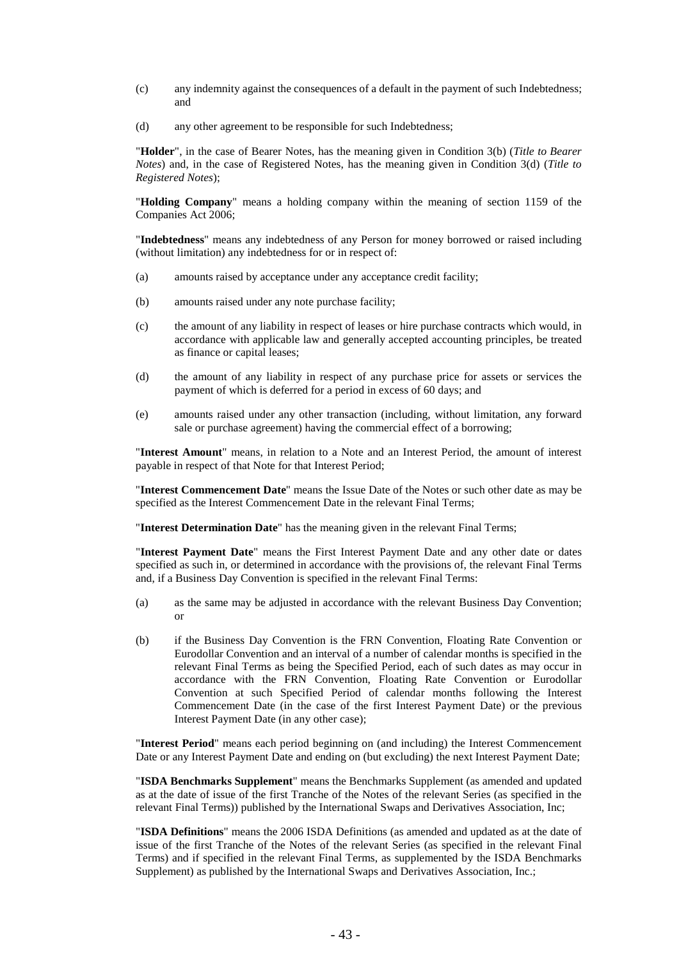- (c) any indemnity against the consequences of a default in the payment of such Indebtedness; and
- (d) any other agreement to be responsible for such Indebtedness;

"**Holder**", in the case of Bearer Notes, has the meaning given in Condition [3\(b\)](#page-48-0) (*Title to Bearer Notes*) and, in the case of Registered Notes, has the meaning given in Condition [3\(d\)](#page-48-1) (*Title to Registered Notes*);

"**Holding Company**" means a holding company within the meaning of section 1159 of the Companies Act 2006;

"**Indebtedness**" means any indebtedness of any Person for money borrowed or raised including (without limitation) any indebtedness for or in respect of:

- (a) amounts raised by acceptance under any acceptance credit facility;
- (b) amounts raised under any note purchase facility;
- (c) the amount of any liability in respect of leases or hire purchase contracts which would, in accordance with applicable law and generally accepted accounting principles, be treated as finance or capital leases;
- (d) the amount of any liability in respect of any purchase price for assets or services the payment of which is deferred for a period in excess of 60 days; and
- (e) amounts raised under any other transaction (including, without limitation, any forward sale or purchase agreement) having the commercial effect of a borrowing;

"**Interest Amount**" means, in relation to a Note and an Interest Period, the amount of interest payable in respect of that Note for that Interest Period;

"**Interest Commencement Date**" means the Issue Date of the Notes or such other date as may be specified as the Interest Commencement Date in the relevant Final Terms;

"**Interest Determination Date**" has the meaning given in the relevant Final Terms;

"**Interest Payment Date**" means the First Interest Payment Date and any other date or dates specified as such in, or determined in accordance with the provisions of, the relevant Final Terms and, if a Business Day Convention is specified in the relevant Final Terms:

- (a) as the same may be adjusted in accordance with the relevant Business Day Convention; or
- (b) if the Business Day Convention is the FRN Convention, Floating Rate Convention or Eurodollar Convention and an interval of a number of calendar months is specified in the relevant Final Terms as being the Specified Period, each of such dates as may occur in accordance with the FRN Convention, Floating Rate Convention or Eurodollar Convention at such Specified Period of calendar months following the Interest Commencement Date (in the case of the first Interest Payment Date) or the previous Interest Payment Date (in any other case);

"**Interest Period**" means each period beginning on (and including) the Interest Commencement Date or any Interest Payment Date and ending on (but excluding) the next Interest Payment Date;

"**ISDA Benchmarks Supplement**" means the Benchmarks Supplement (as amended and updated as at the date of issue of the first Tranche of the Notes of the relevant Series (as specified in the relevant Final Terms)) published by the International Swaps and Derivatives Association, Inc;

"**ISDA Definitions**" means the 2006 ISDA Definitions (as amended and updated as at the date of issue of the first Tranche of the Notes of the relevant Series (as specified in the relevant Final Terms) and if specified in the relevant Final Terms, as supplemented by the ISDA Benchmarks Supplement) as published by the International Swaps and Derivatives Association, Inc.;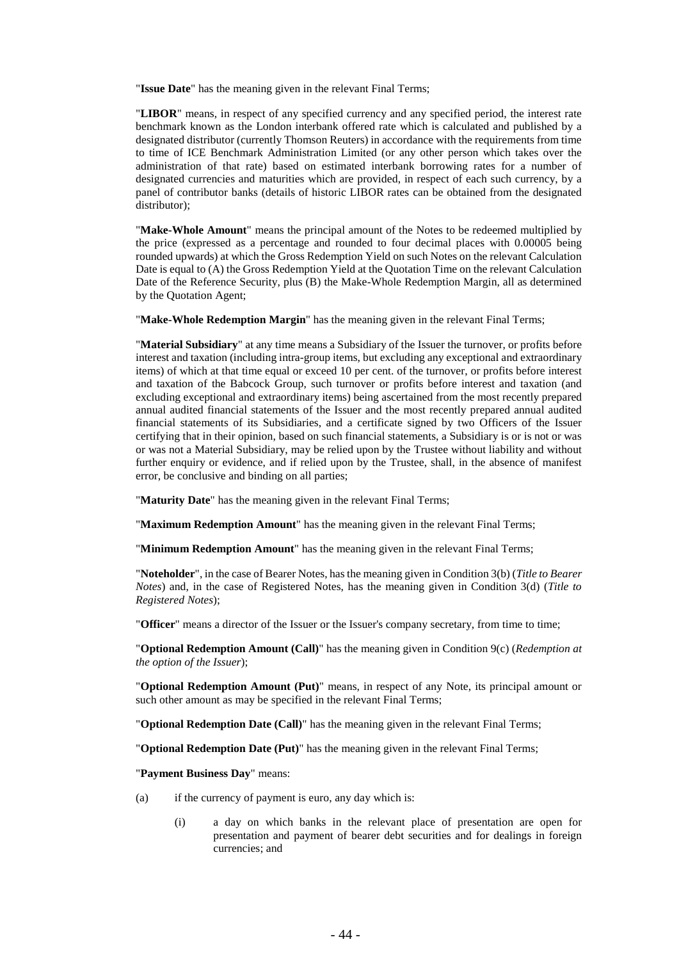"**Issue Date**" has the meaning given in the relevant Final Terms;

"**LIBOR**" means, in respect of any specified currency and any specified period, the interest rate benchmark known as the London interbank offered rate which is calculated and published by a designated distributor (currently Thomson Reuters) in accordance with the requirements from time to time of ICE Benchmark Administration Limited (or any other person which takes over the administration of that rate) based on estimated interbank borrowing rates for a number of designated currencies and maturities which are provided, in respect of each such currency, by a panel of contributor banks (details of historic LIBOR rates can be obtained from the designated distributor):

"**Make-Whole Amount**" means the principal amount of the Notes to be redeemed multiplied by the price (expressed as a percentage and rounded to four decimal places with 0.00005 being rounded upwards) at which the Gross Redemption Yield on such Notes on the relevant Calculation Date is equal to (A) the Gross Redemption Yield at the Quotation Time on the relevant Calculation Date of the Reference Security, plus (B) the Make-Whole Redemption Margin, all as determined by the Quotation Agent;

"**Make-Whole Redemption Margin**" has the meaning given in the relevant Final Terms;

"**Material Subsidiary**" at any time means a Subsidiary of the Issuer the turnover, or profits before interest and taxation (including intra-group items, but excluding any exceptional and extraordinary items) of which at that time equal or exceed 10 per cent. of the turnover, or profits before interest and taxation of the Babcock Group, such turnover or profits before interest and taxation (and excluding exceptional and extraordinary items) being ascertained from the most recently prepared annual audited financial statements of the Issuer and the most recently prepared annual audited financial statements of its Subsidiaries, and a certificate signed by two Officers of the Issuer certifying that in their opinion, based on such financial statements, a Subsidiary is or is not or was or was not a Material Subsidiary, may be relied upon by the Trustee without liability and without further enquiry or evidence, and if relied upon by the Trustee, shall, in the absence of manifest error, be conclusive and binding on all parties;

"**Maturity Date**" has the meaning given in the relevant Final Terms;

"**Maximum Redemption Amount**" has the meaning given in the relevant Final Terms;

"**Minimum Redemption Amount**" has the meaning given in the relevant Final Terms;

"**Noteholder**", in the case of Bearer Notes, has the meaning given in Conditio[n 3\(b\)](#page-48-0) (*Title to Bearer Notes*) and, in the case of Registered Notes, has the meaning given in Condition [3\(d\)](#page-48-1) (*Title to Registered Notes*);

"**Officer**" means a director of the Issuer or the Issuer's company secretary, from time to time;

"**Optional Redemption Amount (Call)**" has the meaning given in Conditio[n 9\(c\)](#page-56-0) (*Redemption at the option of the Issuer*);

"**Optional Redemption Amount (Put)**" means, in respect of any Note, its principal amount or such other amount as may be specified in the relevant Final Terms;

"**Optional Redemption Date (Call)**" has the meaning given in the relevant Final Terms;

"**Optional Redemption Date (Put)**" has the meaning given in the relevant Final Terms;

"**Payment Business Day**" means:

- (a) if the currency of payment is euro, any day which is:
	- (i) a day on which banks in the relevant place of presentation are open for presentation and payment of bearer debt securities and for dealings in foreign currencies; and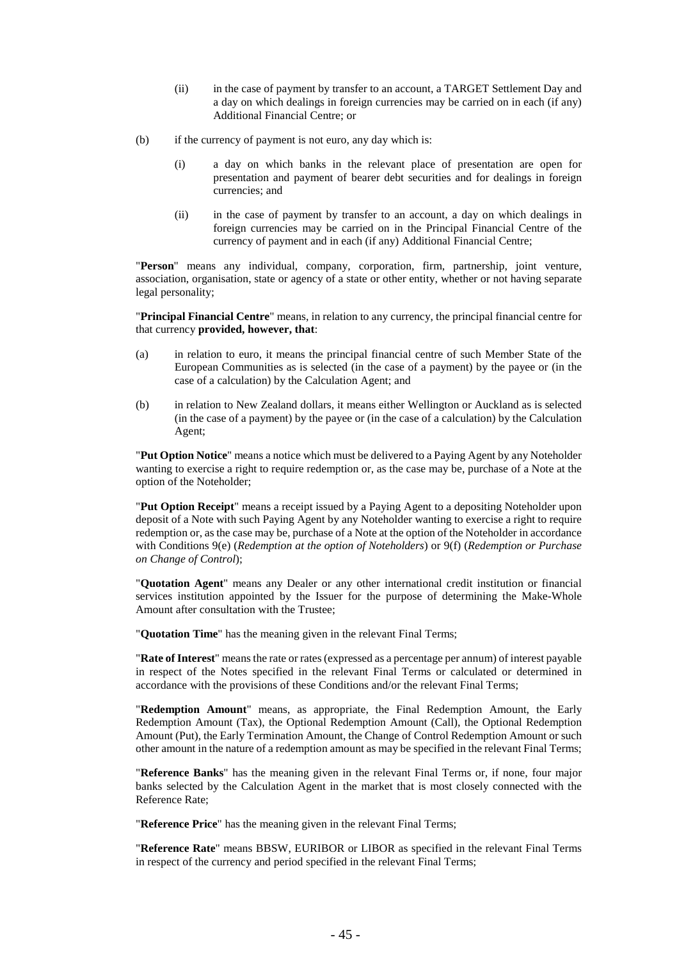- (ii) in the case of payment by transfer to an account, a TARGET Settlement Day and a day on which dealings in foreign currencies may be carried on in each (if any) Additional Financial Centre; or
- (b) if the currency of payment is not euro, any day which is:
	- (i) a day on which banks in the relevant place of presentation are open for presentation and payment of bearer debt securities and for dealings in foreign currencies; and
	- (ii) in the case of payment by transfer to an account, a day on which dealings in foreign currencies may be carried on in the Principal Financial Centre of the currency of payment and in each (if any) Additional Financial Centre;

"**Person**" means any individual, company, corporation, firm, partnership, joint venture, association, organisation, state or agency of a state or other entity, whether or not having separate legal personality;

"**Principal Financial Centre**" means, in relation to any currency, the principal financial centre for that currency **provided, however, that**:

- (a) in relation to euro, it means the principal financial centre of such Member State of the European Communities as is selected (in the case of a payment) by the payee or (in the case of a calculation) by the Calculation Agent; and
- (b) in relation to New Zealand dollars, it means either Wellington or Auckland as is selected (in the case of a payment) by the payee or (in the case of a calculation) by the Calculation Agent;

"**Put Option Notice**" means a notice which must be delivered to a Paying Agent by any Noteholder wanting to exercise a right to require redemption or, as the case may be, purchase of a Note at the option of the Noteholder;

"**Put Option Receipt**" means a receipt issued by a Paying Agent to a depositing Noteholder upon deposit of a Note with such Paying Agent by any Noteholder wanting to exercise a right to require redemption or, as the case may be, purchase of a Note at the option of the Noteholder in accordance with Conditions [9\(e\)](#page-57-0) (*Redemption at the option of Noteholders*) or [9\(f\)](#page-57-1) (*Redemption or Purchase on Change of Control*);

"**Quotation Agent**" means any Dealer or any other international credit institution or financial services institution appointed by the Issuer for the purpose of determining the Make-Whole Amount after consultation with the Trustee;

"**Quotation Time**" has the meaning given in the relevant Final Terms;

"**Rate of Interest**" means the rate or rates (expressed as a percentage per annum) of interest payable in respect of the Notes specified in the relevant Final Terms or calculated or determined in accordance with the provisions of these Conditions and/or the relevant Final Terms;

"**Redemption Amount**" means, as appropriate, the Final Redemption Amount, the Early Redemption Amount (Tax), the Optional Redemption Amount (Call), the Optional Redemption Amount (Put), the Early Termination Amount, the Change of Control Redemption Amount or such other amount in the nature of a redemption amount as may be specified in the relevant Final Terms;

"**Reference Banks**" has the meaning given in the relevant Final Terms or, if none, four major banks selected by the Calculation Agent in the market that is most closely connected with the Reference Rate;

"**Reference Price**" has the meaning given in the relevant Final Terms;

"**Reference Rate**" means BBSW, EURIBOR or LIBOR as specified in the relevant Final Terms in respect of the currency and period specified in the relevant Final Terms;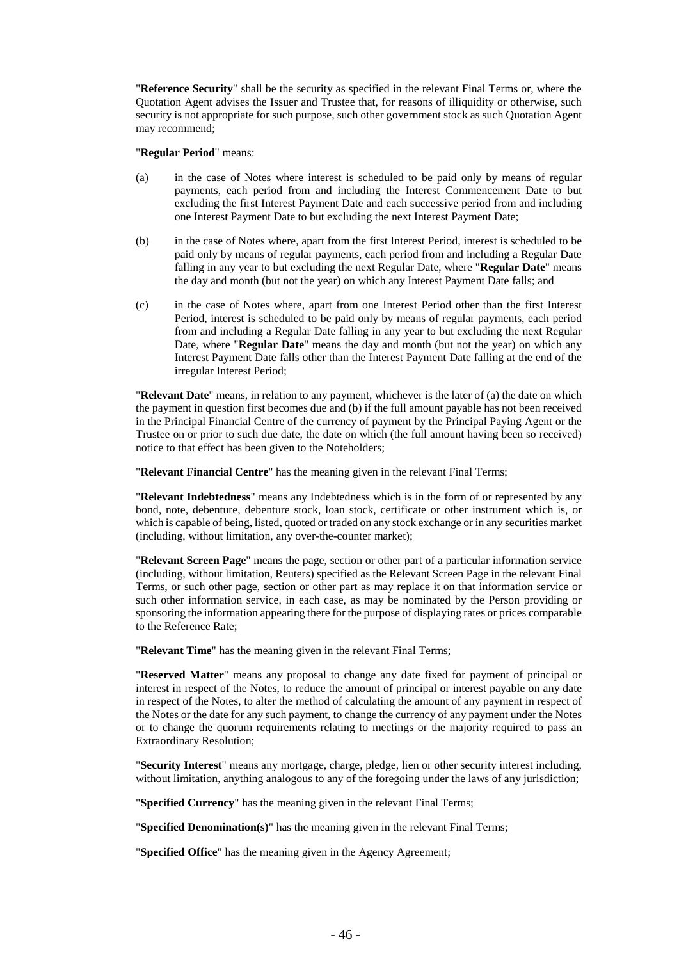"**Reference Security**" shall be the security as specified in the relevant Final Terms or, where the Quotation Agent advises the Issuer and Trustee that, for reasons of illiquidity or otherwise, such security is not appropriate for such purpose, such other government stock as such Quotation Agent may recommend;

#### "**Regular Period**" means:

- (a) in the case of Notes where interest is scheduled to be paid only by means of regular payments, each period from and including the Interest Commencement Date to but excluding the first Interest Payment Date and each successive period from and including one Interest Payment Date to but excluding the next Interest Payment Date;
- (b) in the case of Notes where, apart from the first Interest Period, interest is scheduled to be paid only by means of regular payments, each period from and including a Regular Date falling in any year to but excluding the next Regular Date, where "**Regular Date**" means the day and month (but not the year) on which any Interest Payment Date falls; and
- (c) in the case of Notes where, apart from one Interest Period other than the first Interest Period, interest is scheduled to be paid only by means of regular payments, each period from and including a Regular Date falling in any year to but excluding the next Regular Date, where "**Regular Date**" means the day and month (but not the year) on which any Interest Payment Date falls other than the Interest Payment Date falling at the end of the irregular Interest Period;

"**Relevant Date**" means, in relation to any payment, whichever is the later of (a) the date on which the payment in question first becomes due and (b) if the full amount payable has not been received in the Principal Financial Centre of the currency of payment by the Principal Paying Agent or the Trustee on or prior to such due date, the date on which (the full amount having been so received) notice to that effect has been given to the Noteholders;

"**Relevant Financial Centre**" has the meaning given in the relevant Final Terms;

"**Relevant Indebtedness**" means any Indebtedness which is in the form of or represented by any bond, note, debenture, debenture stock, loan stock, certificate or other instrument which is, or which is capable of being, listed, quoted or traded on any stock exchange or in any securities market (including, without limitation, any over-the-counter market);

"**Relevant Screen Page**" means the page, section or other part of a particular information service (including, without limitation, Reuters) specified as the Relevant Screen Page in the relevant Final Terms, or such other page, section or other part as may replace it on that information service or such other information service, in each case, as may be nominated by the Person providing or sponsoring the information appearing there for the purpose of displaying rates or prices comparable to the Reference Rate;

"**Relevant Time**" has the meaning given in the relevant Final Terms;

"**Reserved Matter**" means any proposal to change any date fixed for payment of principal or interest in respect of the Notes, to reduce the amount of principal or interest payable on any date in respect of the Notes, to alter the method of calculating the amount of any payment in respect of the Notes or the date for any such payment, to change the currency of any payment under the Notes or to change the quorum requirements relating to meetings or the majority required to pass an Extraordinary Resolution;

"**Security Interest**" means any mortgage, charge, pledge, lien or other security interest including, without limitation, anything analogous to any of the foregoing under the laws of any jurisdiction;

"**Specified Currency**" has the meaning given in the relevant Final Terms;

"**Specified Denomination(s)**" has the meaning given in the relevant Final Terms;

"**Specified Office**" has the meaning given in the Agency Agreement;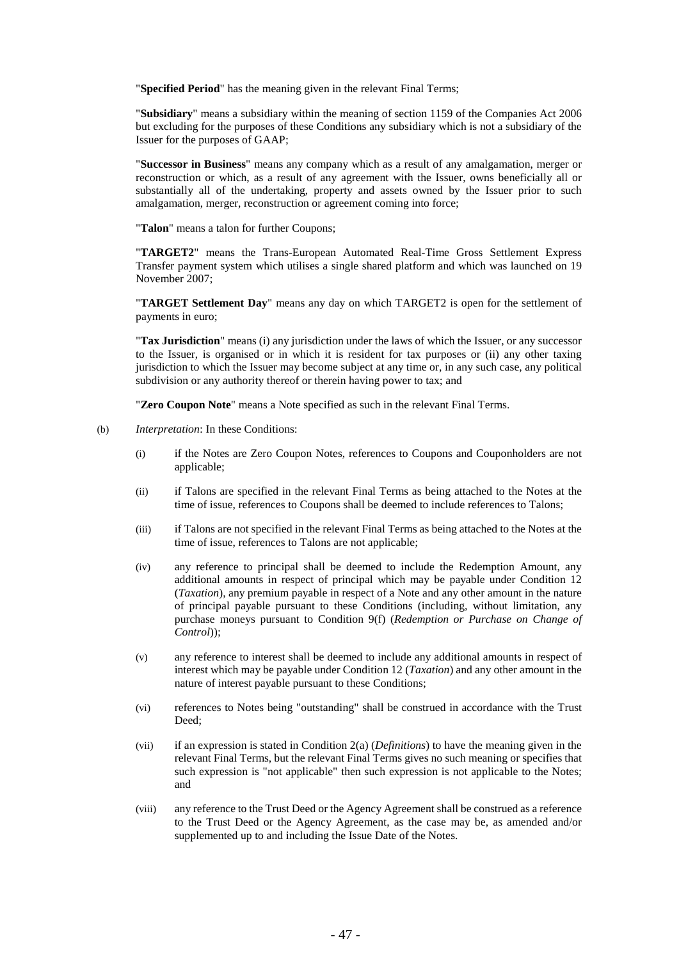"**Specified Period**" has the meaning given in the relevant Final Terms;

"**Subsidiary**" means a subsidiary within the meaning of section 1159 of the Companies Act 2006 but excluding for the purposes of these Conditions any subsidiary which is not a subsidiary of the Issuer for the purposes of GAAP;

"**Successor in Business**" means any company which as a result of any amalgamation, merger or reconstruction or which, as a result of any agreement with the Issuer, owns beneficially all or substantially all of the undertaking, property and assets owned by the Issuer prior to such amalgamation, merger, reconstruction or agreement coming into force;

"**Talon**" means a talon for further Coupons;

"**TARGET2**" means the Trans-European Automated Real-Time Gross Settlement Express Transfer payment system which utilises a single shared platform and which was launched on 19 November 2007;

"**TARGET Settlement Day**" means any day on which TARGET2 is open for the settlement of payments in euro;

"**Tax Jurisdiction**" means (i) any jurisdiction under the laws of which the Issuer, or any successor to the Issuer, is organised or in which it is resident for tax purposes or (ii) any other taxing jurisdiction to which the Issuer may become subject at any time or, in any such case, any political subdivision or any authority thereof or therein having power to tax; and

"**Zero Coupon Note**" means a Note specified as such in the relevant Final Terms.

- (b) *Interpretation*: In these Conditions:
	- (i) if the Notes are Zero Coupon Notes, references to Coupons and Couponholders are not applicable;
	- (ii) if Talons are specified in the relevant Final Terms as being attached to the Notes at the time of issue, references to Coupons shall be deemed to include references to Talons;
	- (iii) if Talons are not specified in the relevant Final Terms as being attached to the Notes at the time of issue, references to Talons are not applicable;
	- (iv) any reference to principal shall be deemed to include the Redemption Amount, any additional amounts in respect of principal which may be payable under Condition [12](#page-62-0) (*Taxation*), any premium payable in respect of a Note and any other amount in the nature of principal payable pursuant to these Conditions (including, without limitation, any purchase moneys pursuant to Condition [9\(f\)](#page-57-1) (*Redemption or Purchase on Change of Control*));
	- (v) any reference to interest shall be deemed to include any additional amounts in respect of interest which may be payable under Condition [12](#page-62-0) (*Taxation*) and any other amount in the nature of interest payable pursuant to these Conditions;
	- (vi) references to Notes being "outstanding" shall be construed in accordance with the Trust Deed;
	- (vii) if an expression is stated in Condition [2](#page-39-0)[\(a\)](#page-39-1) (*Definitions*) to have the meaning given in the relevant Final Terms, but the relevant Final Terms gives no such meaning or specifies that such expression is "not applicable" then such expression is not applicable to the Notes; and
	- (viii) any reference to the Trust Deed or the Agency Agreement shall be construed as a reference to the Trust Deed or the Agency Agreement, as the case may be, as amended and/or supplemented up to and including the Issue Date of the Notes.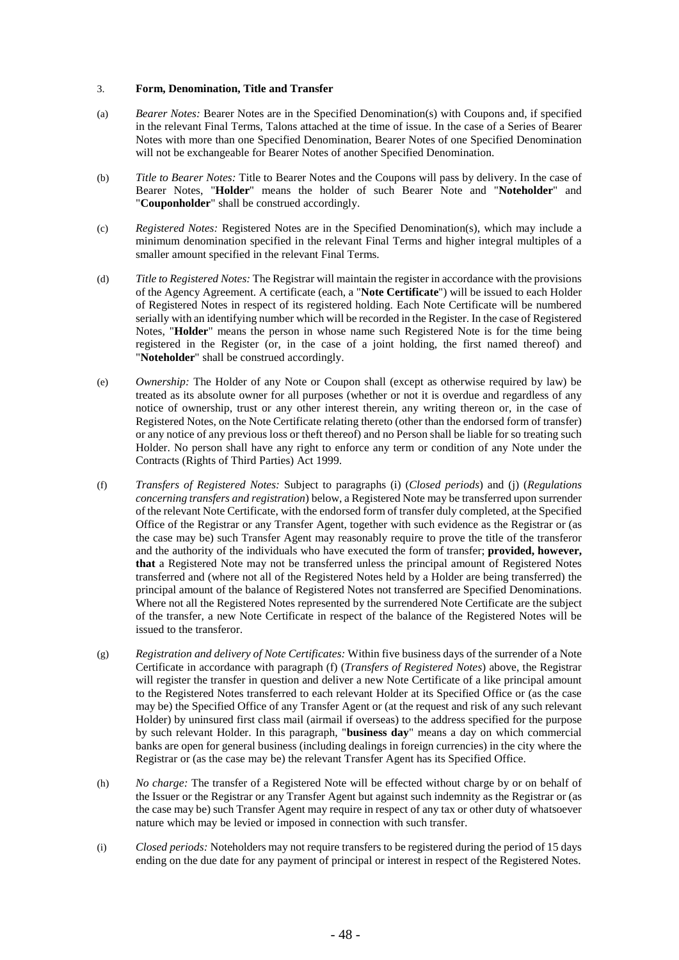## 3. **Form, Denomination, Title and Transfer**

- (a) *Bearer Notes:* Bearer Notes are in the Specified Denomination(s) with Coupons and, if specified in the relevant Final Terms, Talons attached at the time of issue. In the case of a Series of Bearer Notes with more than one Specified Denomination, Bearer Notes of one Specified Denomination will not be exchangeable for Bearer Notes of another Specified Denomination.
- <span id="page-48-0"></span>(b) *Title to Bearer Notes:* Title to Bearer Notes and the Coupons will pass by delivery. In the case of Bearer Notes, "**Holder**" means the holder of such Bearer Note and "**Noteholder**" and "**Couponholder**" shall be construed accordingly.
- (c) *Registered Notes:* Registered Notes are in the Specified Denomination(s), which may include a minimum denomination specified in the relevant Final Terms and higher integral multiples of a smaller amount specified in the relevant Final Terms.
- <span id="page-48-1"></span>(d) *Title to Registered Notes:* The Registrar will maintain the register in accordance with the provisions of the Agency Agreement. A certificate (each, a "**Note Certificate**") will be issued to each Holder of Registered Notes in respect of its registered holding. Each Note Certificate will be numbered serially with an identifying number which will be recorded in the Register. In the case of Registered Notes, "**Holder**" means the person in whose name such Registered Note is for the time being registered in the Register (or, in the case of a joint holding, the first named thereof) and "**Noteholder**" shall be construed accordingly.
- (e) *Ownership:* The Holder of any Note or Coupon shall (except as otherwise required by law) be treated as its absolute owner for all purposes (whether or not it is overdue and regardless of any notice of ownership, trust or any other interest therein, any writing thereon or, in the case of Registered Notes, on the Note Certificate relating thereto (other than the endorsed form of transfer) or any notice of any previous loss or theft thereof) and no Person shall be liable for so treating such Holder. No person shall have any right to enforce any term or condition of any Note under the Contracts (Rights of Third Parties) Act 1999.
- (f) *Transfers of Registered Notes:* Subject to paragraphs (i) (*Closed periods*) and (j) (*Regulations concerning transfers and registration*) below, a Registered Note may be transferred upon surrender of the relevant Note Certificate, with the endorsed form of transfer duly completed, at the Specified Office of the Registrar or any Transfer Agent, together with such evidence as the Registrar or (as the case may be) such Transfer Agent may reasonably require to prove the title of the transferor and the authority of the individuals who have executed the form of transfer; **provided, however, that** a Registered Note may not be transferred unless the principal amount of Registered Notes transferred and (where not all of the Registered Notes held by a Holder are being transferred) the principal amount of the balance of Registered Notes not transferred are Specified Denominations. Where not all the Registered Notes represented by the surrendered Note Certificate are the subject of the transfer, a new Note Certificate in respect of the balance of the Registered Notes will be issued to the transferor.
- (g) *Registration and delivery of Note Certificates:* Within five business days of the surrender of a Note Certificate in accordance with paragraph (f) (*Transfers of Registered Notes*) above, the Registrar will register the transfer in question and deliver a new Note Certificate of a like principal amount to the Registered Notes transferred to each relevant Holder at its Specified Office or (as the case may be) the Specified Office of any Transfer Agent or (at the request and risk of any such relevant Holder) by uninsured first class mail (airmail if overseas) to the address specified for the purpose by such relevant Holder. In this paragraph, "**business day**" means a day on which commercial banks are open for general business (including dealings in foreign currencies) in the city where the Registrar or (as the case may be) the relevant Transfer Agent has its Specified Office.
- (h) *No charge:* The transfer of a Registered Note will be effected without charge by or on behalf of the Issuer or the Registrar or any Transfer Agent but against such indemnity as the Registrar or (as the case may be) such Transfer Agent may require in respect of any tax or other duty of whatsoever nature which may be levied or imposed in connection with such transfer.
- (i) *Closed periods:* Noteholders may not require transfers to be registered during the period of 15 days ending on the due date for any payment of principal or interest in respect of the Registered Notes.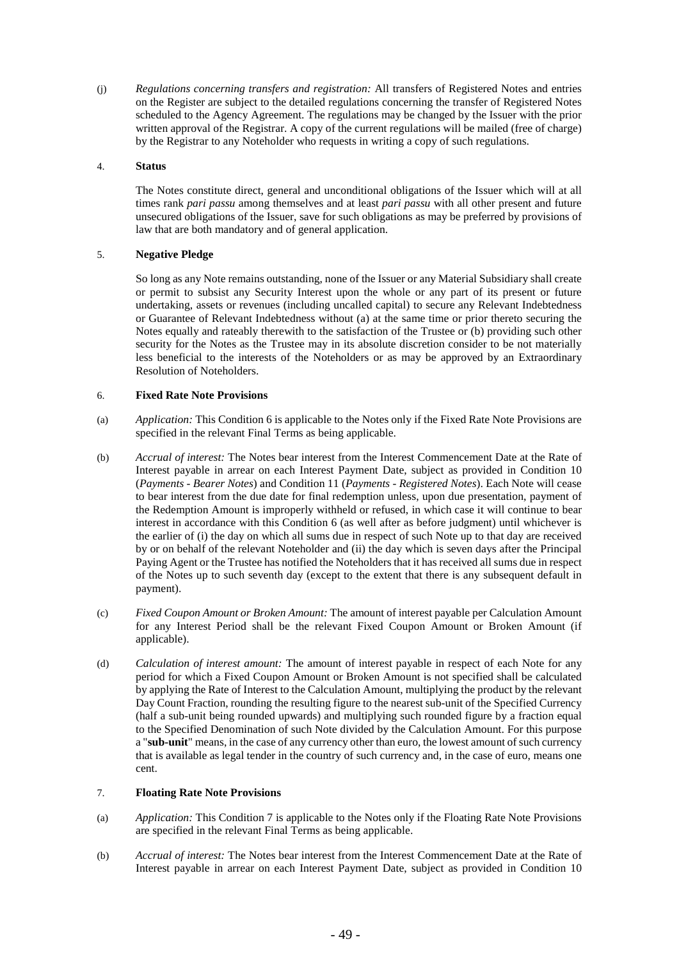(j) *Regulations concerning transfers and registration:* All transfers of Registered Notes and entries on the Register are subject to the detailed regulations concerning the transfer of Registered Notes scheduled to the Agency Agreement. The regulations may be changed by the Issuer with the prior written approval of the Registrar. A copy of the current regulations will be mailed (free of charge) by the Registrar to any Noteholder who requests in writing a copy of such regulations.

# 4. **Status**

The Notes constitute direct, general and unconditional obligations of the Issuer which will at all times rank *pari passu* among themselves and at least *pari passu* with all other present and future unsecured obligations of the Issuer, save for such obligations as may be preferred by provisions of law that are both mandatory and of general application.

# 5. **Negative Pledge**

So long as any Note remains outstanding, none of the Issuer or any Material Subsidiary shall create or permit to subsist any Security Interest upon the whole or any part of its present or future undertaking, assets or revenues (including uncalled capital) to secure any Relevant Indebtedness or Guarantee of Relevant Indebtedness without (a) at the same time or prior thereto securing the Notes equally and rateably therewith to the satisfaction of the Trustee or (b) providing such other security for the Notes as the Trustee may in its absolute discretion consider to be not materially less beneficial to the interests of the Noteholders or as may be approved by an Extraordinary Resolution of Noteholders.

# <span id="page-49-0"></span>6. **Fixed Rate Note Provisions**

- (a) *Application:* This Conditio[n 6](#page-49-0) is applicable to the Notes only if the Fixed Rate Note Provisions are specified in the relevant Final Terms as being applicable.
- (b) *Accrual of interest:* The Notes bear interest from the Interest Commencement Date at the Rate of Interest payable in arrear on each Interest Payment Date, subject as provided in Condition [10](#page-60-0) (*Payments - Bearer Notes*) and Condition [11](#page-61-0) (*Payments - Registered Notes*). Each Note will cease to bear interest from the due date for final redemption unless, upon due presentation, payment of the Redemption Amount is improperly withheld or refused, in which case it will continue to bear interest in accordance with this Condition [6](#page-49-0) (as well after as before judgment) until whichever is the earlier of (i) the day on which all sums due in respect of such Note up to that day are received by or on behalf of the relevant Noteholder and (ii) the day which is seven days after the Principal Paying Agent or the Trustee has notified the Noteholders that it has received all sums due in respect of the Notes up to such seventh day (except to the extent that there is any subsequent default in payment).
- (c) *Fixed Coupon Amount or Broken Amount:* The amount of interest payable per Calculation Amount for any Interest Period shall be the relevant Fixed Coupon Amount or Broken Amount (if applicable).
- (d) *Calculation of interest amount:* The amount of interest payable in respect of each Note for any period for which a Fixed Coupon Amount or Broken Amount is not specified shall be calculated by applying the Rate of Interest to the Calculation Amount, multiplying the product by the relevant Day Count Fraction, rounding the resulting figure to the nearest sub-unit of the Specified Currency (half a sub-unit being rounded upwards) and multiplying such rounded figure by a fraction equal to the Specified Denomination of such Note divided by the Calculation Amount. For this purpose a "**sub-unit**" means, in the case of any currency other than euro, the lowest amount of such currency that is available as legal tender in the country of such currency and, in the case of euro, means one cent.

# <span id="page-49-1"></span>7. **Floating Rate Note Provisions**

- (a) *Application:* This Condition [7](#page-49-1) is applicable to the Notes only if the Floating Rate Note Provisions are specified in the relevant Final Terms as being applicable.
- (b) *Accrual of interest:* The Notes bear interest from the Interest Commencement Date at the Rate of Interest payable in arrear on each Interest Payment Date, subject as provided in Condition [10](#page-60-0)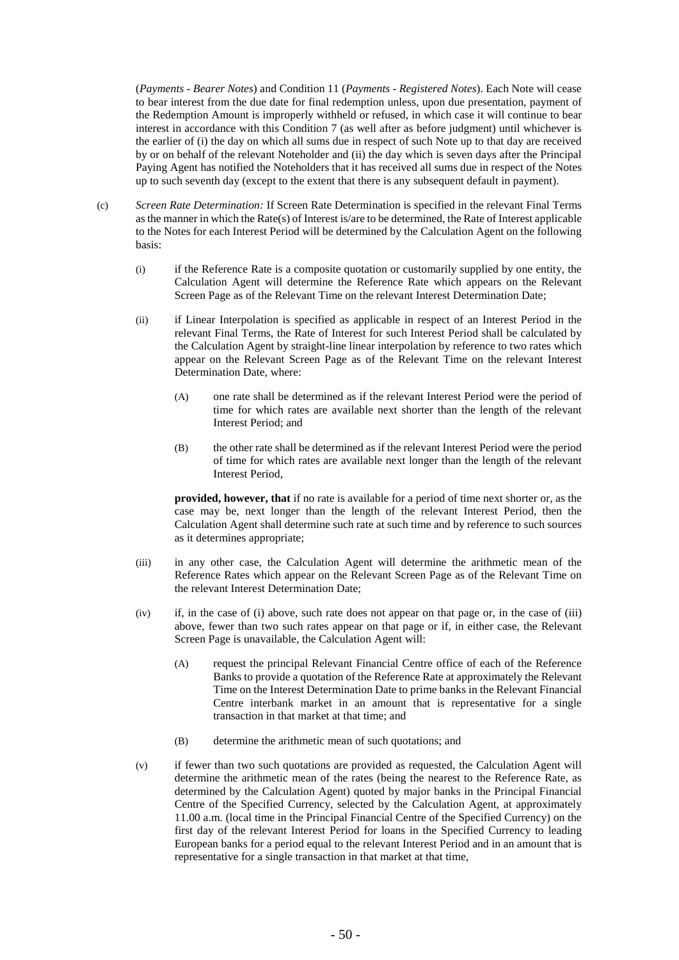(*Payments - Bearer Notes*) and Condition [11](#page-61-0) (*Payments - Registered Notes*). Each Note will cease to bear interest from the due date for final redemption unless, upon due presentation, payment of the Redemption Amount is improperly withheld or refused, in which case it will continue to bear interest in accordance with this Condition [7](#page-49-1) (as well after as before judgment) until whichever is the earlier of (i) the day on which all sums due in respect of such Note up to that day are received by or on behalf of the relevant Noteholder and (ii) the day which is seven days after the Principal Paying Agent has notified the Noteholders that it has received all sums due in respect of the Notes up to such seventh day (except to the extent that there is any subsequent default in payment).

- (c) *Screen Rate Determination:* If Screen Rate Determination is specified in the relevant Final Terms as the manner in which the Rate(s) of Interest is/are to be determined, the Rate of Interest applicable to the Notes for each Interest Period will be determined by the Calculation Agent on the following basis:
	- (i) if the Reference Rate is a composite quotation or customarily supplied by one entity, the Calculation Agent will determine the Reference Rate which appears on the Relevant Screen Page as of the Relevant Time on the relevant Interest Determination Date;
	- (ii) if Linear Interpolation is specified as applicable in respect of an Interest Period in the relevant Final Terms, the Rate of Interest for such Interest Period shall be calculated by the Calculation Agent by straight-line linear interpolation by reference to two rates which appear on the Relevant Screen Page as of the Relevant Time on the relevant Interest Determination Date, where:
		- (A) one rate shall be determined as if the relevant Interest Period were the period of time for which rates are available next shorter than the length of the relevant Interest Period; and
		- (B) the other rate shall be determined as if the relevant Interest Period were the period of time for which rates are available next longer than the length of the relevant Interest Period,

**provided, however, that** if no rate is available for a period of time next shorter or, as the case may be, next longer than the length of the relevant Interest Period, then the Calculation Agent shall determine such rate at such time and by reference to such sources as it determines appropriate;

- (iii) in any other case, the Calculation Agent will determine the arithmetic mean of the Reference Rates which appear on the Relevant Screen Page as of the Relevant Time on the relevant Interest Determination Date;
- (iv) if, in the case of (i) above, such rate does not appear on that page or, in the case of (iii) above, fewer than two such rates appear on that page or if, in either case, the Relevant Screen Page is unavailable, the Calculation Agent will:
	- (A) request the principal Relevant Financial Centre office of each of the Reference Banks to provide a quotation of the Reference Rate at approximately the Relevant Time on the Interest Determination Date to prime banks in the Relevant Financial Centre interbank market in an amount that is representative for a single transaction in that market at that time; and
	- (B) determine the arithmetic mean of such quotations; and
- (v) if fewer than two such quotations are provided as requested, the Calculation Agent will determine the arithmetic mean of the rates (being the nearest to the Reference Rate, as determined by the Calculation Agent) quoted by major banks in the Principal Financial Centre of the Specified Currency, selected by the Calculation Agent, at approximately 11.00 a.m. (local time in the Principal Financial Centre of the Specified Currency) on the first day of the relevant Interest Period for loans in the Specified Currency to leading European banks for a period equal to the relevant Interest Period and in an amount that is representative for a single transaction in that market at that time,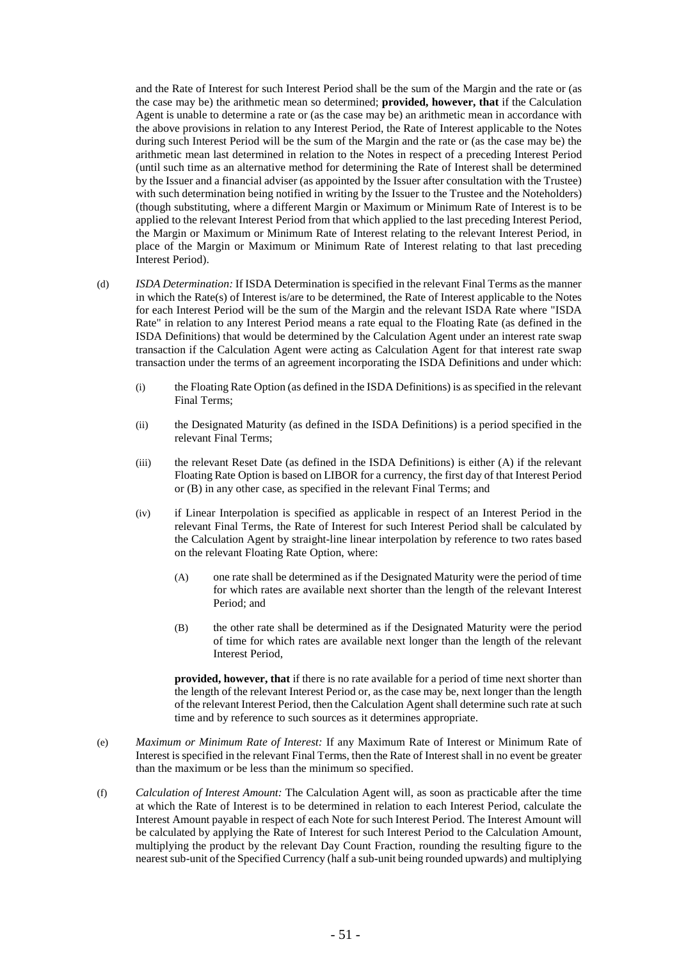and the Rate of Interest for such Interest Period shall be the sum of the Margin and the rate or (as the case may be) the arithmetic mean so determined; **provided, however, that** if the Calculation Agent is unable to determine a rate or (as the case may be) an arithmetic mean in accordance with the above provisions in relation to any Interest Period, the Rate of Interest applicable to the Notes during such Interest Period will be the sum of the Margin and the rate or (as the case may be) the arithmetic mean last determined in relation to the Notes in respect of a preceding Interest Period (until such time as an alternative method for determining the Rate of Interest shall be determined by the Issuer and a financial adviser (as appointed by the Issuer after consultation with the Trustee) with such determination being notified in writing by the Issuer to the Trustee and the Noteholders) (though substituting, where a different Margin or Maximum or Minimum Rate of Interest is to be applied to the relevant Interest Period from that which applied to the last preceding Interest Period, the Margin or Maximum or Minimum Rate of Interest relating to the relevant Interest Period, in place of the Margin or Maximum or Minimum Rate of Interest relating to that last preceding Interest Period).

- (d) *ISDA Determination:* If ISDA Determination is specified in the relevant Final Terms as the manner in which the Rate(s) of Interest is/are to be determined, the Rate of Interest applicable to the Notes for each Interest Period will be the sum of the Margin and the relevant ISDA Rate where "ISDA Rate" in relation to any Interest Period means a rate equal to the Floating Rate (as defined in the ISDA Definitions) that would be determined by the Calculation Agent under an interest rate swap transaction if the Calculation Agent were acting as Calculation Agent for that interest rate swap transaction under the terms of an agreement incorporating the ISDA Definitions and under which:
	- (i) the Floating Rate Option (as defined in the ISDA Definitions) is as specified in the relevant Final Terms;
	- (ii) the Designated Maturity (as defined in the ISDA Definitions) is a period specified in the relevant Final Terms;
	- (iii) the relevant Reset Date (as defined in the ISDA Definitions) is either (A) if the relevant Floating Rate Option is based on LIBOR for a currency, the first day of that Interest Period or (B) in any other case, as specified in the relevant Final Terms; and
	- (iv) if Linear Interpolation is specified as applicable in respect of an Interest Period in the relevant Final Terms, the Rate of Interest for such Interest Period shall be calculated by the Calculation Agent by straight-line linear interpolation by reference to two rates based on the relevant Floating Rate Option, where:
		- (A) one rate shall be determined as if the Designated Maturity were the period of time for which rates are available next shorter than the length of the relevant Interest Period; and
		- (B) the other rate shall be determined as if the Designated Maturity were the period of time for which rates are available next longer than the length of the relevant Interest Period,

**provided, however, that** if there is no rate available for a period of time next shorter than the length of the relevant Interest Period or, as the case may be, next longer than the length of the relevant Interest Period, then the Calculation Agent shall determine such rate at such time and by reference to such sources as it determines appropriate.

- (e) *Maximum or Minimum Rate of Interest:* If any Maximum Rate of Interest or Minimum Rate of Interest is specified in the relevant Final Terms, then the Rate of Interest shall in no event be greater than the maximum or be less than the minimum so specified.
- (f) *Calculation of Interest Amount:* The Calculation Agent will, as soon as practicable after the time at which the Rate of Interest is to be determined in relation to each Interest Period, calculate the Interest Amount payable in respect of each Note for such Interest Period. The Interest Amount will be calculated by applying the Rate of Interest for such Interest Period to the Calculation Amount, multiplying the product by the relevant Day Count Fraction, rounding the resulting figure to the nearest sub-unit of the Specified Currency (half a sub-unit being rounded upwards) and multiplying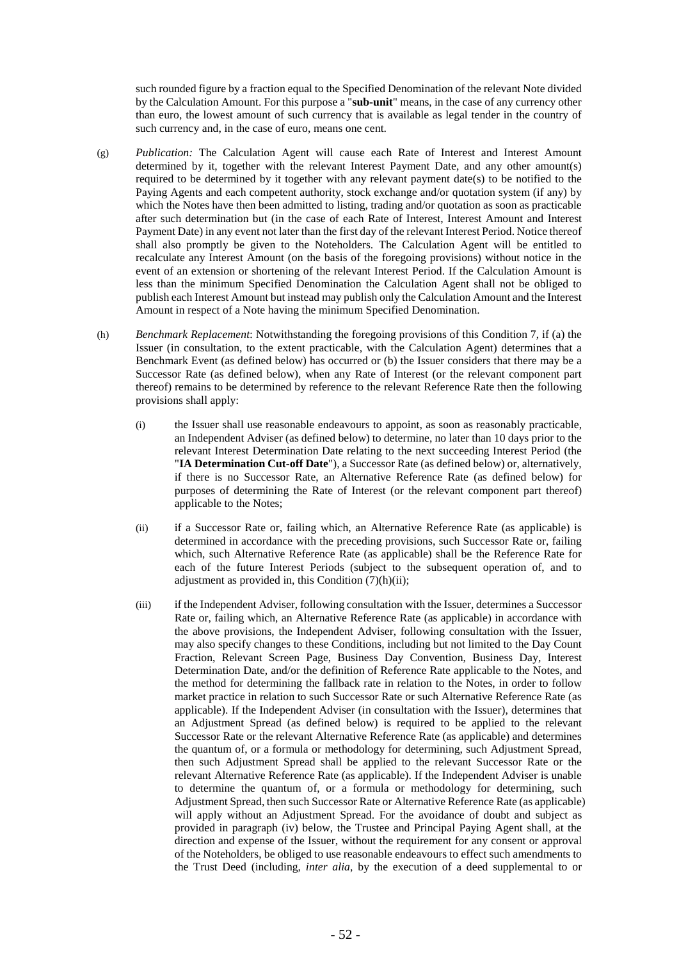such rounded figure by a fraction equal to the Specified Denomination of the relevant Note divided by the Calculation Amount. For this purpose a "**sub-unit**" means, in the case of any currency other than euro, the lowest amount of such currency that is available as legal tender in the country of such currency and, in the case of euro, means one cent.

- (g) *Publication:* The Calculation Agent will cause each Rate of Interest and Interest Amount determined by it, together with the relevant Interest Payment Date, and any other amount(s) required to be determined by it together with any relevant payment date(s) to be notified to the Paying Agents and each competent authority, stock exchange and/or quotation system (if any) by which the Notes have then been admitted to listing, trading and/or quotation as soon as practicable after such determination but (in the case of each Rate of Interest, Interest Amount and Interest Payment Date) in any event not later than the first day of the relevant Interest Period. Notice thereof shall also promptly be given to the Noteholders. The Calculation Agent will be entitled to recalculate any Interest Amount (on the basis of the foregoing provisions) without notice in the event of an extension or shortening of the relevant Interest Period. If the Calculation Amount is less than the minimum Specified Denomination the Calculation Agent shall not be obliged to publish each Interest Amount but instead may publish only the Calculation Amount and the Interest Amount in respect of a Note having the minimum Specified Denomination.
- <span id="page-52-0"></span>(h) *Benchmark Replacement*: Notwithstanding the foregoing provisions of this Condition 7, if (a) the Issuer (in consultation, to the extent practicable, with the Calculation Agent) determines that a Benchmark Event (as defined below) has occurred or (b) the Issuer considers that there may be a Successor Rate (as defined below), when any Rate of Interest (or the relevant component part thereof) remains to be determined by reference to the relevant Reference Rate then the following provisions shall apply:
	- (i) the Issuer shall use reasonable endeavours to appoint, as soon as reasonably practicable, an Independent Adviser (as defined below) to determine, no later than 10 days prior to the relevant Interest Determination Date relating to the next succeeding Interest Period (the "**IA Determination Cut-off Date**"), a Successor Rate (as defined below) or, alternatively, if there is no Successor Rate, an Alternative Reference Rate (as defined below) for purposes of determining the Rate of Interest (or the relevant component part thereof) applicable to the Notes;
	- (ii) if a Successor Rate or, failing which, an Alternative Reference Rate (as applicable) is determined in accordance with the preceding provisions, such Successor Rate or, failing which, such Alternative Reference Rate (as applicable) shall be the Reference Rate for each of the future Interest Periods (subject to the subsequent operation of, and to adjustment as provided in, this Condition  $(7)(h)(ii)$ ;
	- (iii) if the Independent Adviser, following consultation with the Issuer, determines a Successor Rate or, failing which, an Alternative Reference Rate (as applicable) in accordance with the above provisions, the Independent Adviser, following consultation with the Issuer, may also specify changes to these Conditions, including but not limited to the Day Count Fraction, Relevant Screen Page, Business Day Convention, Business Day, Interest Determination Date, and/or the definition of Reference Rate applicable to the Notes, and the method for determining the fallback rate in relation to the Notes, in order to follow market practice in relation to such Successor Rate or such Alternative Reference Rate (as applicable). If the Independent Adviser (in consultation with the Issuer), determines that an Adjustment Spread (as defined below) is required to be applied to the relevant Successor Rate or the relevant Alternative Reference Rate (as applicable) and determines the quantum of, or a formula or methodology for determining, such Adjustment Spread, then such Adjustment Spread shall be applied to the relevant Successor Rate or the relevant Alternative Reference Rate (as applicable). If the Independent Adviser is unable to determine the quantum of, or a formula or methodology for determining, such Adjustment Spread, then such Successor Rate or Alternative Reference Rate (as applicable) will apply without an Adjustment Spread. For the avoidance of doubt and subject as provided in paragraph (iv) below, the Trustee and Principal Paying Agent shall, at the direction and expense of the Issuer, without the requirement for any consent or approval of the Noteholders, be obliged to use reasonable endeavours to effect such amendments to the Trust Deed (including, *inter alia*, by the execution of a deed supplemental to or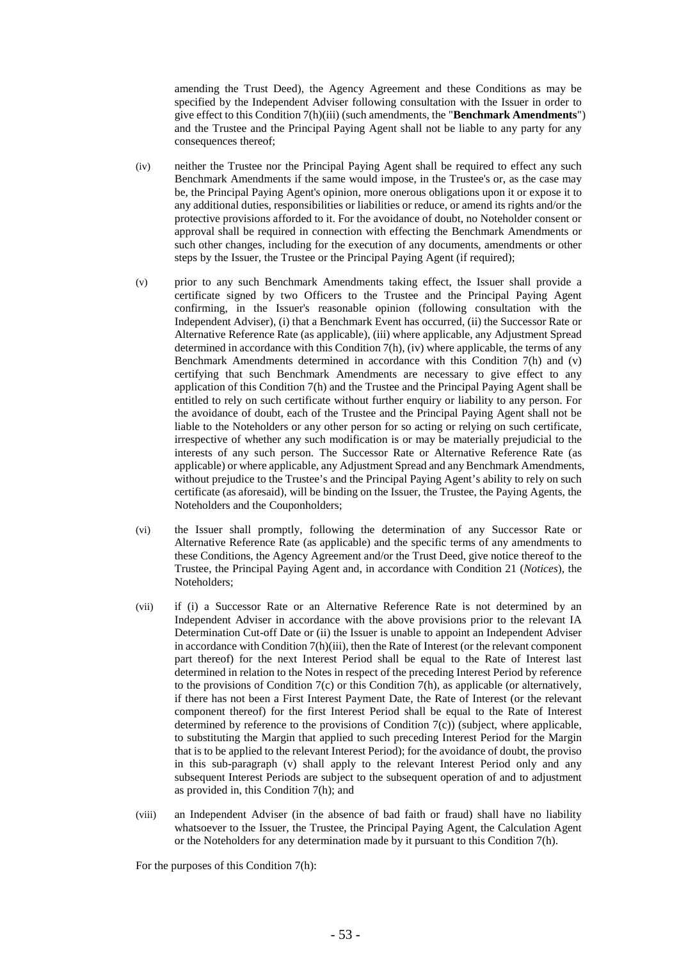amending the Trust Deed), the Agency Agreement and these Conditions as may be specified by the Independent Adviser following consultation with the Issuer in order to give effect to this Condition 7(h)(iii) (such amendments, the "**Benchmark Amendments**") and the Trustee and the Principal Paying Agent shall not be liable to any party for any consequences thereof;

- (iv) neither the Trustee nor the Principal Paying Agent shall be required to effect any such Benchmark Amendments if the same would impose, in the Trustee's or, as the case may be, the Principal Paying Agent's opinion, more onerous obligations upon it or expose it to any additional duties, responsibilities or liabilities or reduce, or amend its rights and/or the protective provisions afforded to it. For the avoidance of doubt, no Noteholder consent or approval shall be required in connection with effecting the Benchmark Amendments or such other changes, including for the execution of any documents, amendments or other steps by the Issuer, the Trustee or the Principal Paying Agent (if required);
- (v) prior to any such Benchmark Amendments taking effect, the Issuer shall provide a certificate signed by two Officers to the Trustee and the Principal Paying Agent confirming, in the Issuer's reasonable opinion (following consultation with the Independent Adviser), (i) that a Benchmark Event has occurred, (ii) the Successor Rate or Alternative Reference Rate (as applicable), (iii) where applicable, any Adjustment Spread determined in accordance with this Condition [7\(h\),](#page-52-0) (iv) where applicable, the terms of any Benchmark Amendments determined in accordance with this Condition 7(h) and (v) certifying that such Benchmark Amendments are necessary to give effect to any application of this Condition 7(h) and the Trustee and the Principal Paying Agent shall be entitled to rely on such certificate without further enquiry or liability to any person. For the avoidance of doubt, each of the Trustee and the Principal Paying Agent shall not be liable to the Noteholders or any other person for so acting or relying on such certificate, irrespective of whether any such modification is or may be materially prejudicial to the interests of any such person. The Successor Rate or Alternative Reference Rate (as applicable) or where applicable, any Adjustment Spread and any Benchmark Amendments, without prejudice to the Trustee's and the Principal Paying Agent's ability to rely on such certificate (as aforesaid), will be binding on the Issuer, the Trustee, the Paying Agents, the Noteholders and the Couponholders;
- (vi) the Issuer shall promptly, following the determination of any Successor Rate or Alternative Reference Rate (as applicable) and the specific terms of any amendments to these Conditions, the Agency Agreement and/or the Trust Deed, give notice thereof to the Trustee, the Principal Paying Agent and, in accordance with Condition 21 (*Notices*), the Noteholders;
- (vii) if (i) a Successor Rate or an Alternative Reference Rate is not determined by an Independent Adviser in accordance with the above provisions prior to the relevant IA Determination Cut-off Date or (ii) the Issuer is unable to appoint an Independent Adviser in accordance with Condition 7(h)(iii), then the Rate of Interest (or the relevant component part thereof) for the next Interest Period shall be equal to the Rate of Interest last determined in relation to the Notes in respect of the preceding Interest Period by reference to the provisions of Condition 7(c) or this Condition 7(h), as applicable (or alternatively, if there has not been a First Interest Payment Date, the Rate of Interest (or the relevant component thereof) for the first Interest Period shall be equal to the Rate of Interest determined by reference to the provisions of Condition 7(c)) (subject, where applicable, to substituting the Margin that applied to such preceding Interest Period for the Margin that is to be applied to the relevant Interest Period); for the avoidance of doubt, the proviso in this sub-paragraph (v) shall apply to the relevant Interest Period only and any subsequent Interest Periods are subject to the subsequent operation of and to adjustment as provided in, this Condition 7(h); and
- (viii) an Independent Adviser (in the absence of bad faith or fraud) shall have no liability whatsoever to the Issuer, the Trustee, the Principal Paying Agent, the Calculation Agent or the Noteholders for any determination made by it pursuant to this Condition 7(h).

For the purposes of this Condition 7(h):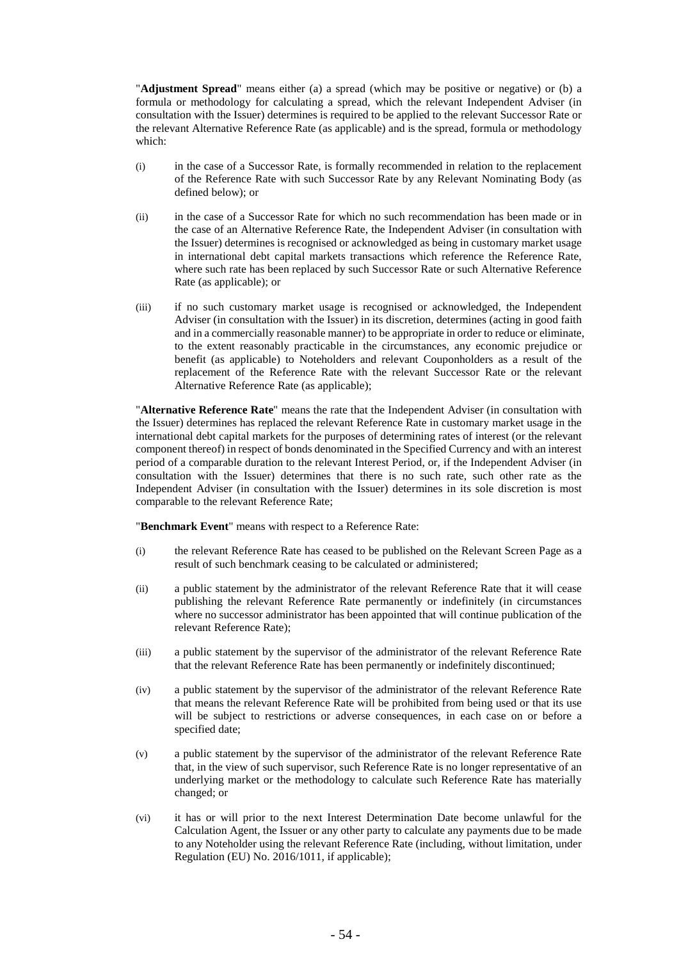"**Adjustment Spread**" means either (a) a spread (which may be positive or negative) or (b) a formula or methodology for calculating a spread, which the relevant Independent Adviser (in consultation with the Issuer) determines is required to be applied to the relevant Successor Rate or the relevant Alternative Reference Rate (as applicable) and is the spread, formula or methodology which:

- (i) in the case of a Successor Rate, is formally recommended in relation to the replacement of the Reference Rate with such Successor Rate by any Relevant Nominating Body (as defined below); or
- (ii) in the case of a Successor Rate for which no such recommendation has been made or in the case of an Alternative Reference Rate, the Independent Adviser (in consultation with the Issuer) determines is recognised or acknowledged as being in customary market usage in international debt capital markets transactions which reference the Reference Rate, where such rate has been replaced by such Successor Rate or such Alternative Reference Rate (as applicable); or
- (iii) if no such customary market usage is recognised or acknowledged, the Independent Adviser (in consultation with the Issuer) in its discretion, determines (acting in good faith and in a commercially reasonable manner) to be appropriate in order to reduce or eliminate, to the extent reasonably practicable in the circumstances, any economic prejudice or benefit (as applicable) to Noteholders and relevant Couponholders as a result of the replacement of the Reference Rate with the relevant Successor Rate or the relevant Alternative Reference Rate (as applicable);

"**Alternative Reference Rate**" means the rate that the Independent Adviser (in consultation with the Issuer) determines has replaced the relevant Reference Rate in customary market usage in the international debt capital markets for the purposes of determining rates of interest (or the relevant component thereof) in respect of bonds denominated in the Specified Currency and with an interest period of a comparable duration to the relevant Interest Period, or, if the Independent Adviser (in consultation with the Issuer) determines that there is no such rate, such other rate as the Independent Adviser (in consultation with the Issuer) determines in its sole discretion is most comparable to the relevant Reference Rate;

"**Benchmark Event**" means with respect to a Reference Rate:

- (i) the relevant Reference Rate has ceased to be published on the Relevant Screen Page as a result of such benchmark ceasing to be calculated or administered;
- (ii) a public statement by the administrator of the relevant Reference Rate that it will cease publishing the relevant Reference Rate permanently or indefinitely (in circumstances where no successor administrator has been appointed that will continue publication of the relevant Reference Rate);
- (iii) a public statement by the supervisor of the administrator of the relevant Reference Rate that the relevant Reference Rate has been permanently or indefinitely discontinued;
- (iv) a public statement by the supervisor of the administrator of the relevant Reference Rate that means the relevant Reference Rate will be prohibited from being used or that its use will be subject to restrictions or adverse consequences, in each case on or before a specified date;
- (v) a public statement by the supervisor of the administrator of the relevant Reference Rate that, in the view of such supervisor, such Reference Rate is no longer representative of an underlying market or the methodology to calculate such Reference Rate has materially changed; or
- (vi) it has or will prior to the next Interest Determination Date become unlawful for the Calculation Agent, the Issuer or any other party to calculate any payments due to be made to any Noteholder using the relevant Reference Rate (including, without limitation, under Regulation (EU) No. 2016/1011, if applicable);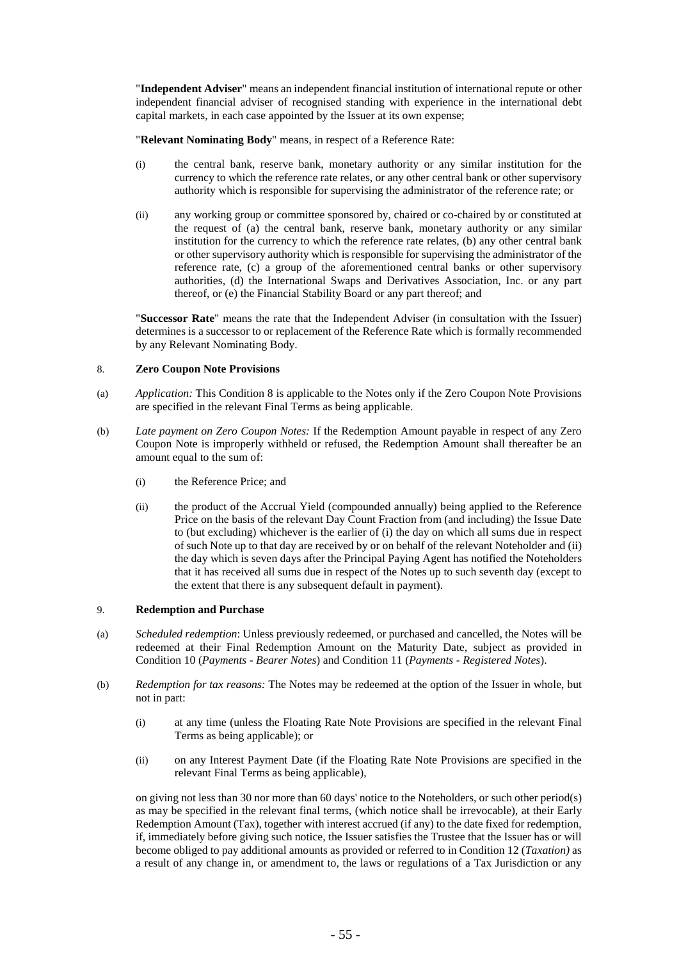"**Independent Adviser**" means an independent financial institution of international repute or other independent financial adviser of recognised standing with experience in the international debt capital markets, in each case appointed by the Issuer at its own expense;

"**Relevant Nominating Body**" means, in respect of a Reference Rate:

- (i) the central bank, reserve bank, monetary authority or any similar institution for the currency to which the reference rate relates, or any other central bank or other supervisory authority which is responsible for supervising the administrator of the reference rate; or
- (ii) any working group or committee sponsored by, chaired or co-chaired by or constituted at the request of (a) the central bank, reserve bank, monetary authority or any similar institution for the currency to which the reference rate relates, (b) any other central bank or other supervisory authority which is responsible for supervising the administrator of the reference rate, (c) a group of the aforementioned central banks or other supervisory authorities, (d) the International Swaps and Derivatives Association, Inc. or any part thereof, or (e) the Financial Stability Board or any part thereof; and

"**Successor Rate**" means the rate that the Independent Adviser (in consultation with the Issuer) determines is a successor to or replacement of the Reference Rate which is formally recommended by any Relevant Nominating Body.

## 8. **Zero Coupon Note Provisions**

- (a) *Application:* This Condition 8 is applicable to the Notes only if the Zero Coupon Note Provisions are specified in the relevant Final Terms as being applicable.
- (b) *Late payment on Zero Coupon Notes:* If the Redemption Amount payable in respect of any Zero Coupon Note is improperly withheld or refused, the Redemption Amount shall thereafter be an amount equal to the sum of:
	- (i) the Reference Price; and
	- (ii) the product of the Accrual Yield (compounded annually) being applied to the Reference Price on the basis of the relevant Day Count Fraction from (and including) the Issue Date to (but excluding) whichever is the earlier of (i) the day on which all sums due in respect of such Note up to that day are received by or on behalf of the relevant Noteholder and (ii) the day which is seven days after the Principal Paying Agent has notified the Noteholders that it has received all sums due in respect of the Notes up to such seventh day (except to the extent that there is any subsequent default in payment).

## 9. **Redemption and Purchase**

- (a) *Scheduled redemption*: Unless previously redeemed, or purchased and cancelled, the Notes will be redeemed at their Final Redemption Amount on the Maturity Date, subject as provided in Condition [10](#page-60-0) (*Payments - Bearer Notes*) and Condition [11](#page-61-0) (*Payments - Registered Notes*).
- <span id="page-55-0"></span>(b) *Redemption for tax reasons:* The Notes may be redeemed at the option of the Issuer in whole, but not in part:
	- (i) at any time (unless the Floating Rate Note Provisions are specified in the relevant Final Terms as being applicable); or
	- (ii) on any Interest Payment Date (if the Floating Rate Note Provisions are specified in the relevant Final Terms as being applicable),

on giving not less than 30 nor more than 60 days' notice to the Noteholders, or such other period(s) as may be specified in the relevant final terms, (which notice shall be irrevocable), at their Early Redemption Amount (Tax), together with interest accrued (if any) to the date fixed for redemption, if, immediately before giving such notice, the Issuer satisfies the Trustee that the Issuer has or will become obliged to pay additional amounts as provided or referred to in Condition [12](#page-62-0) (*Taxation)* as a result of any change in, or amendment to, the laws or regulations of a Tax Jurisdiction or any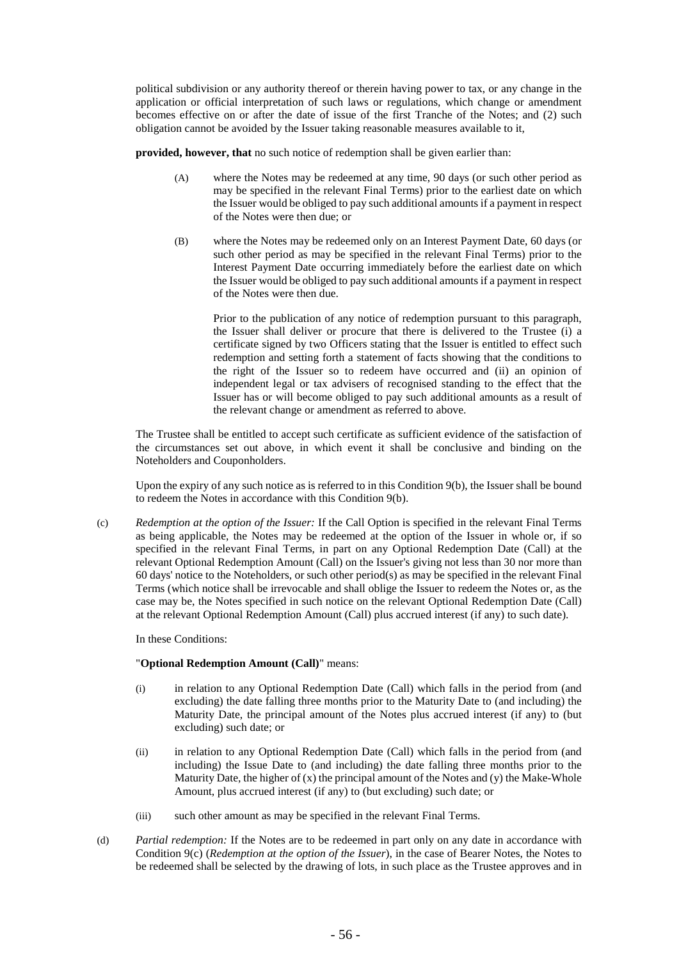political subdivision or any authority thereof or therein having power to tax, or any change in the application or official interpretation of such laws or regulations, which change or amendment becomes effective on or after the date of issue of the first Tranche of the Notes; and (2) such obligation cannot be avoided by the Issuer taking reasonable measures available to it,

**provided, however, that** no such notice of redemption shall be given earlier than:

- (A) where the Notes may be redeemed at any time, 90 days (or such other period as may be specified in the relevant Final Terms) prior to the earliest date on which the Issuer would be obliged to pay such additional amounts if a payment in respect of the Notes were then due; or
- (B) where the Notes may be redeemed only on an Interest Payment Date, 60 days (or such other period as may be specified in the relevant Final Terms) prior to the Interest Payment Date occurring immediately before the earliest date on which the Issuer would be obliged to pay such additional amounts if a payment in respect of the Notes were then due.

Prior to the publication of any notice of redemption pursuant to this paragraph, the Issuer shall deliver or procure that there is delivered to the Trustee (i) a certificate signed by two Officers stating that the Issuer is entitled to effect such redemption and setting forth a statement of facts showing that the conditions to the right of the Issuer so to redeem have occurred and (ii) an opinion of independent legal or tax advisers of recognised standing to the effect that the Issuer has or will become obliged to pay such additional amounts as a result of the relevant change or amendment as referred to above.

The Trustee shall be entitled to accept such certificate as sufficient evidence of the satisfaction of the circumstances set out above, in which event it shall be conclusive and binding on the Noteholders and Couponholders.

Upon the expiry of any such notice as is referred to in this Condition [9\(b\),](#page-55-0) the Issuer shall be bound to redeem the Notes in accordance with this Condition [9\(b\).](#page-55-0)

<span id="page-56-0"></span>(c) *Redemption at the option of the Issuer:* If the Call Option is specified in the relevant Final Terms as being applicable, the Notes may be redeemed at the option of the Issuer in whole or, if so specified in the relevant Final Terms, in part on any Optional Redemption Date (Call) at the relevant Optional Redemption Amount (Call) on the Issuer's giving not less than 30 nor more than 60 days' notice to the Noteholders, or such other period(s) as may be specified in the relevant Final Terms (which notice shall be irrevocable and shall oblige the Issuer to redeem the Notes or, as the case may be, the Notes specified in such notice on the relevant Optional Redemption Date (Call) at the relevant Optional Redemption Amount (Call) plus accrued interest (if any) to such date).

In these Conditions:

#### "**Optional Redemption Amount (Call)**" means:

- (i) in relation to any Optional Redemption Date (Call) which falls in the period from (and excluding) the date falling three months prior to the Maturity Date to (and including) the Maturity Date, the principal amount of the Notes plus accrued interest (if any) to (but excluding) such date; or
- (ii) in relation to any Optional Redemption Date (Call) which falls in the period from (and including) the Issue Date to (and including) the date falling three months prior to the Maturity Date, the higher of  $(x)$  the principal amount of the Notes and  $(y)$  the Make-Whole Amount, plus accrued interest (if any) to (but excluding) such date; or
- (iii) such other amount as may be specified in the relevant Final Terms.
- (d) *Partial redemption:* If the Notes are to be redeemed in part only on any date in accordance with Condition [9\(c\)](#page-56-0) (*Redemption at the option of the Issuer*), in the case of Bearer Notes, the Notes to be redeemed shall be selected by the drawing of lots, in such place as the Trustee approves and in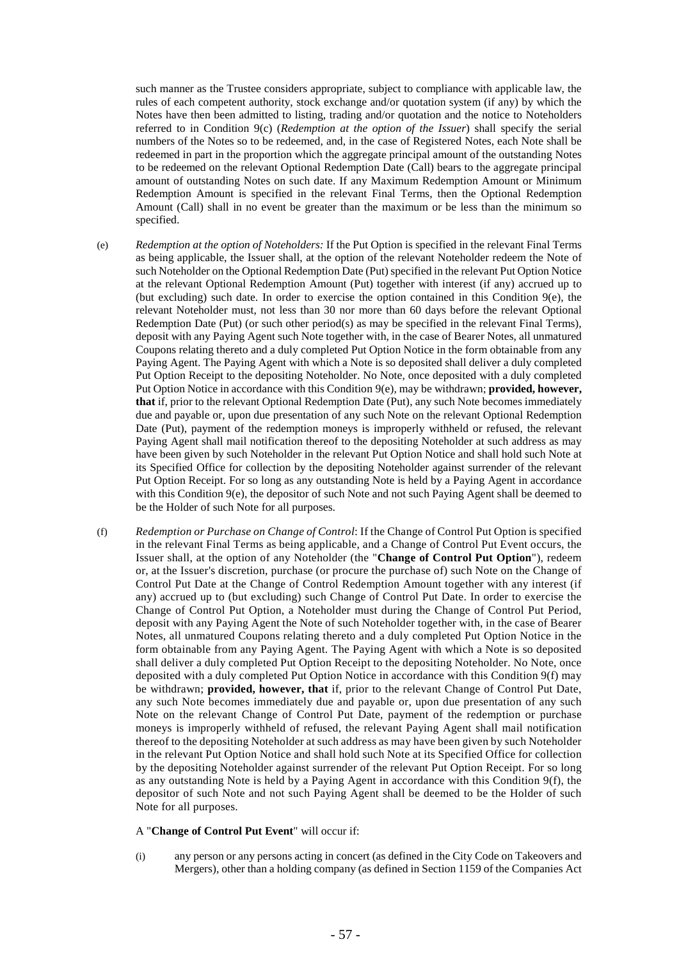such manner as the Trustee considers appropriate, subject to compliance with applicable law, the rules of each competent authority, stock exchange and/or quotation system (if any) by which the Notes have then been admitted to listing, trading and/or quotation and the notice to Noteholders referred to in Condition [9\(c\)](#page-56-0) (*Redemption at the option of the Issuer*) shall specify the serial numbers of the Notes so to be redeemed, and, in the case of Registered Notes, each Note shall be redeemed in part in the proportion which the aggregate principal amount of the outstanding Notes to be redeemed on the relevant Optional Redemption Date (Call) bears to the aggregate principal amount of outstanding Notes on such date. If any Maximum Redemption Amount or Minimum Redemption Amount is specified in the relevant Final Terms, then the Optional Redemption Amount (Call) shall in no event be greater than the maximum or be less than the minimum so specified.

- <span id="page-57-0"></span>(e) *Redemption at the option of Noteholders:* If the Put Option is specified in the relevant Final Terms as being applicable, the Issuer shall, at the option of the relevant Noteholder redeem the Note of such Noteholder on the Optional Redemption Date (Put) specified in the relevant Put Option Notice at the relevant Optional Redemption Amount (Put) together with interest (if any) accrued up to (but excluding) such date. In order to exercise the option contained in this Condition [9\(e\),](#page-57-0) the relevant Noteholder must, not less than 30 nor more than 60 days before the relevant Optional Redemption Date (Put) (or such other period(s) as may be specified in the relevant Final Terms), deposit with any Paying Agent such Note together with, in the case of Bearer Notes, all unmatured Coupons relating thereto and a duly completed Put Option Notice in the form obtainable from any Paying Agent. The Paying Agent with which a Note is so deposited shall deliver a duly completed Put Option Receipt to the depositing Noteholder. No Note, once deposited with a duly completed Put Option Notice in accordance with this Condition [9\(e\),](#page-57-0) may be withdrawn; **provided, however, that** if, prior to the relevant Optional Redemption Date (Put), any such Note becomes immediately due and payable or, upon due presentation of any such Note on the relevant Optional Redemption Date (Put), payment of the redemption moneys is improperly withheld or refused, the relevant Paying Agent shall mail notification thereof to the depositing Noteholder at such address as may have been given by such Noteholder in the relevant Put Option Notice and shall hold such Note at its Specified Office for collection by the depositing Noteholder against surrender of the relevant Put Option Receipt. For so long as any outstanding Note is held by a Paying Agent in accordance with this Condition  $9(e)$ , the depositor of such Note and not such Paying Agent shall be deemed to be the Holder of such Note for all purposes.
- <span id="page-57-1"></span>(f) *Redemption or Purchase on Change of Control*: If the Change of Control Put Option is specified in the relevant Final Terms as being applicable, and a Change of Control Put Event occurs, the Issuer shall, at the option of any Noteholder (the "**Change of Control Put Option**"), redeem or, at the Issuer's discretion, purchase (or procure the purchase of) such Note on the Change of Control Put Date at the Change of Control Redemption Amount together with any interest (if any) accrued up to (but excluding) such Change of Control Put Date. In order to exercise the Change of Control Put Option, a Noteholder must during the Change of Control Put Period, deposit with any Paying Agent the Note of such Noteholder together with, in the case of Bearer Notes, all unmatured Coupons relating thereto and a duly completed Put Option Notice in the form obtainable from any Paying Agent. The Paying Agent with which a Note is so deposited shall deliver a duly completed Put Option Receipt to the depositing Noteholder. No Note, once deposited with a duly completed Put Option Notice in accordance with this Condition [9\(f\)](#page-57-1) may be withdrawn; **provided, however, that** if, prior to the relevant Change of Control Put Date, any such Note becomes immediately due and payable or, upon due presentation of any such Note on the relevant Change of Control Put Date, payment of the redemption or purchase moneys is improperly withheld of refused, the relevant Paying Agent shall mail notification thereof to the depositing Noteholder at such address as may have been given by such Noteholder in the relevant Put Option Notice and shall hold such Note at its Specified Office for collection by the depositing Noteholder against surrender of the relevant Put Option Receipt. For so long as any outstanding Note is held by a Paying Agent in accordance with this Condition [9\(f\),](#page-57-1) the depositor of such Note and not such Paying Agent shall be deemed to be the Holder of such Note for all purposes.

# A "**Change of Control Put Event**" will occur if:

(i) any person or any persons acting in concert (as defined in the City Code on Takeovers and Mergers), other than a holding company (as defined in Section 1159 of the Companies Act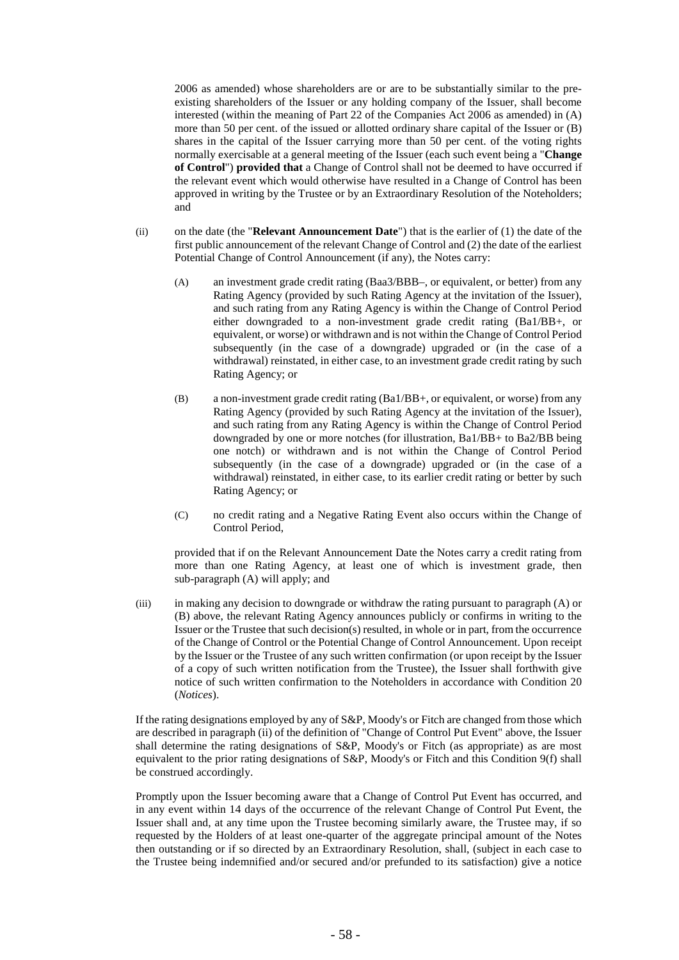2006 as amended) whose shareholders are or are to be substantially similar to the preexisting shareholders of the Issuer or any holding company of the Issuer, shall become interested (within the meaning of Part 22 of the Companies Act 2006 as amended) in (A) more than 50 per cent. of the issued or allotted ordinary share capital of the Issuer or (B) shares in the capital of the Issuer carrying more than 50 per cent. of the voting rights normally exercisable at a general meeting of the Issuer (each such event being a "**Change of Control**") **provided that** a Change of Control shall not be deemed to have occurred if the relevant event which would otherwise have resulted in a Change of Control has been approved in writing by the Trustee or by an Extraordinary Resolution of the Noteholders; and

- (ii) on the date (the "**Relevant Announcement Date**") that is the earlier of (1) the date of the first public announcement of the relevant Change of Control and (2) the date of the earliest Potential Change of Control Announcement (if any), the Notes carry:
	- (A) an investment grade credit rating (Baa3/BBB–, or equivalent, or better) from any Rating Agency (provided by such Rating Agency at the invitation of the Issuer), and such rating from any Rating Agency is within the Change of Control Period either downgraded to a non-investment grade credit rating (Ba1/BB+, or equivalent, or worse) or withdrawn and is not within the Change of Control Period subsequently (in the case of a downgrade) upgraded or (in the case of a withdrawal) reinstated, in either case, to an investment grade credit rating by such Rating Agency; or
	- (B) a non-investment grade credit rating (Ba1/BB+, or equivalent, or worse) from any Rating Agency (provided by such Rating Agency at the invitation of the Issuer), and such rating from any Rating Agency is within the Change of Control Period downgraded by one or more notches (for illustration, Ba1/BB+ to Ba2/BB being one notch) or withdrawn and is not within the Change of Control Period subsequently (in the case of a downgrade) upgraded or (in the case of a withdrawal) reinstated, in either case, to its earlier credit rating or better by such Rating Agency; or
	- (C) no credit rating and a Negative Rating Event also occurs within the Change of Control Period,

provided that if on the Relevant Announcement Date the Notes carry a credit rating from more than one Rating Agency, at least one of which is investment grade, then sub-paragraph (A) will apply; and

(iii) in making any decision to downgrade or withdraw the rating pursuant to paragraph (A) or (B) above, the relevant Rating Agency announces publicly or confirms in writing to the Issuer or the Trustee that such decision(s) resulted, in whole or in part, from the occurrence of the Change of Control or the Potential Change of Control Announcement. Upon receipt by the Issuer or the Trustee of any such written confirmation (or upon receipt by the Issuer of a copy of such written notification from the Trustee), the Issuer shall forthwith give notice of such written confirmation to the Noteholders in accordance with Condition [20](#page-67-0) (*Notices*).

If the rating designations employed by any of S&P, Moody's or Fitch are changed from those which are described in paragraph (ii) of the definition of "Change of Control Put Event" above, the Issuer shall determine the rating designations of S&P, Moody's or Fitch (as appropriate) as are most equivalent to the prior rating designations of S&P, Moody's or Fitch and this Condition [9\(f\)](#page-57-1) shall be construed accordingly.

Promptly upon the Issuer becoming aware that a Change of Control Put Event has occurred, and in any event within 14 days of the occurrence of the relevant Change of Control Put Event, the Issuer shall and, at any time upon the Trustee becoming similarly aware, the Trustee may, if so requested by the Holders of at least one-quarter of the aggregate principal amount of the Notes then outstanding or if so directed by an Extraordinary Resolution, shall, (subject in each case to the Trustee being indemnified and/or secured and/or prefunded to its satisfaction) give a notice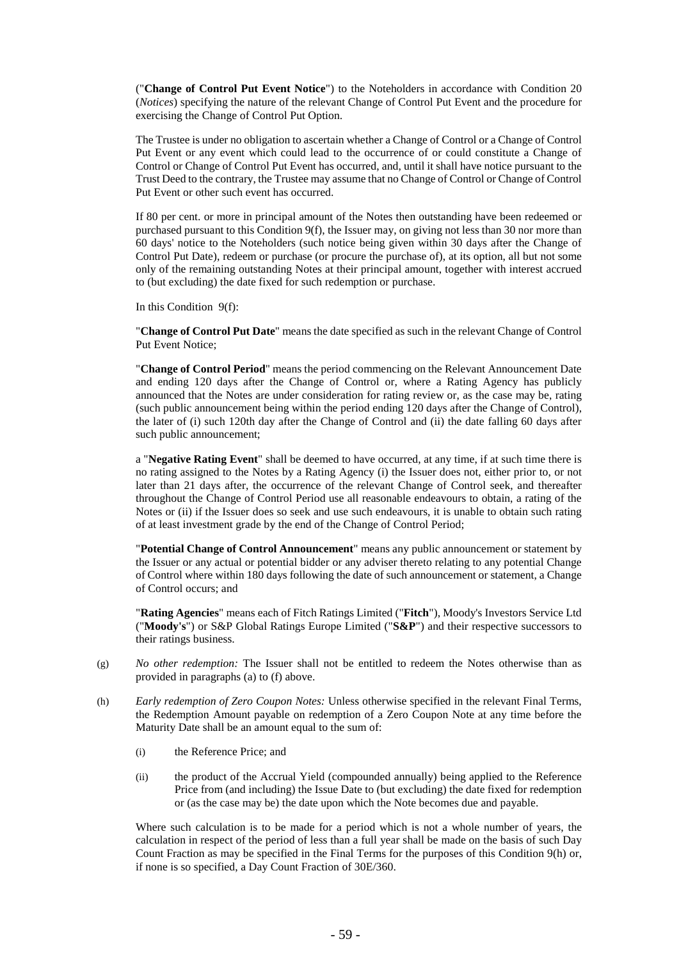("**Change of Control Put Event Notice**") to the Noteholders in accordance with Condition [20](#page-67-0) (*Notices*) specifying the nature of the relevant Change of Control Put Event and the procedure for exercising the Change of Control Put Option.

The Trustee is under no obligation to ascertain whether a Change of Control or a Change of Control Put Event or any event which could lead to the occurrence of or could constitute a Change of Control or Change of Control Put Event has occurred, and, until it shall have notice pursuant to the Trust Deed to the contrary, the Trustee may assume that no Change of Control or Change of Control Put Event or other such event has occurred.

If 80 per cent. or more in principal amount of the Notes then outstanding have been redeemed or purchased pursuant to this Conditio[n 9\(f\),](#page-57-1) the Issuer may, on giving not less than 30 nor more than 60 days' notice to the Noteholders (such notice being given within 30 days after the Change of Control Put Date), redeem or purchase (or procure the purchase of), at its option, all but not some only of the remaining outstanding Notes at their principal amount, together with interest accrued to (but excluding) the date fixed for such redemption or purchase.

In this Condition [9\(f\):](#page-57-1)

"**Change of Control Put Date**" means the date specified as such in the relevant Change of Control Put Event Notice;

"**Change of Control Period**" means the period commencing on the Relevant Announcement Date and ending 120 days after the Change of Control or, where a Rating Agency has publicly announced that the Notes are under consideration for rating review or, as the case may be, rating (such public announcement being within the period ending 120 days after the Change of Control), the later of (i) such 120th day after the Change of Control and (ii) the date falling 60 days after such public announcement;

a "**Negative Rating Event**" shall be deemed to have occurred, at any time, if at such time there is no rating assigned to the Notes by a Rating Agency (i) the Issuer does not, either prior to, or not later than 21 days after, the occurrence of the relevant Change of Control seek, and thereafter throughout the Change of Control Period use all reasonable endeavours to obtain, a rating of the Notes or (ii) if the Issuer does so seek and use such endeavours, it is unable to obtain such rating of at least investment grade by the end of the Change of Control Period;

"**Potential Change of Control Announcement**" means any public announcement or statement by the Issuer or any actual or potential bidder or any adviser thereto relating to any potential Change of Control where within 180 days following the date of such announcement or statement, a Change of Control occurs; and

"**Rating Agencies**" means each of Fitch Ratings Limited ("**Fitch**"), Moody's Investors Service Ltd ("**Moody's**") or S&P Global Ratings Europe Limited ("**S&P**") and their respective successors to their ratings business.

- (g) *No other redemption:* The Issuer shall not be entitled to redeem the Notes otherwise than as provided in paragraphs (a) to (f) above.
- <span id="page-59-0"></span>(h) *Early redemption of Zero Coupon Notes:* Unless otherwise specified in the relevant Final Terms, the Redemption Amount payable on redemption of a Zero Coupon Note at any time before the Maturity Date shall be an amount equal to the sum of:
	- (i) the Reference Price; and
	- (ii) the product of the Accrual Yield (compounded annually) being applied to the Reference Price from (and including) the Issue Date to (but excluding) the date fixed for redemption or (as the case may be) the date upon which the Note becomes due and payable.

Where such calculation is to be made for a period which is not a whole number of years, the calculation in respect of the period of less than a full year shall be made on the basis of such Day Count Fraction as may be specified in the Final Terms for the purposes of this Condition [9\(h\)](#page-59-0) or, if none is so specified, a Day Count Fraction of 30E/360.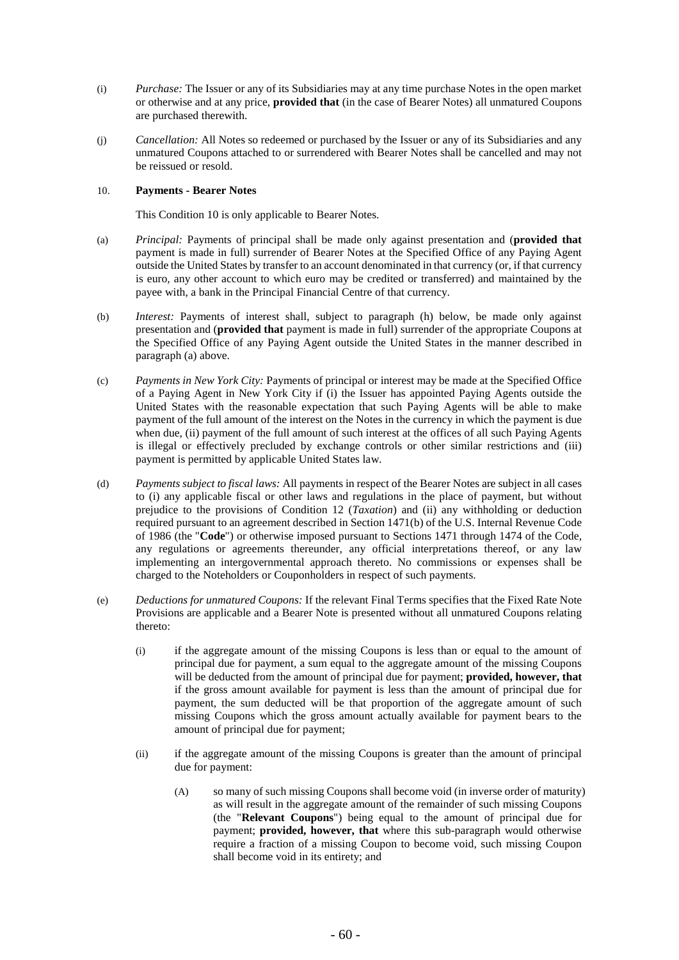- (i) *Purchase:* The Issuer or any of its Subsidiaries may at any time purchase Notes in the open market or otherwise and at any price, **provided that** (in the case of Bearer Notes) all unmatured Coupons are purchased therewith.
- (j) *Cancellation:* All Notes so redeemed or purchased by the Issuer or any of its Subsidiaries and any unmatured Coupons attached to or surrendered with Bearer Notes shall be cancelled and may not be reissued or resold.

# <span id="page-60-0"></span>10. **Payments - Bearer Notes**

This Condition [10](#page-60-0) is only applicable to Bearer Notes.

- (a) *Principal:* Payments of principal shall be made only against presentation and (**provided that** payment is made in full) surrender of Bearer Notes at the Specified Office of any Paying Agent outside the United States by transfer to an account denominated in that currency (or, if that currency is euro, any other account to which euro may be credited or transferred) and maintained by the payee with, a bank in the Principal Financial Centre of that currency.
- (b) *Interest:* Payments of interest shall, subject to paragraph (h) below, be made only against presentation and (**provided that** payment is made in full) surrender of the appropriate Coupons at the Specified Office of any Paying Agent outside the United States in the manner described in paragraph (a) above.
- (c) *Payments in New York City:* Payments of principal or interest may be made at the Specified Office of a Paying Agent in New York City if (i) the Issuer has appointed Paying Agents outside the United States with the reasonable expectation that such Paying Agents will be able to make payment of the full amount of the interest on the Notes in the currency in which the payment is due when due, (ii) payment of the full amount of such interest at the offices of all such Paying Agents is illegal or effectively precluded by exchange controls or other similar restrictions and (iii) payment is permitted by applicable United States law.
- (d) *Payments subject to fiscal laws:* All payments in respect of the Bearer Notes are subject in all cases to (i) any applicable fiscal or other laws and regulations in the place of payment, but without prejudice to the provisions of Condition [12](#page-62-0) (*Taxation*) and (ii) any withholding or deduction required pursuant to an agreement described in Section 1471(b) of the U.S. Internal Revenue Code of 1986 (the "**Code**") or otherwise imposed pursuant to Sections 1471 through 1474 of the Code, any regulations or agreements thereunder, any official interpretations thereof, or any law implementing an intergovernmental approach thereto. No commissions or expenses shall be charged to the Noteholders or Couponholders in respect of such payments.
- (e) *Deductions for unmatured Coupons:* If the relevant Final Terms specifies that the Fixed Rate Note Provisions are applicable and a Bearer Note is presented without all unmatured Coupons relating thereto:
	- (i) if the aggregate amount of the missing Coupons is less than or equal to the amount of principal due for payment, a sum equal to the aggregate amount of the missing Coupons will be deducted from the amount of principal due for payment; **provided, however, that** if the gross amount available for payment is less than the amount of principal due for payment, the sum deducted will be that proportion of the aggregate amount of such missing Coupons which the gross amount actually available for payment bears to the amount of principal due for payment;
	- (ii) if the aggregate amount of the missing Coupons is greater than the amount of principal due for payment:
		- (A) so many of such missing Coupons shall become void (in inverse order of maturity) as will result in the aggregate amount of the remainder of such missing Coupons (the "**Relevant Coupons**") being equal to the amount of principal due for payment; **provided, however, that** where this sub-paragraph would otherwise require a fraction of a missing Coupon to become void, such missing Coupon shall become void in its entirety; and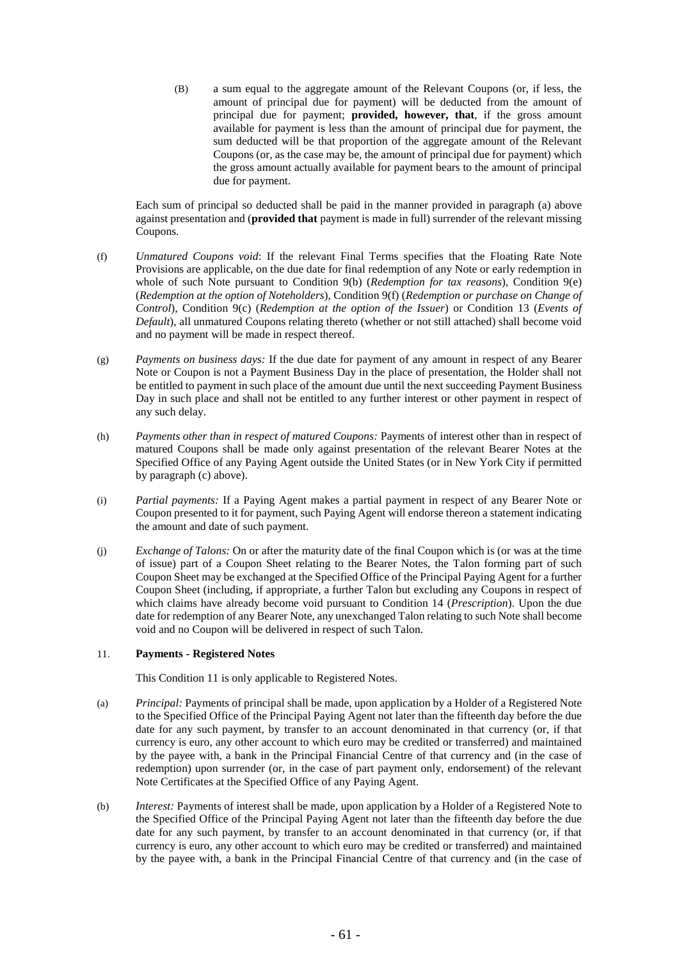(B) a sum equal to the aggregate amount of the Relevant Coupons (or, if less, the amount of principal due for payment) will be deducted from the amount of principal due for payment; **provided, however, that**, if the gross amount available for payment is less than the amount of principal due for payment, the sum deducted will be that proportion of the aggregate amount of the Relevant Coupons (or, as the case may be, the amount of principal due for payment) which the gross amount actually available for payment bears to the amount of principal due for payment.

Each sum of principal so deducted shall be paid in the manner provided in paragraph (a) above against presentation and (**provided that** payment is made in full) surrender of the relevant missing Coupons.

- (f) *Unmatured Coupons void*: If the relevant Final Terms specifies that the Floating Rate Note Provisions are applicable, on the due date for final redemption of any Note or early redemption in whole of such Note pursuant to Condition [9\(b\)](#page-55-0) (*Redemption for tax reasons*), Condition [9\(e\)](#page-57-0) (*Redemption at the option of Noteholders*), Condition 9(f) (*Redemption or purchase on Change of Control*), Condition [9\(c\)](#page-56-0) (*Redemption at the option of the Issuer*) or Condition [13](#page-63-0) (*Events of Default*), all unmatured Coupons relating thereto (whether or not still attached) shall become void and no payment will be made in respect thereof.
- (g) *Payments on business days:* If the due date for payment of any amount in respect of any Bearer Note or Coupon is not a Payment Business Day in the place of presentation, the Holder shall not be entitled to payment in such place of the amount due until the next succeeding Payment Business Day in such place and shall not be entitled to any further interest or other payment in respect of any such delay.
- (h) *Payments other than in respect of matured Coupons:* Payments of interest other than in respect of matured Coupons shall be made only against presentation of the relevant Bearer Notes at the Specified Office of any Paying Agent outside the United States (or in New York City if permitted by paragraph (c) above).
- (i) *Partial payments:* If a Paying Agent makes a partial payment in respect of any Bearer Note or Coupon presented to it for payment, such Paying Agent will endorse thereon a statement indicating the amount and date of such payment.
- (j) *Exchange of Talons:* On or after the maturity date of the final Coupon which is (or was at the time of issue) part of a Coupon Sheet relating to the Bearer Notes, the Talon forming part of such Coupon Sheet may be exchanged at the Specified Office of the Principal Paying Agent for a further Coupon Sheet (including, if appropriate, a further Talon but excluding any Coupons in respect of which claims have already become void pursuant to Condition [14](#page-64-0) (*Prescription*). Upon the due date for redemption of any Bearer Note, any unexchanged Talon relating to such Note shall become void and no Coupon will be delivered in respect of such Talon.

# <span id="page-61-0"></span>11. **Payments - Registered Notes**

This Condition [11](#page-61-0) is only applicable to Registered Notes.

- (a) *Principal:* Payments of principal shall be made, upon application by a Holder of a Registered Note to the Specified Office of the Principal Paying Agent not later than the fifteenth day before the due date for any such payment, by transfer to an account denominated in that currency (or, if that currency is euro, any other account to which euro may be credited or transferred) and maintained by the payee with, a bank in the Principal Financial Centre of that currency and (in the case of redemption) upon surrender (or, in the case of part payment only, endorsement) of the relevant Note Certificates at the Specified Office of any Paying Agent.
- (b) *Interest:* Payments of interest shall be made, upon application by a Holder of a Registered Note to the Specified Office of the Principal Paying Agent not later than the fifteenth day before the due date for any such payment, by transfer to an account denominated in that currency (or, if that currency is euro, any other account to which euro may be credited or transferred) and maintained by the payee with, a bank in the Principal Financial Centre of that currency and (in the case of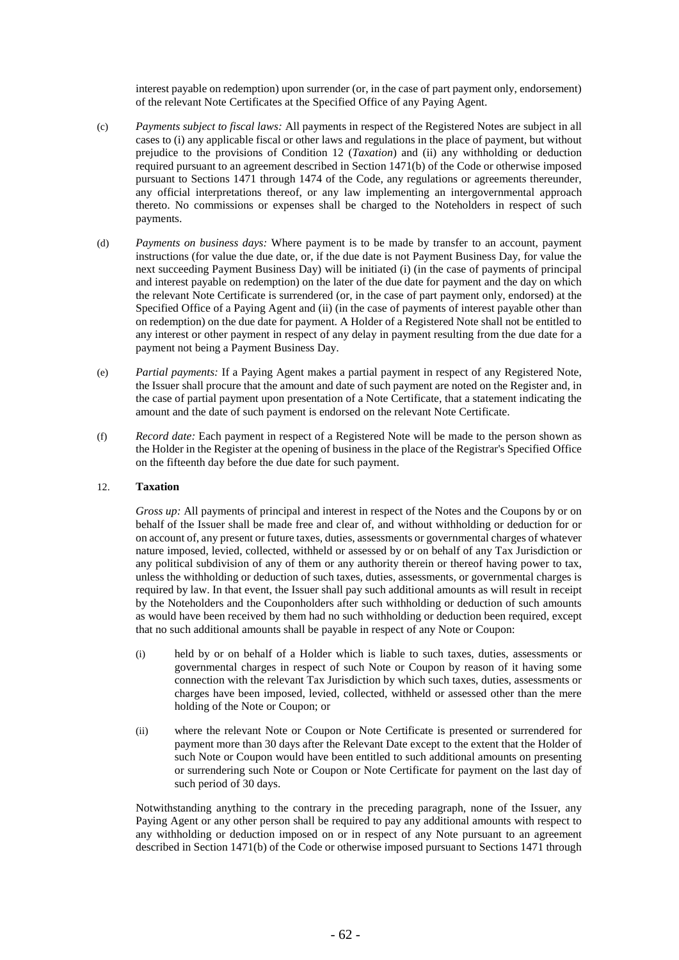interest payable on redemption) upon surrender (or, in the case of part payment only, endorsement) of the relevant Note Certificates at the Specified Office of any Paying Agent.

- (c) *Payments subject to fiscal laws:* All payments in respect of the Registered Notes are subject in all cases to (i) any applicable fiscal or other laws and regulations in the place of payment, but without prejudice to the provisions of Condition [12](#page-62-0) (*Taxation*) and (ii) any withholding or deduction required pursuant to an agreement described in Section 1471(b) of the Code or otherwise imposed pursuant to Sections 1471 through 1474 of the Code, any regulations or agreements thereunder, any official interpretations thereof, or any law implementing an intergovernmental approach thereto. No commissions or expenses shall be charged to the Noteholders in respect of such payments.
- (d) *Payments on business days:* Where payment is to be made by transfer to an account, payment instructions (for value the due date, or, if the due date is not Payment Business Day, for value the next succeeding Payment Business Day) will be initiated (i) (in the case of payments of principal and interest payable on redemption) on the later of the due date for payment and the day on which the relevant Note Certificate is surrendered (or, in the case of part payment only, endorsed) at the Specified Office of a Paying Agent and (ii) (in the case of payments of interest payable other than on redemption) on the due date for payment. A Holder of a Registered Note shall not be entitled to any interest or other payment in respect of any delay in payment resulting from the due date for a payment not being a Payment Business Day.
- (e) *Partial payments:* If a Paying Agent makes a partial payment in respect of any Registered Note, the Issuer shall procure that the amount and date of such payment are noted on the Register and, in the case of partial payment upon presentation of a Note Certificate, that a statement indicating the amount and the date of such payment is endorsed on the relevant Note Certificate.
- (f) *Record date:* Each payment in respect of a Registered Note will be made to the person shown as the Holder in the Register at the opening of business in the place of the Registrar's Specified Office on the fifteenth day before the due date for such payment.

# <span id="page-62-0"></span>12. **Taxation**

*Gross up:* All payments of principal and interest in respect of the Notes and the Coupons by or on behalf of the Issuer shall be made free and clear of, and without withholding or deduction for or on account of, any present or future taxes, duties, assessments or governmental charges of whatever nature imposed, levied, collected, withheld or assessed by or on behalf of any Tax Jurisdiction or any political subdivision of any of them or any authority therein or thereof having power to tax, unless the withholding or deduction of such taxes, duties, assessments, or governmental charges is required by law. In that event, the Issuer shall pay such additional amounts as will result in receipt by the Noteholders and the Couponholders after such withholding or deduction of such amounts as would have been received by them had no such withholding or deduction been required, except that no such additional amounts shall be payable in respect of any Note or Coupon:

- (i) held by or on behalf of a Holder which is liable to such taxes, duties, assessments or governmental charges in respect of such Note or Coupon by reason of it having some connection with the relevant Tax Jurisdiction by which such taxes, duties, assessments or charges have been imposed, levied, collected, withheld or assessed other than the mere holding of the Note or Coupon; or
- (ii) where the relevant Note or Coupon or Note Certificate is presented or surrendered for payment more than 30 days after the Relevant Date except to the extent that the Holder of such Note or Coupon would have been entitled to such additional amounts on presenting or surrendering such Note or Coupon or Note Certificate for payment on the last day of such period of 30 days.

Notwithstanding anything to the contrary in the preceding paragraph, none of the Issuer, any Paying Agent or any other person shall be required to pay any additional amounts with respect to any withholding or deduction imposed on or in respect of any Note pursuant to an agreement described in Section 1471(b) of the Code or otherwise imposed pursuant to Sections 1471 through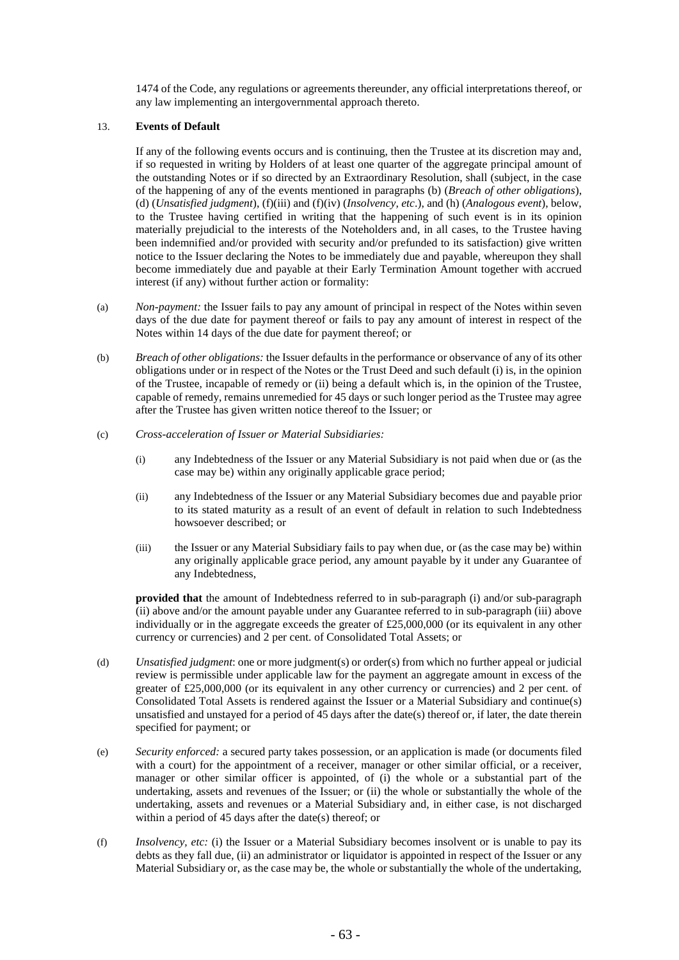1474 of the Code, any regulations or agreements thereunder, any official interpretations thereof, or any law implementing an intergovernmental approach thereto.

# <span id="page-63-0"></span>13. **Events of Default**

If any of the following events occurs and is continuing, then the Trustee at its discretion may and, if so requested in writing by Holders of at least one quarter of the aggregate principal amount of the outstanding Notes or if so directed by an Extraordinary Resolution, shall (subject, in the case of the happening of any of the events mentioned in paragraphs (b) (*Breach of other obligations*), (d) (*Unsatisfied judgment*), (f)(iii) and (f)(iv) (*Insolvency, etc*.), and (h) (*Analogous event*), below, to the Trustee having certified in writing that the happening of such event is in its opinion materially prejudicial to the interests of the Noteholders and, in all cases, to the Trustee having been indemnified and/or provided with security and/or prefunded to its satisfaction) give written notice to the Issuer declaring the Notes to be immediately due and payable, whereupon they shall become immediately due and payable at their Early Termination Amount together with accrued interest (if any) without further action or formality:

- (a) *Non-payment:* the Issuer fails to pay any amount of principal in respect of the Notes within seven days of the due date for payment thereof or fails to pay any amount of interest in respect of the Notes within 14 days of the due date for payment thereof; or
- (b) *Breach of other obligations:* the Issuer defaults in the performance or observance of any of its other obligations under or in respect of the Notes or the Trust Deed and such default (i) is, in the opinion of the Trustee, incapable of remedy or (ii) being a default which is, in the opinion of the Trustee, capable of remedy, remains unremedied for 45 days or such longer period as the Trustee may agree after the Trustee has given written notice thereof to the Issuer; or
- <span id="page-63-1"></span>(c) *Cross-acceleration of Issuer or Material Subsidiaries:*
	- (i) any Indebtedness of the Issuer or any Material Subsidiary is not paid when due or (as the case may be) within any originally applicable grace period;
	- (ii) any Indebtedness of the Issuer or any Material Subsidiary becomes due and payable prior to its stated maturity as a result of an event of default in relation to such Indebtedness howsoever described; or
	- (iii) the Issuer or any Material Subsidiary fails to pay when due, or (as the case may be) within any originally applicable grace period, any amount payable by it under any Guarantee of any Indebtedness,

**provided that** the amount of Indebtedness referred to in sub-paragraph (i) and/or sub-paragraph (ii) above and/or the amount payable under any Guarantee referred to in sub-paragraph (iii) above individually or in the aggregate exceeds the greater of  $£25,000,000$  (or its equivalent in any other currency or currencies) and 2 per cent. of Consolidated Total Assets; or

- <span id="page-63-2"></span>(d) *Unsatisfied judgment*: one or more judgment(s) or order(s) from which no further appeal or judicial review is permissible under applicable law for the payment an aggregate amount in excess of the greater of £25,000,000 (or its equivalent in any other currency or currencies) and 2 per cent. of Consolidated Total Assets is rendered against the Issuer or a Material Subsidiary and continue(s) unsatisfied and unstayed for a period of 45 days after the date(s) thereof or, if later, the date therein specified for payment; or
- (e) *Security enforced:* a secured party takes possession, or an application is made (or documents filed with a court) for the appointment of a receiver, manager or other similar official, or a receiver, manager or other similar officer is appointed, of (i) the whole or a substantial part of the undertaking, assets and revenues of the Issuer; or (ii) the whole or substantially the whole of the undertaking, assets and revenues or a Material Subsidiary and, in either case, is not discharged within a period of 45 days after the date(s) thereof; or
- (f) *Insolvency, etc:* (i) the Issuer or a Material Subsidiary becomes insolvent or is unable to pay its debts as they fall due, (ii) an administrator or liquidator is appointed in respect of the Issuer or any Material Subsidiary or, as the case may be, the whole or substantially the whole of the undertaking,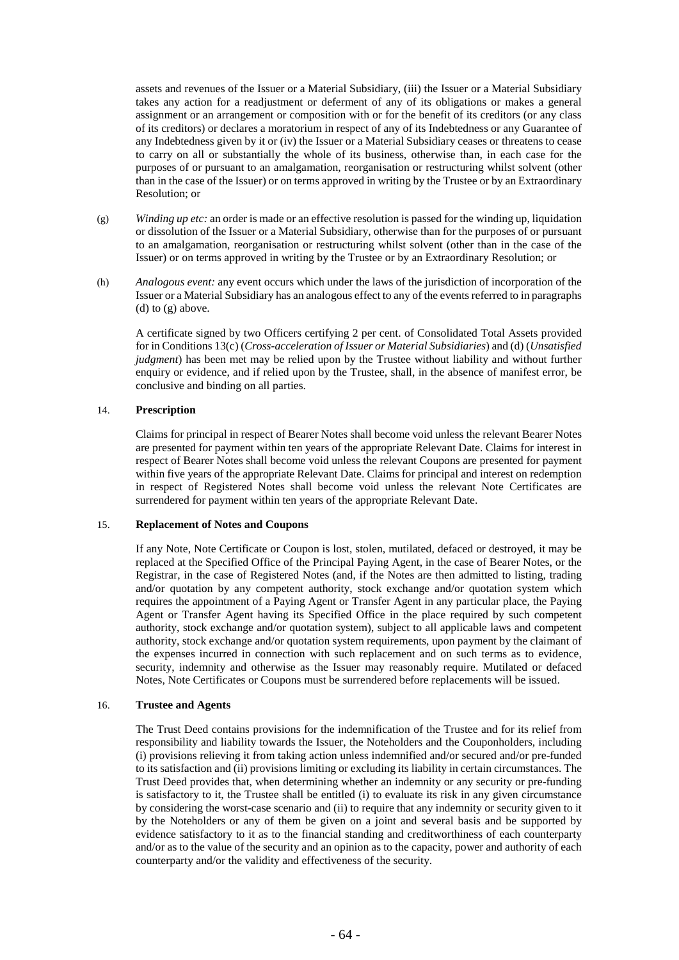assets and revenues of the Issuer or a Material Subsidiary, (iii) the Issuer or a Material Subsidiary takes any action for a readjustment or deferment of any of its obligations or makes a general assignment or an arrangement or composition with or for the benefit of its creditors (or any class of its creditors) or declares a moratorium in respect of any of its Indebtedness or any Guarantee of any Indebtedness given by it or (iv) the Issuer or a Material Subsidiary ceases or threatens to cease to carry on all or substantially the whole of its business, otherwise than, in each case for the purposes of or pursuant to an amalgamation, reorganisation or restructuring whilst solvent (other than in the case of the Issuer) or on terms approved in writing by the Trustee or by an Extraordinary Resolution; or

- (g) *Winding up etc:* an order is made or an effective resolution is passed for the winding up, liquidation or dissolution of the Issuer or a Material Subsidiary, otherwise than for the purposes of or pursuant to an amalgamation, reorganisation or restructuring whilst solvent (other than in the case of the Issuer) or on terms approved in writing by the Trustee or by an Extraordinary Resolution; or
- (h) *Analogous event:* any event occurs which under the laws of the jurisdiction of incorporation of the Issuer or a Material Subsidiary has an analogous effect to any of the events referred to in paragraphs (d) to  $(g)$  above.

A certificate signed by two Officers certifying 2 per cent. of Consolidated Total Assets provided for in Condition[s 13](#page-63-0)[\(c\)](#page-63-1) (*Cross-acceleration of Issuer or Material Subsidiaries*) and [\(d\)](#page-63-2) (*Unsatisfied judgment*) has been met may be relied upon by the Trustee without liability and without further enquiry or evidence, and if relied upon by the Trustee, shall, in the absence of manifest error, be conclusive and binding on all parties.

# <span id="page-64-0"></span>14. **Prescription**

Claims for principal in respect of Bearer Notes shall become void unless the relevant Bearer Notes are presented for payment within ten years of the appropriate Relevant Date. Claims for interest in respect of Bearer Notes shall become void unless the relevant Coupons are presented for payment within five years of the appropriate Relevant Date. Claims for principal and interest on redemption in respect of Registered Notes shall become void unless the relevant Note Certificates are surrendered for payment within ten years of the appropriate Relevant Date.

#### 15. **Replacement of Notes and Coupons**

If any Note, Note Certificate or Coupon is lost, stolen, mutilated, defaced or destroyed, it may be replaced at the Specified Office of the Principal Paying Agent, in the case of Bearer Notes, or the Registrar, in the case of Registered Notes (and, if the Notes are then admitted to listing, trading and/or quotation by any competent authority, stock exchange and/or quotation system which requires the appointment of a Paying Agent or Transfer Agent in any particular place, the Paying Agent or Transfer Agent having its Specified Office in the place required by such competent authority, stock exchange and/or quotation system), subject to all applicable laws and competent authority, stock exchange and/or quotation system requirements, upon payment by the claimant of the expenses incurred in connection with such replacement and on such terms as to evidence, security, indemnity and otherwise as the Issuer may reasonably require. Mutilated or defaced Notes, Note Certificates or Coupons must be surrendered before replacements will be issued.

# 16. **Trustee and Agents**

The Trust Deed contains provisions for the indemnification of the Trustee and for its relief from responsibility and liability towards the Issuer, the Noteholders and the Couponholders, including (i) provisions relieving it from taking action unless indemnified and/or secured and/or pre-funded to its satisfaction and (ii) provisions limiting or excluding its liability in certain circumstances. The Trust Deed provides that, when determining whether an indemnity or any security or pre-funding is satisfactory to it, the Trustee shall be entitled (i) to evaluate its risk in any given circumstance by considering the worst-case scenario and (ii) to require that any indemnity or security given to it by the Noteholders or any of them be given on a joint and several basis and be supported by evidence satisfactory to it as to the financial standing and creditworthiness of each counterparty and/or as to the value of the security and an opinion as to the capacity, power and authority of each counterparty and/or the validity and effectiveness of the security.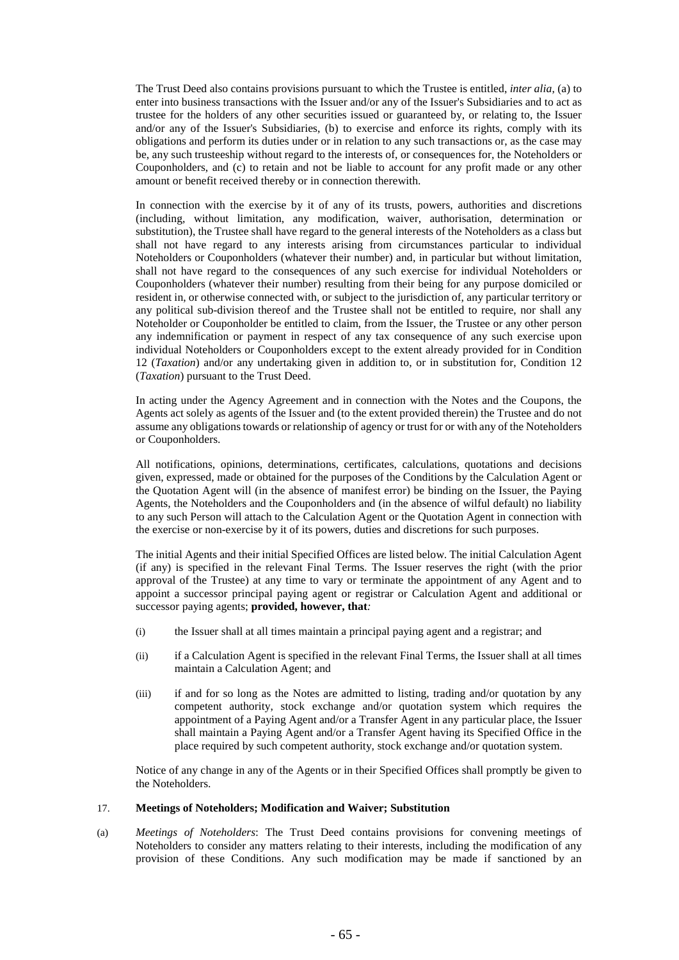The Trust Deed also contains provisions pursuant to which the Trustee is entitled, *inter alia*, (a) to enter into business transactions with the Issuer and/or any of the Issuer's Subsidiaries and to act as trustee for the holders of any other securities issued or guaranteed by, or relating to, the Issuer and/or any of the Issuer's Subsidiaries, (b) to exercise and enforce its rights, comply with its obligations and perform its duties under or in relation to any such transactions or, as the case may be, any such trusteeship without regard to the interests of, or consequences for, the Noteholders or Couponholders, and (c) to retain and not be liable to account for any profit made or any other amount or benefit received thereby or in connection therewith.

In connection with the exercise by it of any of its trusts, powers, authorities and discretions (including, without limitation, any modification, waiver, authorisation, determination or substitution), the Trustee shall have regard to the general interests of the Noteholders as a class but shall not have regard to any interests arising from circumstances particular to individual Noteholders or Couponholders (whatever their number) and, in particular but without limitation, shall not have regard to the consequences of any such exercise for individual Noteholders or Couponholders (whatever their number) resulting from their being for any purpose domiciled or resident in, or otherwise connected with, or subject to the jurisdiction of, any particular territory or any political sub-division thereof and the Trustee shall not be entitled to require, nor shall any Noteholder or Couponholder be entitled to claim, from the Issuer, the Trustee or any other person any indemnification or payment in respect of any tax consequence of any such exercise upon individual Noteholders or Couponholders except to the extent already provided for in Condition [12](#page-62-0) (*Taxation*) and/or any undertaking given in addition to, or in substitution for, Condition [12](#page-62-0) (*Taxation*) pursuant to the Trust Deed.

In acting under the Agency Agreement and in connection with the Notes and the Coupons, the Agents act solely as agents of the Issuer and (to the extent provided therein) the Trustee and do not assume any obligations towards or relationship of agency or trust for or with any of the Noteholders or Couponholders.

All notifications, opinions, determinations, certificates, calculations, quotations and decisions given, expressed, made or obtained for the purposes of the Conditions by the Calculation Agent or the Quotation Agent will (in the absence of manifest error) be binding on the Issuer, the Paying Agents, the Noteholders and the Couponholders and (in the absence of wilful default) no liability to any such Person will attach to the Calculation Agent or the Quotation Agent in connection with the exercise or non-exercise by it of its powers, duties and discretions for such purposes.

The initial Agents and their initial Specified Offices are listed below. The initial Calculation Agent (if any) is specified in the relevant Final Terms. The Issuer reserves the right (with the prior approval of the Trustee) at any time to vary or terminate the appointment of any Agent and to appoint a successor principal paying agent or registrar or Calculation Agent and additional or successor paying agents; **provided, however, that***:*

- (i) the Issuer shall at all times maintain a principal paying agent and a registrar; and
- (ii) if a Calculation Agent is specified in the relevant Final Terms, the Issuer shall at all times maintain a Calculation Agent; and
- (iii) if and for so long as the Notes are admitted to listing, trading and/or quotation by any competent authority, stock exchange and/or quotation system which requires the appointment of a Paying Agent and/or a Transfer Agent in any particular place, the Issuer shall maintain a Paying Agent and/or a Transfer Agent having its Specified Office in the place required by such competent authority, stock exchange and/or quotation system.

Notice of any change in any of the Agents or in their Specified Offices shall promptly be given to the Noteholders.

## <span id="page-65-0"></span>17. **Meetings of Noteholders; Modification and Waiver; Substitution**

(a) *Meetings of Noteholders*: The Trust Deed contains provisions for convening meetings of Noteholders to consider any matters relating to their interests, including the modification of any provision of these Conditions. Any such modification may be made if sanctioned by an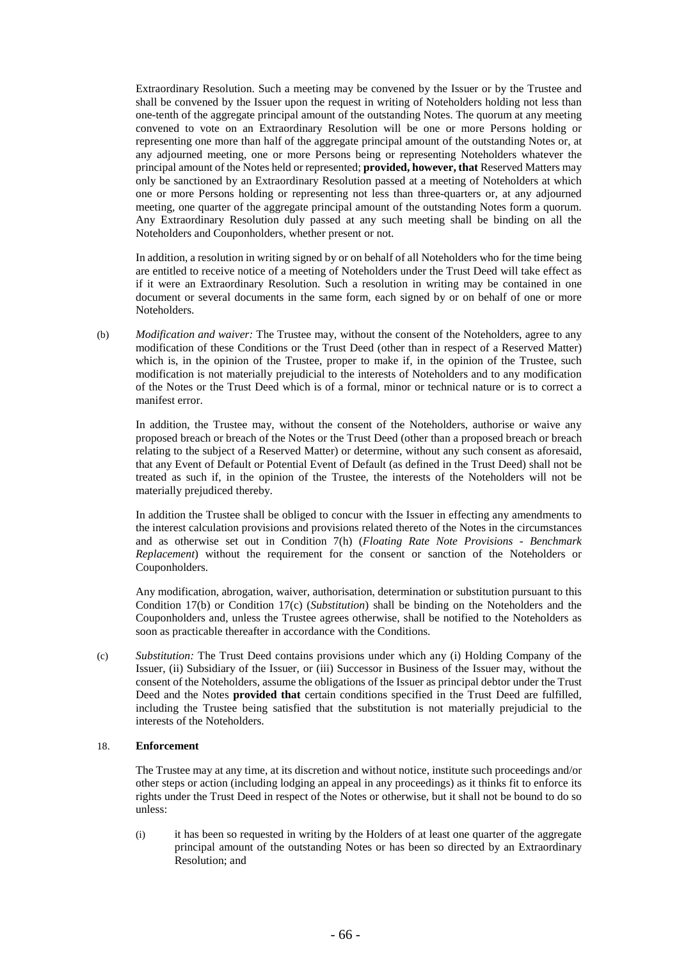Extraordinary Resolution. Such a meeting may be convened by the Issuer or by the Trustee and shall be convened by the Issuer upon the request in writing of Noteholders holding not less than one-tenth of the aggregate principal amount of the outstanding Notes. The quorum at any meeting convened to vote on an Extraordinary Resolution will be one or more Persons holding or representing one more than half of the aggregate principal amount of the outstanding Notes or, at any adjourned meeting, one or more Persons being or representing Noteholders whatever the principal amount of the Notes held or represented; **provided, however, that** Reserved Matters may only be sanctioned by an Extraordinary Resolution passed at a meeting of Noteholders at which one or more Persons holding or representing not less than three-quarters or, at any adjourned meeting, one quarter of the aggregate principal amount of the outstanding Notes form a quorum. Any Extraordinary Resolution duly passed at any such meeting shall be binding on all the Noteholders and Couponholders, whether present or not.

In addition, a resolution in writing signed by or on behalf of all Noteholders who for the time being are entitled to receive notice of a meeting of Noteholders under the Trust Deed will take effect as if it were an Extraordinary Resolution. Such a resolution in writing may be contained in one document or several documents in the same form, each signed by or on behalf of one or more Noteholders.

<span id="page-66-0"></span>(b) *Modification and waiver:* The Trustee may, without the consent of the Noteholders, agree to any modification of these Conditions or the Trust Deed (other than in respect of a Reserved Matter) which is, in the opinion of the Trustee, proper to make if, in the opinion of the Trustee, such modification is not materially prejudicial to the interests of Noteholders and to any modification of the Notes or the Trust Deed which is of a formal, minor or technical nature or is to correct a manifest error.

In addition, the Trustee may, without the consent of the Noteholders, authorise or waive any proposed breach or breach of the Notes or the Trust Deed (other than a proposed breach or breach relating to the subject of a Reserved Matter) or determine, without any such consent as aforesaid, that any Event of Default or Potential Event of Default (as defined in the Trust Deed) shall not be treated as such if, in the opinion of the Trustee, the interests of the Noteholders will not be materially prejudiced thereby.

In addition the Trustee shall be obliged to concur with the Issuer in effecting any amendments to the interest calculation provisions and provisions related thereto of the Notes in the circumstances and as otherwise set out in Condition 7(h) (*Floating Rate Note Provisions - Benchmark Replacement*) without the requirement for the consent or sanction of the Noteholders or Couponholders.

Any modification, abrogation, waiver, authorisation, determination or substitution pursuant to this Condition [17](#page-65-0)[\(b\)](#page-66-0) or Condition [17](#page-65-0)[\(c\)](#page-66-1) (*Substitution*) shall be binding on the Noteholders and the Couponholders and, unless the Trustee agrees otherwise, shall be notified to the Noteholders as soon as practicable thereafter in accordance with the Conditions.

<span id="page-66-1"></span>(c) *Substitution:* The Trust Deed contains provisions under which any (i) Holding Company of the Issuer, (ii) Subsidiary of the Issuer, or (iii) Successor in Business of the Issuer may, without the consent of the Noteholders, assume the obligations of the Issuer as principal debtor under the Trust Deed and the Notes **provided that** certain conditions specified in the Trust Deed are fulfilled, including the Trustee being satisfied that the substitution is not materially prejudicial to the interests of the Noteholders.

# 18. **Enforcement**

The Trustee may at any time, at its discretion and without notice, institute such proceedings and/or other steps or action (including lodging an appeal in any proceedings) as it thinks fit to enforce its rights under the Trust Deed in respect of the Notes or otherwise, but it shall not be bound to do so unless:

(i) it has been so requested in writing by the Holders of at least one quarter of the aggregate principal amount of the outstanding Notes or has been so directed by an Extraordinary Resolution; and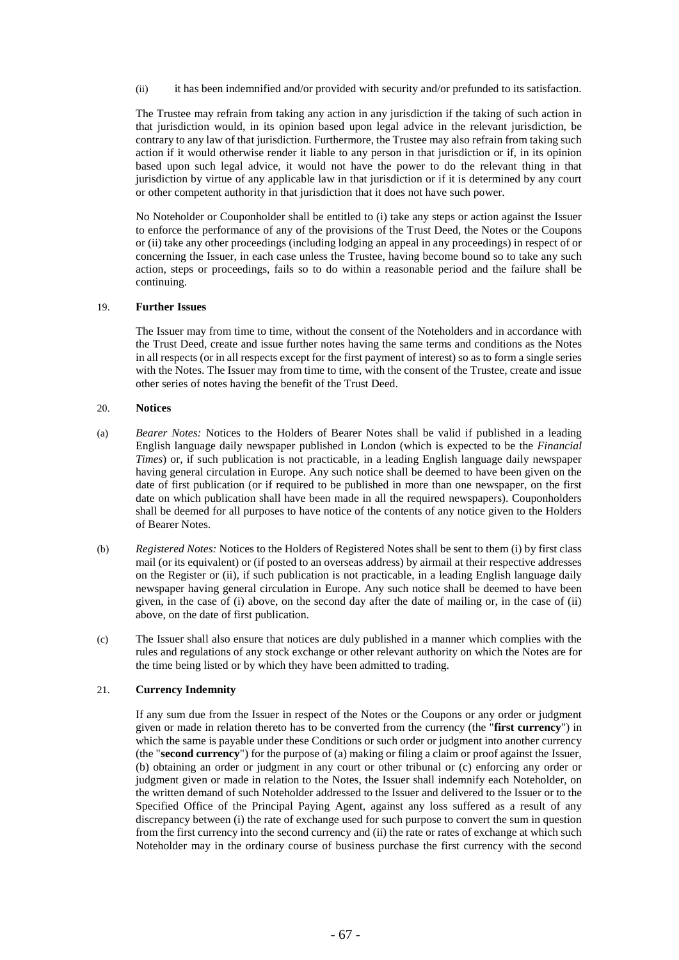(ii) it has been indemnified and/or provided with security and/or prefunded to its satisfaction.

The Trustee may refrain from taking any action in any jurisdiction if the taking of such action in that jurisdiction would, in its opinion based upon legal advice in the relevant jurisdiction, be contrary to any law of that jurisdiction. Furthermore, the Trustee may also refrain from taking such action if it would otherwise render it liable to any person in that jurisdiction or if, in its opinion based upon such legal advice, it would not have the power to do the relevant thing in that jurisdiction by virtue of any applicable law in that jurisdiction or if it is determined by any court or other competent authority in that jurisdiction that it does not have such power.

No Noteholder or Couponholder shall be entitled to (i) take any steps or action against the Issuer to enforce the performance of any of the provisions of the Trust Deed, the Notes or the Coupons or (ii) take any other proceedings (including lodging an appeal in any proceedings) in respect of or concerning the Issuer, in each case unless the Trustee, having become bound so to take any such action, steps or proceedings, fails so to do within a reasonable period and the failure shall be continuing.

### 19. **Further Issues**

The Issuer may from time to time, without the consent of the Noteholders and in accordance with the Trust Deed, create and issue further notes having the same terms and conditions as the Notes in all respects (or in all respects except for the first payment of interest) so as to form a single series with the Notes. The Issuer may from time to time, with the consent of the Trustee, create and issue other series of notes having the benefit of the Trust Deed.

#### <span id="page-67-0"></span>20. **Notices**

- (a) *Bearer Notes:* Notices to the Holders of Bearer Notes shall be valid if published in a leading English language daily newspaper published in London (which is expected to be the *Financial Times*) or, if such publication is not practicable, in a leading English language daily newspaper having general circulation in Europe. Any such notice shall be deemed to have been given on the date of first publication (or if required to be published in more than one newspaper, on the first date on which publication shall have been made in all the required newspapers). Couponholders shall be deemed for all purposes to have notice of the contents of any notice given to the Holders of Bearer Notes.
- (b) *Registered Notes:* Notices to the Holders of Registered Notes shall be sent to them (i) by first class mail (or its equivalent) or (if posted to an overseas address) by airmail at their respective addresses on the Register or (ii), if such publication is not practicable, in a leading English language daily newspaper having general circulation in Europe. Any such notice shall be deemed to have been given, in the case of (i) above, on the second day after the date of mailing or, in the case of (ii) above, on the date of first publication.
- (c) The Issuer shall also ensure that notices are duly published in a manner which complies with the rules and regulations of any stock exchange or other relevant authority on which the Notes are for the time being listed or by which they have been admitted to trading.

# 21. **Currency Indemnity**

If any sum due from the Issuer in respect of the Notes or the Coupons or any order or judgment given or made in relation thereto has to be converted from the currency (the "**first currency**") in which the same is payable under these Conditions or such order or judgment into another currency (the "**second currency**") for the purpose of (a) making or filing a claim or proof against the Issuer, (b) obtaining an order or judgment in any court or other tribunal or (c) enforcing any order or judgment given or made in relation to the Notes, the Issuer shall indemnify each Noteholder, on the written demand of such Noteholder addressed to the Issuer and delivered to the Issuer or to the Specified Office of the Principal Paying Agent, against any loss suffered as a result of any discrepancy between (i) the rate of exchange used for such purpose to convert the sum in question from the first currency into the second currency and (ii) the rate or rates of exchange at which such Noteholder may in the ordinary course of business purchase the first currency with the second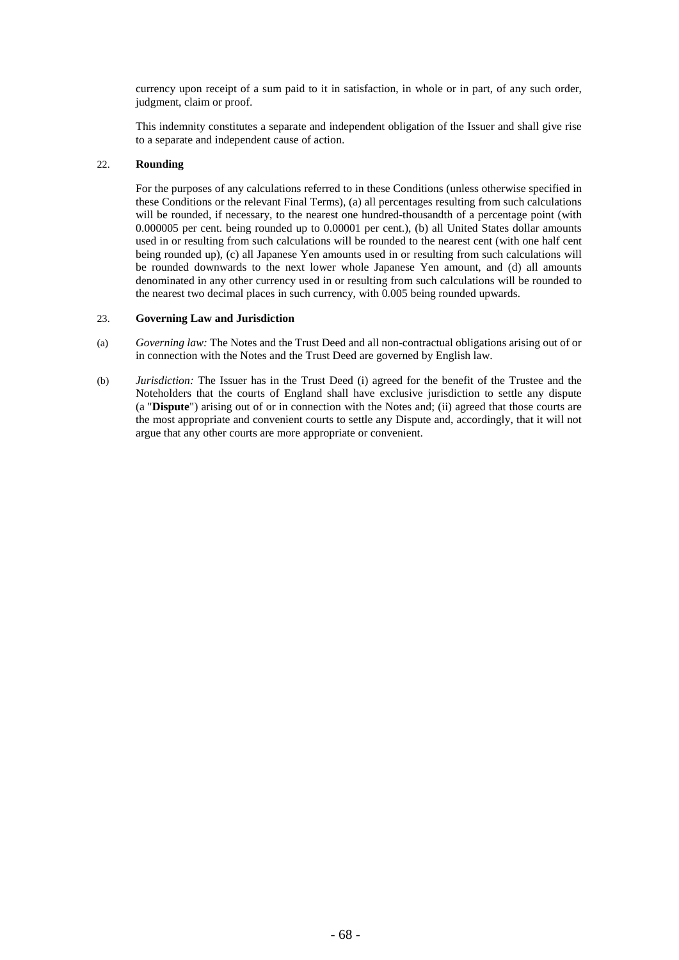currency upon receipt of a sum paid to it in satisfaction, in whole or in part, of any such order, judgment, claim or proof.

This indemnity constitutes a separate and independent obligation of the Issuer and shall give rise to a separate and independent cause of action.

## 22. **Rounding**

For the purposes of any calculations referred to in these Conditions (unless otherwise specified in these Conditions or the relevant Final Terms), (a) all percentages resulting from such calculations will be rounded, if necessary, to the nearest one hundred-thousandth of a percentage point (with 0.000005 per cent. being rounded up to 0.00001 per cent.), (b) all United States dollar amounts used in or resulting from such calculations will be rounded to the nearest cent (with one half cent being rounded up), (c) all Japanese Yen amounts used in or resulting from such calculations will be rounded downwards to the next lower whole Japanese Yen amount, and (d) all amounts denominated in any other currency used in or resulting from such calculations will be rounded to the nearest two decimal places in such currency, with 0.005 being rounded upwards.

#### 23. **Governing Law and Jurisdiction**

- (a) *Governing law:* The Notes and the Trust Deed and all non-contractual obligations arising out of or in connection with the Notes and the Trust Deed are governed by English law.
- (b) *Jurisdiction:* The Issuer has in the Trust Deed (i) agreed for the benefit of the Trustee and the Noteholders that the courts of England shall have exclusive jurisdiction to settle any dispute (a "**Dispute**") arising out of or in connection with the Notes and; (ii) agreed that those courts are the most appropriate and convenient courts to settle any Dispute and, accordingly, that it will not argue that any other courts are more appropriate or convenient.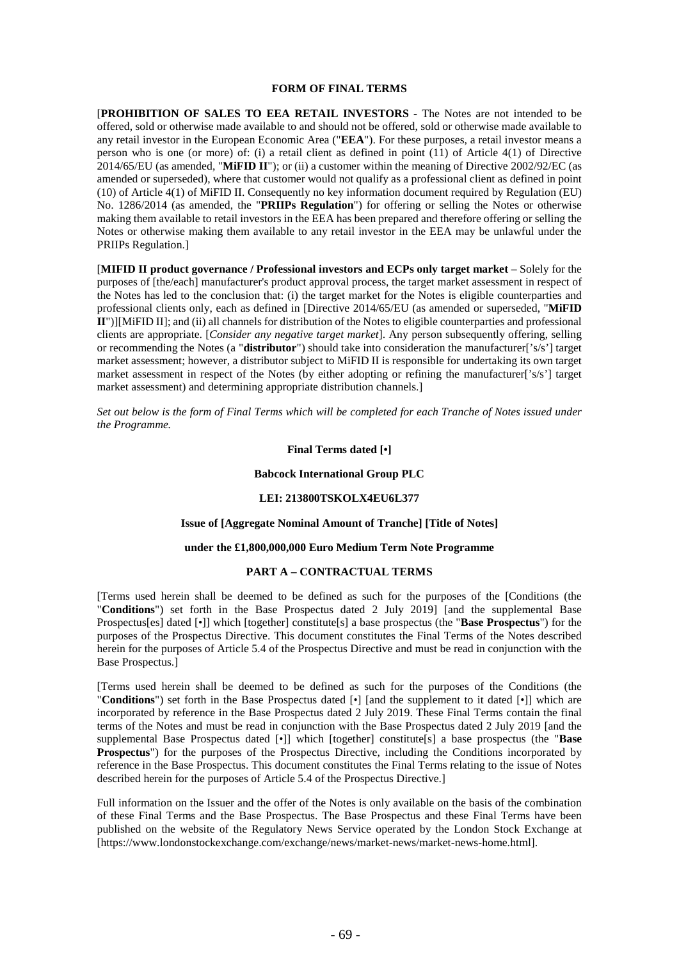#### **FORM OF FINAL TERMS**

[**PROHIBITION OF SALES TO EEA RETAIL INVESTORS -** The Notes are not intended to be offered, sold or otherwise made available to and should not be offered, sold or otherwise made available to any retail investor in the European Economic Area ("**EEA**"). For these purposes, a retail investor means a person who is one (or more) of: (i) a retail client as defined in point (11) of Article 4(1) of Directive 2014/65/EU (as amended, "**MiFID II**"); or (ii) a customer within the meaning of Directive 2002/92/EC (as amended or superseded), where that customer would not qualify as a professional client as defined in point (10) of Article 4(1) of MiFID II. Consequently no key information document required by Regulation (EU) No. 1286/2014 (as amended, the "**PRIIPs Regulation**") for offering or selling the Notes or otherwise making them available to retail investors in the EEA has been prepared and therefore offering or selling the Notes or otherwise making them available to any retail investor in the EEA may be unlawful under the PRIIPs Regulation.]

[**MIFID II product governance / Professional investors and ECPs only target market** – Solely for the purposes of [the/each] manufacturer's product approval process, the target market assessment in respect of the Notes has led to the conclusion that: (i) the target market for the Notes is eligible counterparties and professional clients only, each as defined in [Directive 2014/65/EU (as amended or superseded, "**MiFID II**")][MiFID II]; and (ii) all channels for distribution of the Notes to eligible counterparties and professional clients are appropriate. [*Consider any negative target market*]. Any person subsequently offering, selling or recommending the Notes (a "**distributor**") should take into consideration the manufacturer['s/s'] target market assessment; however, a distributor subject to MiFID II is responsible for undertaking its own target market assessment in respect of the Notes (by either adopting or refining the manufacturer['s/s'] target market assessment) and determining appropriate distribution channels.]

*Set out below is the form of Final Terms which will be completed for each Tranche of Notes issued under the Programme.*

# **Final Terms dated [•]**

#### **Babcock International Group PLC**

#### **LEI: 213800TSKOLX4EU6L377**

## **Issue of [Aggregate Nominal Amount of Tranche] [Title of Notes]**

#### **under the £1,800,000,000 Euro Medium Term Note Programme**

#### **PART A – CONTRACTUAL TERMS**

[Terms used herein shall be deemed to be defined as such for the purposes of the [Conditions (the "**Conditions**") set forth in the Base Prospectus dated 2 July 2019] [and the supplemental Base Prospectus[es] dated [•]] which [together] constitute[s] a base prospectus (the "**Base Prospectus**") for the purposes of the Prospectus Directive. This document constitutes the Final Terms of the Notes described herein for the purposes of Article 5.4 of the Prospectus Directive and must be read in conjunction with the Base Prospectus.]

[Terms used herein shall be deemed to be defined as such for the purposes of the Conditions (the "**Conditions**") set forth in the Base Prospectus dated [•] [and the supplement to it dated [•]] which are incorporated by reference in the Base Prospectus dated 2 July 2019. These Final Terms contain the final terms of the Notes and must be read in conjunction with the Base Prospectus dated 2 July 2019 [and the supplemental Base Prospectus dated [•]] which [together] constitute[s] a base prospectus (the "**Base Prospectus**") for the purposes of the Prospectus Directive, including the Conditions incorporated by reference in the Base Prospectus. This document constitutes the Final Terms relating to the issue of Notes described herein for the purposes of Article 5.4 of the Prospectus Directive.]

Full information on the Issuer and the offer of the Notes is only available on the basis of the combination of these Final Terms and the Base Prospectus. The Base Prospectus and these Final Terms have been published on the website of the Regulatory News Service operated by the London Stock Exchange at [https://www.londonstockexchange.com/exchange/news/market-news/market-news-home.html].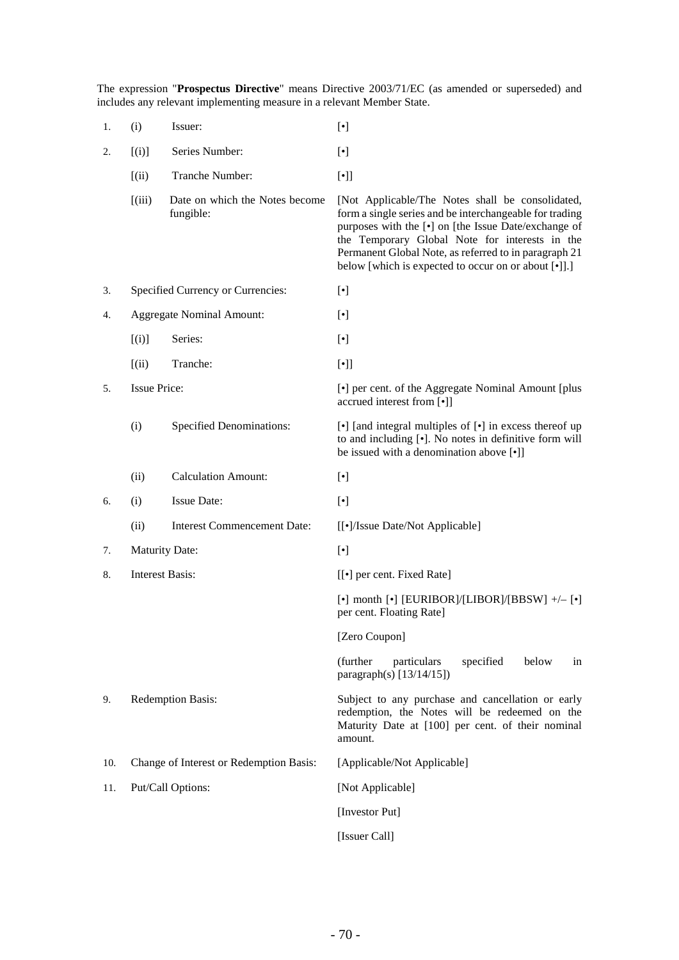The expression "**Prospectus Directive**" means Directive 2003/71/EC (as amended or superseded) and includes any relevant implementing measure in a relevant Member State.

| 1.  | (i)                                     | Issuer:                                     | $[\cdot]$                                                                                                                                                                                                                                                                                                                                        |
|-----|-----------------------------------------|---------------------------------------------|--------------------------------------------------------------------------------------------------------------------------------------------------------------------------------------------------------------------------------------------------------------------------------------------------------------------------------------------------|
| 2.  | [(i)]                                   | Series Number:                              | $[\cdot]$                                                                                                                                                                                                                                                                                                                                        |
|     | (iii)                                   | Tranche Number:                             | $[\cdot]$                                                                                                                                                                                                                                                                                                                                        |
|     | (iii)                                   | Date on which the Notes become<br>fungible: | [Not Applicable/The Notes shall be consolidated,<br>form a single series and be interchangeable for trading<br>purposes with the [ $\bullet$ ] on [the Issue Date/exchange of<br>the Temporary Global Note for interests in the<br>Permanent Global Note, as referred to in paragraph 21<br>below [which is expected to occur on or about [•]].] |
| 3.  | Specified Currency or Currencies:       |                                             | $[\bullet]$                                                                                                                                                                                                                                                                                                                                      |
| 4.  | <b>Aggregate Nominal Amount:</b>        |                                             | $[\cdot]$                                                                                                                                                                                                                                                                                                                                        |
|     | [(i)]                                   | Series:                                     | $[\cdot]$                                                                                                                                                                                                                                                                                                                                        |
|     | (iii)                                   | Tranche:                                    | $[\cdot]$                                                                                                                                                                                                                                                                                                                                        |
| 5.  | <b>Issue Price:</b>                     |                                             | [ $\bullet$ ] per cent. of the Aggregate Nominal Amount [plus<br>accrued interest from [•]]                                                                                                                                                                                                                                                      |
|     | (i)                                     | <b>Specified Denominations:</b>             | $[\bullet]$ [and integral multiples of $[\bullet]$ in excess thereof up<br>to and including [.]. No notes in definitive form will<br>be issued with a denomination above [•]]                                                                                                                                                                    |
|     | (ii)                                    | <b>Calculation Amount:</b>                  | $[\cdot]$                                                                                                                                                                                                                                                                                                                                        |
| 6.  | (i)                                     | <b>Issue Date:</b>                          | $[\cdot]$                                                                                                                                                                                                                                                                                                                                        |
|     | (ii)                                    | <b>Interest Commencement Date:</b>          | [[•]/Issue Date/Not Applicable]                                                                                                                                                                                                                                                                                                                  |
| 7.  | Maturity Date:                          |                                             | $[\cdot]$                                                                                                                                                                                                                                                                                                                                        |
| 8.  | <b>Interest Basis:</b>                  |                                             | [[ $\bullet$ ] per cent. Fixed Rate]                                                                                                                                                                                                                                                                                                             |
|     |                                         |                                             | $[\cdot]$ month $[\cdot]$ [EURIBOR]/[LIBOR]/[BBSW] +/- $[\cdot]$<br>per cent. Floating Rate]                                                                                                                                                                                                                                                     |
|     |                                         |                                             | [Zero Coupon]                                                                                                                                                                                                                                                                                                                                    |
|     |                                         |                                             | (further<br>below<br>particulars<br>specified<br>in<br>paragraph(s) $[13/14/15]$ )                                                                                                                                                                                                                                                               |
| 9.  | Redemption Basis:                       |                                             | Subject to any purchase and cancellation or early<br>redemption, the Notes will be redeemed on the<br>Maturity Date at [100] per cent. of their nominal<br>amount.                                                                                                                                                                               |
| 10. | Change of Interest or Redemption Basis: |                                             | [Applicable/Not Applicable]                                                                                                                                                                                                                                                                                                                      |
| 11. | Put/Call Options:                       |                                             | [Not Applicable]                                                                                                                                                                                                                                                                                                                                 |
|     |                                         |                                             | [Investor Put]                                                                                                                                                                                                                                                                                                                                   |
|     |                                         |                                             | [Issuer Call]                                                                                                                                                                                                                                                                                                                                    |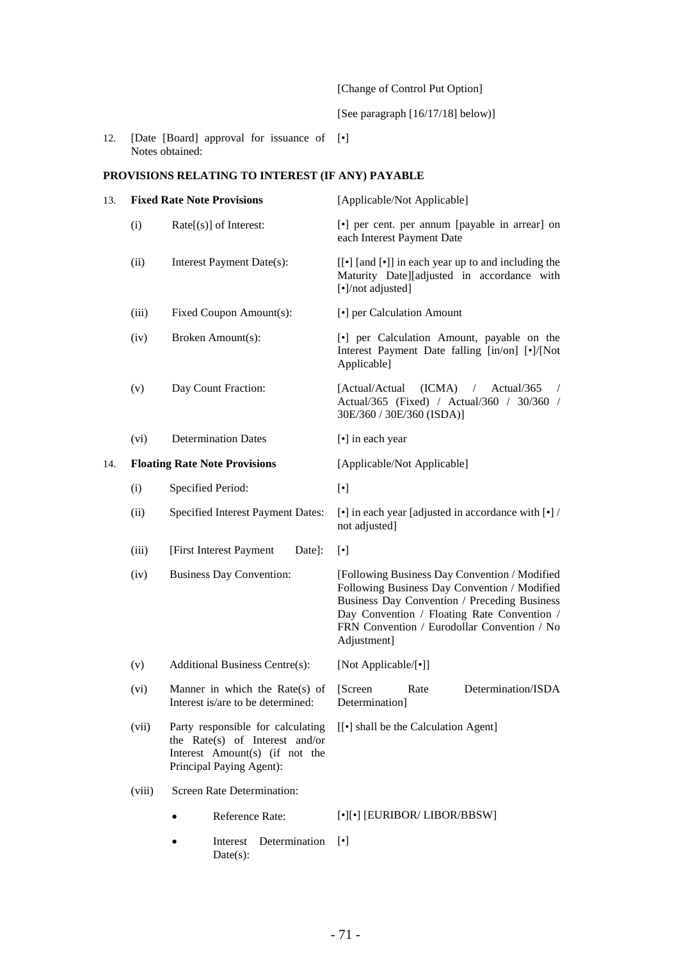[Change of Control Put Option]

[See paragraph [16/17/18] below)]

12. [Date [Board] approval for issuance of Notes obtained: [•]

# **PROVISIONS RELATING TO INTEREST (IF ANY) PAYABLE**

| 13. | <b>Fixed Rate Note Provisions</b>    |                                                                                                                                   | [Applicable/Not Applicable]                                                                                                                                                                                                                                |
|-----|--------------------------------------|-----------------------------------------------------------------------------------------------------------------------------------|------------------------------------------------------------------------------------------------------------------------------------------------------------------------------------------------------------------------------------------------------------|
|     | (i)                                  | $Rate[s]$ of Interest:                                                                                                            | [•] per cent. per annum [payable in arrear] on<br>each Interest Payment Date                                                                                                                                                                               |
|     | (ii)                                 | Interest Payment Date(s):                                                                                                         | [[ $\bullet$ ] [and $\lbrack \bullet \rbrack$ ] in each year up to and including the<br>Maturity Date][adjusted in accordance with<br>[•]/not adjusted]                                                                                                    |
|     | (iii)                                | Fixed Coupon Amount(s):                                                                                                           | [•] per Calculation Amount                                                                                                                                                                                                                                 |
|     | (iv)                                 | Broken Amount(s):                                                                                                                 | [•] per Calculation Amount, payable on the<br>Interest Payment Date falling [in/on] [•]/[Not<br>Applicable]                                                                                                                                                |
|     | (v)                                  | Day Count Fraction:                                                                                                               | (ICMA)<br>[Actual/Actual]<br>Actual/365<br>$\sqrt{2}$<br>Actual/365 (Fixed) / Actual/360 / 30/360 /<br>30E/360 / 30E/360 (ISDA)]                                                                                                                           |
|     | (vi)                                 | <b>Determination Dates</b>                                                                                                        | [•] in each year                                                                                                                                                                                                                                           |
| 14. | <b>Floating Rate Note Provisions</b> |                                                                                                                                   | [Applicable/Not Applicable]                                                                                                                                                                                                                                |
|     | (i)                                  | Specified Period:                                                                                                                 | $[\cdot]$                                                                                                                                                                                                                                                  |
|     | (ii)                                 | <b>Specified Interest Payment Dates:</b>                                                                                          | $[\bullet]$ in each year [adjusted in accordance with $[\bullet]$ /<br>not adjusted]                                                                                                                                                                       |
|     | (iii)                                | [First Interest Payment<br>Date]:                                                                                                 | $[\cdot]$                                                                                                                                                                                                                                                  |
|     | (iv)                                 | <b>Business Day Convention:</b>                                                                                                   | [Following Business Day Convention / Modified<br>Following Business Day Convention / Modified<br>Business Day Convention / Preceding Business<br>Day Convention / Floating Rate Convention /<br>FRN Convention / Eurodollar Convention / No<br>Adjustment] |
|     | (v)                                  | <b>Additional Business Centre(s):</b>                                                                                             | [Not Applicable/[•]]                                                                                                                                                                                                                                       |
|     | (vi)                                 | Manner in which the Rate(s) of<br>Interest is/are to be determined:                                                               | Determination/ISDA<br>[Screen]<br>Rate<br>Determination]                                                                                                                                                                                                   |
|     | (vii)                                | Party responsible for calculating<br>the Rate(s) of Interest and/or<br>Interest Amount(s) (if not the<br>Principal Paying Agent): | [[ $\bullet$ ] shall be the Calculation Agent]                                                                                                                                                                                                             |
|     | (viii)                               | Screen Rate Determination:                                                                                                        |                                                                                                                                                                                                                                                            |
|     |                                      | Reference Rate:                                                                                                                   | $[\cdot][\cdot]$ [EURIBOR/ LIBOR/BBSW]                                                                                                                                                                                                                     |
|     |                                      | Determination<br>Interest<br>$Date(s)$ :                                                                                          | $[\cdot]$                                                                                                                                                                                                                                                  |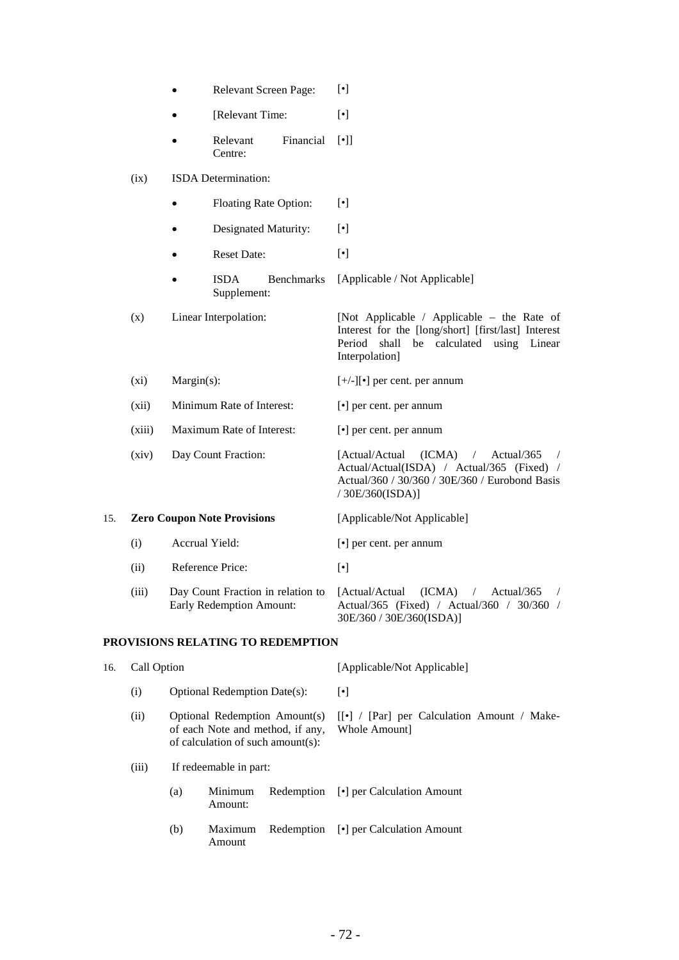|     | Relevant Screen Page:<br>$\bullet$ |                       |                                    | $[\cdot]$                         |                                                                                                                                                                                        |
|-----|------------------------------------|-----------------------|------------------------------------|-----------------------------------|----------------------------------------------------------------------------------------------------------------------------------------------------------------------------------------|
|     |                                    |                       | [Relevant Time:                    |                                   | $[\cdot]$                                                                                                                                                                              |
|     |                                    |                       | Relevant<br>Centre:                | Financial                         | $[\cdot]$                                                                                                                                                                              |
|     | (ix)                               |                       | ISDA Determination:                |                                   |                                                                                                                                                                                        |
|     |                                    | Floating Rate Option: |                                    |                                   | $[\cdot]$                                                                                                                                                                              |
|     |                                    |                       | Designated Maturity:               |                                   | $[\cdot]$                                                                                                                                                                              |
|     |                                    |                       | <b>Reset Date:</b>                 |                                   | $[\cdot]$                                                                                                                                                                              |
|     |                                    |                       | <b>ISDA</b><br>Supplement:         | <b>Benchmarks</b>                 | [Applicable / Not Applicable]                                                                                                                                                          |
|     | (x)                                |                       | Linear Interpolation:              |                                   | [Not Applicable / Applicable – the Rate of<br>Interest for the [long/short] [first/last] Interest<br>calculated using Linear<br>Period shall be<br>Interpolation]                      |
|     | $(x_i)$                            | $Margin(s)$ :         |                                    |                                   | $[+/$ -][ $\bullet$ ] per cent. per annum                                                                                                                                              |
|     | (xii)                              |                       | Minimum Rate of Interest:          |                                   | $\left[\bullet\right]$ per cent. per annum                                                                                                                                             |
|     | (xiii)                             |                       | Maximum Rate of Interest:          |                                   | $\lceil \cdot \rceil$ per cent. per annum                                                                                                                                              |
|     | (xiv)                              |                       | Day Count Fraction:                |                                   | [Actual/Actual<br>(ICMA)<br>$\sqrt{2}$<br>Actual/365<br>$\sqrt{2}$<br>Actual/Actual(ISDA) / Actual/365 (Fixed) /<br>Actual/360 / 30/360 / 30E/360 / Eurobond Basis<br>/ 30E/360(ISDA)] |
| 15. |                                    |                       | <b>Zero Coupon Note Provisions</b> |                                   | [Applicable/Not Applicable]                                                                                                                                                            |
|     | (i)                                | Accrual Yield:        |                                    |                                   | [ $\bullet$ ] per cent. per annum                                                                                                                                                      |
|     | (ii)                               |                       | Reference Price:                   |                                   | $[\bullet]$                                                                                                                                                                            |
|     | (iii)                              |                       | Early Redemption Amount:           | Day Count Fraction in relation to | [Actual/Actual<br>(ICMA)<br>Actual/365<br>$\sqrt{2}$<br>$\sqrt{2}$<br>Actual/365 (Fixed) / Actual/360 / 30/360 /<br>30E/360 / 30E/360(ISDA)]                                           |

# **PROVISIONS RELATING TO REDEMPTION**

| 16. | Call Option |                        |                                     |                                                                   | [Applicable/Not Applicable]                                 |
|-----|-------------|------------------------|-------------------------------------|-------------------------------------------------------------------|-------------------------------------------------------------|
|     | (i)         |                        | <b>Optional Redemption Date(s):</b> |                                                                   | $\lceil \cdot \rceil$                                       |
|     | (ii)        |                        | of calculation of such amount(s):   | Optional Redemption Amount(s)<br>of each Note and method, if any, | [[•] / [Par] per Calculation Amount / Make-<br>Whole Amount |
|     | (iii)       | If redeemable in part: |                                     |                                                                   |                                                             |
|     |             | (a)                    | Minimum<br>Amount:                  | Redemption                                                        | [•] per Calculation Amount                                  |
|     |             | (b)                    | Maximum<br>Amount                   | Redemption                                                        | [•] per Calculation Amount                                  |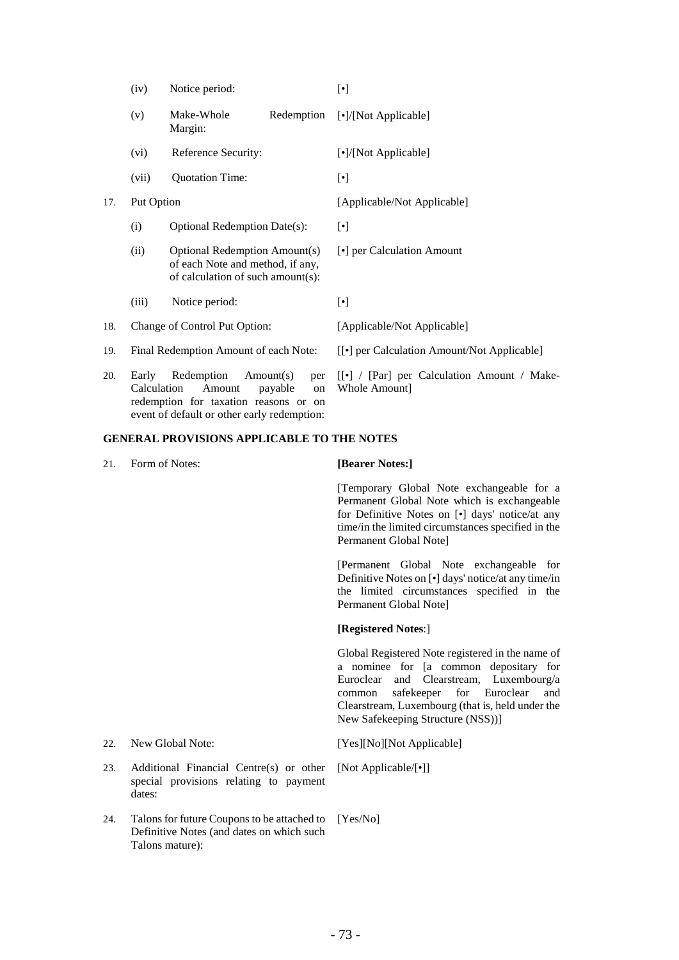|     | (iv)                 | Notice period:                                                                                                |                                         | $[\cdot]$                                                    |  |
|-----|----------------------|---------------------------------------------------------------------------------------------------------------|-----------------------------------------|--------------------------------------------------------------|--|
|     | (v)                  | Make-Whole<br>Margin:                                                                                         | Redemption                              | [•]/[Not Applicable]                                         |  |
|     | (vi)                 | Reference Security:                                                                                           |                                         | [•]/[Not Applicable]                                         |  |
|     | (vii)                | <b>Quotation Time:</b>                                                                                        |                                         | $[\cdot]$                                                    |  |
| 17. | Put Option           |                                                                                                               |                                         | [Applicable/Not Applicable]                                  |  |
|     | (i)                  | <b>Optional Redemption Date(s):</b>                                                                           |                                         | $[\cdot]$                                                    |  |
|     | (ii)                 | <b>Optional Redemption Amount(s)</b><br>of each Note and method, if any,<br>of calculation of such amount(s): |                                         | [•] per Calculation Amount                                   |  |
|     | (iii)                | Notice period:                                                                                                |                                         | $[\cdot]$                                                    |  |
| 18. |                      | Change of Control Put Option:                                                                                 |                                         | [Applicable/Not Applicable]                                  |  |
| 19. |                      | Final Redemption Amount of each Note:                                                                         |                                         | [[•] per Calculation Amount/Not Applicable]                  |  |
| 20. | Early<br>Calculation | Redemption<br>Amount<br>redemption for taxation reasons or                                                    | Amount(s)<br>per<br>payable<br>on<br>on | [[•] / [Par] per Calculation Amount / Make-<br>Whole Amount] |  |

### **GENERAL PROVISIONS APPLICABLE TO THE NOTES**

event of default or other early redemption:

21. Form of Notes: **[Bearer Notes:]**

[Temporary Global Note exchangeable for a Permanent Global Note which is exchangeable for Definitive Notes on [•] days' notice/at any time/in the limited circumstances specified in the Permanent Global Note]

[Permanent Global Note exchangeable for Definitive Notes on [•] days' notice/at any time/in the limited circumstances specified in the Permanent Global Note]

## **[Registered Notes**:]

Global Registered Note registered in the name of a nominee for [a common depositary for Euroclear and Clearstream, Luxembourg/a common safekeeper for Euroclear and Clearstream, Luxembourg (that is, held under the New Safekeeping Structure (NSS))]

- 22. New Global Note: [Yes][No][Not Applicable]
- 23. Additional Financial Centre(s) or other special provisions relating to payment dates:
- 24. Talons for future Coupons to be attached to Definitive Notes (and dates on which such Talons mature):

[Not Applicable/[•]]

[Yes/No]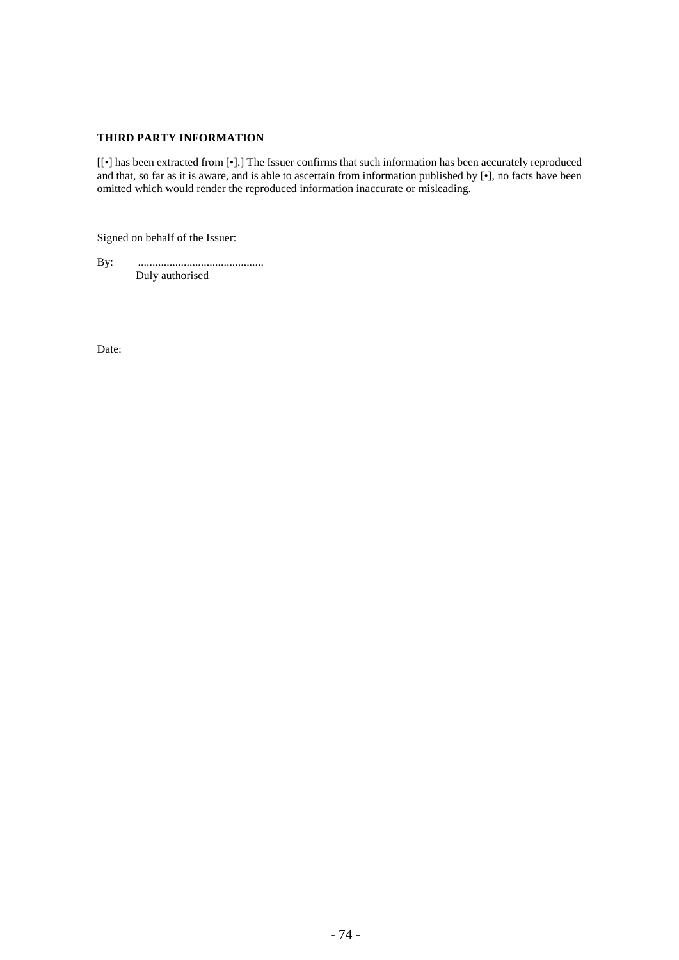# **THIRD PARTY INFORMATION**

[[*•*] has been extracted from [•].] The Issuer confirms that such information has been accurately reproduced and that, so far as it is aware, and is able to ascertain from information published by [•], no facts have been omitted which would render the reproduced information inaccurate or misleading.

Signed on behalf of the Issuer:

By: ............................................ Duly authorised

Date: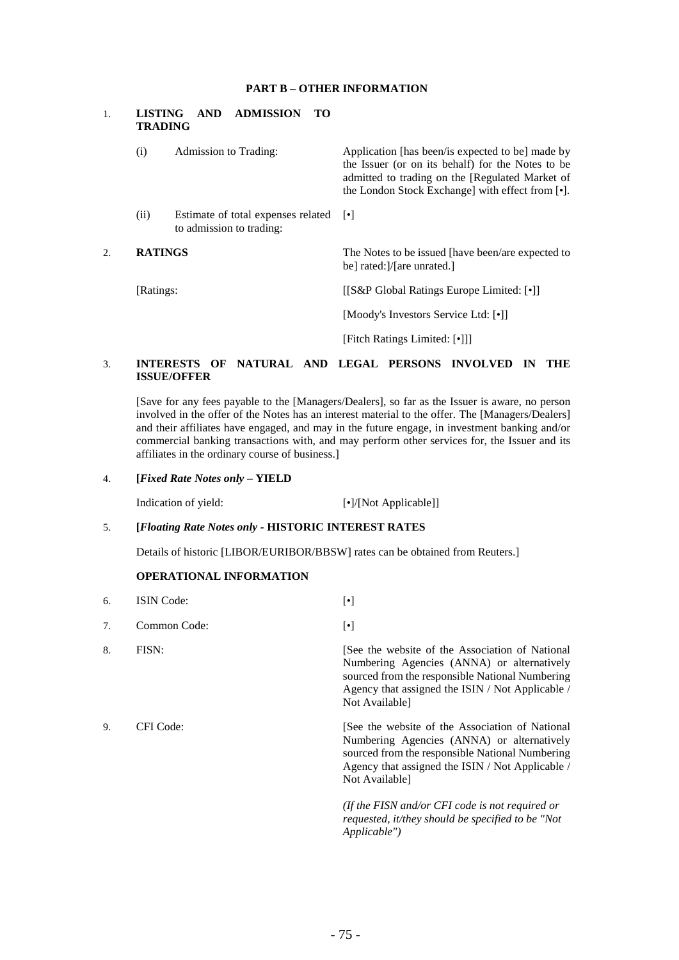# **PART B – OTHER INFORMATION**

# 1. **LISTING AND ADMISSION TO TRADING** (i) Admission to Trading: Application [has been/is expected to be] made by the Issuer (or on its behalf) for the Notes to be admitted to trading on the [Regulated Market of the London Stock Exchange] with effect from [•]. (ii) Estimate of total expenses related [•]

- to admission to trading:
- 2. **RATINGS** The Notes to be issued [have been/are expected to be] rated:]/[are unrated.] [Ratings: [[S&P Global Ratings Europe Limited: [•]] [Moody's Investors Service Ltd: [•]]

[Fitch Ratings Limited: [•]]]

## 3. **INTERESTS OF NATURAL AND LEGAL PERSONS INVOLVED IN THE ISSUE/OFFER**

[Save for any fees payable to the [Managers/Dealers], so far as the Issuer is aware, no person involved in the offer of the Notes has an interest material to the offer. The [Managers/Dealers] and their affiliates have engaged, and may in the future engage, in investment banking and/or commercial banking transactions with, and may perform other services for, the Issuer and its affiliates in the ordinary course of business.]

# 4. **[***Fixed Rate Notes only* **– YIELD**

Indication of yield: [•]/[Not Applicable]]

# 5. **[***Floating Rate Notes only -* **HISTORIC INTEREST RATES**

Details of historic [LIBOR/EURIBOR/BBSW] rates can be obtained from Reuters.]

# **OPERATIONAL INFORMATION**

6. ISIN Code: [•] 7. Common Code: [•] 8. FISN: See the website of the Association of National Numbering Agencies (ANNA) or alternatively sourced from the responsible National Numbering Agency that assigned the ISIN / Not Applicable / Not Available] 9. CFI Code: [See the website of the Association of National Numbering Agencies (ANNA) or alternatively sourced from the responsible National Numbering Agency that assigned the ISIN / Not Applicable / Not Available] *(If the FISN and/or CFI code is not required or requested, it/they should be specified to be "Not Applicable")*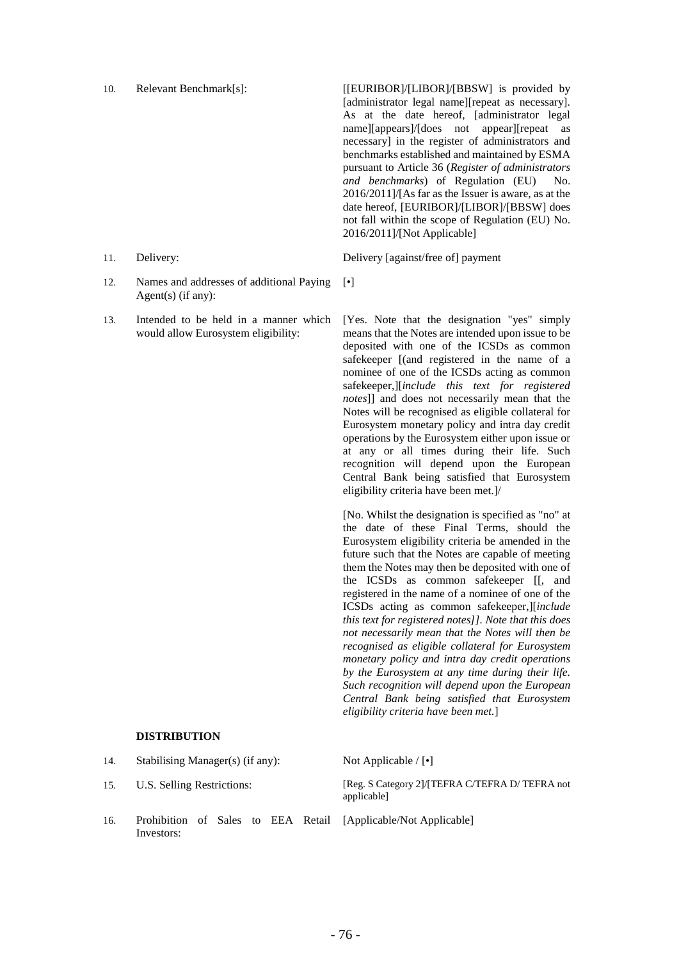10. Relevant Benchmark[s]: [[EURIBOR]/[LIBOR]/[BBSW] is provided by [administrator legal name][repeat as necessary]. As at the date hereof, [administrator legal name][appears]/[does not appear][repeat as necessary] in the register of administrators and benchmarks established and maintained by ESMA pursuant to Article 36 (*Register of administrators and benchmarks*) of Regulation (EU) No. 2016/2011]/[As far as the Issuer is aware, as at the date hereof, [EURIBOR]/[LIBOR]/[BBSW] does not fall within the scope of Regulation (EU) No. 2016/2011]/[Not Applicable]

11. Delivery: Delivery [against/free of] payment

[•]

- 
- 12. Names and addresses of additional Paying Agent(s) (if any):
- 13. Intended to be held in a manner which would allow Eurosystem eligibility:

[Yes. Note that the designation "yes" simply means that the Notes are intended upon issue to be deposited with one of the ICSDs as common safekeeper [(and registered in the name of a nominee of one of the ICSDs acting as common safekeeper,][*include this text for registered notes*]] and does not necessarily mean that the Notes will be recognised as eligible collateral for Eurosystem monetary policy and intra day credit operations by the Eurosystem either upon issue or at any or all times during their life. Such recognition will depend upon the European Central Bank being satisfied that Eurosystem eligibility criteria have been met.]/

[No. Whilst the designation is specified as "no" at the date of these Final Terms, should the Eurosystem eligibility criteria be amended in the future such that the Notes are capable of meeting them the Notes may then be deposited with one of the ICSDs as common safekeeper [[, and registered in the name of a nominee of one of the ICSDs acting as common safekeeper,][*include this text for registered notes]]. Note that this does not necessarily mean that the Notes will then be recognised as eligible collateral for Eurosystem monetary policy and intra day credit operations by the Eurosystem at any time during their life. Such recognition will depend upon the European Central Bank being satisfied that Eurosystem eligibility criteria have been met.*]

# **DISTRIBUTION**

| 14. | Stabilising Manager(s) (if any): |  |  |  |  | Not Applicable $/ \cdot $                                      |
|-----|----------------------------------|--|--|--|--|----------------------------------------------------------------|
| 15. | U.S. Selling Restrictions:       |  |  |  |  | [Reg. S Category 2]/[TEFRA C/TEFRA D/ TEFRA not<br>applicable] |
| 16. | Investors:                       |  |  |  |  | Prohibition of Sales to EEA Retail [Applicable/Not Applicable] |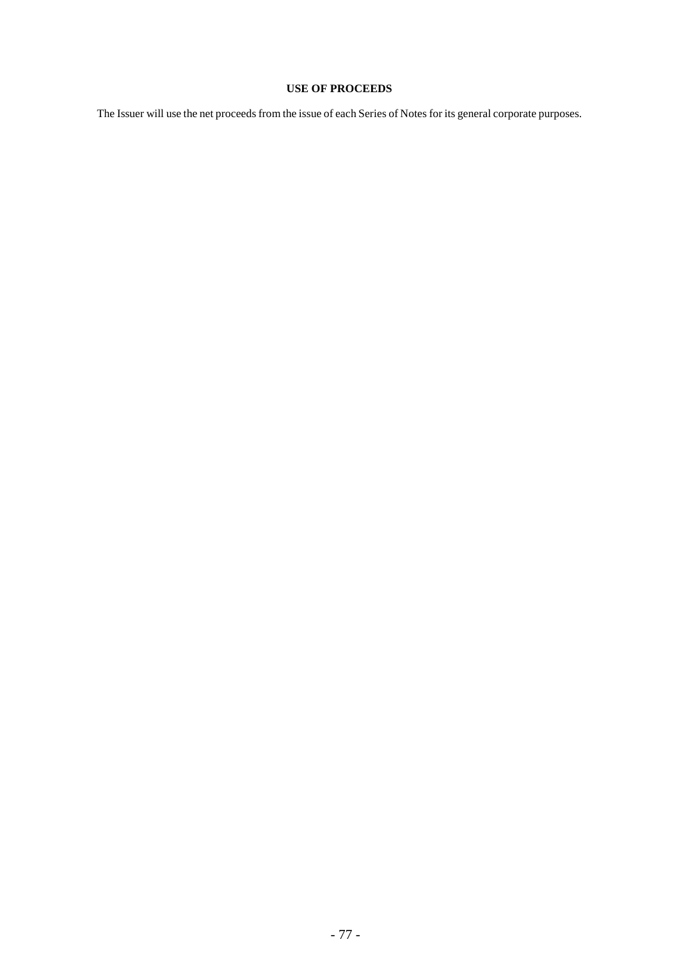# **USE OF PROCEEDS**

The Issuer will use the net proceeds from the issue of each Series of Notes for its general corporate purposes.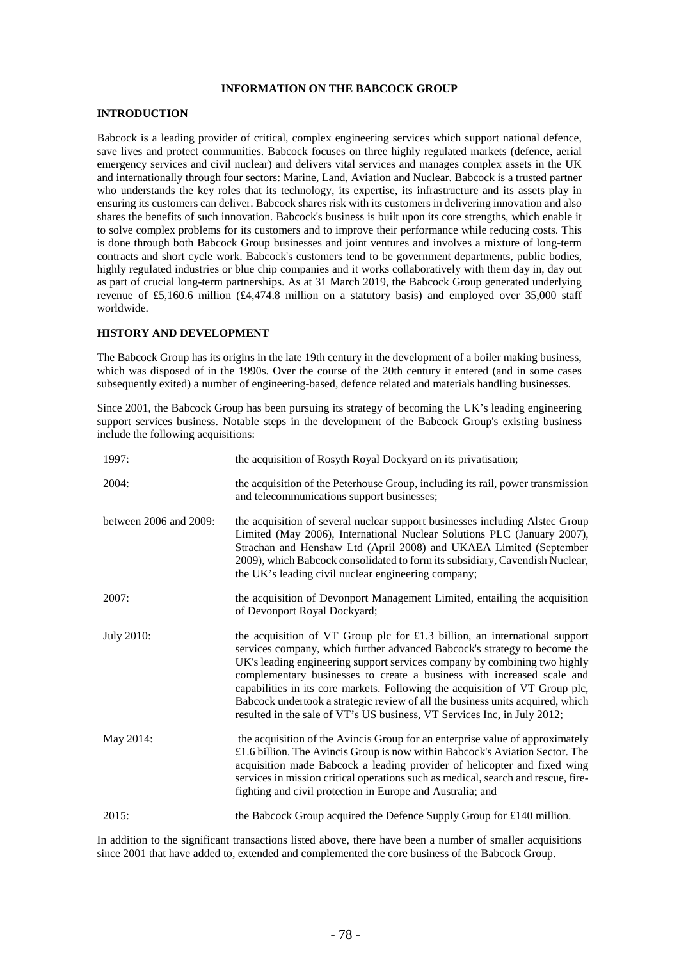# **INFORMATION ON THE BABCOCK GROUP**

## **INTRODUCTION**

Babcock is a leading provider of critical, complex engineering services which support national defence, save lives and protect communities. Babcock focuses on three highly regulated markets (defence, aerial emergency services and civil nuclear) and delivers vital services and manages complex assets in the UK and internationally through four sectors: Marine, Land, Aviation and Nuclear. Babcock is a trusted partner who understands the key roles that its technology, its expertise, its infrastructure and its assets play in ensuring its customers can deliver. Babcock shares risk with its customers in delivering innovation and also shares the benefits of such innovation. Babcock's business is built upon its core strengths, which enable it to solve complex problems for its customers and to improve their performance while reducing costs. This is done through both Babcock Group businesses and joint ventures and involves a mixture of long-term contracts and short cycle work. Babcock's customers tend to be government departments, public bodies, highly regulated industries or blue chip companies and it works collaboratively with them day in, day out as part of crucial long-term partnerships. As at 31 March 2019, the Babcock Group generated underlying revenue of £5,160.6 million (£4,474.8 million on a statutory basis) and employed over 35,000 staff worldwide.

# **HISTORY AND DEVELOPMENT**

The Babcock Group has its origins in the late 19th century in the development of a boiler making business, which was disposed of in the 1990s. Over the course of the 20th century it entered (and in some cases subsequently exited) a number of engineering-based, defence related and materials handling businesses.

Since 2001, the Babcock Group has been pursuing its strategy of becoming the UK's leading engineering support services business. Notable steps in the development of the Babcock Group's existing business include the following acquisitions:

| 1997:                  | the acquisition of Rosyth Royal Dockyard on its privatisation;                                                                                                                                                                                                                                                                                                                                                                                                                                                                                                 |
|------------------------|----------------------------------------------------------------------------------------------------------------------------------------------------------------------------------------------------------------------------------------------------------------------------------------------------------------------------------------------------------------------------------------------------------------------------------------------------------------------------------------------------------------------------------------------------------------|
| 2004:                  | the acquisition of the Peterhouse Group, including its rail, power transmission<br>and telecommunications support businesses;                                                                                                                                                                                                                                                                                                                                                                                                                                  |
| between 2006 and 2009: | the acquisition of several nuclear support businesses including Alstec Group<br>Limited (May 2006), International Nuclear Solutions PLC (January 2007),<br>Strachan and Henshaw Ltd (April 2008) and UKAEA Limited (September<br>2009), which Babcock consolidated to form its subsidiary, Cavendish Nuclear,<br>the UK's leading civil nuclear engineering company;                                                                                                                                                                                           |
| 2007:                  | the acquisition of Devonport Management Limited, entailing the acquisition<br>of Devonport Royal Dockyard;                                                                                                                                                                                                                                                                                                                                                                                                                                                     |
| <b>July 2010:</b>      | the acquisition of VT Group plc for $£1.3$ billion, an international support<br>services company, which further advanced Babcock's strategy to become the<br>UK's leading engineering support services company by combining two highly<br>complementary businesses to create a business with increased scale and<br>capabilities in its core markets. Following the acquisition of VT Group plc,<br>Babcock undertook a strategic review of all the business units acquired, which<br>resulted in the sale of VT's US business, VT Services Inc, in July 2012; |
| May 2014:              | the acquisition of the Avincis Group for an enterprise value of approximately<br>£1.6 billion. The Avincis Group is now within Babcock's Aviation Sector. The<br>acquisition made Babcock a leading provider of helicopter and fixed wing<br>services in mission critical operations such as medical, search and rescue, fire-<br>fighting and civil protection in Europe and Australia; and                                                                                                                                                                   |
| 2015:                  | the Babcock Group acquired the Defence Supply Group for £140 million.                                                                                                                                                                                                                                                                                                                                                                                                                                                                                          |

In addition to the significant transactions listed above, there have been a number of smaller acquisitions since 2001 that have added to, extended and complemented the core business of the Babcock Group.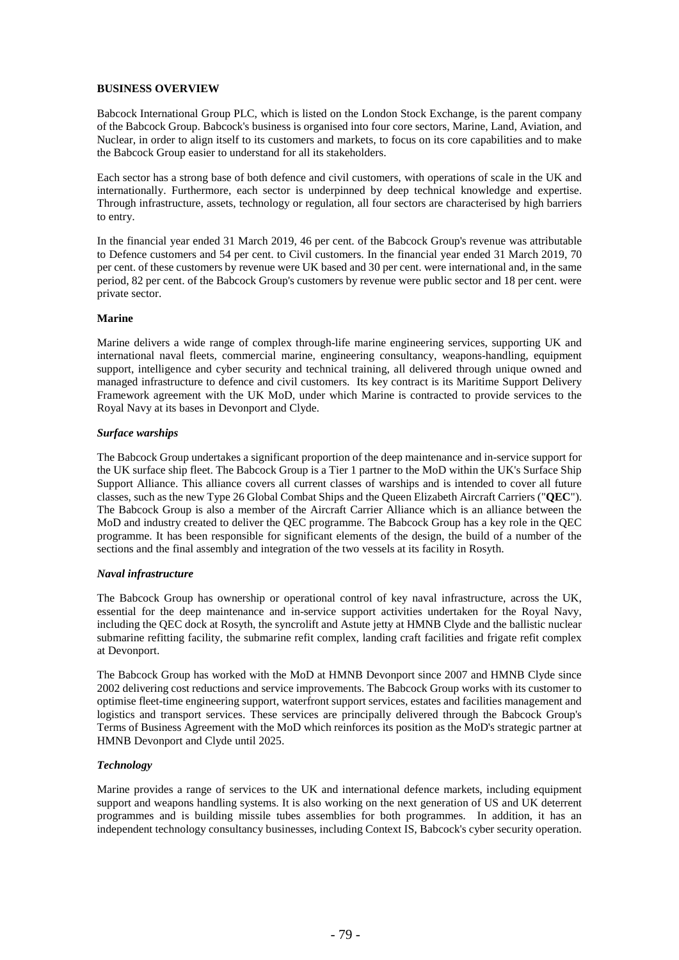# **BUSINESS OVERVIEW**

Babcock International Group PLC, which is listed on the London Stock Exchange, is the parent company of the Babcock Group. Babcock's business is organised into four core sectors, Marine, Land, Aviation, and Nuclear, in order to align itself to its customers and markets, to focus on its core capabilities and to make the Babcock Group easier to understand for all its stakeholders.

Each sector has a strong base of both defence and civil customers, with operations of scale in the UK and internationally. Furthermore, each sector is underpinned by deep technical knowledge and expertise. Through infrastructure, assets, technology or regulation, all four sectors are characterised by high barriers to entry.

In the financial year ended 31 March 2019, 46 per cent. of the Babcock Group's revenue was attributable to Defence customers and 54 per cent. to Civil customers. In the financial year ended 31 March 2019, 70 per cent. of these customers by revenue were UK based and 30 per cent. were international and, in the same period, 82 per cent. of the Babcock Group's customers by revenue were public sector and 18 per cent. were private sector.

# **Marine**

Marine delivers a wide range of complex through-life marine engineering services, supporting UK and international naval fleets, commercial marine, engineering consultancy, weapons-handling, equipment support, intelligence and cyber security and technical training, all delivered through unique owned and managed infrastructure to defence and civil customers. Its key contract is its Maritime Support Delivery Framework agreement with the UK MoD, under which Marine is contracted to provide services to the Royal Navy at its bases in Devonport and Clyde.

# *Surface warships*

The Babcock Group undertakes a significant proportion of the deep maintenance and in-service support for the UK surface ship fleet. The Babcock Group is a Tier 1 partner to the MoD within the UK's Surface Ship Support Alliance. This alliance covers all current classes of warships and is intended to cover all future classes, such as the new Type 26 Global Combat Ships and the Queen Elizabeth Aircraft Carriers ("**QEC**"). The Babcock Group is also a member of the Aircraft Carrier Alliance which is an alliance between the MoD and industry created to deliver the QEC programme. The Babcock Group has a key role in the QEC programme. It has been responsible for significant elements of the design, the build of a number of the sections and the final assembly and integration of the two vessels at its facility in Rosyth.

# *Naval infrastructure*

The Babcock Group has ownership or operational control of key naval infrastructure, across the UK, essential for the deep maintenance and in-service support activities undertaken for the Royal Navy, including the QEC dock at Rosyth, the syncrolift and Astute jetty at HMNB Clyde and the ballistic nuclear submarine refitting facility, the submarine refit complex, landing craft facilities and frigate refit complex at Devonport.

The Babcock Group has worked with the MoD at HMNB Devonport since 2007 and HMNB Clyde since 2002 delivering cost reductions and service improvements. The Babcock Group works with its customer to optimise fleet-time engineering support, waterfront support services, estates and facilities management and logistics and transport services. These services are principally delivered through the Babcock Group's Terms of Business Agreement with the MoD which reinforces its position as the MoD's strategic partner at HMNB Devonport and Clyde until 2025.

# *Technology*

Marine provides a range of services to the UK and international defence markets, including equipment support and weapons handling systems. It is also working on the next generation of US and UK deterrent programmes and is building missile tubes assemblies for both programmes. In addition, it has an independent technology consultancy businesses, including Context IS, Babcock's cyber security operation.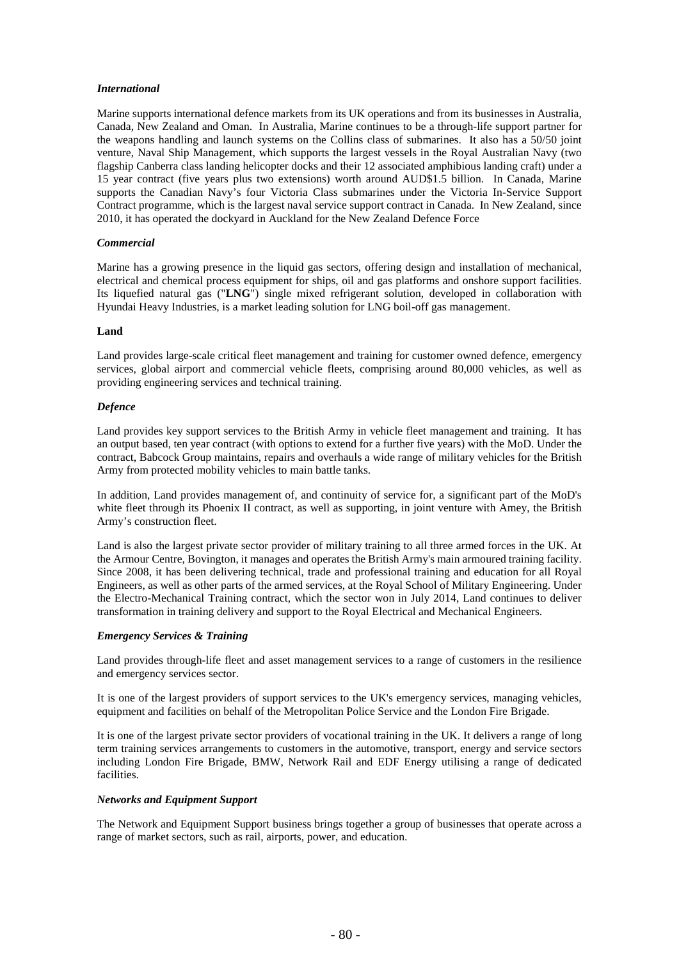# *International*

Marine supports international defence markets from its UK operations and from its businesses in Australia, Canada, New Zealand and Oman. In Australia, Marine continues to be a through-life support partner for the weapons handling and launch systems on the Collins class of submarines. It also has a 50/50 joint venture, Naval Ship Management, which supports the largest vessels in the Royal Australian Navy (two flagship Canberra class landing helicopter docks and their 12 associated amphibious landing craft) under a 15 year contract (five years plus two extensions) worth around AUD\$1.5 billion. In Canada, Marine supports the Canadian Navy's four Victoria Class submarines under the Victoria In-Service Support Contract programme, which is the largest naval service support contract in Canada. In New Zealand, since 2010, it has operated the dockyard in Auckland for the New Zealand Defence Force

#### *Commercial*

Marine has a growing presence in the liquid gas sectors, offering design and installation of mechanical, electrical and chemical process equipment for ships, oil and gas platforms and onshore support facilities. Its liquefied natural gas ("**LNG**") single mixed refrigerant solution, developed in collaboration with Hyundai Heavy Industries, is a market leading solution for LNG boil-off gas management.

#### **Land**

Land provides large-scale critical fleet management and training for customer owned defence, emergency services, global airport and commercial vehicle fleets, comprising around 80,000 vehicles, as well as providing engineering services and technical training.

### *Defence*

Land provides key support services to the British Army in vehicle fleet management and training. It has an output based, ten year contract (with options to extend for a further five years) with the MoD. Under the contract, Babcock Group maintains, repairs and overhauls a wide range of military vehicles for the British Army from protected mobility vehicles to main battle tanks.

In addition, Land provides management of, and continuity of service for, a significant part of the MoD's white fleet through its Phoenix II contract, as well as supporting, in joint venture with Amey, the British Army's construction fleet.

Land is also the largest private sector provider of military training to all three armed forces in the UK. At the Armour Centre, Bovington, it manages and operates the British Army's main armoured training facility. Since 2008, it has been delivering technical, trade and professional training and education for all Royal Engineers, as well as other parts of the armed services, at the Royal School of Military Engineering. Under the Electro-Mechanical Training contract, which the sector won in July 2014, Land continues to deliver transformation in training delivery and support to the Royal Electrical and Mechanical Engineers.

# *Emergency Services & Training*

Land provides through-life fleet and asset management services to a range of customers in the resilience and emergency services sector.

It is one of the largest providers of support services to the UK's emergency services, managing vehicles, equipment and facilities on behalf of the Metropolitan Police Service and the London Fire Brigade.

It is one of the largest private sector providers of vocational training in the UK. It delivers a range of long term training services arrangements to customers in the automotive, transport, energy and service sectors including London Fire Brigade, BMW, Network Rail and EDF Energy utilising a range of dedicated facilities.

#### *Networks and Equipment Support*

The Network and Equipment Support business brings together a group of businesses that operate across a range of market sectors, such as rail, airports, power, and education.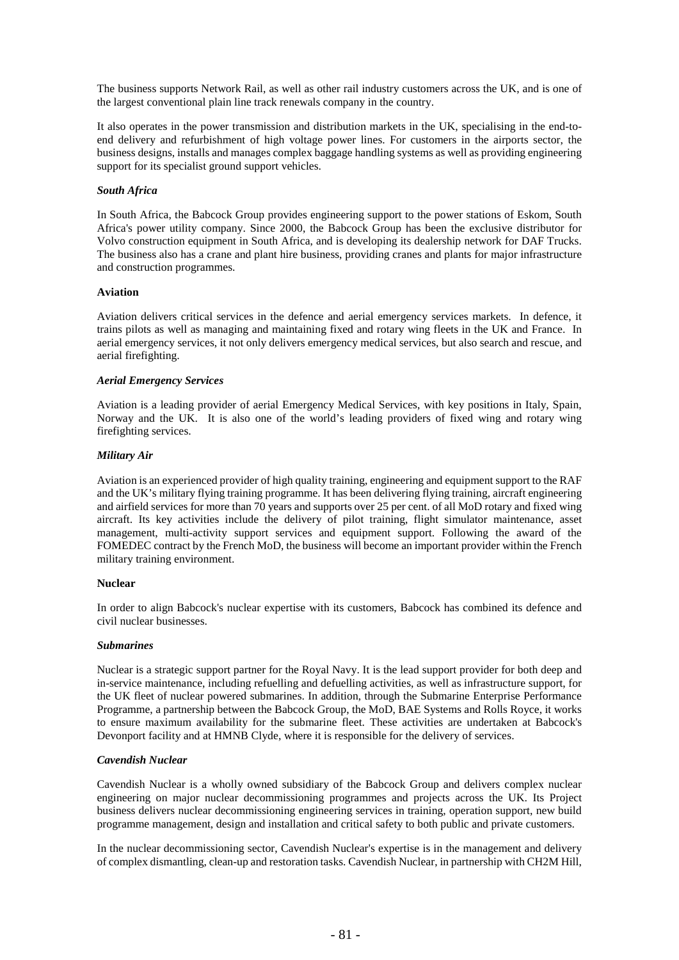The business supports Network Rail, as well as other rail industry customers across the UK, and is one of the largest conventional plain line track renewals company in the country.

It also operates in the power transmission and distribution markets in the UK, specialising in the end-toend delivery and refurbishment of high voltage power lines. For customers in the airports sector, the business designs, installs and manages complex baggage handling systems as well as providing engineering support for its specialist ground support vehicles.

# *South Africa*

In South Africa, the Babcock Group provides engineering support to the power stations of Eskom, South Africa's power utility company. Since 2000, the Babcock Group has been the exclusive distributor for Volvo construction equipment in South Africa, and is developing its dealership network for DAF Trucks. The business also has a crane and plant hire business, providing cranes and plants for major infrastructure and construction programmes.

### **Aviation**

Aviation delivers critical services in the defence and aerial emergency services markets. In defence, it trains pilots as well as managing and maintaining fixed and rotary wing fleets in the UK and France. In aerial emergency services, it not only delivers emergency medical services, but also search and rescue, and aerial firefighting.

# *Aerial Emergency Services*

Aviation is a leading provider of aerial Emergency Medical Services, with key positions in Italy, Spain, Norway and the UK. It is also one of the world's leading providers of fixed wing and rotary wing firefighting services.

### *Military Air*

Aviation is an experienced provider of high quality training, engineering and equipment support to the RAF and the UK's military flying training programme. It has been delivering flying training, aircraft engineering and airfield services for more than 70 years and supports over 25 per cent. of all MoD rotary and fixed wing aircraft. Its key activities include the delivery of pilot training, flight simulator maintenance, asset management, multi-activity support services and equipment support. Following the award of the FOMEDEC contract by the French MoD, the business will become an important provider within the French military training environment.

# **Nuclear**

In order to align Babcock's nuclear expertise with its customers, Babcock has combined its defence and civil nuclear businesses.

#### *Submarines*

Nuclear is a strategic support partner for the Royal Navy. It is the lead support provider for both deep and in-service maintenance, including refuelling and defuelling activities, as well as infrastructure support, for the UK fleet of nuclear powered submarines. In addition, through the Submarine Enterprise Performance Programme, a partnership between the Babcock Group, the MoD, BAE Systems and Rolls Royce, it works to ensure maximum availability for the submarine fleet. These activities are undertaken at Babcock's Devonport facility and at HMNB Clyde, where it is responsible for the delivery of services.

# *Cavendish Nuclear*

Cavendish Nuclear is a wholly owned subsidiary of the Babcock Group and delivers complex nuclear engineering on major nuclear decommissioning programmes and projects across the UK. Its Project business delivers nuclear decommissioning engineering services in training, operation support, new build programme management, design and installation and critical safety to both public and private customers.

In the nuclear decommissioning sector, Cavendish Nuclear's expertise is in the management and delivery of complex dismantling, clean-up and restoration tasks. Cavendish Nuclear, in partnership with CH2M Hill,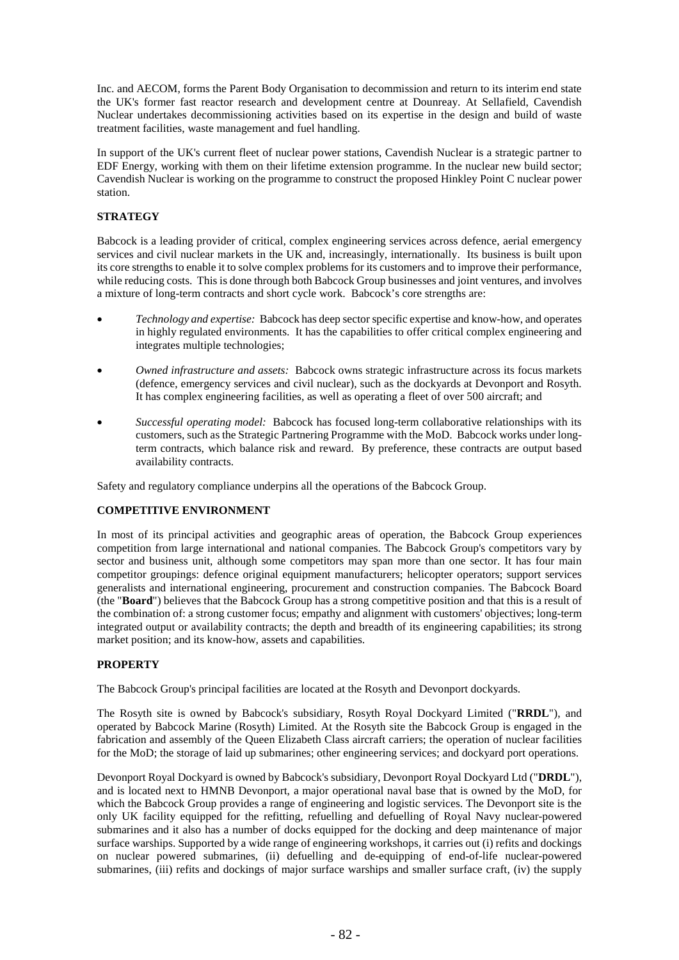Inc. and AECOM, forms the Parent Body Organisation to decommission and return to its interim end state the UK's former fast reactor research and development centre at Dounreay. At Sellafield, Cavendish Nuclear undertakes decommissioning activities based on its expertise in the design and build of waste treatment facilities, waste management and fuel handling.

In support of the UK's current fleet of nuclear power stations, Cavendish Nuclear is a strategic partner to EDF Energy, working with them on their lifetime extension programme. In the nuclear new build sector; Cavendish Nuclear is working on the programme to construct the proposed Hinkley Point C nuclear power station.

# **STRATEGY**

Babcock is a leading provider of critical, complex engineering services across defence, aerial emergency services and civil nuclear markets in the UK and, increasingly, internationally. Its business is built upon its core strengths to enable it to solve complex problems for its customers and to improve their performance, while reducing costs. This is done through both Babcock Group businesses and joint ventures, and involves a mixture of long-term contracts and short cycle work. Babcock's core strengths are:

- *Technology and expertise:* Babcock has deep sector specific expertise and know-how, and operates in highly regulated environments. It has the capabilities to offer critical complex engineering and integrates multiple technologies;
- *Owned infrastructure and assets:* Babcock owns strategic infrastructure across its focus markets (defence, emergency services and civil nuclear), such as the dockyards at Devonport and Rosyth. It has complex engineering facilities, as well as operating a fleet of over 500 aircraft; and
- *Successful operating model:* Babcock has focused long-term collaborative relationships with its customers, such as the Strategic Partnering Programme with the MoD. Babcock works under longterm contracts, which balance risk and reward. By preference, these contracts are output based availability contracts.

Safety and regulatory compliance underpins all the operations of the Babcock Group.

# **COMPETITIVE ENVIRONMENT**

In most of its principal activities and geographic areas of operation, the Babcock Group experiences competition from large international and national companies. The Babcock Group's competitors vary by sector and business unit, although some competitors may span more than one sector. It has four main competitor groupings: defence original equipment manufacturers; helicopter operators; support services generalists and international engineering, procurement and construction companies. The Babcock Board (the "**Board**") believes that the Babcock Group has a strong competitive position and that this is a result of the combination of: a strong customer focus; empathy and alignment with customers' objectives; long-term integrated output or availability contracts; the depth and breadth of its engineering capabilities; its strong market position; and its know-how, assets and capabilities.

# **PROPERTY**

The Babcock Group's principal facilities are located at the Rosyth and Devonport dockyards.

The Rosyth site is owned by Babcock's subsidiary, Rosyth Royal Dockyard Limited ("**RRDL**"), and operated by Babcock Marine (Rosyth) Limited. At the Rosyth site the Babcock Group is engaged in the fabrication and assembly of the Queen Elizabeth Class aircraft carriers; the operation of nuclear facilities for the MoD; the storage of laid up submarines; other engineering services; and dockyard port operations.

Devonport Royal Dockyard is owned by Babcock's subsidiary, Devonport Royal Dockyard Ltd ("**DRDL**"), and is located next to HMNB Devonport, a major operational naval base that is owned by the MoD, for which the Babcock Group provides a range of engineering and logistic services. The Devonport site is the only UK facility equipped for the refitting, refuelling and defuelling of Royal Navy nuclear-powered submarines and it also has a number of docks equipped for the docking and deep maintenance of major surface warships. Supported by a wide range of engineering workshops, it carries out (i) refits and dockings on nuclear powered submarines, (ii) defuelling and de-equipping of end-of-life nuclear-powered submarines, (iii) refits and dockings of major surface warships and smaller surface craft, (iv) the supply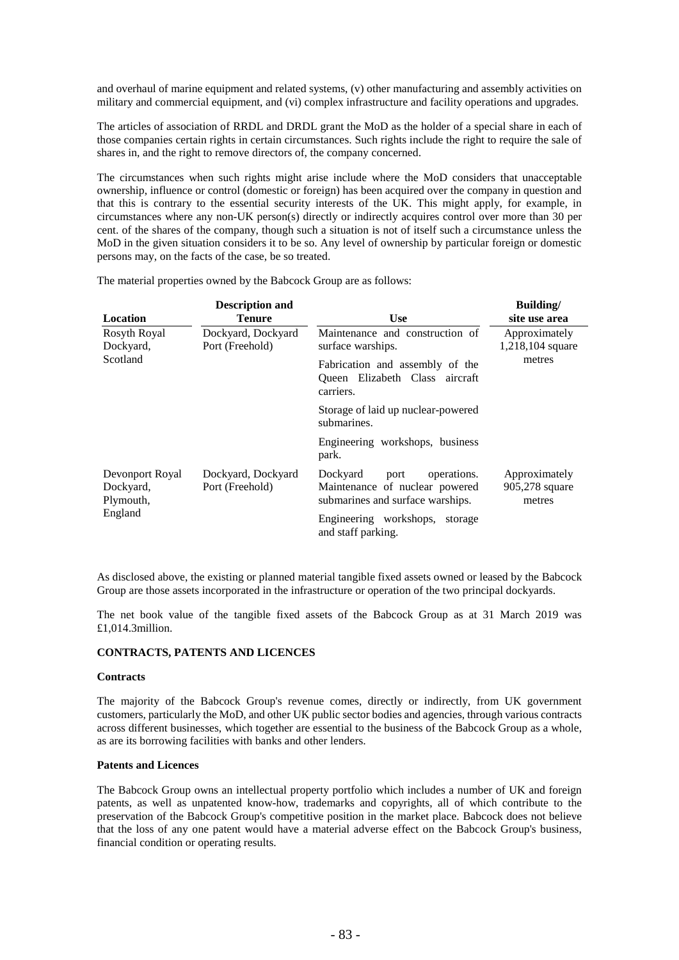and overhaul of marine equipment and related systems, (v) other manufacturing and assembly activities on military and commercial equipment, and (vi) complex infrastructure and facility operations and upgrades.

The articles of association of RRDL and DRDL grant the MoD as the holder of a special share in each of those companies certain rights in certain circumstances. Such rights include the right to require the sale of shares in, and the right to remove directors of, the company concerned.

The circumstances when such rights might arise include where the MoD considers that unacceptable ownership, influence or control (domestic or foreign) has been acquired over the company in question and that this is contrary to the essential security interests of the UK. This might apply, for example, in circumstances where any non-UK person(s) directly or indirectly acquires control over more than 30 per cent. of the shares of the company, though such a situation is not of itself such a circumstance unless the MoD in the given situation considers it to be so. Any level of ownership by particular foreign or domestic persons may, on the facts of the case, be so treated.

| Location                                  | <b>Description and</b><br><b>Tenure</b> | <b>Use</b>                                                                                            | Building/<br>site use area                |  |
|-------------------------------------------|-----------------------------------------|-------------------------------------------------------------------------------------------------------|-------------------------------------------|--|
| Rosyth Royal<br>Dockyard,                 | Dockyard, Dockyard<br>Port (Freehold)   | Maintenance and construction of<br>surface warships.                                                  | Approximately<br>1,218,104 square         |  |
| Scotland                                  |                                         | Fabrication and assembly of the<br>Queen Elizabeth Class aircraft<br>carriers.                        | metres                                    |  |
|                                           |                                         | Storage of laid up nuclear-powered<br>submarines.                                                     |                                           |  |
|                                           |                                         | Engineering workshops, business<br>park.                                                              |                                           |  |
| Devonport Royal<br>Dockyard,<br>Plymouth, | Dockyard, Dockyard<br>Port (Freehold)   | Dockyard<br>operations.<br>port<br>Maintenance of nuclear powered<br>submarines and surface warships. | Approximately<br>905,278 square<br>metres |  |
| England                                   |                                         | Engineering workshops,<br>storage<br>and staff parking.                                               |                                           |  |

The material properties owned by the Babcock Group are as follows:

As disclosed above, the existing or planned material tangible fixed assets owned or leased by the Babcock Group are those assets incorporated in the infrastructure or operation of the two principal dockyards.

The net book value of the tangible fixed assets of the Babcock Group as at 31 March 2019 was £1,014.3million.

# **CONTRACTS, PATENTS AND LICENCES**

#### **Contracts**

The majority of the Babcock Group's revenue comes, directly or indirectly, from UK government customers, particularly the MoD, and other UK public sector bodies and agencies, through various contracts across different businesses, which together are essential to the business of the Babcock Group as a whole, as are its borrowing facilities with banks and other lenders.

## **Patents and Licences**

The Babcock Group owns an intellectual property portfolio which includes a number of UK and foreign patents, as well as unpatented know-how, trademarks and copyrights, all of which contribute to the preservation of the Babcock Group's competitive position in the market place. Babcock does not believe that the loss of any one patent would have a material adverse effect on the Babcock Group's business, financial condition or operating results.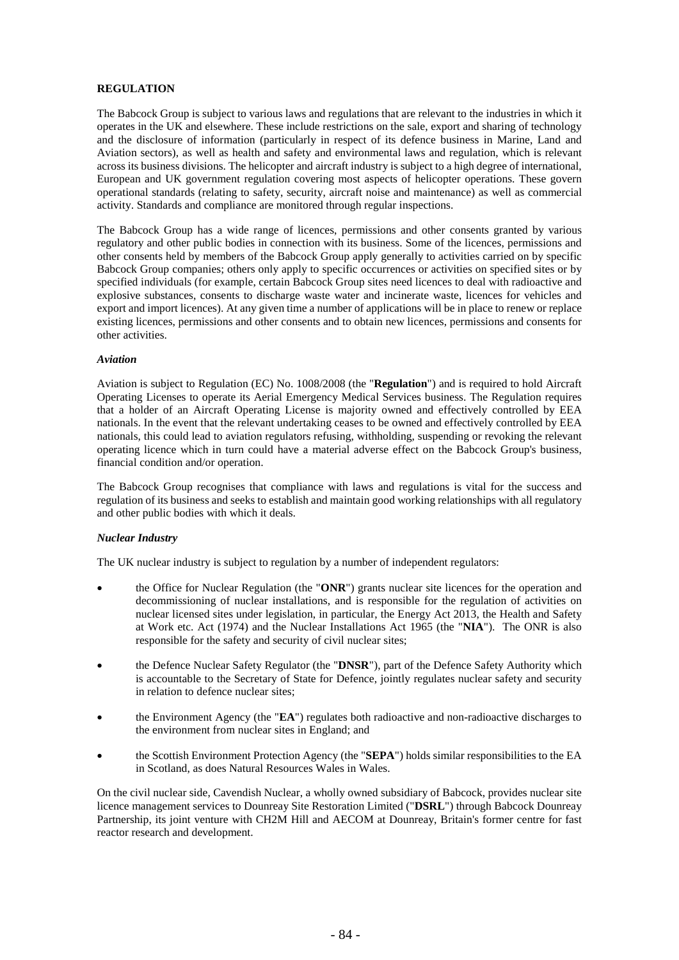# **REGULATION**

The Babcock Group is subject to various laws and regulations that are relevant to the industries in which it operates in the UK and elsewhere. These include restrictions on the sale, export and sharing of technology and the disclosure of information (particularly in respect of its defence business in Marine, Land and Aviation sectors), as well as health and safety and environmental laws and regulation, which is relevant across its business divisions. The helicopter and aircraft industry is subject to a high degree of international, European and UK government regulation covering most aspects of helicopter operations. These govern operational standards (relating to safety, security, aircraft noise and maintenance) as well as commercial activity. Standards and compliance are monitored through regular inspections.

The Babcock Group has a wide range of licences, permissions and other consents granted by various regulatory and other public bodies in connection with its business. Some of the licences, permissions and other consents held by members of the Babcock Group apply generally to activities carried on by specific Babcock Group companies; others only apply to specific occurrences or activities on specified sites or by specified individuals (for example, certain Babcock Group sites need licences to deal with radioactive and explosive substances, consents to discharge waste water and incinerate waste, licences for vehicles and export and import licences). At any given time a number of applications will be in place to renew or replace existing licences, permissions and other consents and to obtain new licences, permissions and consents for other activities.

### *Aviation*

Aviation is subject to Regulation (EC) No. 1008/2008 (the "**Regulation**") and is required to hold Aircraft Operating Licenses to operate its Aerial Emergency Medical Services business. The Regulation requires that a holder of an Aircraft Operating License is majority owned and effectively controlled by EEA nationals. In the event that the relevant undertaking ceases to be owned and effectively controlled by EEA nationals, this could lead to aviation regulators refusing, withholding, suspending or revoking the relevant operating licence which in turn could have a material adverse effect on the Babcock Group's business, financial condition and/or operation.

The Babcock Group recognises that compliance with laws and regulations is vital for the success and regulation of its business and seeks to establish and maintain good working relationships with all regulatory and other public bodies with which it deals.

# *Nuclear Industry*

The UK nuclear industry is subject to regulation by a number of independent regulators:

- the Office for Nuclear Regulation (the "**ONR**") grants nuclear site licences for the operation and decommissioning of nuclear installations, and is responsible for the regulation of activities on nuclear licensed sites under legislation, in particular, the Energy Act 2013, the Health and Safety at Work etc. Act (1974) and the Nuclear Installations Act 1965 (the "**NIA**"). The ONR is also responsible for the safety and security of civil nuclear sites;
- the Defence Nuclear Safety Regulator (the "**DNSR**"), part of the Defence Safety Authority which is accountable to the Secretary of State for Defence, jointly regulates nuclear safety and security in relation to defence nuclear sites;
- the Environment Agency (the "**EA**") regulates both radioactive and non-radioactive discharges to the environment from nuclear sites in England; and
- the Scottish Environment Protection Agency (the "**SEPA**") holds similar responsibilities to the EA in Scotland, as does Natural Resources Wales in Wales.

On the civil nuclear side, Cavendish Nuclear, a wholly owned subsidiary of Babcock, provides nuclear site licence management services to Dounreay Site Restoration Limited ("**DSRL**") through Babcock Dounreay Partnership, its joint venture with CH2M Hill and AECOM at Dounreay, Britain's former centre for fast reactor research and development.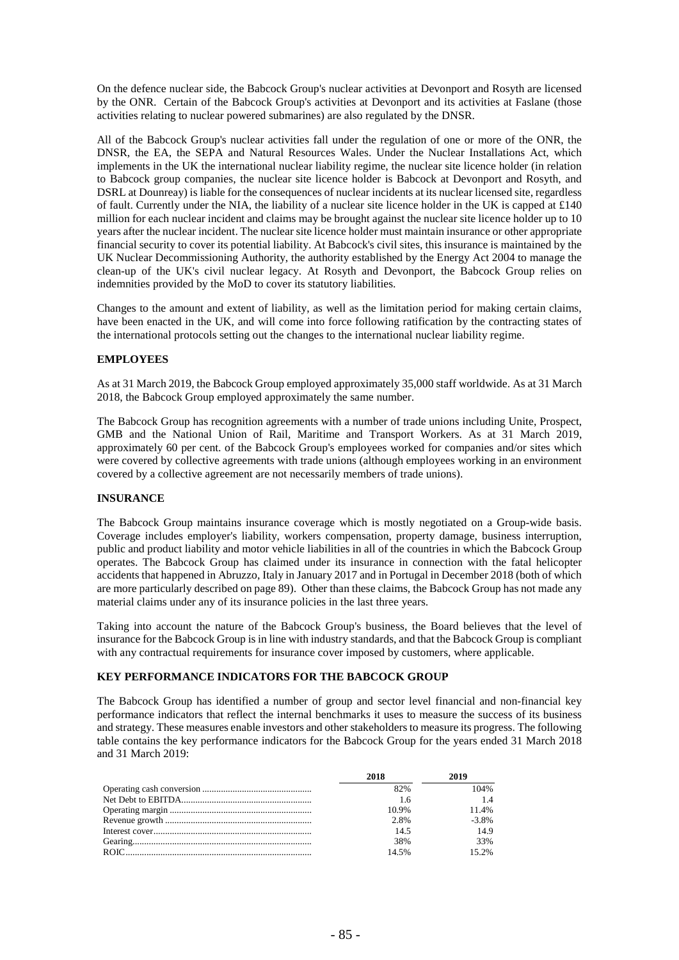On the defence nuclear side, the Babcock Group's nuclear activities at Devonport and Rosyth are licensed by the ONR. Certain of the Babcock Group's activities at Devonport and its activities at Faslane (those activities relating to nuclear powered submarines) are also regulated by the DNSR.

All of the Babcock Group's nuclear activities fall under the regulation of one or more of the ONR, the DNSR, the EA, the SEPA and Natural Resources Wales. Under the Nuclear Installations Act, which implements in the UK the international nuclear liability regime, the nuclear site licence holder (in relation to Babcock group companies, the nuclear site licence holder is Babcock at Devonport and Rosyth, and DSRL at Dounreay) is liable for the consequences of nuclear incidents at its nuclear licensed site, regardless of fault. Currently under the NIA, the liability of a nuclear site licence holder in the UK is capped at £140 million for each nuclear incident and claims may be brought against the nuclear site licence holder up to 10 years after the nuclear incident. The nuclear site licence holder must maintain insurance or other appropriate financial security to cover its potential liability. At Babcock's civil sites, this insurance is maintained by the UK Nuclear Decommissioning Authority, the authority established by the Energy Act 2004 to manage the clean-up of the UK's civil nuclear legacy. At Rosyth and Devonport, the Babcock Group relies on indemnities provided by the MoD to cover its statutory liabilities.

Changes to the amount and extent of liability, as well as the limitation period for making certain claims, have been enacted in the UK, and will come into force following ratification by the contracting states of the international protocols setting out the changes to the international nuclear liability regime.

# **EMPLOYEES**

As at 31 March 2019, the Babcock Group employed approximately 35,000 staff worldwide. As at 31 March 2018, the Babcock Group employed approximately the same number.

The Babcock Group has recognition agreements with a number of trade unions including Unite, Prospect, GMB and the National Union of Rail, Maritime and Transport Workers. As at 31 March 2019, approximately 60 per cent. of the Babcock Group's employees worked for companies and/or sites which were covered by collective agreements with trade unions (although employees working in an environment covered by a collective agreement are not necessarily members of trade unions).

# **INSURANCE**

The Babcock Group maintains insurance coverage which is mostly negotiated on a Group-wide basis. Coverage includes employer's liability, workers compensation, property damage, business interruption, public and product liability and motor vehicle liabilities in all of the countries in which the Babcock Group operates. The Babcock Group has claimed under its insurance in connection with the fatal helicopter accidents that happened in Abruzzo, Italy in January 2017 and in Portugal in December 2018 (both of which are more particularly described on page 89). Other than these claims, the Babcock Group has not made any material claims under any of its insurance policies in the last three years.

Taking into account the nature of the Babcock Group's business, the Board believes that the level of insurance for the Babcock Group is in line with industry standards, and that the Babcock Group is compliant with any contractual requirements for insurance cover imposed by customers, where applicable.

# **KEY PERFORMANCE INDICATORS FOR THE BABCOCK GROUP**

The Babcock Group has identified a number of group and sector level financial and non-financial key performance indicators that reflect the internal benchmarks it uses to measure the success of its business and strategy. These measures enable investors and other stakeholders to measure its progress. The following table contains the key performance indicators for the Babcock Group for the years ended 31 March 2018 and 31 March 2019:

| 2018  | 2019     |
|-------|----------|
| 82%   | 104%     |
| -1.6  |          |
| 10.9% | 11.4%    |
| 2.8%  | $-3.8\%$ |
| 14.5  | 14.9     |
| 38%   | 33%      |
| 14.5% | 15.2%    |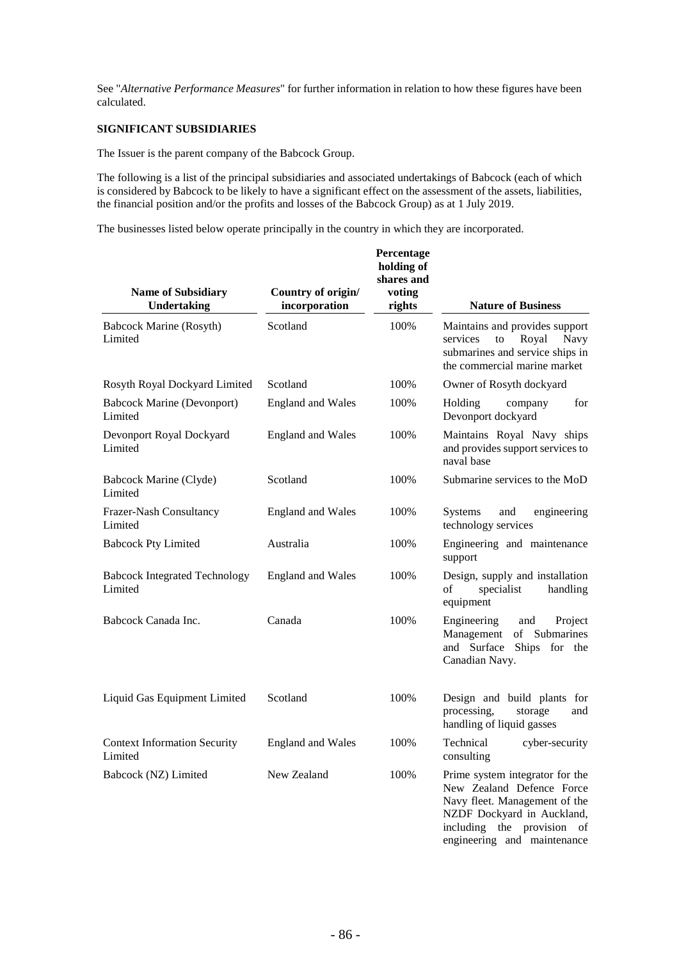See "*Alternative Performance Measures*" for further information in relation to how these figures have been calculated.

# **SIGNIFICANT SUBSIDIARIES**

The Issuer is the parent company of the Babcock Group.

The following is a list of the principal subsidiaries and associated undertakings of Babcock (each of which is considered by Babcock to be likely to have a significant effect on the assessment of the assets, liabilities, the financial position and/or the profits and losses of the Babcock Group) as at 1 July 2019.

The businesses listed below operate principally in the country in which they are incorporated.

| <b>Name of Subsidiary</b><br><b>Undertaking</b> | Country of origin/<br>incorporation | Percentage<br>holding of<br>shares and<br>voting<br>rights | <b>Nature of Business</b>                                                                                                                                          |
|-------------------------------------------------|-------------------------------------|------------------------------------------------------------|--------------------------------------------------------------------------------------------------------------------------------------------------------------------|
| <b>Babcock Marine (Rosyth)</b><br>Limited       | Scotland                            | 100%                                                       | Maintains and provides support<br>Royal<br>services<br>to<br>Navy<br>submarines and service ships in<br>the commercial marine market                               |
| Rosyth Royal Dockyard Limited                   | Scotland                            | 100%                                                       | Owner of Rosyth dockyard                                                                                                                                           |
| <b>Babcock Marine (Devonport)</b><br>Limited    | <b>England and Wales</b>            | 100%                                                       | Holding<br>for<br>company<br>Devonport dockyard                                                                                                                    |
| Devonport Royal Dockyard<br>Limited             | <b>England and Wales</b>            | 100%                                                       | Maintains Royal Navy ships<br>and provides support services to<br>naval base                                                                                       |
| Babcock Marine (Clyde)<br>Limited               | Scotland                            | 100%                                                       | Submarine services to the MoD                                                                                                                                      |
| Frazer-Nash Consultancy<br>Limited              | <b>England and Wales</b>            | 100%                                                       | <b>Systems</b><br>and<br>engineering<br>technology services                                                                                                        |
| <b>Babcock Pty Limited</b>                      | Australia                           | 100%                                                       | Engineering and maintenance<br>support                                                                                                                             |
| <b>Babcock Integrated Technology</b><br>Limited | <b>England and Wales</b>            | 100%                                                       | Design, supply and installation<br>of<br>specialist<br>handling<br>equipment                                                                                       |
| Babcock Canada Inc.                             | Canada                              | 100%                                                       | Engineering<br>and<br>Project<br>Management<br>of Submarines<br>and Surface<br>Ships<br>for<br>the<br>Canadian Navy.                                               |
| Liquid Gas Equipment Limited                    | Scotland                            | 100%                                                       | Design and build plants for<br>processing,<br>storage<br>and<br>handling of liquid gasses                                                                          |
| <b>Context Information Security</b><br>Limited  | <b>England and Wales</b>            | 100%                                                       | Technical<br>cyber-security<br>consulting                                                                                                                          |
| Babcock (NZ) Limited                            | New Zealand                         | 100%                                                       | Prime system integrator for the<br>New Zealand Defence Force<br>Navy fleet. Management of the<br>NZDF Dockyard in Auckland,<br>including<br>the<br>provision<br>of |

engineering and maintenance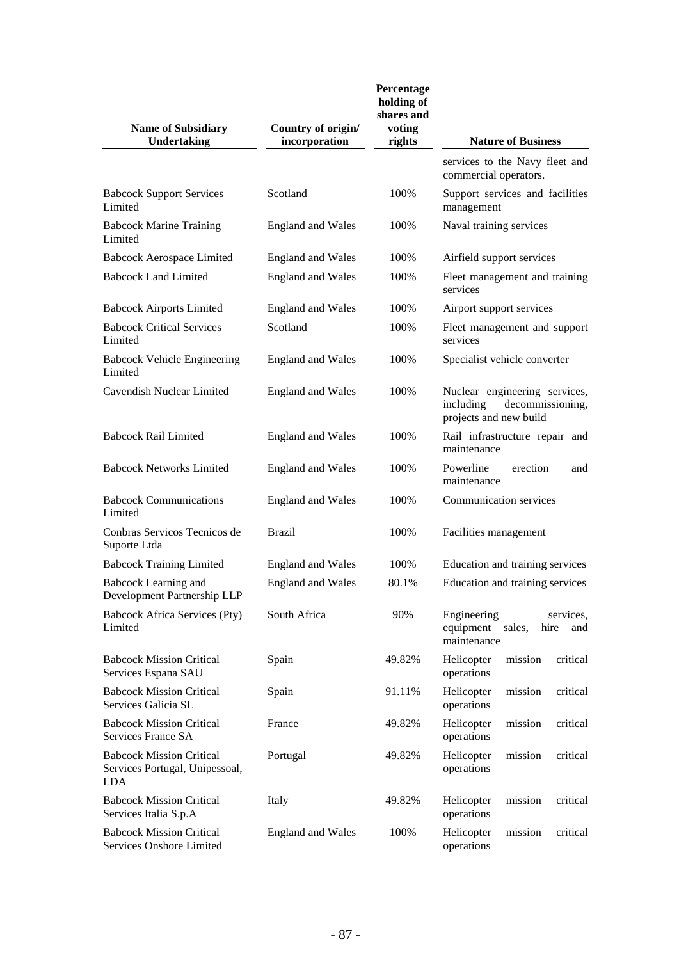| <b>Name of Subsidiary</b><br><b>Undertaking</b>                                 | Country of origin/<br>incorporation | Percentage<br>holding of<br>shares and<br>voting<br>rights | <b>Nature of Business</b>                                                                |
|---------------------------------------------------------------------------------|-------------------------------------|------------------------------------------------------------|------------------------------------------------------------------------------------------|
|                                                                                 |                                     |                                                            | services to the Navy fleet and<br>commercial operators.                                  |
| <b>Babcock Support Services</b><br>Limited                                      | Scotland                            | 100%                                                       | Support services and facilities<br>management                                            |
| <b>Babcock Marine Training</b><br>Limited                                       | <b>England and Wales</b>            | 100%                                                       | Naval training services                                                                  |
| <b>Babcock Aerospace Limited</b>                                                | <b>England and Wales</b>            | 100%                                                       | Airfield support services                                                                |
| <b>Babcock Land Limited</b>                                                     | <b>England and Wales</b>            | 100%                                                       | Fleet management and training<br>services                                                |
| <b>Babcock Airports Limited</b>                                                 | <b>England and Wales</b>            | 100%                                                       | Airport support services                                                                 |
| <b>Babcock Critical Services</b><br>Limited                                     | Scotland                            | 100%                                                       | Fleet management and support<br>services                                                 |
| <b>Babcock Vehicle Engineering</b><br>Limited                                   | <b>England and Wales</b>            | 100%                                                       | Specialist vehicle converter                                                             |
| Cavendish Nuclear Limited                                                       | <b>England and Wales</b>            | 100%                                                       | Nuclear engineering services,<br>including<br>decommissioning,<br>projects and new build |
| <b>Babcock Rail Limited</b>                                                     | <b>England and Wales</b>            | 100%                                                       | Rail infrastructure repair and<br>maintenance                                            |
| <b>Babcock Networks Limited</b>                                                 | <b>England and Wales</b>            | 100%                                                       | Powerline<br>erection<br>and<br>maintenance                                              |
| <b>Babcock Communications</b><br>Limited                                        | <b>England and Wales</b>            | 100%                                                       | Communication services                                                                   |
| Conbras Servicos Tecnicos de<br>Suporte Ltda                                    | <b>Brazil</b>                       | 100%                                                       | Facilities management                                                                    |
| <b>Babcock Training Limited</b>                                                 | <b>England and Wales</b>            | 100%                                                       | Education and training services                                                          |
| Babcock Learning and<br>Development Partnership LLP                             | <b>England and Wales</b>            | 80.1%                                                      | Education and training services                                                          |
| <b>Babcock Africa Services (Pty)</b><br>Limited                                 | South Africa                        | 90%                                                        | Engineering<br>services,<br>equipment<br>sales,<br>hire<br>and<br>maintenance            |
| <b>Babcock Mission Critical</b><br>Services Espana SAU                          | Spain                               | 49.82%                                                     | critical<br>Helicopter<br>mission<br>operations                                          |
| <b>Babcock Mission Critical</b><br>Services Galicia SL                          | Spain                               | 91.11%                                                     | Helicopter<br>critical<br>mission<br>operations                                          |
| <b>Babcock Mission Critical</b><br>Services France SA                           | France                              | 49.82%                                                     | Helicopter<br>mission<br>critical<br>operations                                          |
| <b>Babcock Mission Critical</b><br>Services Portugal, Unipessoal,<br><b>LDA</b> | Portugal                            | 49.82%                                                     | mission<br>critical<br>Helicopter<br>operations                                          |
| <b>Babcock Mission Critical</b><br>Services Italia S.p.A                        | Italy                               | 49.82%                                                     | Helicopter<br>mission<br>critical<br>operations                                          |
| <b>Babcock Mission Critical</b><br>Services Onshore Limited                     | <b>England and Wales</b>            | 100%                                                       | Helicopter<br>critical<br>mission<br>operations                                          |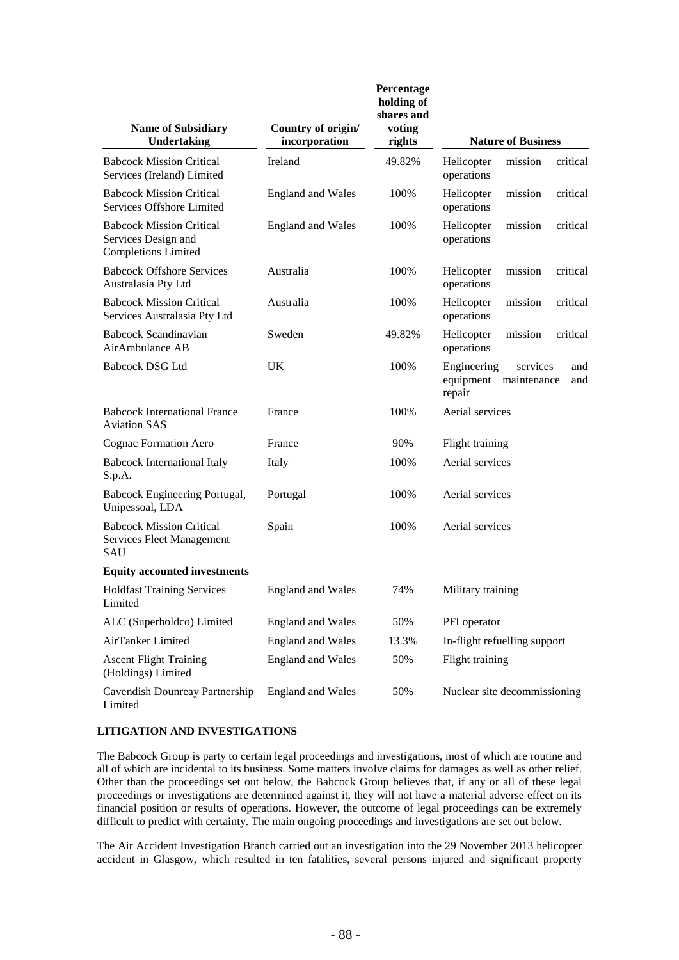| <b>Name of Subsidiary</b><br><b>Undertaking</b>                                      | Country of origin/<br>incorporation | Percentage<br>holding of<br>shares and<br>voting<br>rights | <b>Nature of Business</b>                                                |
|--------------------------------------------------------------------------------------|-------------------------------------|------------------------------------------------------------|--------------------------------------------------------------------------|
| <b>Babcock Mission Critical</b><br>Services (Ireland) Limited                        | Ireland                             | 49.82%                                                     | mission<br>critical<br>Helicopter<br>operations                          |
| <b>Babcock Mission Critical</b><br>Services Offshore Limited                         | <b>England and Wales</b>            | 100%                                                       | mission<br>critical<br>Helicopter<br>operations                          |
| <b>Babcock Mission Critical</b><br>Services Design and<br><b>Completions Limited</b> | <b>England and Wales</b>            | 100%                                                       | critical<br>Helicopter<br>mission<br>operations                          |
| <b>Babcock Offshore Services</b><br>Australasia Pty Ltd                              | Australia                           | 100%                                                       | critical<br>Helicopter<br>mission<br>operations                          |
| <b>Babcock Mission Critical</b><br>Services Australasia Pty Ltd                      | Australia                           | 100%                                                       | mission<br>critical<br>Helicopter<br>operations                          |
| <b>Babcock Scandinavian</b><br>AirAmbulance AB                                       | Sweden                              | 49.82%                                                     | Helicopter<br>mission<br>critical<br>operations                          |
| <b>Babcock DSG Ltd</b>                                                               | UK                                  | 100%                                                       | Engineering<br>services<br>and<br>equipment maintenance<br>and<br>repair |
| <b>Babcock International France</b><br><b>Aviation SAS</b>                           | France                              | 100%                                                       | Aerial services                                                          |
| Cognac Formation Aero                                                                | France                              | 90%                                                        | Flight training                                                          |
| <b>Babcock International Italy</b><br>S.p.A.                                         | Italy                               | 100%                                                       | Aerial services                                                          |
| Babcock Engineering Portugal,<br>Unipessoal, LDA                                     | Portugal                            | 100%                                                       | Aerial services                                                          |
| <b>Babcock Mission Critical</b><br><b>Services Fleet Management</b><br>SAU           | Spain                               | 100%                                                       | Aerial services                                                          |
| <b>Equity accounted investments</b>                                                  |                                     |                                                            |                                                                          |
| <b>Holdfast Training Services</b><br>Limited                                         | <b>England and Wales</b>            | 74%                                                        | Military training                                                        |
| ALC (Superholdco) Limited                                                            | <b>England and Wales</b>            | 50%                                                        | PFI operator                                                             |
| AirTanker Limited                                                                    | <b>England and Wales</b>            | 13.3%                                                      | In-flight refuelling support                                             |
| <b>Ascent Flight Training</b><br>(Holdings) Limited                                  | <b>England and Wales</b>            | 50%                                                        | Flight training                                                          |
| Cavendish Dounreay Partnership<br>Limited                                            | <b>England and Wales</b>            | 50%                                                        | Nuclear site decommissioning                                             |

# **LITIGATION AND INVESTIGATIONS**

The Babcock Group is party to certain legal proceedings and investigations, most of which are routine and all of which are incidental to its business. Some matters involve claims for damages as well as other relief. Other than the proceedings set out below, the Babcock Group believes that, if any or all of these legal proceedings or investigations are determined against it, they will not have a material adverse effect on its financial position or results of operations. However, the outcome of legal proceedings can be extremely difficult to predict with certainty. The main ongoing proceedings and investigations are set out below.

The Air Accident Investigation Branch carried out an investigation into the 29 November 2013 helicopter accident in Glasgow, which resulted in ten fatalities, several persons injured and significant property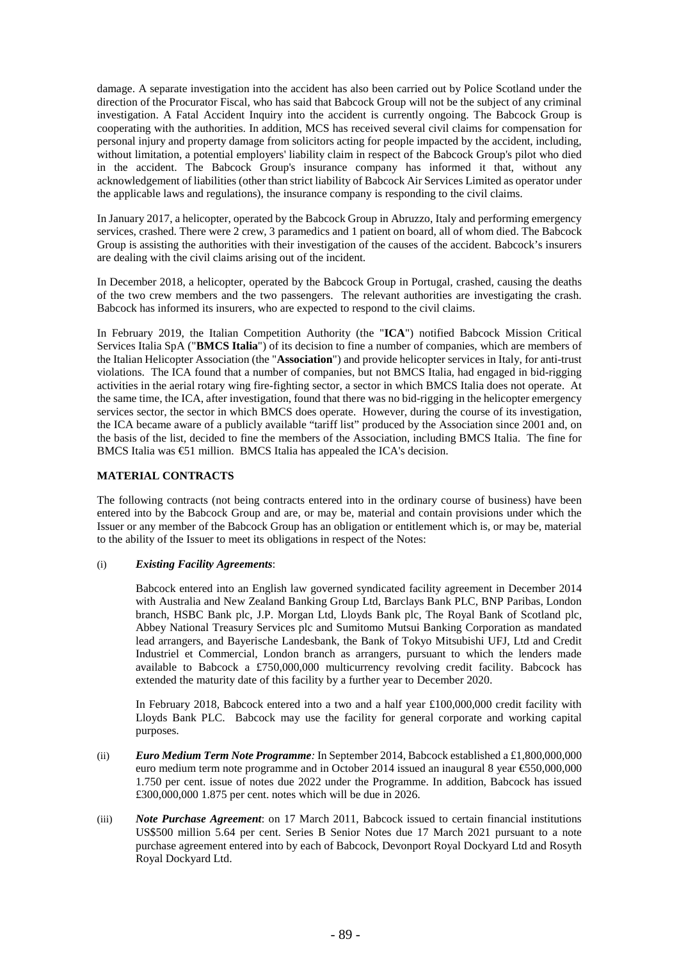damage. A separate investigation into the accident has also been carried out by Police Scotland under the direction of the Procurator Fiscal, who has said that Babcock Group will not be the subject of any criminal investigation. A Fatal Accident Inquiry into the accident is currently ongoing. The Babcock Group is cooperating with the authorities. In addition, MCS has received several civil claims for compensation for personal injury and property damage from solicitors acting for people impacted by the accident, including, without limitation, a potential employers' liability claim in respect of the Babcock Group's pilot who died in the accident. The Babcock Group's insurance company has informed it that, without any acknowledgement of liabilities (other than strict liability of Babcock Air Services Limited as operator under the applicable laws and regulations), the insurance company is responding to the civil claims.

In January 2017, a helicopter, operated by the Babcock Group in Abruzzo, Italy and performing emergency services, crashed. There were 2 crew, 3 paramedics and 1 patient on board, all of whom died. The Babcock Group is assisting the authorities with their investigation of the causes of the accident. Babcock's insurers are dealing with the civil claims arising out of the incident.

In December 2018, a helicopter, operated by the Babcock Group in Portugal, crashed, causing the deaths of the two crew members and the two passengers. The relevant authorities are investigating the crash. Babcock has informed its insurers, who are expected to respond to the civil claims.

In February 2019, the Italian Competition Authority (the "**ICA**") notified Babcock Mission Critical Services Italia SpA ("**BMCS Italia**") of its decision to fine a number of companies, which are members of the Italian Helicopter Association (the "**Association**") and provide helicopter services in Italy, for anti-trust violations. The ICA found that a number of companies, but not BMCS Italia, had engaged in bid-rigging activities in the aerial rotary wing fire-fighting sector, a sector in which BMCS Italia does not operate. At the same time, the ICA, after investigation, found that there was no bid-rigging in the helicopter emergency services sector, the sector in which BMCS does operate. However, during the course of its investigation, the ICA became aware of a publicly available "tariff list" produced by the Association since 2001 and, on the basis of the list, decided to fine the members of the Association, including BMCS Italia. The fine for BMCS Italia was  $\bigoplus$ 1 million. BMCS Italia has appealed the ICA's decision.

# **MATERIAL CONTRACTS**

The following contracts (not being contracts entered into in the ordinary course of business) have been entered into by the Babcock Group and are, or may be, material and contain provisions under which the Issuer or any member of the Babcock Group has an obligation or entitlement which is, or may be, material to the ability of the Issuer to meet its obligations in respect of the Notes:

# (i) *Existing Facility Agreements*:

Babcock entered into an English law governed syndicated facility agreement in December 2014 with Australia and New Zealand Banking Group Ltd, Barclays Bank PLC, BNP Paribas, London branch, HSBC Bank plc, J.P. Morgan Ltd, Lloyds Bank plc, The Royal Bank of Scotland plc, Abbey National Treasury Services plc and Sumitomo Mutsui Banking Corporation as mandated lead arrangers, and Bayerische Landesbank, the Bank of Tokyo Mitsubishi UFJ, Ltd and Credit Industriel et Commercial, London branch as arrangers, pursuant to which the lenders made available to Babcock a £750,000,000 multicurrency revolving credit facility. Babcock has extended the maturity date of this facility by a further year to December 2020.

In February 2018, Babcock entered into a two and a half year £100,000,000 credit facility with Lloyds Bank PLC. Babcock may use the facility for general corporate and working capital purposes.

- (ii) *Euro Medium Term Note Programme:* In September 2014, Babcock established a £1,800,000,000 euro medium term note programme and in October 2014 issued an inaugural 8 year €550,000,000 1.750 per cent. issue of notes due 2022 under the Programme. In addition, Babcock has issued £300,000,000 1.875 per cent. notes which will be due in 2026.
- (iii) *Note Purchase Agreement*: on 17 March 2011, Babcock issued to certain financial institutions US\$500 million 5.64 per cent. Series B Senior Notes due 17 March 2021 pursuant to a note purchase agreement entered into by each of Babcock, Devonport Royal Dockyard Ltd and Rosyth Royal Dockyard Ltd.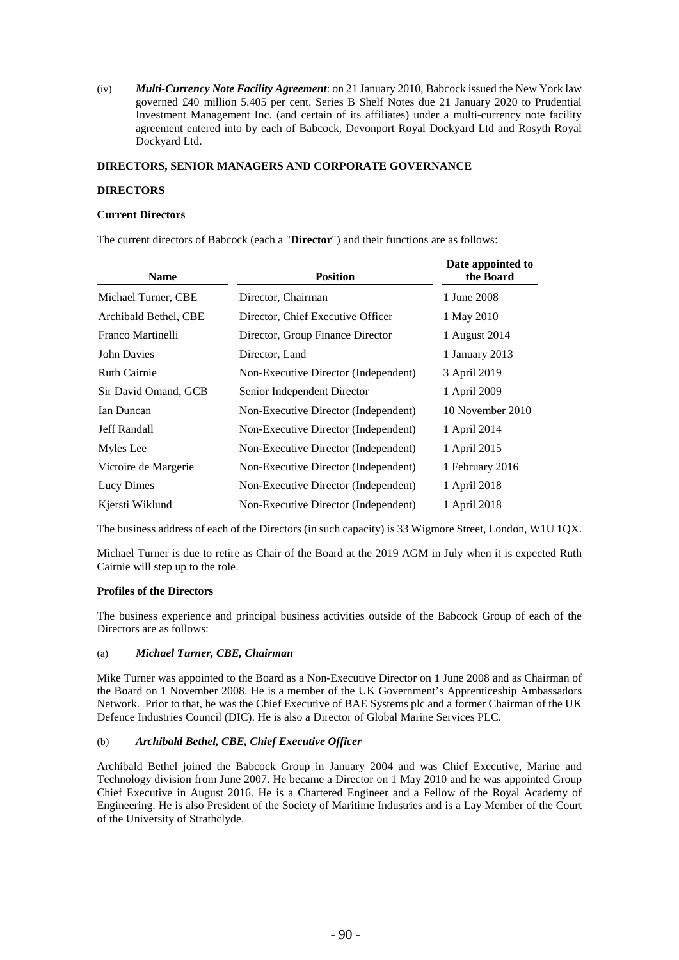(iv) *Multi-Currency Note Facility Agreement*: on 21 January 2010, Babcock issued the New York law governed £40 million 5.405 per cent. Series B Shelf Notes due 21 January 2020 to Prudential Investment Management Inc. (and certain of its affiliates) under a multi-currency note facility agreement entered into by each of Babcock, Devonport Royal Dockyard Ltd and Rosyth Royal Dockyard Ltd.

## **DIRECTORS, SENIOR MANAGERS AND CORPORATE GOVERNANCE**

### **DIRECTORS**

#### **Current Directors**

The current directors of Babcock (each a "**Director**") and their functions are as follows:

| <b>Name</b>           | <b>Position</b>                      | Date appointed to<br>the Board |
|-----------------------|--------------------------------------|--------------------------------|
| Michael Turner, CBE   | Director, Chairman                   | 1 June 2008                    |
| Archibald Bethel, CBE | Director, Chief Executive Officer    | 1 May 2010                     |
| Franco Martinelli     | Director, Group Finance Director     | 1 August 2014                  |
| <b>John Davies</b>    | Director, Land                       | 1 January 2013                 |
| <b>Ruth Cairnie</b>   | Non-Executive Director (Independent) | 3 April 2019                   |
| Sir David Omand, GCB  | Senior Independent Director          | 1 April 2009                   |
| Ian Duncan            | Non-Executive Director (Independent) | 10 November 2010               |
| <b>Jeff Randall</b>   | Non-Executive Director (Independent) | 1 April 2014                   |
| Myles Lee             | Non-Executive Director (Independent) | 1 April 2015                   |
| Victoire de Margerie  | Non-Executive Director (Independent) | 1 February 2016                |
| Lucy Dimes            | Non-Executive Director (Independent) | 1 April 2018                   |
| Kjersti Wiklund       | Non-Executive Director (Independent) | 1 April 2018                   |

The business address of each of the Directors (in such capacity) is 33 Wigmore Street, London, W1U 1QX.

Michael Turner is due to retire as Chair of the Board at the 2019 AGM in July when it is expected Ruth Cairnie will step up to the role.

#### **Profiles of the Directors**

The business experience and principal business activities outside of the Babcock Group of each of the Directors are as follows:

#### (a) *Michael Turner, CBE, Chairman*

Mike Turner was appointed to the Board as a Non-Executive Director on 1 June 2008 and as Chairman of the Board on 1 November 2008. He is a member of the UK Government's Apprenticeship Ambassadors Network. Prior to that, he was the Chief Executive of BAE Systems plc and a former Chairman of the UK Defence Industries Council (DIC). He is also a Director of Global Marine Services PLC.

# (b) *Archibald Bethel, CBE, Chief Executive Officer*

Archibald Bethel joined the Babcock Group in January 2004 and was Chief Executive, Marine and Technology division from June 2007. He became a Director on 1 May 2010 and he was appointed Group Chief Executive in August 2016. He is a Chartered Engineer and a Fellow of the Royal Academy of Engineering. He is also President of the Society of Maritime Industries and is a Lay Member of the Court of the University of Strathclyde.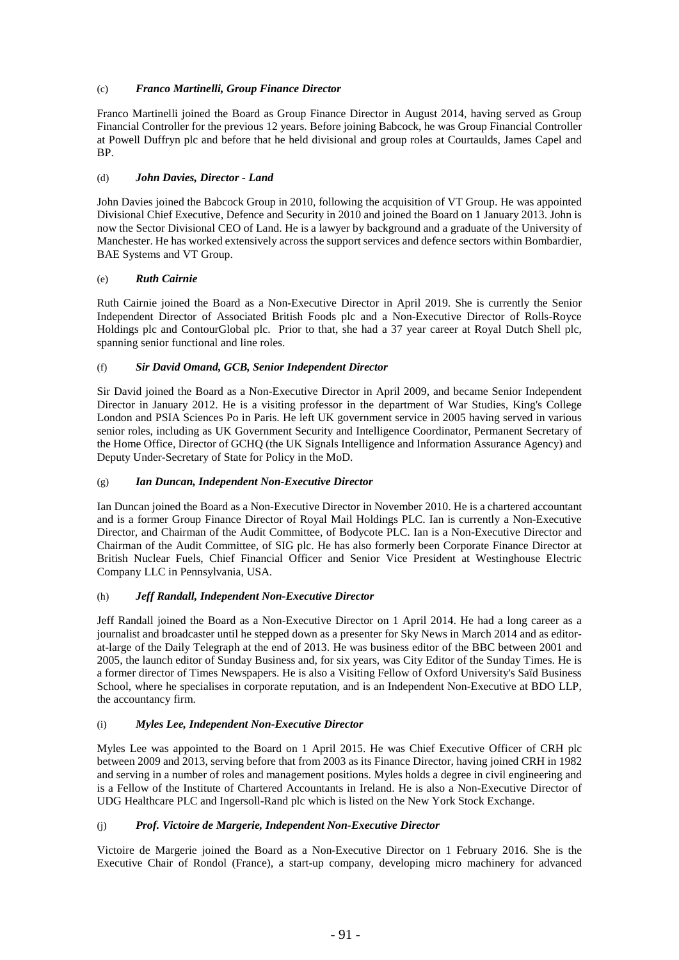# (c) *Franco Martinelli, Group Finance Director*

Franco Martinelli joined the Board as Group Finance Director in August 2014, having served as Group Financial Controller for the previous 12 years. Before joining Babcock, he was Group Financial Controller at Powell Duffryn plc and before that he held divisional and group roles at Courtaulds, James Capel and BP.

# (d) *John Davies, Director - Land*

John Davies joined the Babcock Group in 2010, following the acquisition of VT Group. He was appointed Divisional Chief Executive, Defence and Security in 2010 and joined the Board on 1 January 2013. John is now the Sector Divisional CEO of Land. He is a lawyer by background and a graduate of the University of Manchester. He has worked extensively across the support services and defence sectors within Bombardier, BAE Systems and VT Group.

# (e) *Ruth Cairnie*

Ruth Cairnie joined the Board as a Non-Executive Director in April 2019. She is currently the Senior Independent Director of Associated British Foods plc and a Non-Executive Director of Rolls-Royce Holdings plc and ContourGlobal plc. Prior to that, she had a 37 year career at Royal Dutch Shell plc, spanning senior functional and line roles.

# (f) *Sir David Omand, GCB, Senior Independent Director*

Sir David joined the Board as a Non-Executive Director in April 2009, and became Senior Independent Director in January 2012. He is a visiting professor in the department of War Studies, King's College London and PSIA Sciences Po in Paris. He left UK government service in 2005 having served in various senior roles, including as UK Government Security and Intelligence Coordinator, Permanent Secretary of the Home Office, Director of GCHQ (the UK Signals Intelligence and Information Assurance Agency) and Deputy Under-Secretary of State for Policy in the MoD.

# (g) *Ian Duncan, Independent Non-Executive Director*

Ian Duncan joined the Board as a Non-Executive Director in November 2010. He is a chartered accountant and is a former Group Finance Director of Royal Mail Holdings PLC. Ian is currently a Non-Executive Director, and Chairman of the Audit Committee, of Bodycote PLC. Ian is a Non-Executive Director and Chairman of the Audit Committee, of SIG plc. He has also formerly been Corporate Finance Director at British Nuclear Fuels, Chief Financial Officer and Senior Vice President at Westinghouse Electric Company LLC in Pennsylvania, USA.

# (h) *Jeff Randall, Independent Non-Executive Director*

Jeff Randall joined the Board as a Non-Executive Director on 1 April 2014. He had a long career as a journalist and broadcaster until he stepped down as a presenter for Sky News in March 2014 and as editorat-large of the Daily Telegraph at the end of 2013. He was business editor of the BBC between 2001 and 2005, the launch editor of Sunday Business and, for six years, was City Editor of the Sunday Times. He is a former director of Times Newspapers. He is also a Visiting Fellow of Oxford University's Saïd Business School, where he specialises in corporate reputation, and is an Independent Non-Executive at BDO LLP, the accountancy firm.

# (i) *Myles Lee, Independent Non-Executive Director*

Myles Lee was appointed to the Board on 1 April 2015. He was Chief Executive Officer of CRH plc between 2009 and 2013, serving before that from 2003 as its Finance Director, having joined CRH in 1982 and serving in a number of roles and management positions. Myles holds a degree in civil engineering and is a Fellow of the Institute of Chartered Accountants in Ireland. He is also a Non-Executive Director of UDG Healthcare PLC and Ingersoll-Rand plc which is listed on the New York Stock Exchange.

# (j) *Prof. Victoire de Margerie, Independent Non-Executive Director*

Victoire de Margerie joined the Board as a Non-Executive Director on 1 February 2016. She is the Executive Chair of Rondol (France), a start-up company, developing micro machinery for advanced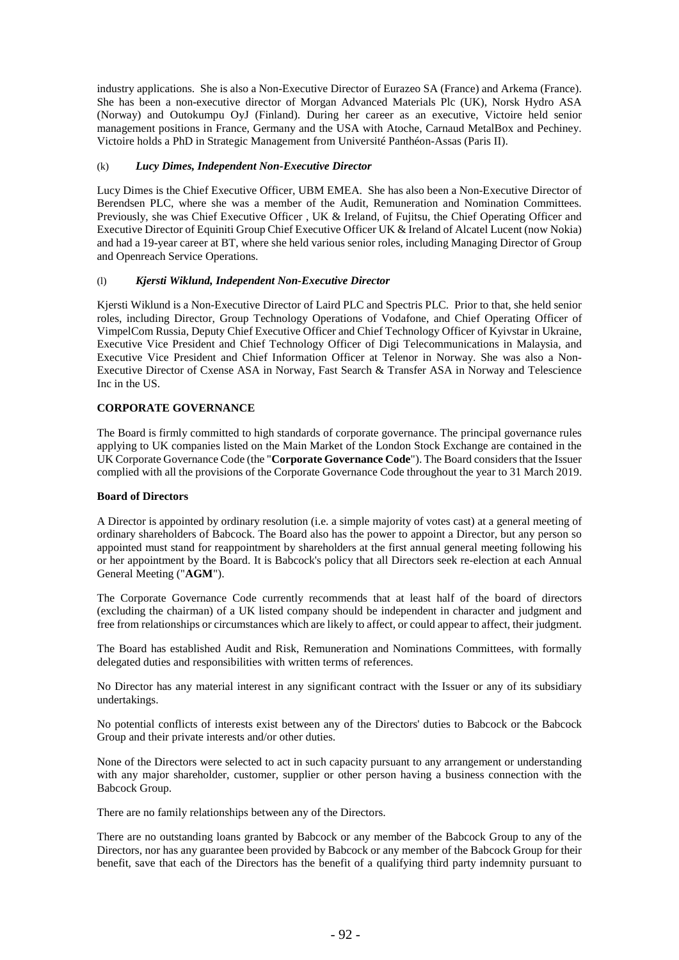industry applications. She is also a Non-Executive Director of Eurazeo SA (France) and Arkema (France). She has been a non-executive director of Morgan Advanced Materials Plc (UK), Norsk Hydro ASA (Norway) and Outokumpu OyJ (Finland). During her career as an executive, Victoire held senior management positions in France, Germany and the USA with Atoche, Carnaud MetalBox and Pechiney. Victoire holds a PhD in Strategic Management from Université Panthéon-Assas (Paris II).

# (k) *Lucy Dimes, Independent Non-Executive Director*

Lucy Dimes is the Chief Executive Officer, UBM EMEA. She has also been a Non-Executive Director of Berendsen PLC, where she was a member of the Audit, Remuneration and Nomination Committees. Previously, she was Chief Executive Officer , UK & Ireland, of Fujitsu, the Chief Operating Officer and Executive Director of Equiniti Group Chief Executive Officer UK & Ireland of Alcatel Lucent (now Nokia) and had a 19-year career at BT, where she held various senior roles, including Managing Director of Group and Openreach Service Operations.

# (l) *Kjersti Wiklund, Independent Non-Executive Director*

Kjersti Wiklund is a Non-Executive Director of Laird PLC and Spectris PLC. Prior to that, she held senior roles, including Director, Group Technology Operations of Vodafone, and Chief Operating Officer of VimpelCom Russia, Deputy Chief Executive Officer and Chief Technology Officer of Kyivstar in Ukraine, Executive Vice President and Chief Technology Officer of Digi Telecommunications in Malaysia, and Executive Vice President and Chief Information Officer at Telenor in Norway. She was also a Non-Executive Director of Cxense ASA in Norway, Fast Search & Transfer ASA in Norway and Telescience Inc in the US.

# **CORPORATE GOVERNANCE**

The Board is firmly committed to high standards of corporate governance. The principal governance rules applying to UK companies listed on the Main Market of the London Stock Exchange are contained in the UK Corporate Governance Code (the "**Corporate Governance Code**"). The Board considers that the Issuer complied with all the provisions of the Corporate Governance Code throughout the year to 31 March 2019.

#### **Board of Directors**

A Director is appointed by ordinary resolution (i.e. a simple majority of votes cast) at a general meeting of ordinary shareholders of Babcock. The Board also has the power to appoint a Director, but any person so appointed must stand for reappointment by shareholders at the first annual general meeting following his or her appointment by the Board. It is Babcock's policy that all Directors seek re-election at each Annual General Meeting ("**AGM**").

The Corporate Governance Code currently recommends that at least half of the board of directors (excluding the chairman) of a UK listed company should be independent in character and judgment and free from relationships or circumstances which are likely to affect, or could appear to affect, their judgment.

The Board has established Audit and Risk, Remuneration and Nominations Committees, with formally delegated duties and responsibilities with written terms of references.

No Director has any material interest in any significant contract with the Issuer or any of its subsidiary undertakings.

No potential conflicts of interests exist between any of the Directors' duties to Babcock or the Babcock Group and their private interests and/or other duties.

None of the Directors were selected to act in such capacity pursuant to any arrangement or understanding with any major shareholder, customer, supplier or other person having a business connection with the Babcock Group.

There are no family relationships between any of the Directors.

There are no outstanding loans granted by Babcock or any member of the Babcock Group to any of the Directors, nor has any guarantee been provided by Babcock or any member of the Babcock Group for their benefit, save that each of the Directors has the benefit of a qualifying third party indemnity pursuant to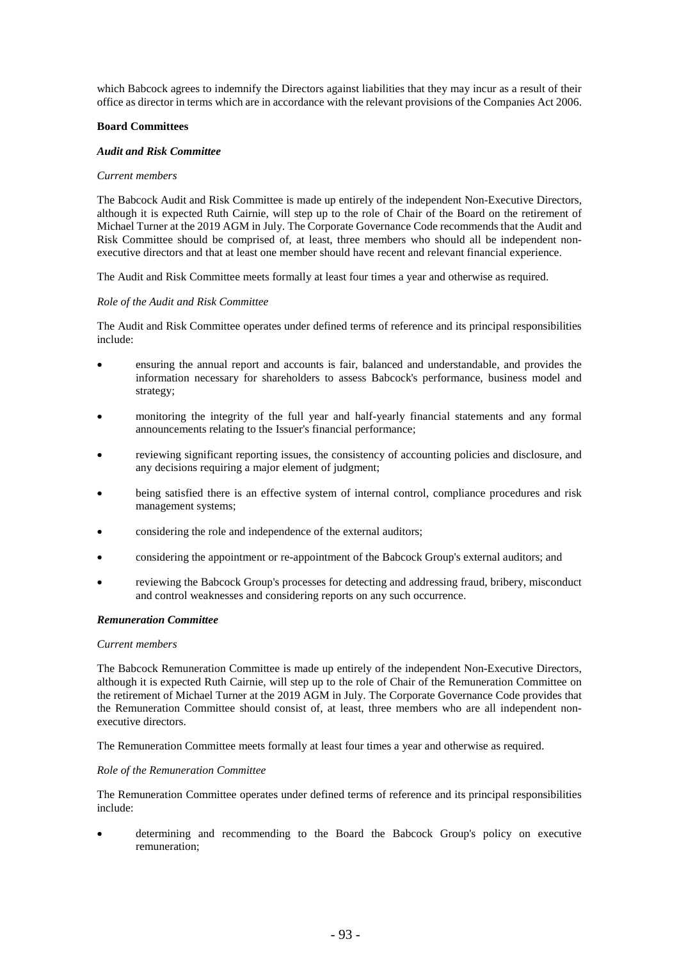which Babcock agrees to indemnify the Directors against liabilities that they may incur as a result of their office as director in terms which are in accordance with the relevant provisions of the Companies Act 2006.

### **Board Committees**

#### *Audit and Risk Committee*

#### *Current members*

The Babcock Audit and Risk Committee is made up entirely of the independent Non-Executive Directors, although it is expected Ruth Cairnie, will step up to the role of Chair of the Board on the retirement of Michael Turner at the 2019 AGM in July. The Corporate Governance Code recommends that the Audit and Risk Committee should be comprised of, at least, three members who should all be independent nonexecutive directors and that at least one member should have recent and relevant financial experience.

The Audit and Risk Committee meets formally at least four times a year and otherwise as required.

### *Role of the Audit and Risk Committee*

The Audit and Risk Committee operates under defined terms of reference and its principal responsibilities include:

- ensuring the annual report and accounts is fair, balanced and understandable, and provides the information necessary for shareholders to assess Babcock's performance, business model and strategy;
- monitoring the integrity of the full year and half-yearly financial statements and any formal announcements relating to the Issuer's financial performance;
- reviewing significant reporting issues, the consistency of accounting policies and disclosure, and any decisions requiring a major element of judgment;
- being satisfied there is an effective system of internal control, compliance procedures and risk management systems;
- considering the role and independence of the external auditors;
- considering the appointment or re-appointment of the Babcock Group's external auditors; and
- reviewing the Babcock Group's processes for detecting and addressing fraud, bribery, misconduct and control weaknesses and considering reports on any such occurrence.

#### *Remuneration Committee*

#### *Current members*

The Babcock Remuneration Committee is made up entirely of the independent Non-Executive Directors, although it is expected Ruth Cairnie, will step up to the role of Chair of the Remuneration Committee on the retirement of Michael Turner at the 2019 AGM in July. The Corporate Governance Code provides that the Remuneration Committee should consist of, at least, three members who are all independent nonexecutive directors.

The Remuneration Committee meets formally at least four times a year and otherwise as required.

#### *Role of the Remuneration Committee*

The Remuneration Committee operates under defined terms of reference and its principal responsibilities include:

• determining and recommending to the Board the Babcock Group's policy on executive remuneration;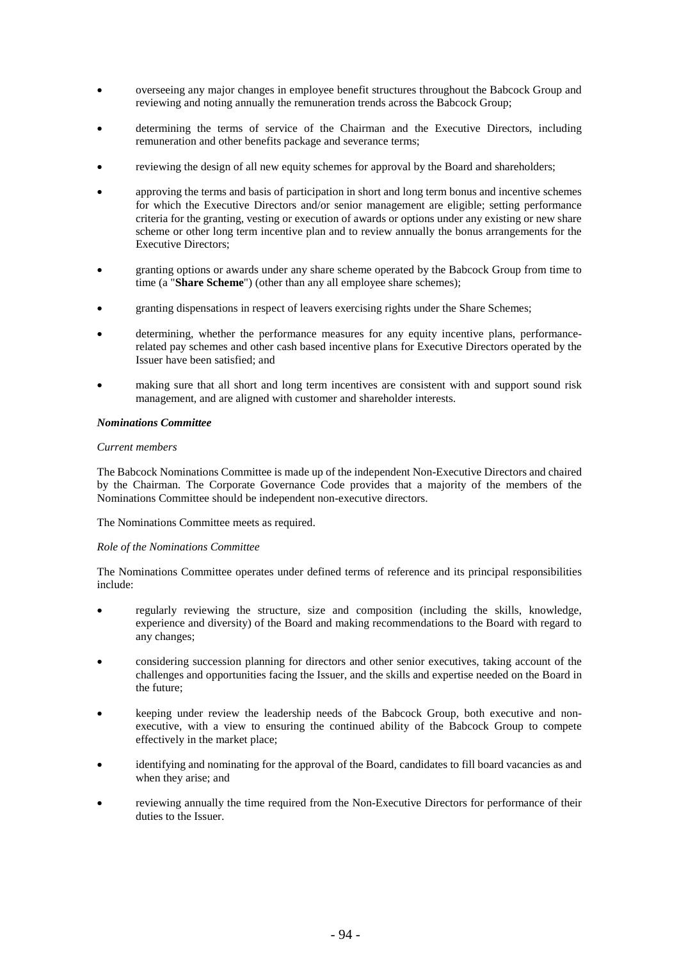- overseeing any major changes in employee benefit structures throughout the Babcock Group and reviewing and noting annually the remuneration trends across the Babcock Group;
- determining the terms of service of the Chairman and the Executive Directors, including remuneration and other benefits package and severance terms;
- reviewing the design of all new equity schemes for approval by the Board and shareholders;
- approving the terms and basis of participation in short and long term bonus and incentive schemes for which the Executive Directors and/or senior management are eligible; setting performance criteria for the granting, vesting or execution of awards or options under any existing or new share scheme or other long term incentive plan and to review annually the bonus arrangements for the Executive Directors;
- granting options or awards under any share scheme operated by the Babcock Group from time to time (a "**Share Scheme**") (other than any all employee share schemes);
- granting dispensations in respect of leavers exercising rights under the Share Schemes;
- determining, whether the performance measures for any equity incentive plans, performancerelated pay schemes and other cash based incentive plans for Executive Directors operated by the Issuer have been satisfied; and
- making sure that all short and long term incentives are consistent with and support sound risk management, and are aligned with customer and shareholder interests.

# *Nominations Committee*

# *Current members*

The Babcock Nominations Committee is made up of the independent Non-Executive Directors and chaired by the Chairman. The Corporate Governance Code provides that a majority of the members of the Nominations Committee should be independent non-executive directors.

The Nominations Committee meets as required.

# *Role of the Nominations Committee*

The Nominations Committee operates under defined terms of reference and its principal responsibilities include:

- regularly reviewing the structure, size and composition (including the skills, knowledge, experience and diversity) of the Board and making recommendations to the Board with regard to any changes;
- considering succession planning for directors and other senior executives, taking account of the challenges and opportunities facing the Issuer, and the skills and expertise needed on the Board in the future;
- keeping under review the leadership needs of the Babcock Group, both executive and nonexecutive, with a view to ensuring the continued ability of the Babcock Group to compete effectively in the market place;
- identifying and nominating for the approval of the Board, candidates to fill board vacancies as and when they arise; and
- reviewing annually the time required from the Non-Executive Directors for performance of their duties to the Issuer.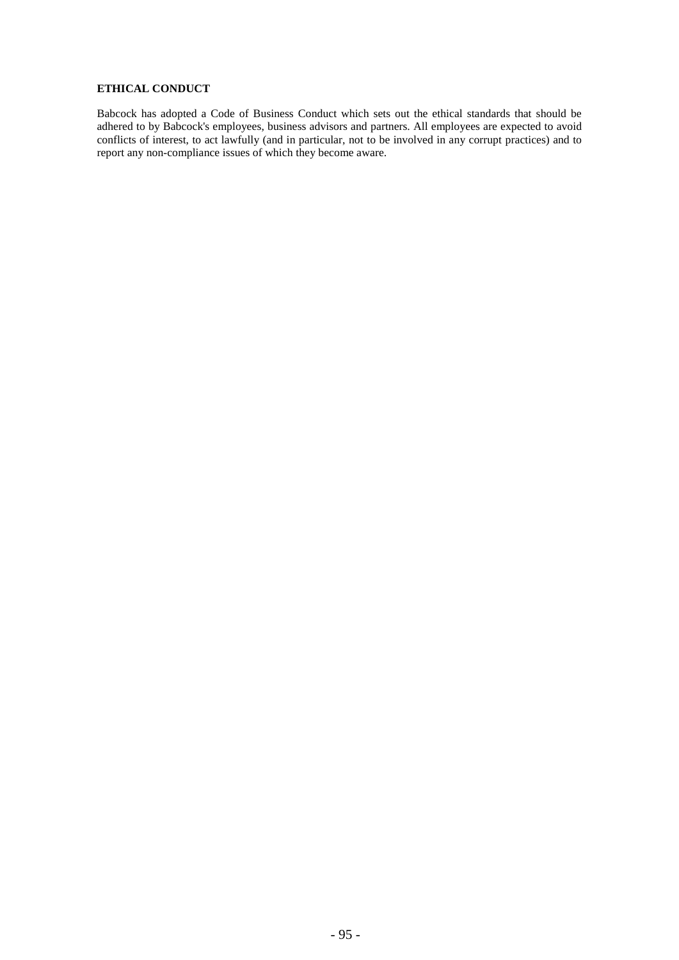# **ETHICAL CONDUCT**

Babcock has adopted a Code of Business Conduct which sets out the ethical standards that should be adhered to by Babcock's employees, business advisors and partners. All employees are expected to avoid conflicts of interest, to act lawfully (and in particular, not to be involved in any corrupt practices) and to report any non-compliance issues of which they become aware.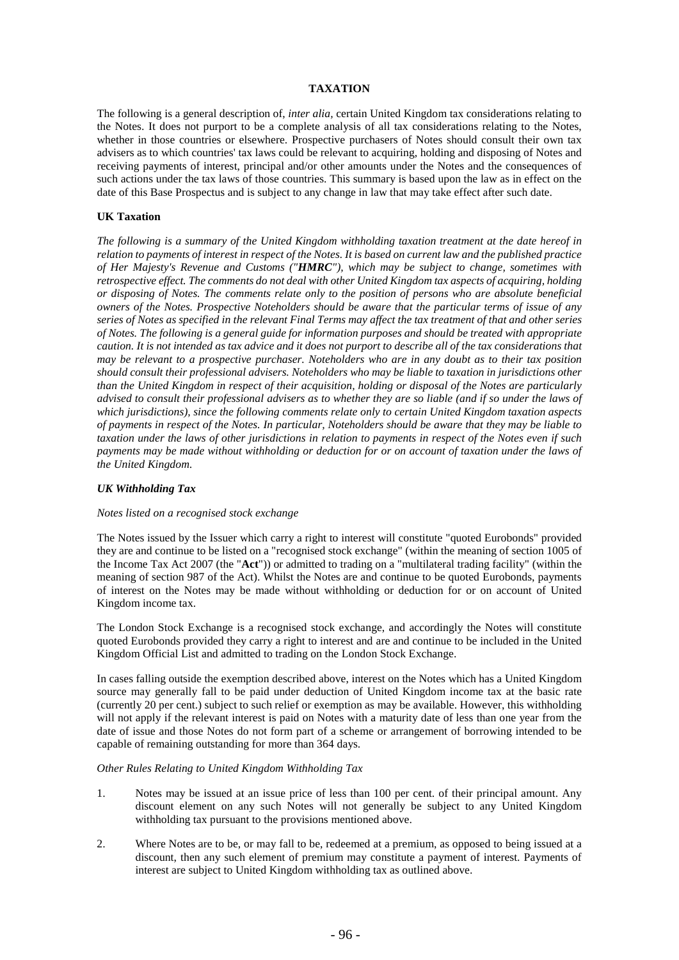# **TAXATION**

The following is a general description of, *inter alia,* certain United Kingdom tax considerations relating to the Notes. It does not purport to be a complete analysis of all tax considerations relating to the Notes, whether in those countries or elsewhere. Prospective purchasers of Notes should consult their own tax advisers as to which countries' tax laws could be relevant to acquiring, holding and disposing of Notes and receiving payments of interest, principal and/or other amounts under the Notes and the consequences of such actions under the tax laws of those countries. This summary is based upon the law as in effect on the date of this Base Prospectus and is subject to any change in law that may take effect after such date.

# **UK Taxation**

*The following is a summary of the United Kingdom withholding taxation treatment at the date hereof in relation to payments of interest in respect of the Notes. It is based on current law and the published practice of Her Majesty's Revenue and Customs ("HMRC"), which may be subject to change, sometimes with retrospective effect. The comments do not deal with other United Kingdom tax aspects of acquiring, holding or disposing of Notes. The comments relate only to the position of persons who are absolute beneficial owners of the Notes. Prospective Noteholders should be aware that the particular terms of issue of any series of Notes as specified in the relevant Final Terms may affect the tax treatment of that and other series of Notes. The following is a general guide for information purposes and should be treated with appropriate caution. It is not intended as tax advice and it does not purport to describe all of the tax considerations that may be relevant to a prospective purchaser. Noteholders who are in any doubt as to their tax position should consult their professional advisers. Noteholders who may be liable to taxation in jurisdictions other than the United Kingdom in respect of their acquisition, holding or disposal of the Notes are particularly advised to consult their professional advisers as to whether they are so liable (and if so under the laws of which jurisdictions), since the following comments relate only to certain United Kingdom taxation aspects of payments in respect of the Notes. In particular, Noteholders should be aware that they may be liable to taxation under the laws of other jurisdictions in relation to payments in respect of the Notes even if such payments may be made without withholding or deduction for or on account of taxation under the laws of the United Kingdom.*

# *UK Withholding Tax*

# *Notes listed on a recognised stock exchange*

The Notes issued by the Issuer which carry a right to interest will constitute "quoted Eurobonds" provided they are and continue to be listed on a "recognised stock exchange" (within the meaning of section 1005 of the Income Tax Act 2007 (the "**Act**")) or admitted to trading on a "multilateral trading facility" (within the meaning of section 987 of the Act). Whilst the Notes are and continue to be quoted Eurobonds, payments of interest on the Notes may be made without withholding or deduction for or on account of United Kingdom income tax.

The London Stock Exchange is a recognised stock exchange, and accordingly the Notes will constitute quoted Eurobonds provided they carry a right to interest and are and continue to be included in the United Kingdom Official List and admitted to trading on the London Stock Exchange.

In cases falling outside the exemption described above, interest on the Notes which has a United Kingdom source may generally fall to be paid under deduction of United Kingdom income tax at the basic rate (currently 20 per cent.) subject to such relief or exemption as may be available. However, this withholding will not apply if the relevant interest is paid on Notes with a maturity date of less than one year from the date of issue and those Notes do not form part of a scheme or arrangement of borrowing intended to be capable of remaining outstanding for more than 364 days.

#### *Other Rules Relating to United Kingdom Withholding Tax*

- 1. Notes may be issued at an issue price of less than 100 per cent. of their principal amount. Any discount element on any such Notes will not generally be subject to any United Kingdom withholding tax pursuant to the provisions mentioned above.
- 2. Where Notes are to be, or may fall to be, redeemed at a premium, as opposed to being issued at a discount, then any such element of premium may constitute a payment of interest. Payments of interest are subject to United Kingdom withholding tax as outlined above.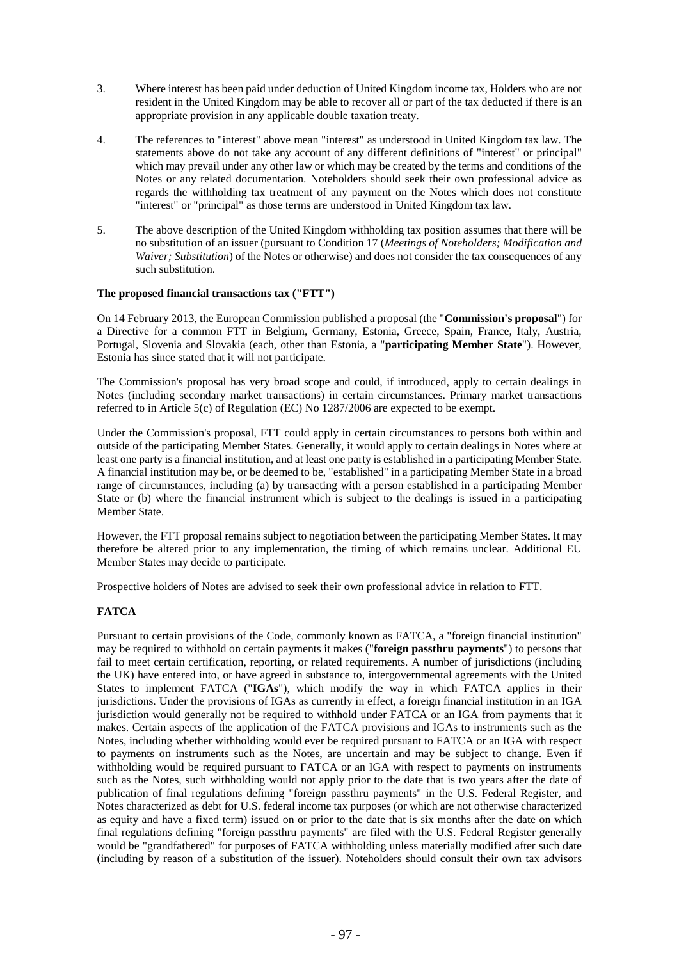- 3. Where interest has been paid under deduction of United Kingdom income tax, Holders who are not resident in the United Kingdom may be able to recover all or part of the tax deducted if there is an appropriate provision in any applicable double taxation treaty.
- 4. The references to "interest" above mean "interest" as understood in United Kingdom tax law. The statements above do not take any account of any different definitions of "interest" or principal" which may prevail under any other law or which may be created by the terms and conditions of the Notes or any related documentation. Noteholders should seek their own professional advice as regards the withholding tax treatment of any payment on the Notes which does not constitute "interest" or "principal" as those terms are understood in United Kingdom tax law.
- 5. The above description of the United Kingdom withholding tax position assumes that there will be no substitution of an issuer (pursuant to Conditio[n 17](#page-65-0) (*Meetings of Noteholders; Modification and Waiver; Substitution*) of the Notes or otherwise) and does not consider the tax consequences of any such substitution.

# **The proposed financial transactions tax ("FTT")**

On 14 February 2013, the European Commission published a proposal (the "**Commission's proposal**") for a Directive for a common FTT in Belgium, Germany, Estonia, Greece, Spain, France, Italy, Austria, Portugal, Slovenia and Slovakia (each, other than Estonia, a "**participating Member State**"). However, Estonia has since stated that it will not participate.

The Commission's proposal has very broad scope and could, if introduced, apply to certain dealings in Notes (including secondary market transactions) in certain circumstances. Primary market transactions referred to in Article 5(c) of Regulation (EC) No 1287/2006 are expected to be exempt.

Under the Commission's proposal, FTT could apply in certain circumstances to persons both within and outside of the participating Member States. Generally, it would apply to certain dealings in Notes where at least one party is a financial institution, and at least one party is established in a participating Member State. A financial institution may be, or be deemed to be, "established" in a participating Member State in a broad range of circumstances, including (a) by transacting with a person established in a participating Member State or (b) where the financial instrument which is subject to the dealings is issued in a participating Member State.

However, the FTT proposal remains subject to negotiation between the participating Member States. It may therefore be altered prior to any implementation, the timing of which remains unclear. Additional EU Member States may decide to participate.

Prospective holders of Notes are advised to seek their own professional advice in relation to FTT.

# **FATCA**

Pursuant to certain provisions of the Code, commonly known as FATCA, a "foreign financial institution" may be required to withhold on certain payments it makes ("**foreign passthru payments**") to persons that fail to meet certain certification, reporting, or related requirements. A number of jurisdictions (including the UK) have entered into, or have agreed in substance to, intergovernmental agreements with the United States to implement FATCA ("**IGAs**"), which modify the way in which FATCA applies in their jurisdictions. Under the provisions of IGAs as currently in effect, a foreign financial institution in an IGA jurisdiction would generally not be required to withhold under FATCA or an IGA from payments that it makes. Certain aspects of the application of the FATCA provisions and IGAs to instruments such as the Notes, including whether withholding would ever be required pursuant to FATCA or an IGA with respect to payments on instruments such as the Notes, are uncertain and may be subject to change. Even if withholding would be required pursuant to FATCA or an IGA with respect to payments on instruments such as the Notes, such withholding would not apply prior to the date that is two years after the date of publication of final regulations defining "foreign passthru payments" in the U.S. Federal Register, and Notes characterized as debt for U.S. federal income tax purposes (or which are not otherwise characterized as equity and have a fixed term) issued on or prior to the date that is six months after the date on which final regulations defining "foreign passthru payments" are filed with the U.S. Federal Register generally would be "grandfathered" for purposes of FATCA withholding unless materially modified after such date (including by reason of a substitution of the issuer). Noteholders should consult their own tax advisors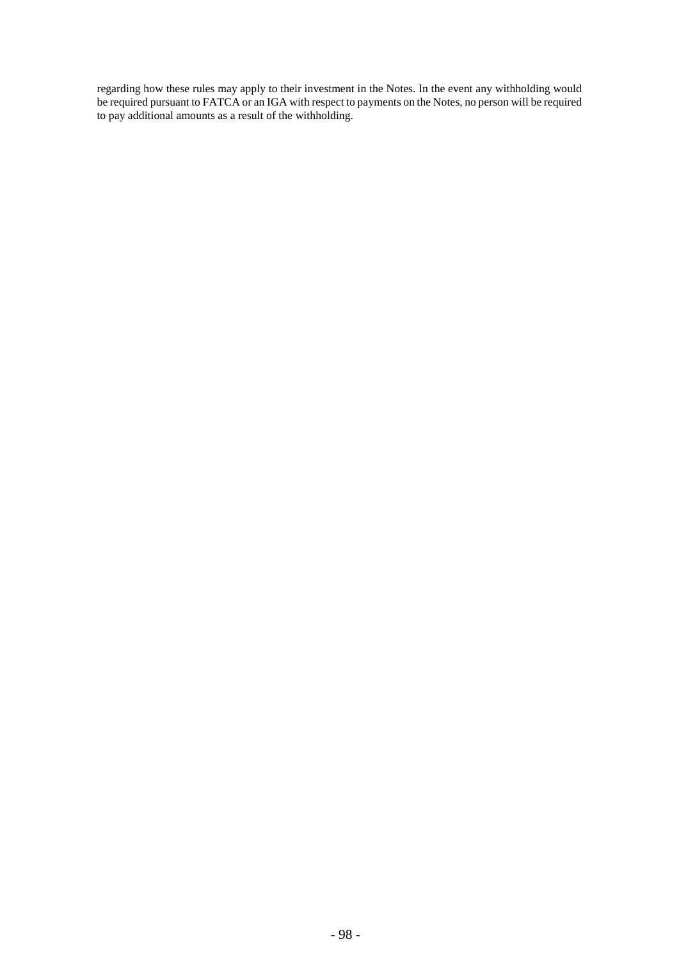regarding how these rules may apply to their investment in the Notes. In the event any withholding would be required pursuant to FATCA or an IGA with respect to payments on the Notes, no person will be required to pay additional amounts as a result of the withholding.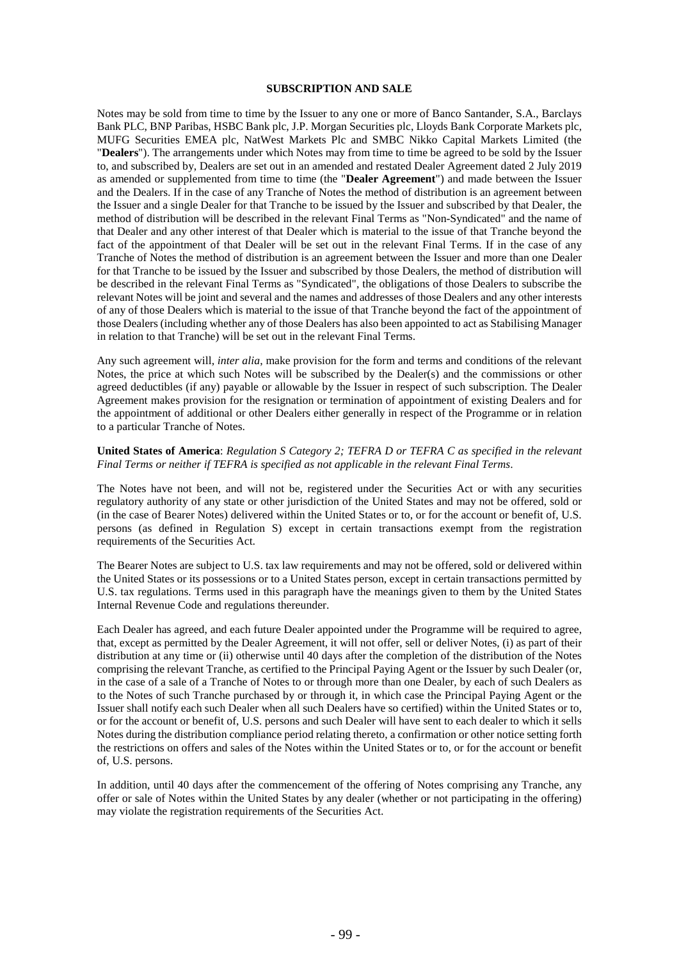#### **SUBSCRIPTION AND SALE**

Notes may be sold from time to time by the Issuer to any one or more of Banco Santander, S.A., Barclays Bank PLC, BNP Paribas, HSBC Bank plc, J.P. Morgan Securities plc, Lloyds Bank Corporate Markets plc, MUFG Securities EMEA plc, NatWest Markets Plc and SMBC Nikko Capital Markets Limited (the "**Dealers**"). The arrangements under which Notes may from time to time be agreed to be sold by the Issuer to, and subscribed by, Dealers are set out in an amended and restated Dealer Agreement dated 2 July 2019 as amended or supplemented from time to time (the "**Dealer Agreement**") and made between the Issuer and the Dealers. If in the case of any Tranche of Notes the method of distribution is an agreement between the Issuer and a single Dealer for that Tranche to be issued by the Issuer and subscribed by that Dealer, the method of distribution will be described in the relevant Final Terms as "Non-Syndicated" and the name of that Dealer and any other interest of that Dealer which is material to the issue of that Tranche beyond the fact of the appointment of that Dealer will be set out in the relevant Final Terms. If in the case of any Tranche of Notes the method of distribution is an agreement between the Issuer and more than one Dealer for that Tranche to be issued by the Issuer and subscribed by those Dealers, the method of distribution will be described in the relevant Final Terms as "Syndicated", the obligations of those Dealers to subscribe the relevant Notes will be joint and several and the names and addresses of those Dealers and any other interests of any of those Dealers which is material to the issue of that Tranche beyond the fact of the appointment of those Dealers (including whether any of those Dealers has also been appointed to act as Stabilising Manager in relation to that Tranche) will be set out in the relevant Final Terms.

Any such agreement will, *inter alia*, make provision for the form and terms and conditions of the relevant Notes, the price at which such Notes will be subscribed by the Dealer(s) and the commissions or other agreed deductibles (if any) payable or allowable by the Issuer in respect of such subscription. The Dealer Agreement makes provision for the resignation or termination of appointment of existing Dealers and for the appointment of additional or other Dealers either generally in respect of the Programme or in relation to a particular Tranche of Notes.

#### **United States of America**: *Regulation S Category 2; TEFRA D or TEFRA C as specified in the relevant Final Terms or neither if TEFRA is specified as not applicable in the relevant Final Terms*.

The Notes have not been, and will not be, registered under the Securities Act or with any securities regulatory authority of any state or other jurisdiction of the United States and may not be offered, sold or (in the case of Bearer Notes) delivered within the United States or to, or for the account or benefit of, U.S. persons (as defined in Regulation S) except in certain transactions exempt from the registration requirements of the Securities Act.

The Bearer Notes are subject to U.S. tax law requirements and may not be offered, sold or delivered within the United States or its possessions or to a United States person, except in certain transactions permitted by U.S. tax regulations. Terms used in this paragraph have the meanings given to them by the United States Internal Revenue Code and regulations thereunder.

Each Dealer has agreed, and each future Dealer appointed under the Programme will be required to agree, that, except as permitted by the Dealer Agreement, it will not offer, sell or deliver Notes, (i) as part of their distribution at any time or (ii) otherwise until 40 days after the completion of the distribution of the Notes comprising the relevant Tranche, as certified to the Principal Paying Agent or the Issuer by such Dealer (or, in the case of a sale of a Tranche of Notes to or through more than one Dealer, by each of such Dealers as to the Notes of such Tranche purchased by or through it, in which case the Principal Paying Agent or the Issuer shall notify each such Dealer when all such Dealers have so certified) within the United States or to, or for the account or benefit of, U.S. persons and such Dealer will have sent to each dealer to which it sells Notes during the distribution compliance period relating thereto, a confirmation or other notice setting forth the restrictions on offers and sales of the Notes within the United States or to, or for the account or benefit of, U.S. persons.

In addition, until 40 days after the commencement of the offering of Notes comprising any Tranche, any offer or sale of Notes within the United States by any dealer (whether or not participating in the offering) may violate the registration requirements of the Securities Act.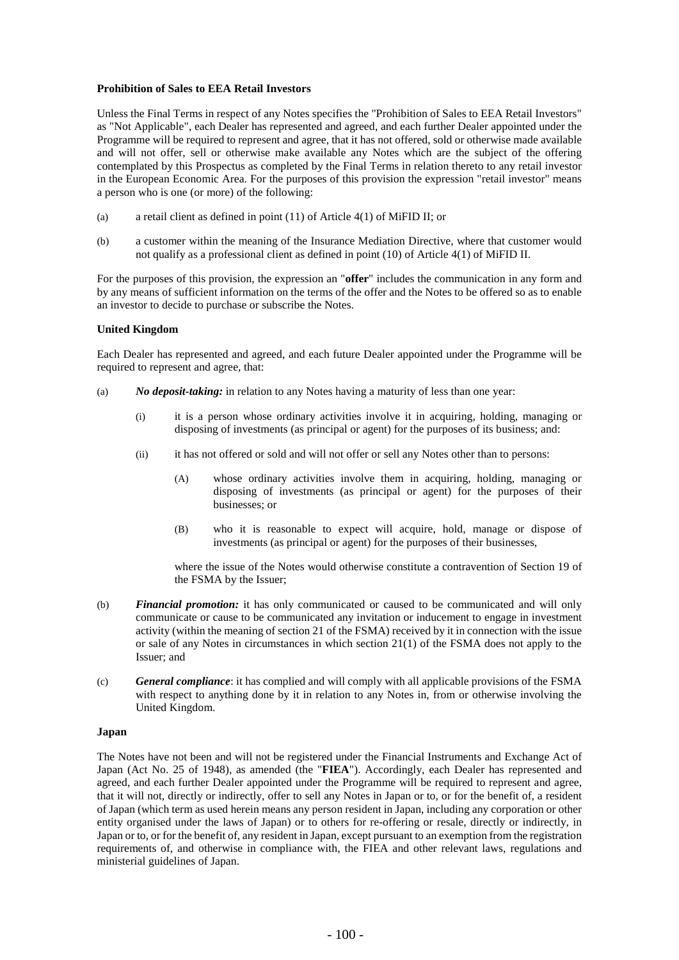## **Prohibition of Sales to EEA Retail Investors**

Unless the Final Terms in respect of any Notes specifies the "Prohibition of Sales to EEA Retail Investors" as "Not Applicable", each Dealer has represented and agreed, and each further Dealer appointed under the Programme will be required to represent and agree, that it has not offered, sold or otherwise made available and will not offer, sell or otherwise make available any Notes which are the subject of the offering contemplated by this Prospectus as completed by the Final Terms in relation thereto to any retail investor in the European Economic Area. For the purposes of this provision the expression "retail investor" means a person who is one (or more) of the following:

- (a) a retail client as defined in point (11) of Article 4(1) of MiFID II; or
- (b) a customer within the meaning of the Insurance Mediation Directive, where that customer would not qualify as a professional client as defined in point (10) of Article 4(1) of MiFID II.

For the purposes of this provision, the expression an "**offer**" includes the communication in any form and by any means of sufficient information on the terms of the offer and the Notes to be offered so as to enable an investor to decide to purchase or subscribe the Notes.

### **United Kingdom**

Each Dealer has represented and agreed, and each future Dealer appointed under the Programme will be required to represent and agree, that:

- (a) *No deposit-taking:* in relation to any Notes having a maturity of less than one year:
	- (i) it is a person whose ordinary activities involve it in acquiring, holding, managing or disposing of investments (as principal or agent) for the purposes of its business; and:
	- (ii) it has not offered or sold and will not offer or sell any Notes other than to persons:
		- (A) whose ordinary activities involve them in acquiring, holding, managing or disposing of investments (as principal or agent) for the purposes of their businesses; or
		- (B) who it is reasonable to expect will acquire, hold, manage or dispose of investments (as principal or agent) for the purposes of their businesses,

where the issue of the Notes would otherwise constitute a contravention of Section 19 of the FSMA by the Issuer;

- (b) *Financial promotion:* it has only communicated or caused to be communicated and will only communicate or cause to be communicated any invitation or inducement to engage in investment activity (within the meaning of section 21 of the FSMA) received by it in connection with the issue or sale of any Notes in circumstances in which section 21(1) of the FSMA does not apply to the Issuer; and
- (c) *General compliance*: it has complied and will comply with all applicable provisions of the FSMA with respect to anything done by it in relation to any Notes in, from or otherwise involving the United Kingdom.

#### **Japan**

The Notes have not been and will not be registered under the Financial Instruments and Exchange Act of Japan (Act No. 25 of 1948), as amended (the "**FIEA**"). Accordingly, each Dealer has represented and agreed, and each further Dealer appointed under the Programme will be required to represent and agree, that it will not, directly or indirectly, offer to sell any Notes in Japan or to, or for the benefit of, a resident of Japan (which term as used herein means any person resident in Japan, including any corporation or other entity organised under the laws of Japan) or to others for re-offering or resale, directly or indirectly, in Japan or to, or for the benefit of, any resident in Japan, except pursuant to an exemption from the registration requirements of, and otherwise in compliance with, the FIEA and other relevant laws, regulations and ministerial guidelines of Japan.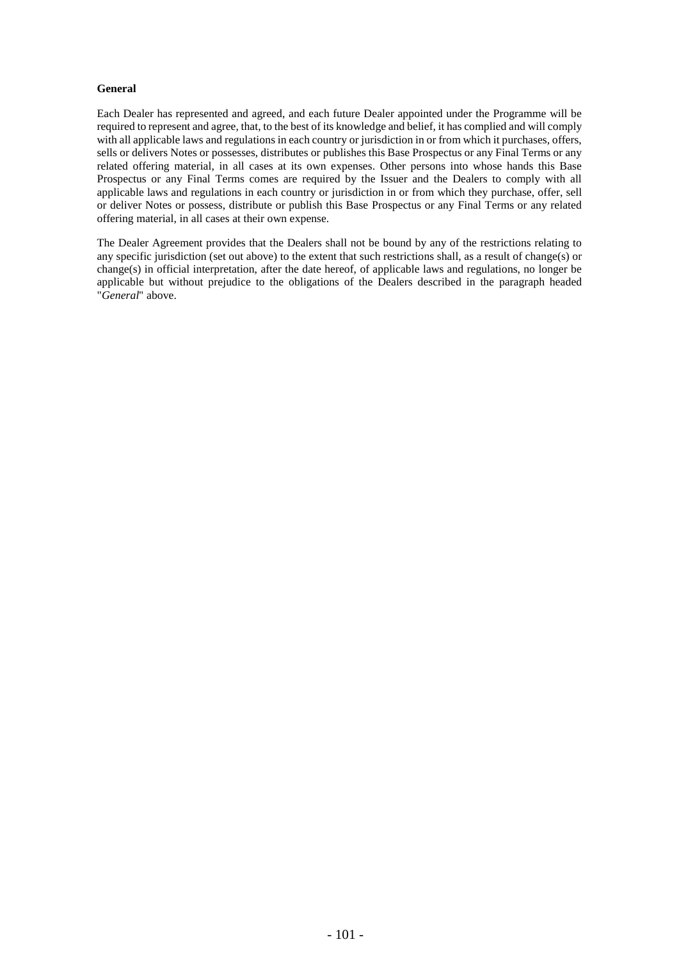# **General**

Each Dealer has represented and agreed, and each future Dealer appointed under the Programme will be required to represent and agree, that, to the best of its knowledge and belief, it has complied and will comply with all applicable laws and regulations in each country or jurisdiction in or from which it purchases, offers, sells or delivers Notes or possesses, distributes or publishes this Base Prospectus or any Final Terms or any related offering material, in all cases at its own expenses. Other persons into whose hands this Base Prospectus or any Final Terms comes are required by the Issuer and the Dealers to comply with all applicable laws and regulations in each country or jurisdiction in or from which they purchase, offer, sell or deliver Notes or possess, distribute or publish this Base Prospectus or any Final Terms or any related offering material, in all cases at their own expense.

The Dealer Agreement provides that the Dealers shall not be bound by any of the restrictions relating to any specific jurisdiction (set out above) to the extent that such restrictions shall, as a result of change(s) or change(s) in official interpretation, after the date hereof, of applicable laws and regulations, no longer be applicable but without prejudice to the obligations of the Dealers described in the paragraph headed "*General*" above.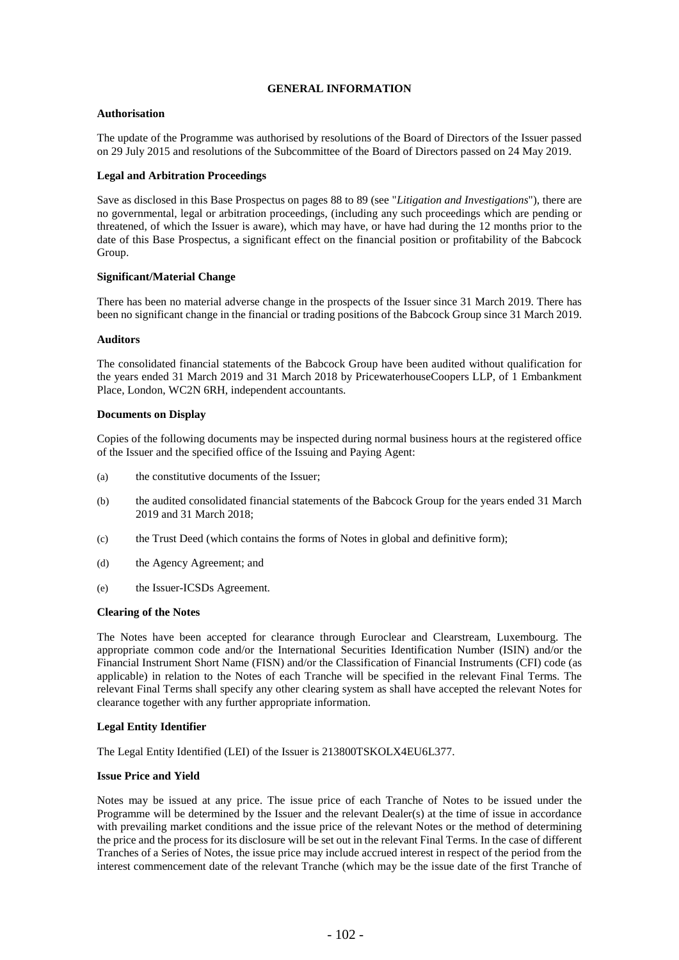# **GENERAL INFORMATION**

# **Authorisation**

The update of the Programme was authorised by resolutions of the Board of Directors of the Issuer passed on 29 July 2015 and resolutions of the Subcommittee of the Board of Directors passed on 24 May 2019.

# **Legal and Arbitration Proceedings**

Save as disclosed in this Base Prospectus on pages 88 to 89 (see "*Litigation and Investigations*"), there are no governmental, legal or arbitration proceedings, (including any such proceedings which are pending or threatened, of which the Issuer is aware), which may have, or have had during the 12 months prior to the date of this Base Prospectus, a significant effect on the financial position or profitability of the Babcock Group.

### **Significant/Material Change**

There has been no material adverse change in the prospects of the Issuer since 31 March 2019. There has been no significant change in the financial or trading positions of the Babcock Group since 31 March 2019.

#### **Auditors**

The consolidated financial statements of the Babcock Group have been audited without qualification for the years ended 31 March 2019 and 31 March 2018 by PricewaterhouseCoopers LLP, of 1 Embankment Place, London, WC2N 6RH, independent accountants.

### **Documents on Display**

Copies of the following documents may be inspected during normal business hours at the registered office of the Issuer and the specified office of the Issuing and Paying Agent:

- (a) the constitutive documents of the Issuer;
- (b) the audited consolidated financial statements of the Babcock Group for the years ended 31 March 2019 and 31 March 2018;
- (c) the Trust Deed (which contains the forms of Notes in global and definitive form);
- (d) the Agency Agreement; and
- (e) the Issuer-ICSDs Agreement.

#### **Clearing of the Notes**

The Notes have been accepted for clearance through Euroclear and Clearstream, Luxembourg. The appropriate common code and/or the International Securities Identification Number (ISIN) and/or the Financial Instrument Short Name (FISN) and/or the Classification of Financial Instruments (CFI) code (as applicable) in relation to the Notes of each Tranche will be specified in the relevant Final Terms. The relevant Final Terms shall specify any other clearing system as shall have accepted the relevant Notes for clearance together with any further appropriate information.

# **Legal Entity Identifier**

The Legal Entity Identified (LEI) of the Issuer is 213800TSKOLX4EU6L377.

# **Issue Price and Yield**

Notes may be issued at any price. The issue price of each Tranche of Notes to be issued under the Programme will be determined by the Issuer and the relevant Dealer(s) at the time of issue in accordance with prevailing market conditions and the issue price of the relevant Notes or the method of determining the price and the process for its disclosure will be set out in the relevant Final Terms. In the case of different Tranches of a Series of Notes, the issue price may include accrued interest in respect of the period from the interest commencement date of the relevant Tranche (which may be the issue date of the first Tranche of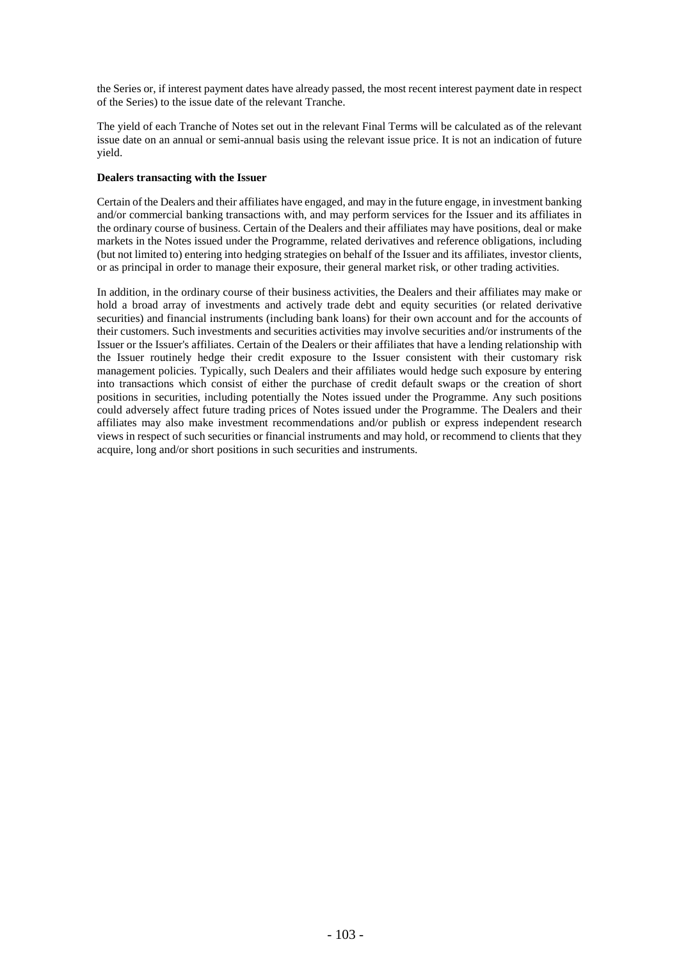the Series or, if interest payment dates have already passed, the most recent interest payment date in respect of the Series) to the issue date of the relevant Tranche.

The yield of each Tranche of Notes set out in the relevant Final Terms will be calculated as of the relevant issue date on an annual or semi-annual basis using the relevant issue price. It is not an indication of future yield.

# **Dealers transacting with the Issuer**

Certain of the Dealers and their affiliates have engaged, and may in the future engage, in investment banking and/or commercial banking transactions with, and may perform services for the Issuer and its affiliates in the ordinary course of business. Certain of the Dealers and their affiliates may have positions, deal or make markets in the Notes issued under the Programme, related derivatives and reference obligations, including (but not limited to) entering into hedging strategies on behalf of the Issuer and its affiliates, investor clients, or as principal in order to manage their exposure, their general market risk, or other trading activities.

In addition, in the ordinary course of their business activities, the Dealers and their affiliates may make or hold a broad array of investments and actively trade debt and equity securities (or related derivative securities) and financial instruments (including bank loans) for their own account and for the accounts of their customers. Such investments and securities activities may involve securities and/or instruments of the Issuer or the Issuer's affiliates. Certain of the Dealers or their affiliates that have a lending relationship with the Issuer routinely hedge their credit exposure to the Issuer consistent with their customary risk management policies. Typically, such Dealers and their affiliates would hedge such exposure by entering into transactions which consist of either the purchase of credit default swaps or the creation of short positions in securities, including potentially the Notes issued under the Programme. Any such positions could adversely affect future trading prices of Notes issued under the Programme. The Dealers and their affiliates may also make investment recommendations and/or publish or express independent research views in respect of such securities or financial instruments and may hold, or recommend to clients that they acquire, long and/or short positions in such securities and instruments.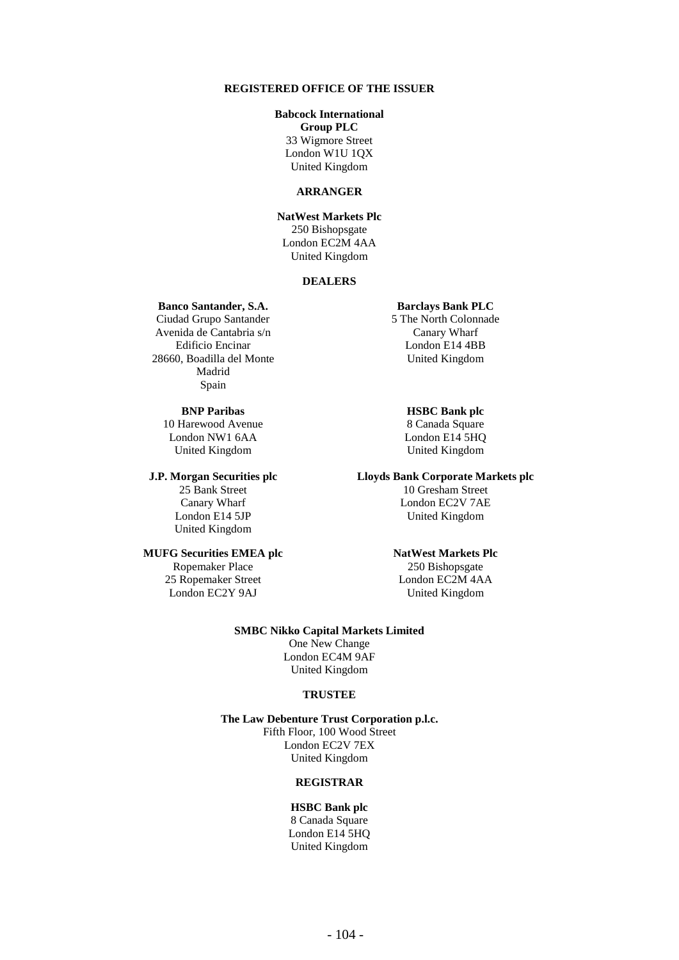## **REGISTERED OFFICE OF THE ISSUER**

### **Babcock International**

**Group PLC** 33 Wigmore Street

London W1U 1QX United Kingdom

# **ARRANGER**

**NatWest Markets Plc** 250 Bishopsgate London EC2M 4AA United Kingdom

# **DEALERS**

### **Banco Santander, S.A.**

Ciudad Grupo Santander Avenida de Cantabria s/n Edificio Encinar 28660, Boadilla del Monte Madrid Spain

# **BNP Paribas**

10 Harewood Avenue London NW1 6AA United Kingdom

#### **J.P. Morgan Securities plc**

25 Bank Street Canary Wharf London E14 5JP United Kingdom

#### **MUFG Securities EMEA plc**

Ropemaker Place 25 Ropemaker Street London EC2Y 9AJ

#### **Barclays Bank PLC**

5 The North Colonnade Canary Wharf London E14 4BB United Kingdom

# **HSBC Bank plc**

8 Canada Square London E14 5HQ United Kingdom

### **Lloyds Bank Corporate Markets plc**

10 Gresham Street London EC2V 7AE United Kingdom

#### **NatWest Markets Plc**

250 Bishopsgate London EC2M 4AA United Kingdom

#### **SMBC Nikko Capital Markets Limited**

One New Change London EC4M 9AF United Kingdom

### **TRUSTEE**

**The Law Debenture Trust Corporation p.l.c.** Fifth Floor, 100 Wood Street London EC2V 7EX United Kingdom

# **REGISTRAR**

#### **HSBC Bank plc**

8 Canada Square London E14 5HQ United Kingdom